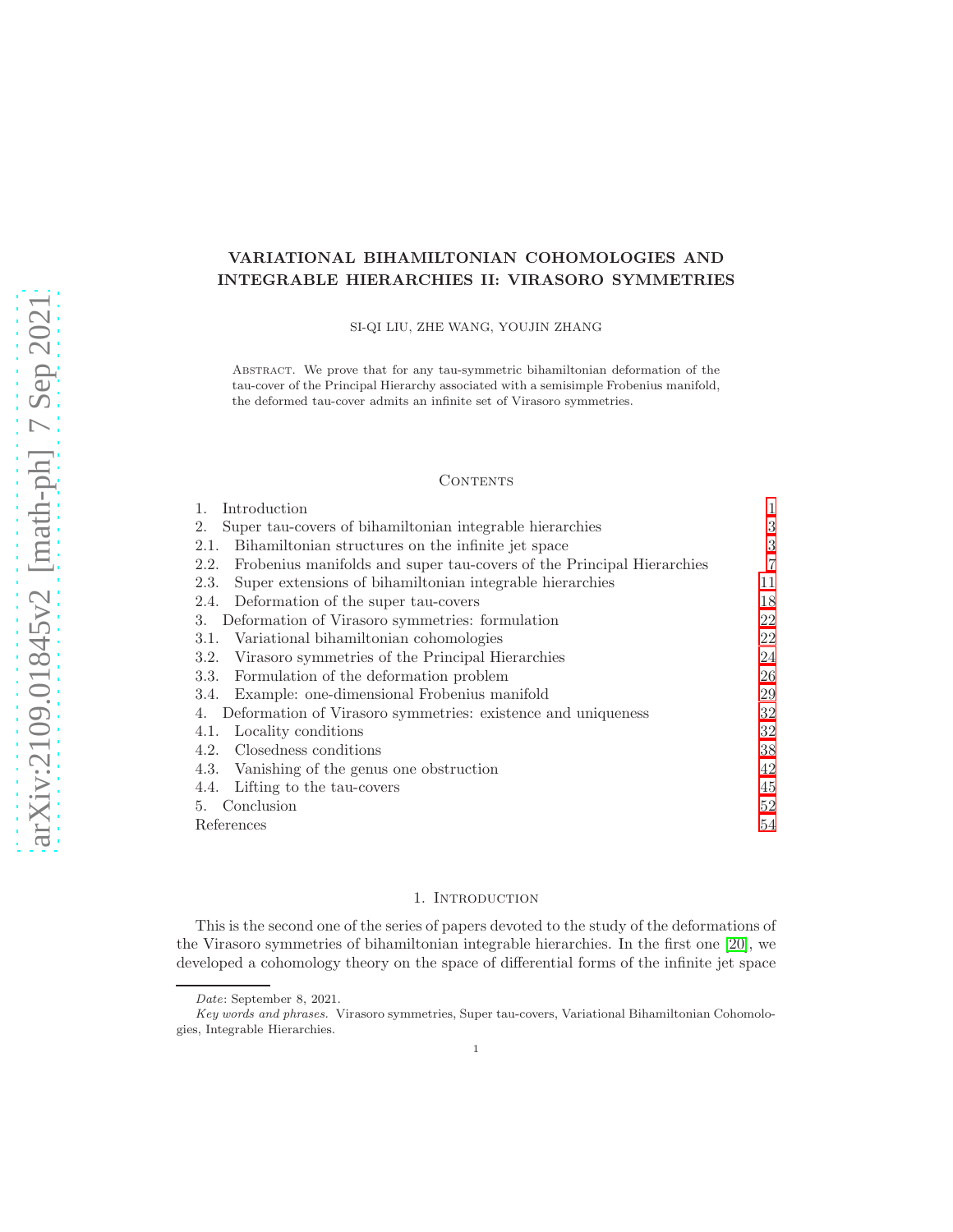# VARIATIONAL BIHAMILTONIAN COHOMOLOGIES AND INTEGRABLE HIERARCHIES II: VIRASORO SYMMETRIES

SI-QI LIU, ZHE WANG, YOUJIN ZHANG

Abstract. We prove that for any tau-symmetric bihamiltonian deformation of the tau-cover of the Principal Hierarchy associated with a semisimple Frobenius manifold, the deformed tau-cover admits an infinite set of Virasoro symmetries.

#### **CONTENTS**

| Introduction<br>$\mathbf{1}_{\cdot}$                                          | $\mathbf{1}$ |  |  |  |
|-------------------------------------------------------------------------------|--------------|--|--|--|
| Super tau-covers of bihamiltonian integrable hierarchies<br>2.                | 3            |  |  |  |
| Bihamiltonian structures on the infinite jet space<br>2.1.                    | 3            |  |  |  |
| Frobenius manifolds and super tau-covers of the Principal Hierarchies<br>2.2. | 7            |  |  |  |
| Super extensions of bihamiltonian integrable hierarchies<br>2.3.              | 11           |  |  |  |
| Deformation of the super tau-covers<br>2.4.                                   | 18           |  |  |  |
| Deformation of Virasoro symmetries: formulation<br>3.                         | 22           |  |  |  |
| 3.1. Variational bihamiltonian cohomologies                                   | 22           |  |  |  |
| Virasoro symmetries of the Principal Hierarchies<br>3.2.                      | 24           |  |  |  |
| Formulation of the deformation problem<br>3.3.                                | 26           |  |  |  |
| 3.4. Example: one-dimensional Frobenius manifold                              | 29           |  |  |  |
| 4. Deformation of Virasoro symmetries: existence and uniqueness               |              |  |  |  |
| Locality conditions<br>4.1.                                                   | 32           |  |  |  |
| 4.2. Closedness conditions                                                    | 38           |  |  |  |
| 4.3. Vanishing of the genus one obstruction                                   | 42           |  |  |  |
| Lifting to the tau-covers<br>4.4.                                             | 45           |  |  |  |
| 5. Conclusion                                                                 | $52^{\circ}$ |  |  |  |
| References                                                                    |              |  |  |  |

### 1. INTRODUCTION

<span id="page-0-0"></span>This is the second one of the series of papers devoted to the study of the deformations of the Virasoro symmetries of bihamiltonian integrable hierarchies. In the first one [\[20\]](#page-53-1), we developed a cohomology theory on the space of differential forms of the infinite jet space

Date: September 8, 2021.

Key words and phrases. Virasoro symmetries, Super tau-covers, Variational Bihamiltonian Cohomologies, Integrable Hierarchies.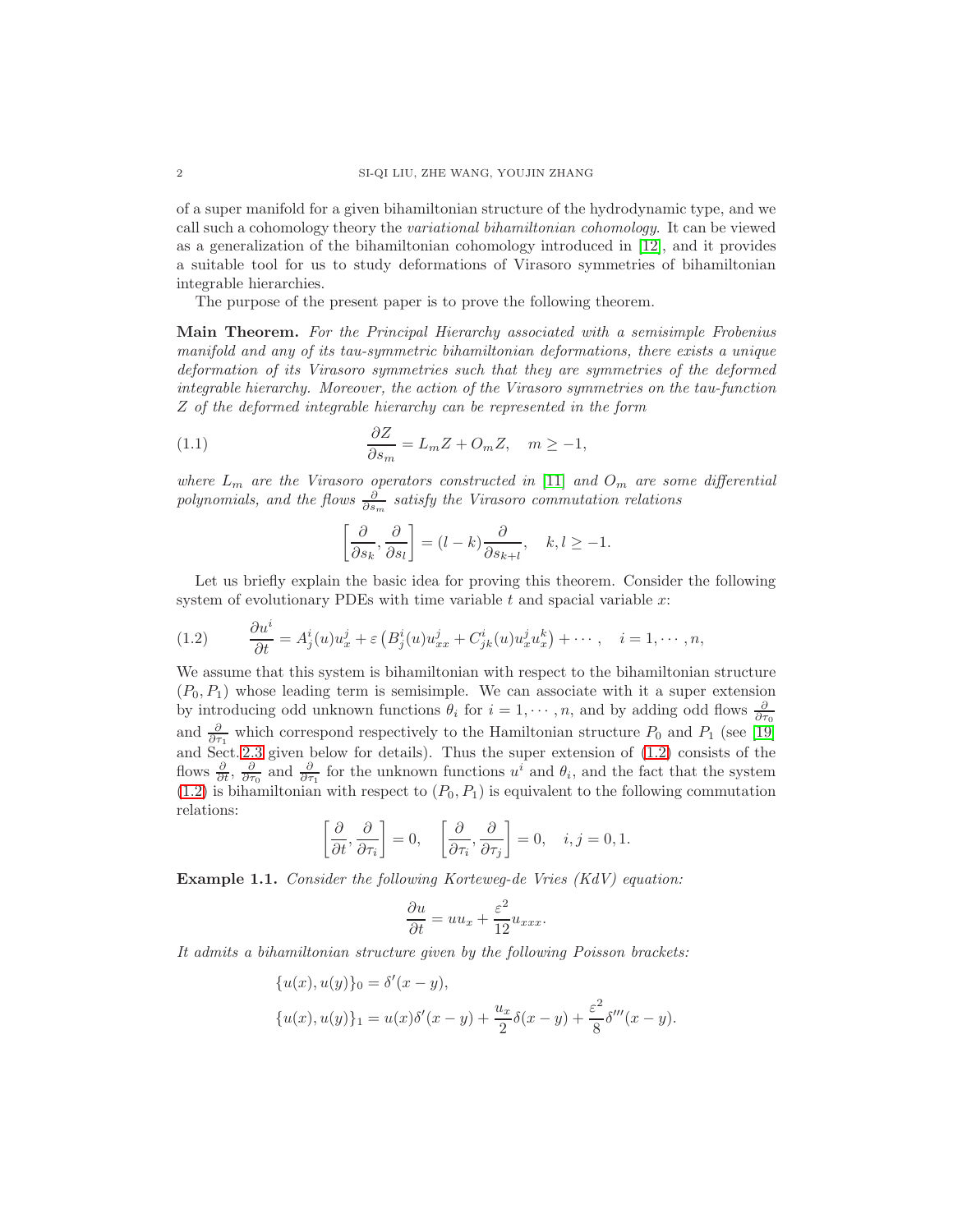of a super manifold for a given bihamiltonian structure of the hydrodynamic type, and we call such a cohomology theory the variational bihamiltonian cohomology. It can be viewed as a generalization of the bihamiltonian cohomology introduced in [\[12\]](#page-53-2), and it provides a suitable tool for us to study deformations of Virasoro symmetries of bihamiltonian integrable hierarchies.

The purpose of the present paper is to prove the following theorem.

Main Theorem. For the Principal Hierarchy associated with a semisimple Frobenius manifold and any of its tau-symmetric bihamiltonian deformations, there exists a unique deformation of its Virasoro symmetries such that they are symmetries of the deformed integrable hierarchy. Moreover, the action of the Virasoro symmetries on the tau-function Z of the deformed integrable hierarchy can be represented in the form

(1.1) 
$$
\frac{\partial Z}{\partial s_m} = L_m Z + O_m Z, \quad m \ge -1,
$$

where  $L_m$  are the Virasoro operators constructed in [\[11\]](#page-53-3) and  $O_m$  are some differential polynomials, and the flows  $\frac{\partial}{\partial s_m}$  satisfy the Virasoro commutation relations

<span id="page-1-1"></span>
$$
\left[\frac{\partial}{\partial s_k}, \frac{\partial}{\partial s_l}\right] = (l - k) \frac{\partial}{\partial s_{k+l}}, \quad k, l \ge -1.
$$

Let us briefly explain the basic idea for proving this theorem. Consider the following system of evolutionary PDEs with time variable  $t$  and spacial variable  $x$ :

<span id="page-1-0"></span>(1.2) 
$$
\frac{\partial u^i}{\partial t} = A^i_j(u)u^j_x + \varepsilon \left( B^i_j(u)u^j_{xx} + C^i_{jk}(u)u^j_xu^k_x \right) + \cdots, \quad i = 1, \cdots, n,
$$

We assume that this system is bihamiltonian with respect to the bihamiltonian structure  $(P_0, P_1)$  whose leading term is semisimple. We can associate with it a super extension by introducing odd unknown functions  $\theta_i$  for  $i = 1, \dots, n$ , and by adding odd flows  $\frac{\partial}{\partial \tau_0}$ and  $\frac{\partial}{\partial \tau_1}$  which correspond respectively to the Hamiltonian structure  $P_0$  and  $P_1$  (see [\[19\]](#page-53-4) and Sect. [2.3](#page-10-0) given below for details). Thus the super extension of [\(1.2\)](#page-1-0) consists of the flows  $\frac{\partial}{\partial t}$ ,  $\frac{\partial}{\partial \tau_0}$  and  $\frac{\partial}{\partial \tau_1}$  for the unknown functions  $u^i$  and  $\theta_i$ , and the fact that the system  $(1.2)$  is bihamiltonian with respect to  $(P_0, P_1)$  is equivalent to the following commutation relations:

$$
\left[\frac{\partial}{\partial t}, \frac{\partial}{\partial \tau_i}\right] = 0, \quad \left[\frac{\partial}{\partial \tau_i}, \frac{\partial}{\partial \tau_j}\right] = 0, \quad i, j = 0, 1.
$$

Example 1.1. Consider the following Korteweg-de Vries (KdV) equation:

$$
\frac{\partial u}{\partial t} = uu_x + \frac{\varepsilon^2}{12} u_{xxx}.
$$

It admits a bihamiltonian structure given by the following Poisson brackets:

$$
\{u(x), u(y)\}_0 = \delta'(x - y),
$$
  

$$
\{u(x), u(y)\}_1 = u(x)\delta'(x - y) + \frac{u_x}{2}\delta(x - y) + \frac{\varepsilon^2}{8}\delta'''(x - y).
$$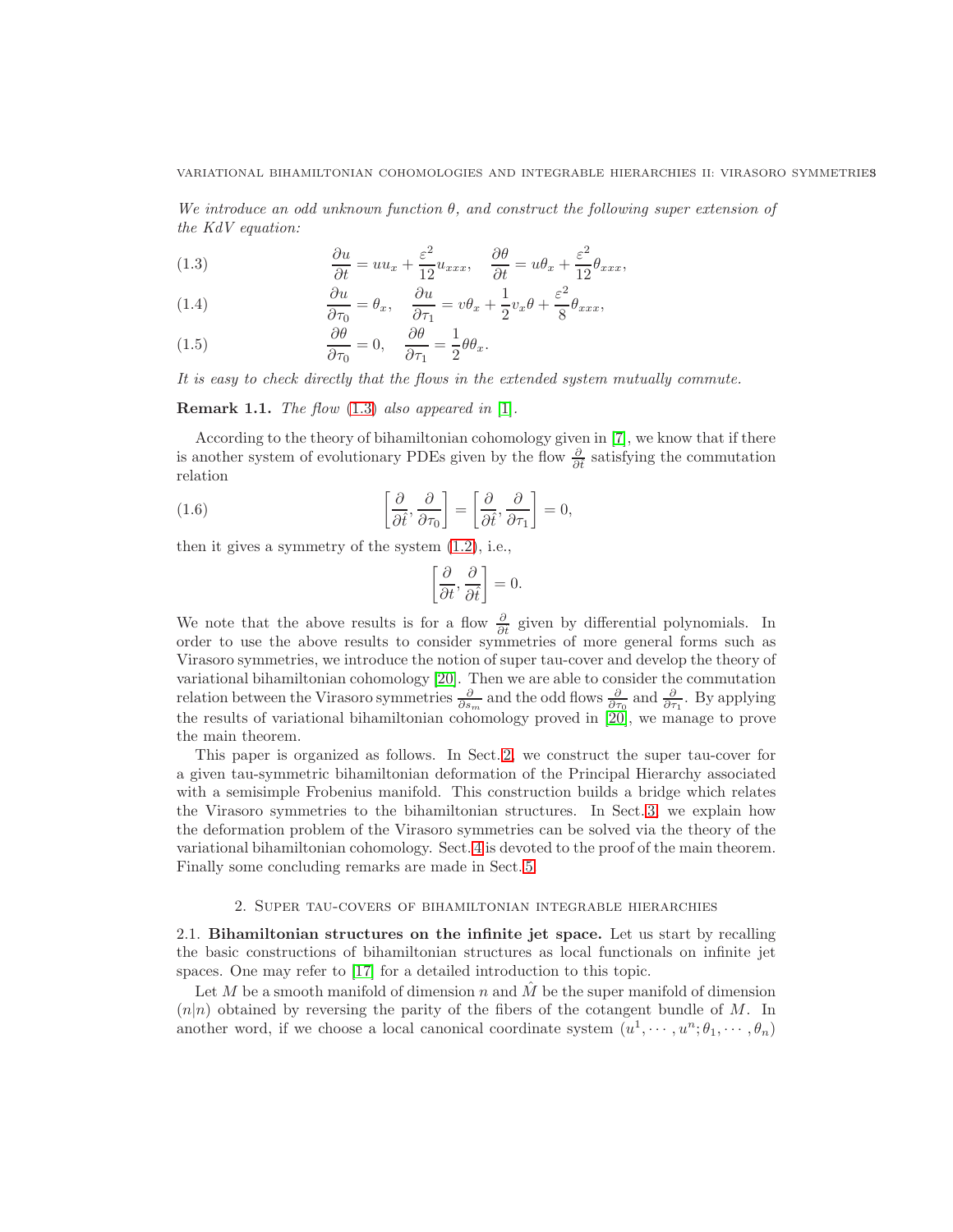We introduce an odd unknown function  $\theta$ , and construct the following super extension of the KdV equation:

<span id="page-2-2"></span>(1.3) 
$$
\frac{\partial u}{\partial t} = uu_x + \frac{\varepsilon^2}{12}u_{xxx}, \quad \frac{\partial \theta}{\partial t} = u\theta_x + \frac{\varepsilon^2}{12}\theta_{xxx},
$$

(1.4) 
$$
\frac{\partial u}{\partial \tau_0} = \theta_x, \quad \frac{\partial u}{\partial \tau_1} = v\theta_x + \frac{1}{2}v_x\theta + \frac{\varepsilon^2}{8}\theta_{xxx},
$$

(1.5) 
$$
\frac{\partial \theta}{\partial \tau_0} = 0, \quad \frac{\partial \theta}{\partial \tau_1} = \frac{1}{2} \theta \theta_x.
$$

It is easy to check directly that the flows in the extended system mutually commute.

## **Remark 1.1.** The flow  $(1.3)$  also appeared in  $[1]$ .

According to the theory of bihamiltonian cohomology given in [\[7\]](#page-53-6), we know that if there is another system of evolutionary PDEs given by the flow  $\frac{\partial}{\partial t}$  satisfying the commutation relation

(1.6) 
$$
\left[\frac{\partial}{\partial \hat{t}}, \frac{\partial}{\partial \tau_0}\right] = \left[\frac{\partial}{\partial \hat{t}}, \frac{\partial}{\partial \tau_1}\right] = 0,
$$

then it gives a symmetry of the system [\(1.2\)](#page-1-0), i.e.,

$$
\left[\frac{\partial}{\partial t}, \frac{\partial}{\partial \hat{t}}\right] = 0.
$$

We note that the above results is for a flow  $\frac{\partial}{\partial t}$  given by differential polynomials. In order to use the above results to consider symmetries of more general forms such as Virasoro symmetries, we introduce the notion of super tau-cover and develop the theory of variational bihamiltonian cohomology [\[20\]](#page-53-1). Then we are able to consider the commutation relation between the Virasoro symmetries  $\frac{\partial}{\partial s_m}$  and the odd flows  $\frac{\partial}{\partial \tau_0}$  and  $\frac{\partial}{\partial \tau_1}$ . By applying the results of variational bihamiltonian cohomology proved in [\[20\]](#page-53-1), we manage to prove the main theorem.

This paper is organized as follows. In Sect. [2,](#page-2-0) we construct the super tau-cover for a given tau-symmetric bihamiltonian deformation of the Principal Hierarchy associated with a semisimple Frobenius manifold. This construction builds a bridge which relates the Virasoro symmetries to the bihamiltonian structures. In Sect. [3,](#page-21-0) we explain how the deformation problem of the Virasoro symmetries can be solved via the theory of the variational bihamiltonian cohomology. Sect. [4](#page-31-0) is devoted to the proof of the main theorem. Finally some concluding remarks are made in Sect. [5.](#page-51-0)

#### 2. Super tau-covers of bihamiltonian integrable hierarchies

<span id="page-2-1"></span><span id="page-2-0"></span>2.1. Bihamiltonian structures on the infinite jet space. Let us start by recalling the basic constructions of bihamiltonian structures as local functionals on infinite jet spaces. One may refer to [\[17\]](#page-53-7) for a detailed introduction to this topic.

Let M be a smooth manifold of dimension n and  $\hat{M}$  be the super manifold of dimension  $(n|n)$  obtained by reversing the parity of the fibers of the cotangent bundle of M. In another word, if we choose a local canonical coordinate system  $(u^1, \dots, u^n; \theta_1, \dots, \theta_n)$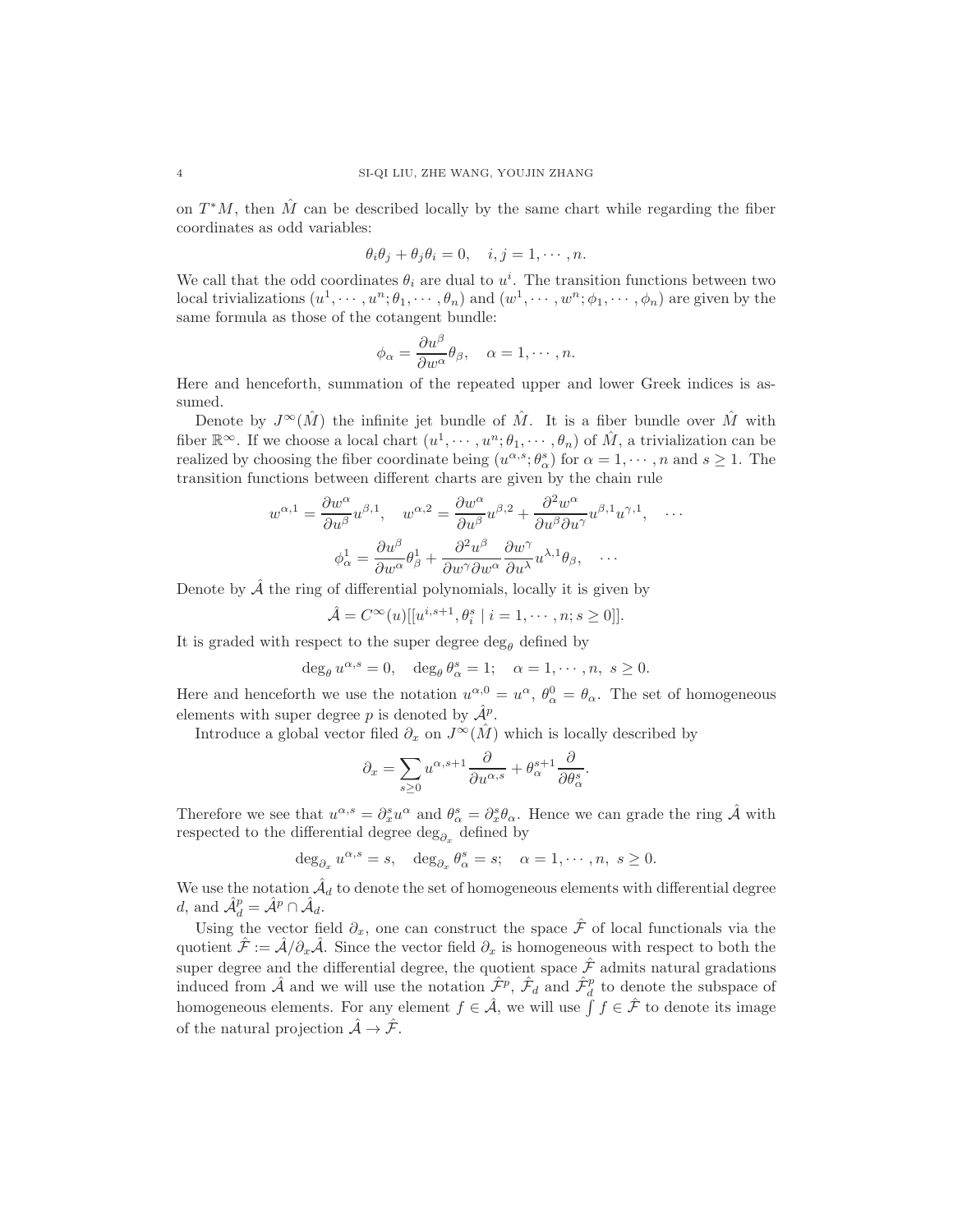on  $T^*M$ , then  $\hat{M}$  can be described locally by the same chart while regarding the fiber coordinates as odd variables:

$$
\theta_i \theta_j + \theta_j \theta_i = 0, \quad i, j = 1, \cdots, n.
$$

We call that the odd coordinates  $\theta_i$  are dual to  $u^i$ . The transition functions between two local trivializations  $(u^1, \dots, u^n; \theta_1, \dots, \theta_n)$  and  $(w^1, \dots, w^n; \phi_1, \dots, \phi_n)$  are given by the same formula as those of the cotangent bundle:

$$
\phi_{\alpha} = \frac{\partial u^{\beta}}{\partial w^{\alpha}} \theta_{\beta}, \quad \alpha = 1, \cdots, n.
$$

Here and henceforth, summation of the repeated upper and lower Greek indices is assumed.

Denote by  $J^{\infty}(\hat{M})$  the infinite jet bundle of  $\hat{M}$ . It is a fiber bundle over  $\hat{M}$  with fiber  $\mathbb{R}^{\infty}$ . If we choose a local chart  $(u^1, \dots, u^n; \theta_1, \dots, \theta_n)$  of  $\hat{M}$ , a trivialization can be realized by choosing the fiber coordinate being  $(u^{\alpha,s}; \theta^s_\alpha)$  for  $\alpha = 1, \dots, n$  and  $s \ge 1$ . The transition functions between different charts are given by the chain rule

$$
w^{\alpha,1} = \frac{\partial w^{\alpha}}{\partial u^{\beta}} u^{\beta,1}, \quad w^{\alpha,2} = \frac{\partial w^{\alpha}}{\partial u^{\beta}} u^{\beta,2} + \frac{\partial^2 w^{\alpha}}{\partial u^{\beta} \partial u^{\gamma}} u^{\beta,1} u^{\gamma,1}, \quad \dots
$$

$$
\phi^1_{\alpha} = \frac{\partial u^{\beta}}{\partial w^{\alpha}} \theta^1_{\beta} + \frac{\partial^2 u^{\beta}}{\partial w^{\gamma} \partial w^{\alpha}} \frac{\partial w^{\gamma}}{\partial u^{\lambda}} u^{\lambda,1} \theta_{\beta}, \quad \dots
$$

Denote by  $\hat{\mathcal{A}}$  the ring of differential polynomials, locally it is given by

$$
\hat{\mathcal{A}} = C^{\infty}(u)[[u^{i,s+1}, \theta_i^s \mid i = 1, \cdots, n; s \ge 0]].
$$

It is graded with respect to the super degree  $\deg_{\theta}$  defined by

$$
\deg_{\theta} u^{\alpha,s} = 0, \quad \deg_{\theta} \theta_{\alpha}^{s} = 1; \quad \alpha = 1, \cdots, n, \ s \ge 0.
$$

Here and henceforth we use the notation  $u^{\alpha,0} = u^{\alpha}, \theta_{\alpha}^{0} = \theta_{\alpha}$ . The set of homogeneous elements with super degree p is denoted by  $\hat{\mathcal{A}}^p$ .

Introduce a global vector filed  $\partial_x$  on  $J^{\infty}(\hat{M})$  which is locally described by

$$
\partial_x = \sum_{s \ge 0} u^{\alpha, s+1} \frac{\partial}{\partial u^{\alpha, s}} + \theta_{\alpha}^{s+1} \frac{\partial}{\partial \theta_{\alpha}^s}.
$$

Therefore we see that  $u^{\alpha,s} = \partial_x^s u^\alpha$  and  $\theta_\alpha^s = \partial_x^s \theta_\alpha$ . Hence we can grade the ring  $\hat{\mathcal{A}}$  with respected to the differential degree  $\deg_{\partial_x}$  defined by

$$
\deg_{\partial_x}u^{\alpha,s}=s,\quad\deg_{\partial_x}\theta^s_\alpha=s;\quad \alpha=1,\cdots,n,\ s\geq 0.
$$

We use the notation  $\hat{\mathcal{A}}_d$  to denote the set of homogeneous elements with differential degree d, and  $\hat{\mathcal{A}}_d^p = \hat{\mathcal{A}}^p \cap \hat{\mathcal{A}}_d$ .

Using the vector field  $\partial_x$ , one can construct the space  $\hat{\mathcal{F}}$  of local functionals via the quotient  $\hat{\mathcal{F}} := \hat{\mathcal{A}}/\partial_x\hat{\mathcal{A}}$ . Since the vector field  $\partial_x$  is homogeneous with respect to both the super degree and the differential degree, the quotient space  $\hat{\mathcal{F}}$  admits natural gradations induced from  $\hat{\mathcal{A}}$  and we will use the notation  $\hat{\mathcal{F}}^p$ ,  $\hat{\mathcal{F}}_d$  and  $\hat{\mathcal{F}}_d^p$  to denote the subspace of homogeneous elements. For any element  $f \in \hat{\mathcal{A}}$ , we will use  $\int f \in \hat{\mathcal{F}}$  to denote its image of the natural projection  $\hat{\mathcal{A}} \to \hat{\mathcal{F}}$ .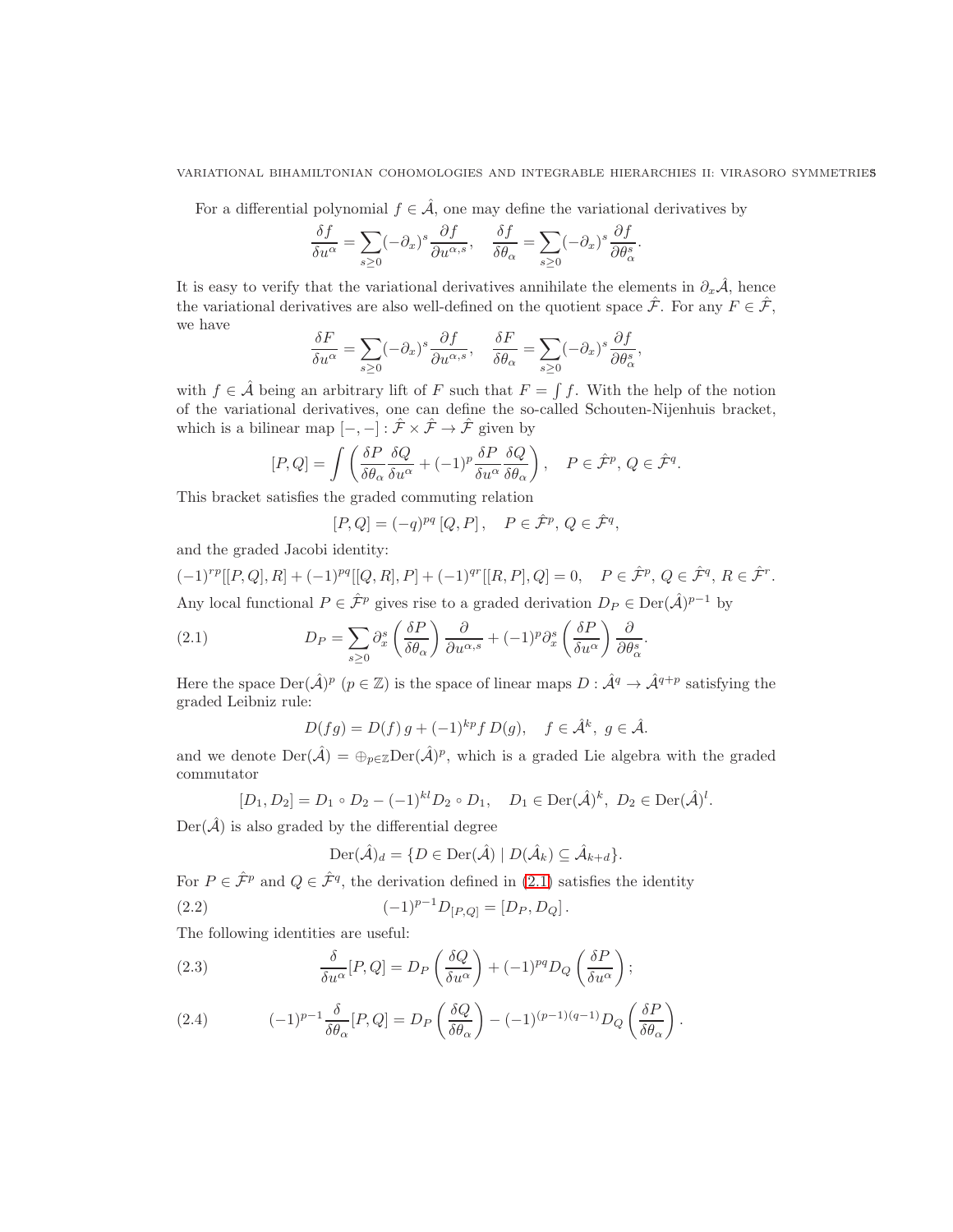For a differential polynomial  $f \in \hat{\mathcal{A}}$ , one may define the variational derivatives by

$$
\frac{\delta f}{\delta u^{\alpha}} = \sum_{s \ge 0} (-\partial_x)^s \frac{\partial f}{\partial u^{\alpha,s}}, \quad \frac{\delta f}{\delta \theta_{\alpha}} = \sum_{s \ge 0} (-\partial_x)^s \frac{\partial f}{\partial \theta_{\alpha}^s}.
$$

It is easy to verify that the variational derivatives annihilate the elements in  $\partial_x \hat{\mathcal{A}}$ , hence the variational derivatives are also well-defined on the quotient space  $\hat{\mathcal{F}}$ . For any  $F \in \hat{\mathcal{F}}$ , we have

$$
\frac{\delta F}{\delta u^{\alpha}} = \sum_{s \ge 0} (-\partial_x)^s \frac{\partial f}{\partial u^{\alpha,s}}, \quad \frac{\delta F}{\delta \theta_{\alpha}} = \sum_{s \ge 0} (-\partial_x)^s \frac{\partial f}{\partial \theta_{\alpha}^s},
$$

with  $f \in \hat{\mathcal{A}}$  being an arbitrary lift of F such that  $F = \int f$ . With the help of the notion of the variational derivatives, one can define the so-called Schouten-Nijenhuis bracket, which is a bilinear map  $[-,-]: \hat{\mathcal{F}} \times \hat{\mathcal{F}} \to \hat{\mathcal{F}}$  given by

$$
[P,Q] = \int \left( \frac{\delta P}{\delta \theta_{\alpha}} \frac{\delta Q}{\delta u^{\alpha}} + (-1)^{p} \frac{\delta P}{\delta u^{\alpha}} \frac{\delta Q}{\delta \theta_{\alpha}} \right), \quad P \in \hat{\mathcal{F}}^{p}, Q \in \hat{\mathcal{F}}^{q}.
$$

This bracket satisfies the graded commuting relation

$$
[P,Q] = (-q)^{pq} [Q,P], \quad P \in \hat{\mathcal{F}}^p, Q \in \hat{\mathcal{F}}^q,
$$

and the graded Jacobi identity:

 $(-1)^{rp}[[P,Q],R] + (-1)^{pq}[[Q,R],P] + (-1)^{qr}[[R,P],Q] = 0, \quad P \in \hat{\mathcal{F}}^p, Q \in \hat{\mathcal{F}}^q, R \in \hat{\mathcal{F}}^r.$ Any local functional  $P \in \hat{\mathcal{F}}^p$  gives rise to a graded derivation  $D_P \in \text{Der}(\hat{\mathcal{A}})^{p-1}$  by

(2.1) 
$$
D_P = \sum_{s \ge 0} \partial_x^s \left( \frac{\delta P}{\delta \theta_\alpha} \right) \frac{\partial}{\partial u^{\alpha,s}} + (-1)^p \partial_x^s \left( \frac{\delta P}{\delta u^\alpha} \right) \frac{\partial}{\partial \theta_\alpha^s}.
$$

Here the space  $\text{Der}(\hat{\mathcal{A}})^p$   $(p \in \mathbb{Z})$  is the space of linear maps  $D : \hat{\mathcal{A}}^q \to \hat{\mathcal{A}}^{q+p}$  satisfying the graded Leibniz rule:

<span id="page-4-0"></span>
$$
D(fg) = D(f) g + (-1)^{kp} f D(g), \quad f \in \hat{\mathcal{A}}^k, g \in \hat{\mathcal{A}}.
$$

and we denote  $\text{Der}(\hat{\mathcal{A}}) = \bigoplus_{p \in \mathbb{Z}} \text{Der}(\hat{\mathcal{A}})^p$ , which is a graded Lie algebra with the graded commutator

$$
[D_1, D_2] = D_1 \circ D_2 - (-1)^{kl} D_2 \circ D_1, \quad D_1 \in \text{Der}(\hat{\mathcal{A}})^k, \ D_2 \in \text{Der}(\hat{\mathcal{A}})^l.
$$

 $Der(\hat{\mathcal{A}})$  is also graded by the differential degree

<span id="page-4-3"></span><span id="page-4-2"></span>
$$
\operatorname{Der}(\hat{\mathcal{A}})_d = \{ D \in \operatorname{Der}(\hat{\mathcal{A}}) \mid D(\hat{\mathcal{A}}_k) \subseteq \hat{\mathcal{A}}_{k+d} \}.
$$

For  $P \in \hat{\mathcal{F}}^p$  and  $Q \in \hat{\mathcal{F}}^q$ , the derivation defined in [\(2.1\)](#page-4-0) satisfies the identity

(2.2) 
$$
(-1)^{p-1}D_{[P,Q]} = [D_P, D_Q].
$$

The following identities are useful:

(2.3) 
$$
\frac{\delta}{\delta u^{\alpha}}[P,Q] = D_P\left(\frac{\delta Q}{\delta u^{\alpha}}\right) + (-1)^{pq}D_Q\left(\frac{\delta P}{\delta u^{\alpha}}\right);
$$

<span id="page-4-1"></span>(2.4) 
$$
(-1)^{p-1} \frac{\delta}{\delta \theta_{\alpha}} [P, Q] = D_P \left( \frac{\delta Q}{\delta \theta_{\alpha}} \right) - (-1)^{(p-1)(q-1)} D_Q \left( \frac{\delta P}{\delta \theta_{\alpha}} \right).
$$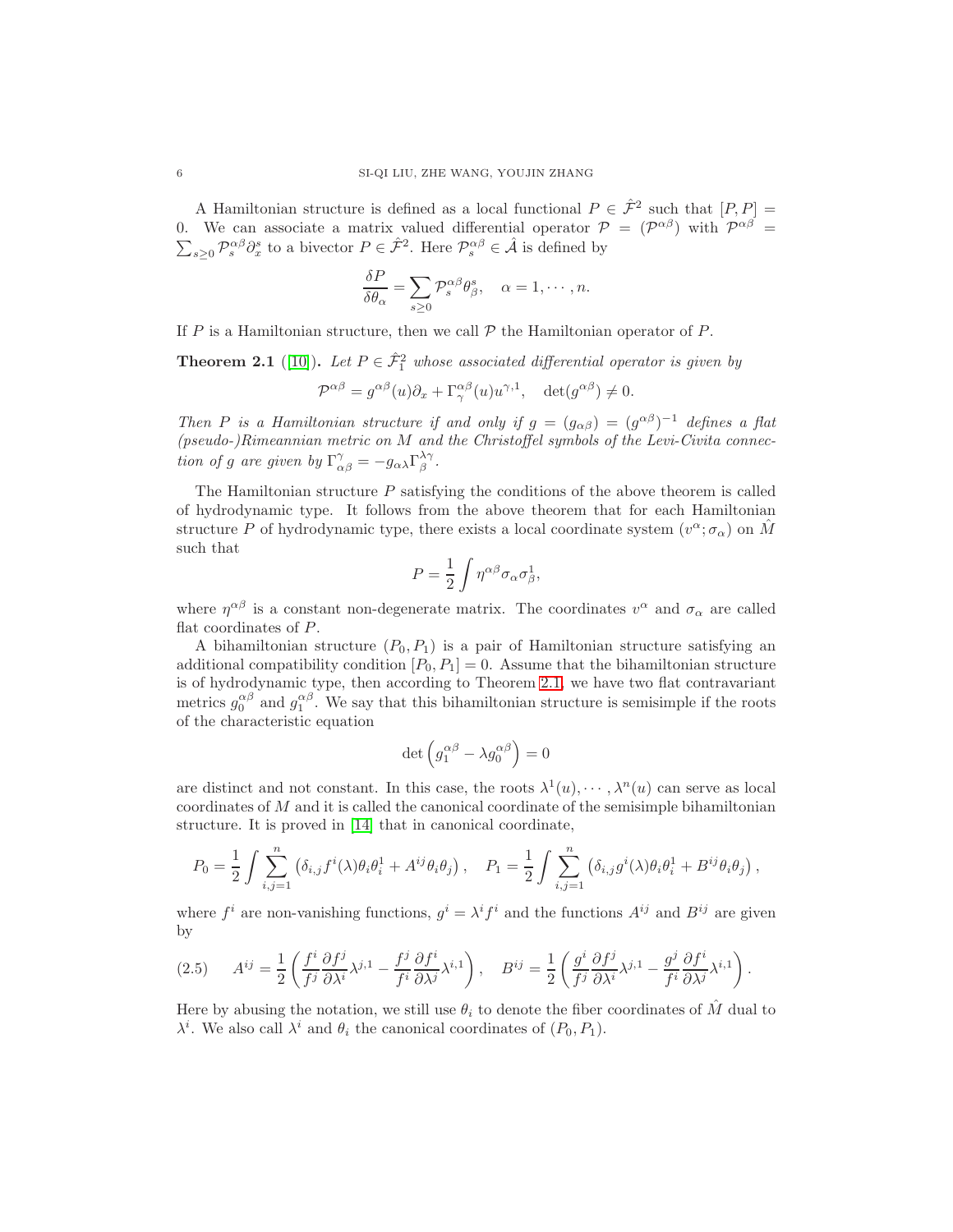A Hamiltonian structure is defined as a local functional  $P \in \hat{\mathcal{F}}^2$  such that  $[P, P] =$ 0. We can associate a matrix valued differential operator  $P = (P^{\alpha\beta})$  with  $P^{\alpha\beta} =$  $\sum_{s\geq 0} \mathcal{P}_s^{\alpha\beta} \partial_x^s$  to a bivector  $P \in \hat{\mathcal{F}}^2$ . Here  $\mathcal{P}_s^{\alpha\beta} \in \hat{\mathcal{A}}$  is defined by

$$
\frac{\delta P}{\delta \theta_{\alpha}} = \sum_{s \ge 0} \mathcal{P}_s^{\alpha \beta} \theta_{\beta}^s, \quad \alpha = 1, \cdots, n.
$$

If P is a Hamiltonian structure, then we call  $P$  the Hamiltonian operator of P.

<span id="page-5-0"></span>**Theorem 2.1** ([\[10\]](#page-53-8)). Let  $P \in \hat{\mathcal{F}}_1^2$  whose associated differential operator is given by

$$
\mathcal{P}^{\alpha\beta} = g^{\alpha\beta}(u)\partial_x + \Gamma^{\alpha\beta}_{\gamma}(u)u^{\gamma,1}, \quad \det(g^{\alpha\beta}) \neq 0.
$$

Then P is a Hamiltonian structure if and only if  $g = (g_{\alpha\beta}) = (g^{\alpha\beta})^{-1}$  defines a flat (pseudo-)Rimeannian metric on M and the Christoffel symbols of the Levi-Civita connection of g are given by  $\Gamma^{\gamma}_{\alpha\beta} = -g_{\alpha\lambda} \Gamma^{\lambda\gamma}_{\beta}$ .

The Hamiltonian structure  $P$  satisfying the conditions of the above theorem is called of hydrodynamic type. It follows from the above theorem that for each Hamiltonian structure P of hydrodynamic type, there exists a local coordinate system  $(v^{\alpha}; \sigma_{\alpha})$  on  $\hat{M}$ such that

$$
P = \frac{1}{2} \int \eta^{\alpha\beta} \sigma_{\alpha} \sigma_{\beta}^1,
$$

where  $\eta^{\alpha\beta}$  is a constant non-degenerate matrix. The coordinates  $v^{\alpha}$  and  $\sigma_{\alpha}$  are called flat coordinates of P.

A bihamiltonian structure  $(P_0, P_1)$  is a pair of Hamiltonian structure satisfying an additional compatibility condition  $[P_0, P_1] = 0$ . Assume that the bihamiltonian structure is of hydrodynamic type, then according to Theorem [2.1,](#page-5-0) we have two flat contravariant metrics  $g_0^{\alpha\beta}$  and  $g_1^{\alpha\beta}$ . We say that this bihamiltonian structure is semisimple if the roots of the characteristic equation

$$
\det \left( g_1^{\alpha \beta} - \lambda g_0^{\alpha \beta} \right) = 0
$$

are distinct and not constant. In this case, the roots  $\lambda^1(u), \cdots, \lambda^n(u)$  can serve as local coordinates of M and it is called the canonical coordinate of the semisimple bihamiltonian structure. It is proved in [\[14\]](#page-53-9) that in canonical coordinate,

$$
P_0 = \frac{1}{2} \int \sum_{i,j=1}^n \left( \delta_{i,j} f^i(\lambda) \theta_i \theta_i^1 + A^{ij} \theta_i \theta_j \right), \quad P_1 = \frac{1}{2} \int \sum_{i,j=1}^n \left( \delta_{i,j} g^i(\lambda) \theta_i \theta_i^1 + B^{ij} \theta_i \theta_j \right),
$$

where  $f^i$  are non-vanishing functions,  $g^i = \lambda^i f^i$  and the functions  $A^{ij}$  and  $B^{ij}$  are given by

<span id="page-5-1"></span>
$$
(2.5) \t A^{ij} = \frac{1}{2} \left( \frac{f^i}{f^j} \frac{\partial f^j}{\partial \lambda^i} \lambda^{j,1} - \frac{f^j}{f^i} \frac{\partial f^i}{\partial \lambda^j} \lambda^{i,1} \right), \t B^{ij} = \frac{1}{2} \left( \frac{g^i}{f^j} \frac{\partial f^j}{\partial \lambda^i} \lambda^{j,1} - \frac{g^j}{f^i} \frac{\partial f^i}{\partial \lambda^j} \lambda^{i,1} \right).
$$

Here by abusing the notation, we still use  $\theta_i$  to denote the fiber coordinates of  $\hat{M}$  dual to  $\lambda^i$ . We also call  $\lambda^i$  and  $\theta_i$  the canonical coordinates of  $(P_0, P_1)$ .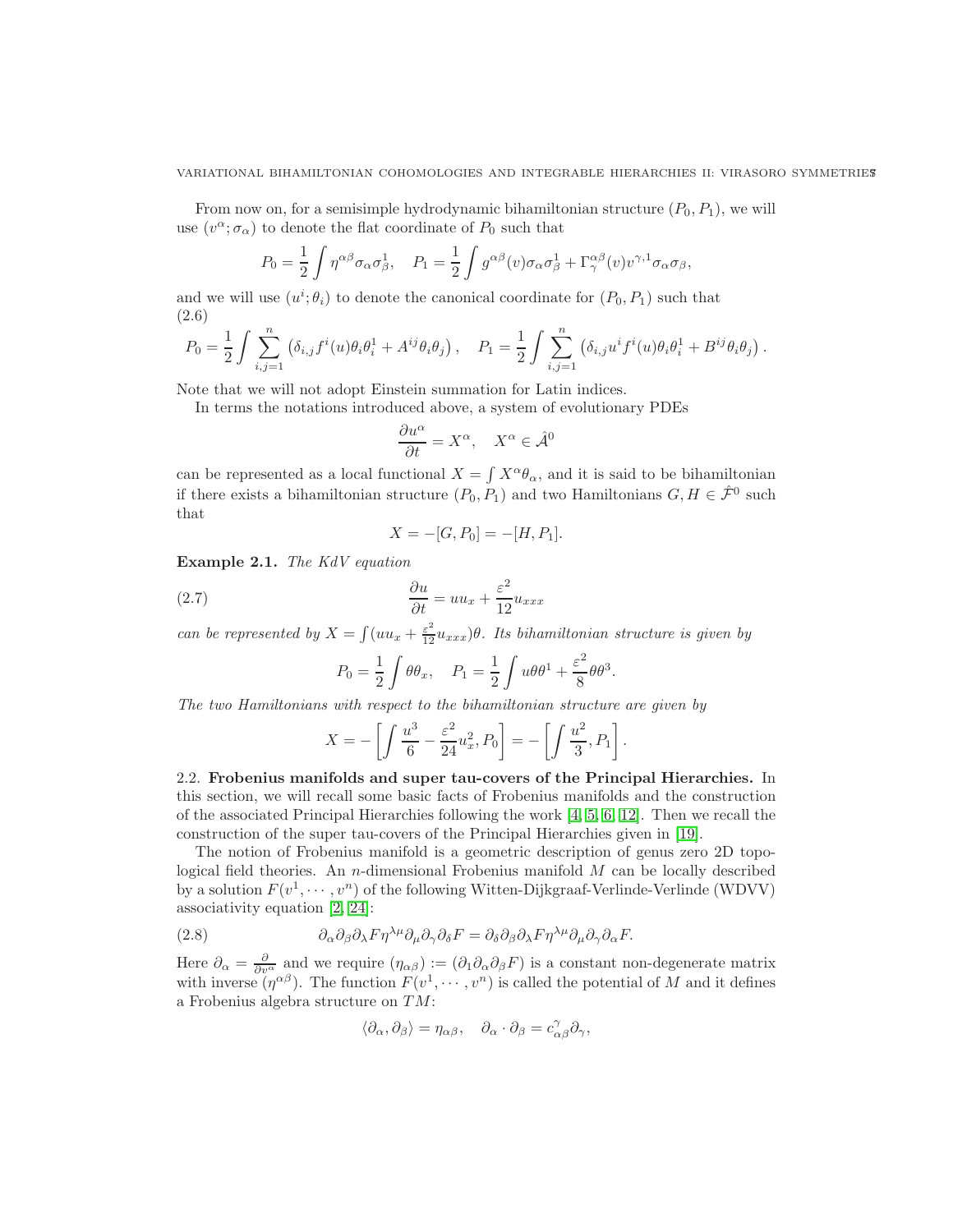#### VARIATIONAL BIHAMILTONIAN COHOMOLOGIES AND INTEGRABLE HIERARCHIES II: VIRASORO SYMMETRIES7

From now on, for a semisimple hydrodynamic bihamiltonian structure  $(P_0, P_1)$ , we will use  $(v^{\alpha}; \sigma_{\alpha})$  to denote the flat coordinate of  $P_0$  such that

$$
P_0 = \frac{1}{2} \int \eta^{\alpha\beta} \sigma_\alpha \sigma_\beta^1, \quad P_1 = \frac{1}{2} \int g^{\alpha\beta}(v) \sigma_\alpha \sigma_\beta^1 + \Gamma^{\alpha\beta}_{\gamma}(v) v^{\gamma,1} \sigma_\alpha \sigma_\beta,
$$

and we will use  $(u^i; \theta_i)$  to denote the canonical coordinate for  $(P_0, P_1)$  such that (2.6)

<span id="page-6-2"></span>
$$
P_0 = \frac{1}{2} \int \sum_{i,j=1}^n \left( \delta_{i,j} f^i(u) \theta_i \theta_i^1 + A^{ij} \theta_i \theta_j \right), \quad P_1 = \frac{1}{2} \int \sum_{i,j=1}^n \left( \delta_{i,j} u^i f^i(u) \theta_i \theta_i^1 + B^{ij} \theta_i \theta_j \right).
$$

Note that we will not adopt Einstein summation for Latin indices.

In terms the notations introduced above, a system of evolutionary PDEs

$$
\frac{\partial u^{\alpha}}{\partial t} = X^{\alpha}, \quad X^{\alpha} \in \hat{\mathcal{A}}^{0}
$$

can be represented as a local functional  $X = \int X^{\alpha} \theta_{\alpha}$ , and it is said to be bihamiltonian if there exists a bihamiltonian structure  $(P_0, P_1)$  and two Hamiltonians  $G, H \in \hat{\mathcal{F}}^0$  such that

<span id="page-6-1"></span>
$$
X = -[G, P_0] = -[H, P_1].
$$

Example 2.1. The KdV equation

(2.7) 
$$
\frac{\partial u}{\partial t} = uu_x + \frac{\varepsilon^2}{12} u_{xxx}
$$

can be represented by  $X = \int (uu_x + \frac{\varepsilon^2}{12}u_{xxx})\theta$ . Its bihamiltonian structure is given by

$$
P_0 = \frac{1}{2} \int \theta \theta_x, \quad P_1 = \frac{1}{2} \int u \theta \theta^1 + \frac{\varepsilon^2}{8} \theta \theta^3.
$$

The two Hamiltonians with respect to the bihamiltonian structure are given by

$$
X=-\left[\int\frac{u^3}{6}-\frac{\varepsilon^2}{24}u_x^2,P_0\right]=-\left[\int\frac{u^2}{3},P_1\right].
$$

<span id="page-6-0"></span>2.2. Frobenius manifolds and super tau-covers of the Principal Hierarchies. In this section, we will recall some basic facts of Frobenius manifolds and the construction of the associated Principal Hierarchies following the work [\[4,](#page-53-10) [5,](#page-53-11) [6,](#page-53-12) [12\]](#page-53-2). Then we recall the construction of the super tau-covers of the Principal Hierarchies given in [\[19\]](#page-53-4).

The notion of Frobenius manifold is a geometric description of genus zero 2D topological field theories. An n-dimensional Frobenius manifold  $M$  can be locally described by a solution  $F(v^1, \dots, v^n)$  of the following Witten-Dijkgraaf-Verlinde-Verlinde (WDVV) associativity equation [\[2,](#page-53-13) [24\]](#page-53-14):

(2.8) 
$$
\partial_{\alpha}\partial_{\beta}\partial_{\lambda}F\eta^{\lambda\mu}\partial_{\mu}\partial_{\gamma}\partial_{\delta}F = \partial_{\delta}\partial_{\beta}\partial_{\lambda}F\eta^{\lambda\mu}\partial_{\mu}\partial_{\gamma}\partial_{\alpha}F.
$$

Here  $\partial_{\alpha} = \frac{\partial}{\partial v^{\alpha}}$  and we require  $(\eta_{\alpha\beta}) := (\partial_1 \partial_{\alpha} \partial_{\beta} F)$  is a constant non-degenerate matrix with inverse  $(\eta^{\alpha\beta})$ . The function  $F(v^1, \dots, v^n)$  is called the potential of M and it defines a Frobenius algebra structure on TM:

$$
\langle \partial_{\alpha}, \partial_{\beta} \rangle = \eta_{\alpha\beta}, \quad \partial_{\alpha} \cdot \partial_{\beta} = c^{\gamma}_{\alpha\beta} \partial_{\gamma},
$$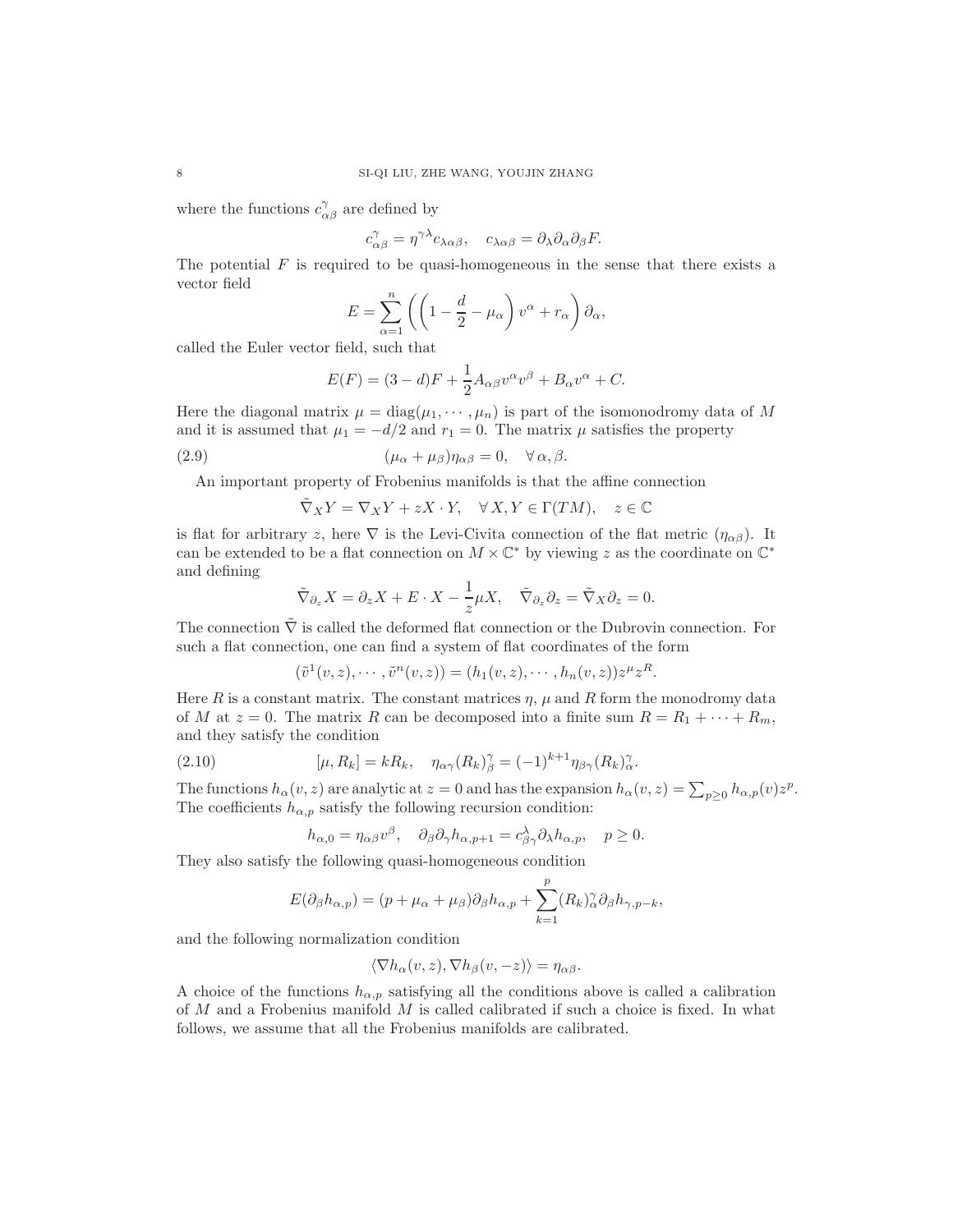where the functions  $c_{\alpha\beta}^{\gamma}$  are defined by

$$
c^{\gamma}_{\alpha\beta} = \eta^{\gamma\lambda} c_{\lambda\alpha\beta}, \quad c_{\lambda\alpha\beta} = \partial_{\lambda}\partial_{\alpha}\partial_{\beta}F.
$$

The potential  $F$  is required to be quasi-homogeneous in the sense that there exists a vector field

$$
E = \sum_{\alpha=1}^{n} \left( \left( 1 - \frac{d}{2} - \mu_{\alpha} \right) v^{\alpha} + r_{\alpha} \right) \partial_{\alpha},
$$

called the Euler vector field, such that

$$
E(F) = (3 - d)F + \frac{1}{2}A_{\alpha\beta}v^{\alpha}v^{\beta} + B_{\alpha}v^{\alpha} + C.
$$

Here the diagonal matrix  $\mu = \text{diag}(\mu_1, \dots, \mu_n)$  is part of the isomonodromy data of M and it is assumed that  $\mu_1 = -d/2$  and  $r_1 = 0$ . The matrix  $\mu$  satisfies the property

(2.9) 
$$
(\mu_{\alpha} + \mu_{\beta})\eta_{\alpha\beta} = 0, \quad \forall \alpha, \beta.
$$

An important property of Frobenius manifolds is that the affine connection

$$
\tilde{\nabla}_X Y = \nabla_X Y + zX \cdot Y, \quad \forall X, Y \in \Gamma(TM), \quad z \in \mathbb{C}
$$

is flat for arbitrary z, here  $\nabla$  is the Levi-Civita connection of the flat metric  $(\eta_{\alpha\beta})$ . It can be extended to be a flat connection on  $M \times \mathbb{C}^*$  by viewing z as the coordinate on  $\mathbb{C}^*$ and defining

$$
\tilde{\nabla}_{\partial_z} X = \partial_z X + E \cdot X - \frac{1}{z} \mu X, \quad \tilde{\nabla}_{\partial_z} \partial_z = \tilde{\nabla}_X \partial_z = 0.
$$

The connection  $\tilde{\nabla}$  is called the deformed flat connection or the Dubrovin connection. For such a flat connection, one can find a system of flat coordinates of the form

$$
(\tilde{v}^1(v, z), \cdots, \tilde{v}^n(v, z)) = (h_1(v, z), \cdots, h_n(v, z))z^{\mu}z^R.
$$

Here R is a constant matrix. The constant matrices  $\eta$ ,  $\mu$  and R form the monodromy data of M at  $z = 0$ . The matrix R can be decomposed into a finite sum  $R = R_1 + \cdots + R_m$ , and they satisfy the condition

(2.10) 
$$
[\mu, R_k] = kR_k, \quad \eta_{\alpha\gamma}(R_k)_{\beta}^{\gamma} = (-1)^{k+1} \eta_{\beta\gamma}(R_k)_{\alpha}^{\gamma}.
$$

The functions  $h_{\alpha}(v, z)$  are analytic at  $z = 0$  and has the expansion  $h_{\alpha}(v, z) = \sum_{p \geq 0} h_{\alpha, p}(v) z^p$ . The coefficients  $h_{\alpha,p}$  satisfy the following recursion condition:

$$
h_{\alpha,0} = \eta_{\alpha\beta}v^{\beta}, \quad \partial_{\beta}\partial_{\gamma}h_{\alpha,p+1} = c_{\beta\gamma}^{\lambda}\partial_{\lambda}h_{\alpha,p}, \quad p \ge 0.
$$

They also satisfy the following quasi-homogeneous condition

$$
E(\partial_{\beta}h_{\alpha,p}) = (p + \mu_{\alpha} + \mu_{\beta})\partial_{\beta}h_{\alpha,p} + \sum_{k=1}^{p} (R_k)_{\alpha}^{\gamma}\partial_{\beta}h_{\gamma,p-k},
$$

and the following normalization condition

$$
\langle \nabla h_{\alpha}(v, z), \nabla h_{\beta}(v, -z) \rangle = \eta_{\alpha\beta}.
$$

A choice of the functions  $h_{\alpha,p}$  satisfying all the conditions above is called a calibration of  $M$  and a Frobenius manifold  $M$  is called calibrated if such a choice is fixed. In what follows, we assume that all the Frobenius manifolds are calibrated.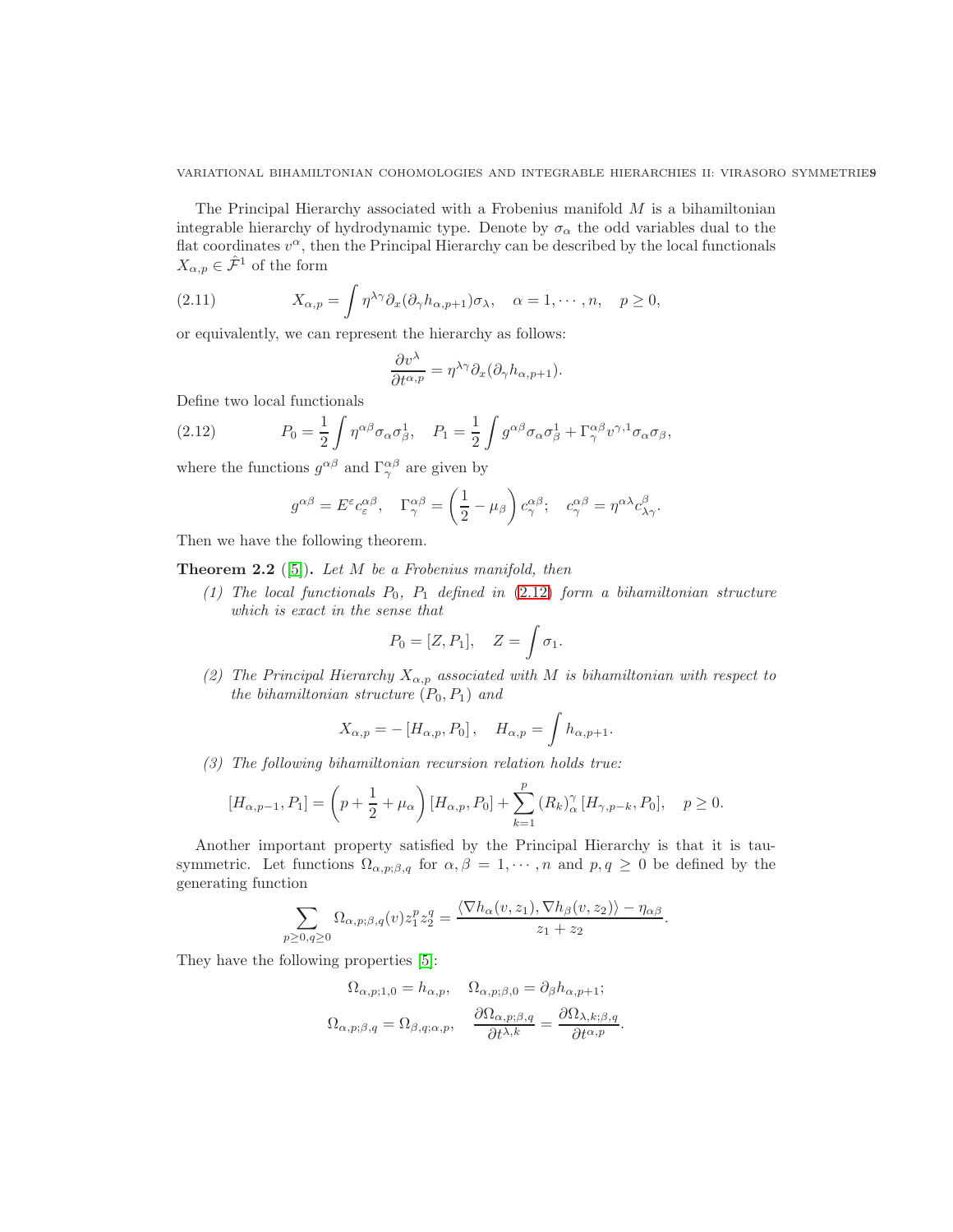The Principal Hierarchy associated with a Frobenius manifold  $M$  is a bihamiltonian integrable hierarchy of hydrodynamic type. Denote by  $\sigma_{\alpha}$  the odd variables dual to the flat coordinates  $v^{\alpha}$ , then the Principal Hierarchy can be described by the local functionals  $X_{\alpha,p} \in \hat{\mathcal{F}}^1$  of the form

(2.11) 
$$
X_{\alpha,p} = \int \eta^{\lambda\gamma} \partial_x (\partial_\gamma h_{\alpha,p+1}) \sigma_\lambda, \quad \alpha = 1, \cdots, n, \quad p \ge 0,
$$

or equivalently, we can represent the hierarchy as follows:

<span id="page-8-1"></span>
$$
\frac{\partial v^{\lambda}}{\partial t^{\alpha,p}} = \eta^{\lambda\gamma} \partial_x (\partial_\gamma h_{\alpha,p+1}).
$$

Define two local functionals

(2.12) 
$$
P_0 = \frac{1}{2} \int \eta^{\alpha\beta} \sigma_\alpha \sigma_\beta^1, \quad P_1 = \frac{1}{2} \int g^{\alpha\beta} \sigma_\alpha \sigma_\beta^1 + \Gamma^{\alpha\beta}_{\gamma} v^{\gamma,1} \sigma_\alpha \sigma_\beta,
$$

where the functions  $g^{\alpha\beta}$  and  $\Gamma^{\alpha\beta}_{\gamma}$  are given by

<span id="page-8-0"></span>
$$
g^{\alpha\beta} = E^{\varepsilon} c_{\varepsilon}^{\alpha\beta}, \quad \Gamma^{\alpha\beta}_{\gamma} = \left(\frac{1}{2} - \mu_{\beta}\right) c_{\gamma}^{\alpha\beta}; \quad c_{\gamma}^{\alpha\beta} = \eta^{\alpha\lambda} c_{\lambda\gamma}^{\beta}.
$$

Then we have the following theorem.

<span id="page-8-2"></span>**Theorem 2.2** ([\[5\]](#page-53-11)). Let  $M$  be a Frobenius manifold, then

(1) The local functionals  $P_0$ ,  $P_1$  defined in [\(2.12\)](#page-8-0) form a bihamiltonian structure which is exact in the sense that

$$
P_0 = [Z, P_1], \quad Z = \int \sigma_1.
$$

(2) The Principal Hierarchy  $X_{\alpha,p}$  associated with M is bihamiltonian with respect to the bihamiltonian structure  $(P_0, P_1)$  and

$$
X_{\alpha,p} = -[H_{\alpha,p}, P_0], \quad H_{\alpha,p} = \int h_{\alpha,p+1}.
$$

(3) The following bihamiltonian recursion relation holds true:

$$
[H_{\alpha,p-1}, P_1] = \left(p + \frac{1}{2} + \mu_\alpha\right) [H_{\alpha,p}, P_0] + \sum_{k=1}^p (R_k)^\gamma_\alpha [H_{\gamma,p-k}, P_0], \quad p \ge 0.
$$

Another important property satisfied by the Principal Hierarchy is that it is tausymmetric. Let functions  $\Omega_{\alpha,p;\beta,q}$  for  $\alpha,\beta=1,\cdots,n$  and  $p,q\geq 0$  be defined by the generating function

$$
\sum_{p\geq 0,q\geq 0}\Omega_{\alpha,p;\beta,q}(v)z_1^pz_2^q=\frac{\langle \nabla h_{\alpha}(v,z_1),\nabla h_{\beta}(v,z_2)\rangle-\eta_{\alpha\beta}}{z_1+z_2}.
$$

They have the following properties [\[5\]](#page-53-11):

$$
\Omega_{\alpha,p;1,0} = h_{\alpha,p}, \quad \Omega_{\alpha,p;\beta,0} = \partial_{\beta} h_{\alpha,p+1};
$$

$$
\Omega_{\alpha,p;\beta,q} = \Omega_{\beta,q;\alpha,p}, \quad \frac{\partial \Omega_{\alpha,p;\beta,q}}{\partial t^{\lambda,k}} = \frac{\partial \Omega_{\lambda,k;\beta,q}}{\partial t^{\alpha,p}}.
$$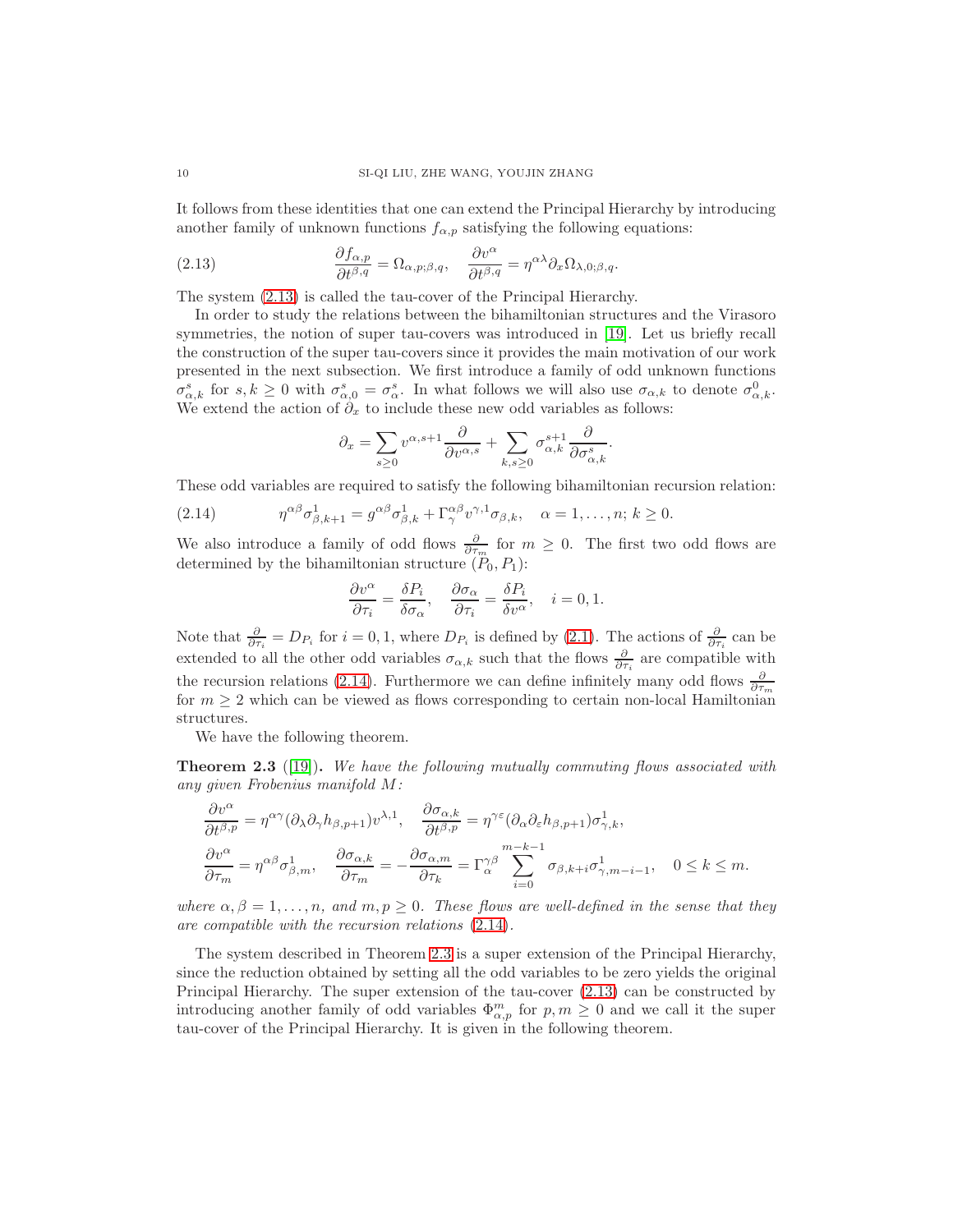It follows from these identities that one can extend the Principal Hierarchy by introducing another family of unknown functions  $f_{\alpha,p}$  satisfying the following equations:

<span id="page-9-0"></span>(2.13) 
$$
\frac{\partial f_{\alpha,p}}{\partial t^{\beta,q}} = \Omega_{\alpha,p;\beta,q}, \quad \frac{\partial v^{\alpha}}{\partial t^{\beta,q}} = \eta^{\alpha\lambda} \partial_x \Omega_{\lambda,0;\beta,q}.
$$

The system [\(2.13\)](#page-9-0) is called the tau-cover of the Principal Hierarchy.

In order to study the relations between the bihamiltonian structures and the Virasoro symmetries, the notion of super tau-covers was introduced in [\[19\]](#page-53-4). Let us briefly recall the construction of the super tau-covers since it provides the main motivation of our work presented in the next subsection. We first introduce a family of odd unknown functions  $\sigma_{\alpha,k}^s$  for  $s,k\geq 0$  with  $\sigma_{\alpha,0}^s = \sigma_{\alpha}^s$ . In what follows we will also use  $\sigma_{\alpha,k}$  to denote  $\sigma_{\alpha,k}^0$ . We extend the action of  $\partial_x$  to include these new odd variables as follows:

<span id="page-9-1"></span>
$$
\partial_x = \sum_{s \ge 0} v^{\alpha, s+1} \frac{\partial}{\partial v^{\alpha, s}} + \sum_{k, s \ge 0} \sigma_{\alpha, k}^{s+1} \frac{\partial}{\partial \sigma_{\alpha, k}^s}.
$$

These odd variables are required to satisfy the following bihamiltonian recursion relation:

(2.14) 
$$
\eta^{\alpha\beta}\sigma_{\beta,k+1}^1 = g^{\alpha\beta}\sigma_{\beta,k}^1 + \Gamma^{\alpha\beta}_{\gamma}v^{\gamma,1}\sigma_{\beta,k}, \quad \alpha = 1,\ldots,n; k \ge 0.
$$

We also introduce a family of odd flows  $\frac{\partial}{\partial \tau_m}$  for  $m \geq 0$ . The first two odd flows are determined by the bihamiltonian structure  $(P_0, P_1)$ :

$$
\frac{\partial v^{\alpha}}{\partial \tau_i} = \frac{\delta P_i}{\delta \sigma_{\alpha}}, \quad \frac{\partial \sigma_{\alpha}}{\partial \tau_i} = \frac{\delta P_i}{\delta v^{\alpha}}, \quad i = 0, 1.
$$

Note that  $\frac{\partial}{\partial \tau_i} = D_{P_i}$  for  $i = 0, 1$ , where  $D_{P_i}$  is defined by [\(2.1\)](#page-4-0). The actions of  $\frac{\partial}{\partial \tau_i}$  can be extended to all the other odd variables  $\sigma_{\alpha,k}$  such that the flows  $\frac{\partial}{\partial \tau_i}$  are compatible with the recursion relations [\(2.14\)](#page-9-1). Furthermore we can define infinitely many odd flows  $\frac{\partial}{\partial \tau_m}$ for  $m \geq 2$  which can be viewed as flows corresponding to certain non-local Hamiltonian structures.

We have the following theorem.

<span id="page-9-2"></span>**Theorem 2.3** ([\[19\]](#page-53-4)). We have the following mutually commuting flows associated with any given Frobenius manifold M:

$$
\frac{\partial v^{\alpha}}{\partial t^{\beta,p}} = \eta^{\alpha\gamma} (\partial_{\lambda} \partial_{\gamma} h_{\beta,p+1}) v^{\lambda,1}, \quad \frac{\partial \sigma_{\alpha,k}}{\partial t^{\beta,p}} = \eta^{\gamma\varepsilon} (\partial_{\alpha} \partial_{\varepsilon} h_{\beta,p+1}) \sigma_{\gamma,k}^{1}, \n\frac{\partial v^{\alpha}}{\partial \tau_{m}} = \eta^{\alpha\beta} \sigma_{\beta,m}^{1}, \quad \frac{\partial \sigma_{\alpha,k}}{\partial \tau_{m}} = -\frac{\partial \sigma_{\alpha,m}}{\partial \tau_{k}} = \Gamma_{\alpha}^{\gamma\beta} \sum_{i=0}^{m-k-1} \sigma_{\beta,k+i} \sigma_{\gamma,m-i-1}^{1}, \quad 0 \le k \le m.
$$

where  $\alpha, \beta = 1, \ldots, n$ , and  $m, p \ge 0$ . These flows are well-defined in the sense that they are compatible with the recursion relations [\(2.14\)](#page-9-1).

The system described in Theorem [2.3](#page-9-2) is a super extension of the Principal Hierarchy, since the reduction obtained by setting all the odd variables to be zero yields the original Principal Hierarchy. The super extension of the tau-cover [\(2.13\)](#page-9-0) can be constructed by introducing another family of odd variables  $\Phi_{\alpha,p}^m$  for  $p,m\geq 0$  and we call it the super tau-cover of the Principal Hierarchy. It is given in the following theorem.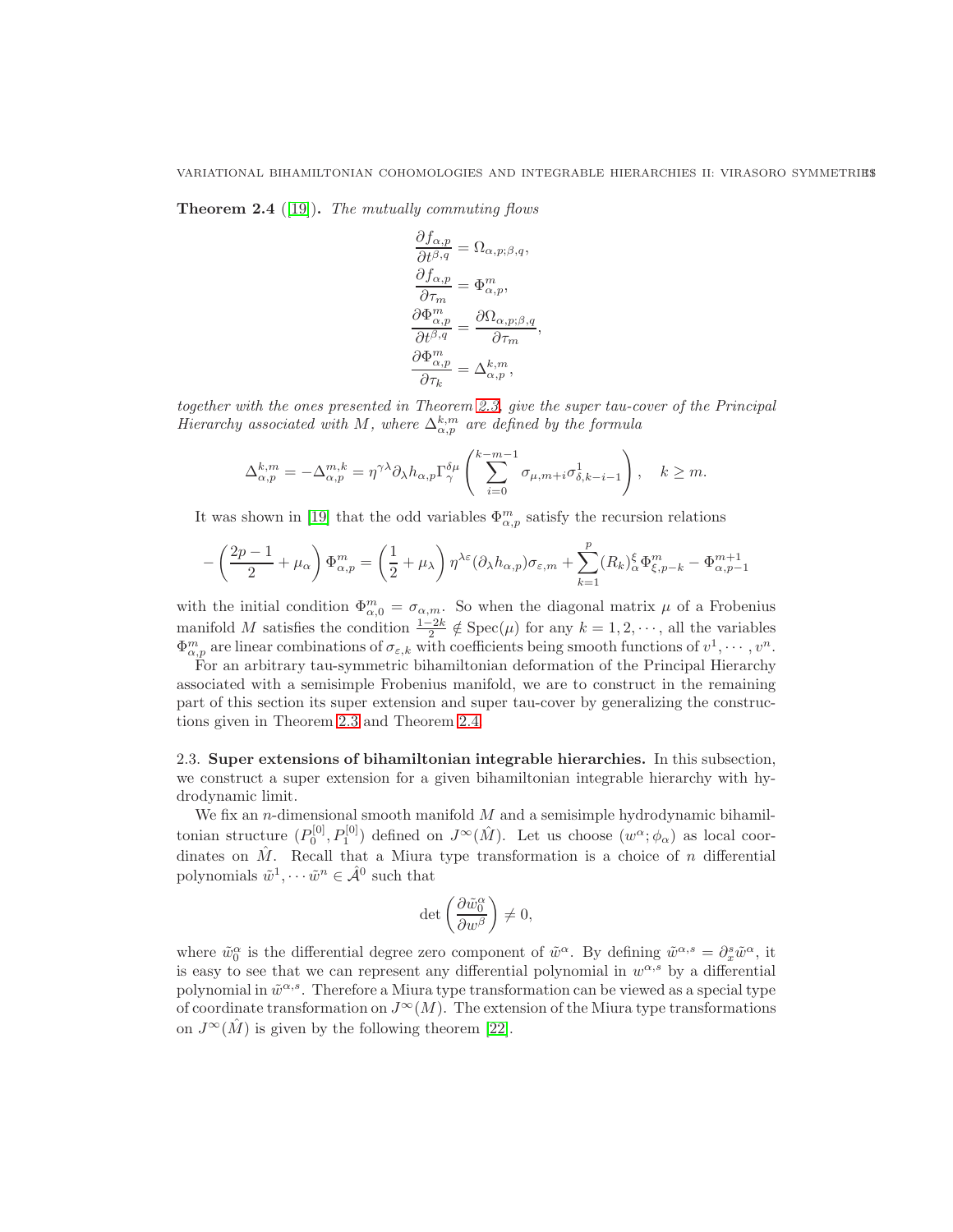<span id="page-10-1"></span>**Theorem 2.4** ([\[19\]](#page-53-4)). The mutually commuting flows

$$
\frac{\partial f_{\alpha,p}}{\partial t^{\beta,q}} = \Omega_{\alpha,p;\beta,q}, \n\frac{\partial f_{\alpha,p}}{\partial \tau_m} = \Phi_{\alpha,p}^m, \n\frac{\partial \Phi_{\alpha,p}}{\partial t^{\beta,q}} = \frac{\partial \Omega_{\alpha,p;\beta,q}}{\partial \tau_m}, \n\frac{\partial \Phi_{\alpha,p}^m}{\partial \tau_k} = \Delta_{\alpha,p}^{k,m},
$$

together with the ones presented in Theorem [2.3,](#page-9-2) give the super tau-cover of the Principal Hierarchy associated with M, where  $\Delta_{\alpha,p}^{k,m}$  are defined by the formula

$$
\Delta_{\alpha,p}^{k,m} = -\Delta_{\alpha,p}^{m,k} = \eta^{\gamma\lambda} \partial_{\lambda} h_{\alpha,p} \Gamma_{\gamma}^{\delta\mu} \left( \sum_{i=0}^{k-m-1} \sigma_{\mu,m+i} \sigma_{\delta,k-i-1}^1 \right), \quad k \geq m.
$$

It was shown in [\[19\]](#page-53-4) that the odd variables  $\Phi_{\alpha,p}^m$  satisfy the recursion relations

$$
-\left(\frac{2p-1}{2}+\mu_\alpha\right)\Phi^m_{\alpha,p}=\left(\frac{1}{2}+\mu_\lambda\right)\eta^{\lambda\varepsilon}(\partial_\lambda h_{\alpha,p})\sigma_{\varepsilon,m}+\sum_{k=1}^p(R_k)^\xi_\alpha\Phi^m_{\xi,p-k}-\Phi^{m+1}_{\alpha,p-1}
$$

with the initial condition  $\Phi_{\alpha,0}^m = \sigma_{\alpha,m}$ . So when the diagonal matrix  $\mu$  of a Frobenius manifold M satisfies the condition  $\frac{1-2k}{2} \notin \text{Spec}(\mu)$  for any  $k = 1, 2, \dots$ , all the variables  $\Phi_{\alpha,p}^m$  are linear combinations of  $\sigma_{\varepsilon,k}$  with coefficients being smooth functions of  $v^1, \cdots, v^n$ .

For an arbitrary tau-symmetric bihamiltonian deformation of the Principal Hierarchy associated with a semisimple Frobenius manifold, we are to construct in the remaining part of this section its super extension and super tau-cover by generalizing the constructions given in Theorem [2.3](#page-9-2) and Theorem [2.4.](#page-10-1)

<span id="page-10-0"></span>2.3. Super extensions of bihamiltonian integrable hierarchies. In this subsection, we construct a super extension for a given bihamiltonian integrable hierarchy with hydrodynamic limit.

We fix an *n*-dimensional smooth manifold  $M$  and a semisimple hydrodynamic bihamiltonian structure  $(P_0^{[0]}, P_1^{[0]})$  defined on  $J^{\infty}(\hat{M})$ . Let us choose  $(w^{\alpha}; \phi_{\alpha})$  as local coordinates on  $\hat{M}$ . Recall that a Miura type transformation is a choice of n differential polynomials  $\tilde{w}^1, \cdots \tilde{w}^n \in \hat{\mathcal{A}}^0$  such that

$$
\det\left(\frac{\partial \tilde{w}_0^\alpha}{\partial w^\beta}\right)\neq 0,
$$

where  $\tilde{w}_0^{\alpha}$  is the differential degree zero component of  $\tilde{w}^{\alpha}$ . By defining  $\tilde{w}^{\alpha,s} = \partial_x^s \tilde{w}^{\alpha}$ , it is easy to see that we can represent any differential polynomial in  $w^{\alpha,s}$  by a differential polynomial in  $\tilde{w}^{\alpha,s}$ . Therefore a Miura type transformation can be viewed as a special type of coordinate transformation on  $J^{\infty}(M)$ . The extension of the Miura type transformations on  $J^{\infty}(\tilde{M})$  is given by the following theorem [\[22\]](#page-53-15).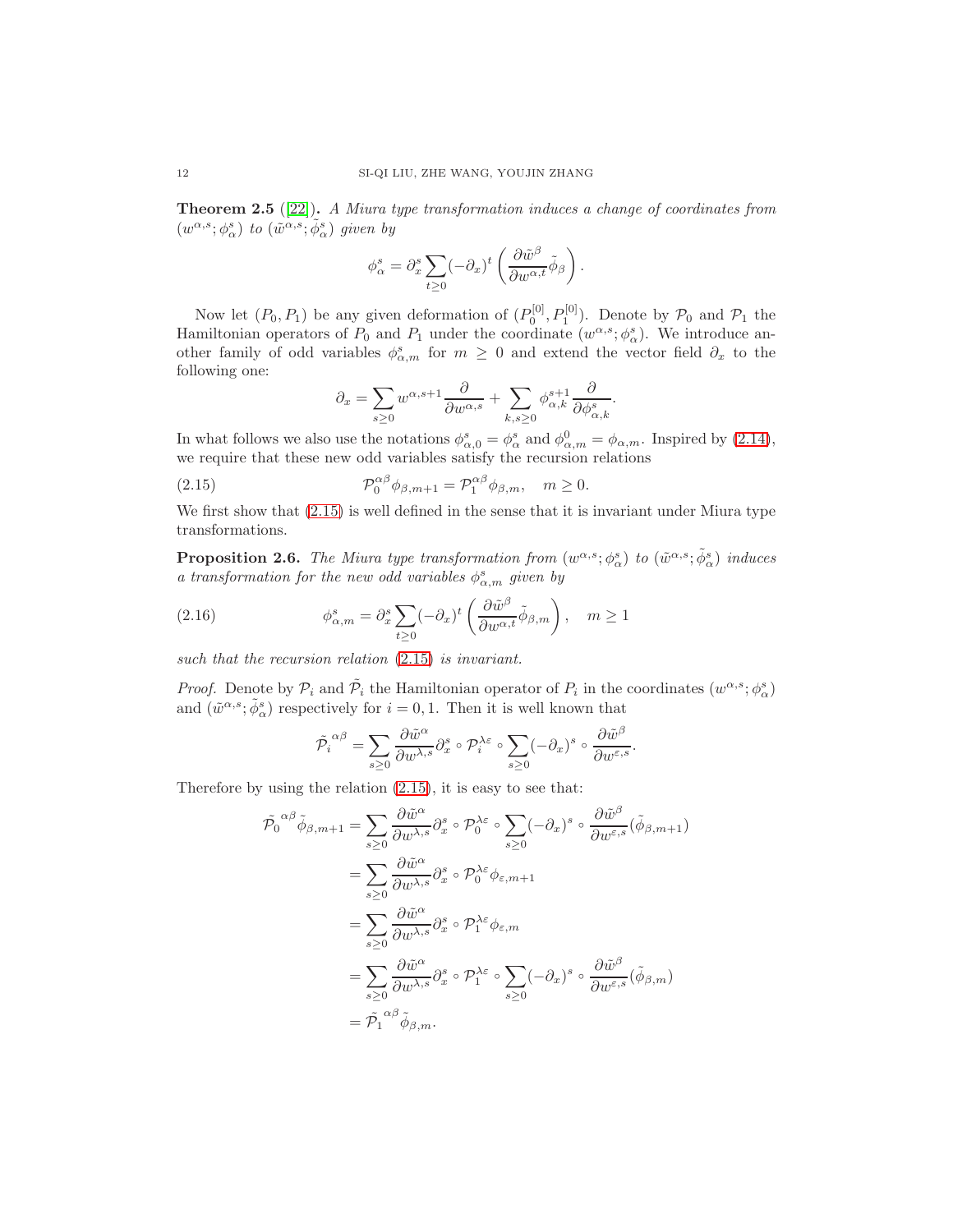**Theorem 2.5** ([\[22\]](#page-53-15)). A Miura type transformation induces a change of coordinates from  $(w^{\alpha,s};\phi^s_\alpha)$  to  $(\tilde{w}^{\alpha,s};\tilde{\phi}^s_\alpha)$  given by

$$
\phi_\alpha^s = \partial_x^s \sum_{t \geq 0} (-\partial_x)^t \left( \frac{\partial \tilde{w}^\beta}{\partial w^{\alpha, t}} \tilde{\phi}_\beta \right).
$$

Now let  $(P_0, P_1)$  be any given deformation of  $(P_0^{[0]}, P_1^{[0]})$ . Denote by  $P_0$  and  $P_1$  the Hamiltonian operators of  $P_0$  and  $P_1$  under the coordinate  $(w^{\alpha,s}; \phi^s_{\alpha})$ . We introduce another family of odd variables  $\phi_{\alpha,m}^s$  for  $m \geq 0$  and extend the vector field  $\partial_x$  to the following one:

<span id="page-11-0"></span>
$$
\partial_x = \sum_{s \ge 0} w^{\alpha, s+1} \frac{\partial}{\partial w^{\alpha, s}} + \sum_{k, s \ge 0} \phi_{\alpha, k}^{s+1} \frac{\partial}{\partial \phi_{\alpha, k}^s}.
$$

In what follows we also use the notations  $\phi_{\alpha,0}^s = \phi_{\alpha}^s$  and  $\phi_{\alpha,m}^0 = \phi_{\alpha,m}$ . Inspired by [\(2.14\)](#page-9-1), we require that these new odd variables satisfy the recursion relations

(2.15) 
$$
\mathcal{P}_0^{\alpha\beta} \phi_{\beta,m+1} = \mathcal{P}_1^{\alpha\beta} \phi_{\beta,m}, \quad m \ge 0.
$$

We first show that [\(2.15\)](#page-11-0) is well defined in the sense that it is invariant under Miura type transformations.

**Proposition 2.6.** The Miura type transformation from  $(w^{\alpha,s}; \phi^s_\alpha)$  to  $(\tilde{w}^{\alpha,s}; \tilde{\phi}^s_\alpha)$  induces a transformation for the new odd variables  $\phi_{\alpha,m}^s$  given by

(2.16) 
$$
\phi_{\alpha,m}^s = \partial_x^s \sum_{t \ge 0} (-\partial_x)^t \left( \frac{\partial \tilde{w}^{\beta}}{\partial w^{\alpha,t}} \tilde{\phi}_{\beta,m} \right), \quad m \ge 1
$$

such that the recursion relation  $(2.15)$  is invariant.

*Proof.* Denote by  $P_i$  and  $\tilde{P}_i$  the Hamiltonian operator of  $P_i$  in the coordinates  $(w^{\alpha,s}; \phi^s_\alpha)$ and  $(\tilde{w}^{\alpha,s}; \tilde{\phi}^s_\alpha)$  respectively for  $i = 0, 1$ . Then it is well known that

<span id="page-11-1"></span>
$$
\tilde{\mathcal{P}_i}^{\alpha\beta}=\sum_{s\geq 0}\frac{\partial \tilde{w}^\alpha}{\partial w^{\lambda,s}}\partial_x^s\circ\mathcal{P}_i^{\lambda\varepsilon}\circ\sum_{s\geq 0}(-\partial_x)^s\circ\frac{\partial \tilde{w}^\beta}{\partial w^{\varepsilon,s}}.
$$

Therefore by using the relation [\(2.15\)](#page-11-0), it is easy to see that:

$$
\tilde{\mathcal{P}}_{0}^{\alpha\beta}\tilde{\phi}_{\beta,m+1} = \sum_{s\geq 0} \frac{\partial \tilde{w}^{\alpha}}{\partial w^{\lambda,s}} \partial_{x}^{s} \circ \mathcal{P}_{0}^{\lambda\varepsilon} \circ \sum_{s\geq 0} (-\partial_{x})^{s} \circ \frac{\partial \tilde{w}^{\beta}}{\partial w^{\varepsilon,s}} (\tilde{\phi}_{\beta,m+1})
$$
\n
$$
= \sum_{s\geq 0} \frac{\partial \tilde{w}^{\alpha}}{\partial w^{\lambda,s}} \partial_{x}^{s} \circ \mathcal{P}_{0}^{\lambda\varepsilon} \phi_{\varepsilon,m+1}
$$
\n
$$
= \sum_{s\geq 0} \frac{\partial \tilde{w}^{\alpha}}{\partial w^{\lambda,s}} \partial_{x}^{s} \circ \mathcal{P}_{1}^{\lambda\varepsilon} \phi_{\varepsilon,m}
$$
\n
$$
= \sum_{s\geq 0} \frac{\partial \tilde{w}^{\alpha}}{\partial w^{\lambda,s}} \partial_{x}^{s} \circ \mathcal{P}_{1}^{\lambda\varepsilon} \circ \sum_{s\geq 0} (-\partial_{x})^{s} \circ \frac{\partial \tilde{w}^{\beta}}{\partial w^{\varepsilon,s}} (\tilde{\phi}_{\beta,m})
$$
\n
$$
= \tilde{\mathcal{P}}_{1}^{\alpha\beta} \tilde{\phi}_{\beta,m}.
$$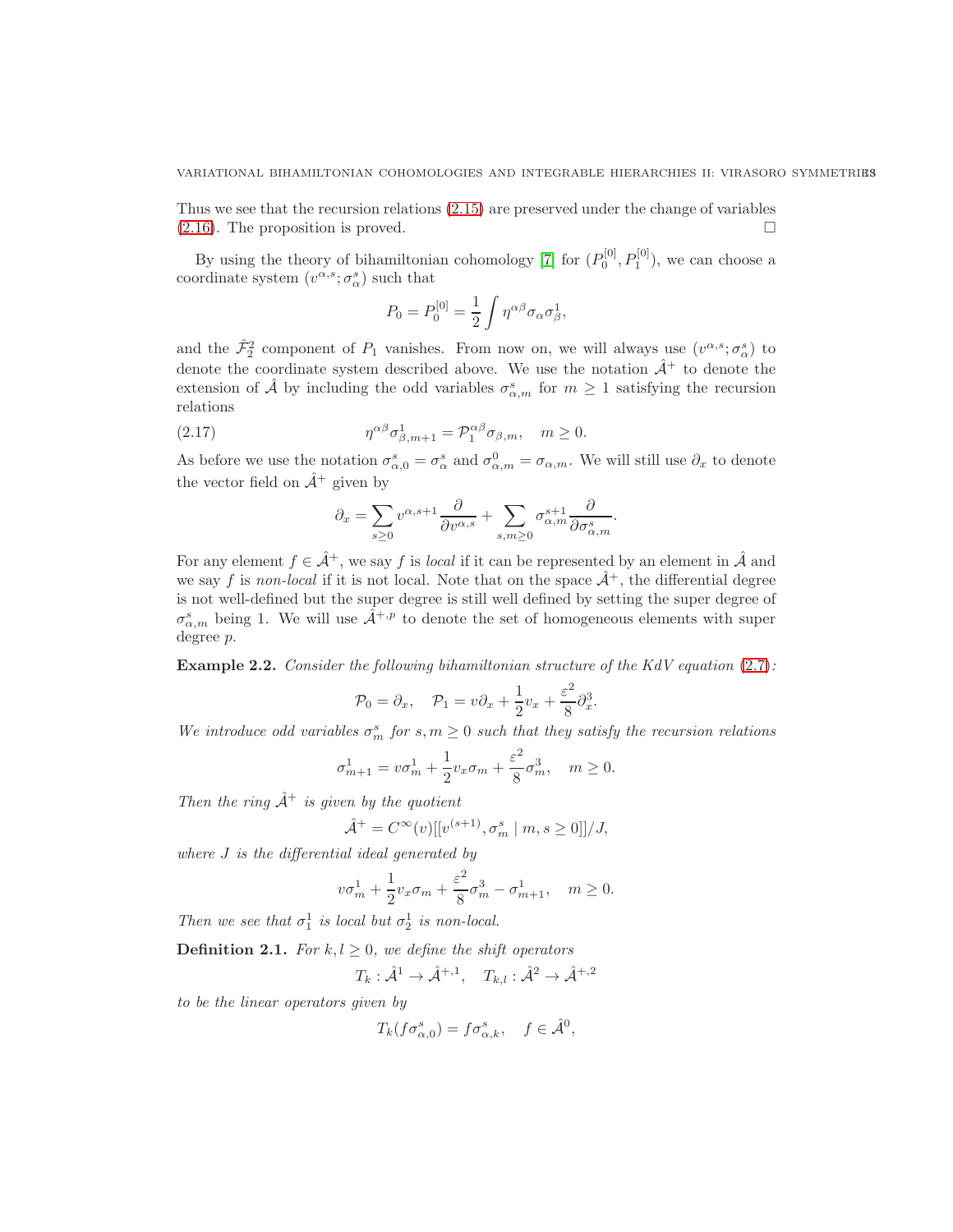Thus we see that the recursion relations [\(2.15\)](#page-11-0) are preserved under the change of variables  $(2.16)$ . The proposition is proved.

By using the theory of bihamiltonian cohomology [\[7\]](#page-53-6) for  $(P_0^{[0]}, P_1^{[0]})$ , we can choose a coordinate system  $(v^{\alpha,s}; \sigma^s_\alpha)$  such that

$$
P_0 = P_0^{[0]} = \frac{1}{2} \int \eta^{\alpha\beta} \sigma_\alpha \sigma_\beta^1,
$$

and the  $\hat{\mathcal{F}}_2^2$  component of  $P_1$  vanishes. From now on, we will always use  $(v^{\alpha,s}; \sigma^s_{\alpha})$  to denote the coordinate system described above. We use the notation  $\hat{\mathcal{A}}^+$  to denote the extension of  $\hat{\mathcal{A}}$  by including the odd variables  $\sigma_{\alpha,m}^s$  for  $m\geq 1$  satisfying the recursion relations

(2.17) 
$$
\eta^{\alpha\beta}\sigma_{\beta,m+1}^1 = \mathcal{P}_1^{\alpha\beta}\sigma_{\beta,m}, \quad m \ge 0.
$$

As before we use the notation  $\sigma_{\alpha,0}^s = \sigma_{\alpha}^s$  and  $\sigma_{\alpha,m}^0 = \sigma_{\alpha,m}$ . We will still use  $\partial_x$  to denote the vector field on  $\hat{A}^+$  given by

<span id="page-12-0"></span>
$$
\partial_x = \sum_{s \ge 0} v^{\alpha, s+1} \frac{\partial}{\partial v^{\alpha, s}} + \sum_{s, m \ge 0} \sigma_{\alpha, m}^{s+1} \frac{\partial}{\partial \sigma_{\alpha, m}^s}.
$$

For any element  $f \in \hat{\mathcal{A}}^+$ , we say f is local if it can be represented by an element in  $\hat{\mathcal{A}}$  and we say f is non-local if it is not local. Note that on the space  $\hat{\mathcal{A}}^+$ , the differential degree is not well-defined but the super degree is still well defined by setting the super degree of  $\sigma_{\alpha,m}^s$  being 1. We will use  $\hat{\mathcal{A}}^{+,p}$  to denote the set of homogeneous elements with super degree p.

**Example 2.2.** Consider the following bihamiltonian structure of the KdV equation  $(2.7)$ :

$$
\mathcal{P}_0 = \partial_x, \quad \mathcal{P}_1 = v\partial_x + \frac{1}{2}v_x + \frac{\varepsilon^2}{8}\partial_x^3.
$$

We introduce odd variables  $\sigma_m^s$  for  $s, m \geq 0$  such that they satisfy the recursion relations

$$
\sigma_{m+1}^1 = v\sigma_m^1 + \frac{1}{2}v_x\sigma_m + \frac{\varepsilon^2}{8}\sigma_m^3, \quad m \ge 0.
$$

Then the ring  $\hat{A}^+$  is given by the quotient

$$
\hat{\mathcal{A}}^{+} = C^{\infty}(v)[[v^{(s+1)}, \sigma_{m}^{s} \mid m, s \ge 0]]/J,
$$

where J is the differential ideal generated by

$$
v\sigma_m^1 + \frac{1}{2}v_x\sigma_m + \frac{\varepsilon^2}{8}\sigma_m^3 - \sigma_{m+1}^1, \quad m \ge 0.
$$

Then we see that  $\sigma_1^1$  is local but  $\sigma_2^1$  is non-local.

**Definition 2.1.** For  $k, l \geq 0$ , we define the shift operators

$$
T_k: \hat{\mathcal{A}}^1 \to \hat{\mathcal{A}}^{+,1}, \quad T_{k,l}: \hat{\mathcal{A}}^2 \to \hat{\mathcal{A}}^{+,2}
$$

to be the linear operators given by

$$
T_k(f\sigma_{\alpha,0}^s) = f\sigma_{\alpha,k}^s, \quad f \in \hat{\mathcal{A}}^0,
$$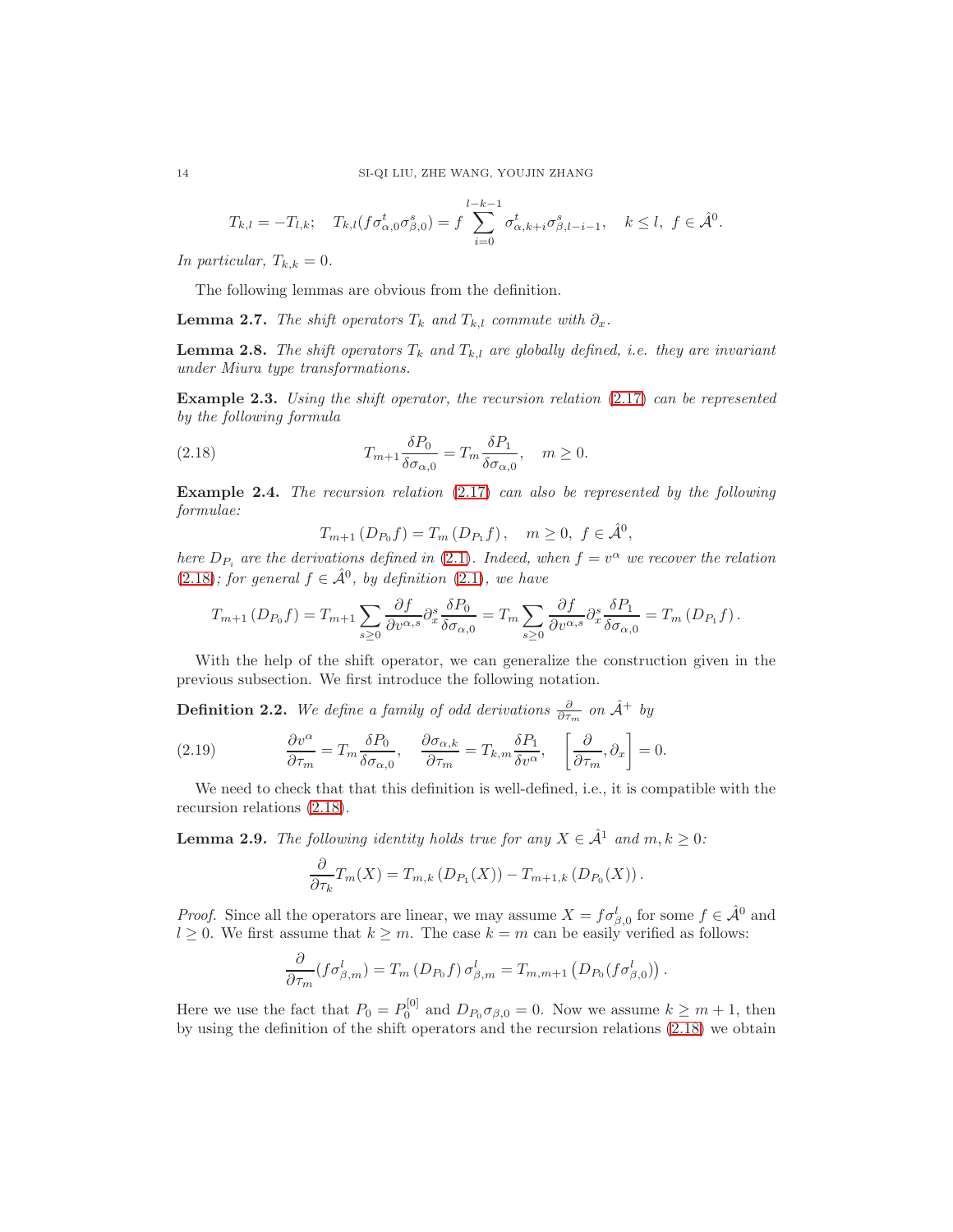$$
T_{k,l} = -T_{l,k}; \quad T_{k,l}(f\sigma_{\alpha,0}^t \sigma_{\beta,0}^s) = f \sum_{i=0}^{l-k-1} \sigma_{\alpha,k+i}^t \sigma_{\beta,l-i-1}^s, \quad k \le l, \ f \in \hat{\mathcal{A}}^0.
$$

In particular,  $T_{k,k} = 0$ .

The following lemmas are obvious from the definition.

**Lemma 2.7.** The shift operators  $T_k$  and  $T_{k,l}$  commute with  $\partial_x$ .

**Lemma 2.8.** The shift operators  $T_k$  and  $T_{k,l}$  are globally defined, i.e. they are invariant under Miura type transformations.

**Example 2.3.** Using the shift operator, the recursion relation  $(2.17)$  can be represented by the following formula

(2.18) 
$$
T_{m+1} \frac{\delta P_0}{\delta \sigma_{\alpha,0}} = T_m \frac{\delta P_1}{\delta \sigma_{\alpha,0}}, \quad m \ge 0.
$$

<span id="page-13-2"></span>Example 2.4. The recursion relation [\(2.17\)](#page-12-0) can also be represented by the following formulae:

<span id="page-13-0"></span> $T_{m+1} (D_{P_0} f) = T_m (D_{P_1} f)$ ,  $m \ge 0$ ,  $f \in \hat{\mathcal{A}}^0$ ,

here  $D_{P_i}$  are the derivations defined in [\(2.1\)](#page-4-0). Indeed, when  $f = v^{\alpha}$  we recover the relation  $(2.18)$ ; for general  $f \in \hat{A}^0$ , by definition  $(2.1)$ , we have

$$
T_{m+1}(D_{P_0}f) = T_{m+1} \sum_{s \ge 0} \frac{\partial f}{\partial v^{\alpha,s}} \partial_x^s \frac{\delta P_0}{\delta \sigma_{\alpha,0}} = T_m \sum_{s \ge 0} \frac{\partial f}{\partial v^{\alpha,s}} \partial_x^s \frac{\delta P_1}{\delta \sigma_{\alpha,0}} = T_m (D_{P_1}f).
$$

With the help of the shift operator, we can generalize the construction given in the previous subsection. We first introduce the following notation.

**Definition 2.2.** We define a family of odd derivations  $\frac{\partial}{\partial \tau_m}$  on  $\hat{\mathcal{A}}$ <sup>+</sup> by

<span id="page-13-3"></span>(2.19) 
$$
\frac{\partial v^{\alpha}}{\partial \tau_m} = T_m \frac{\delta P_0}{\delta \sigma_{\alpha,0}}, \quad \frac{\partial \sigma_{\alpha,k}}{\partial \tau_m} = T_{k,m} \frac{\delta P_1}{\delta v^{\alpha}}, \quad \left[\frac{\partial}{\partial \tau_m}, \partial_x\right] = 0.
$$

We need to check that that this definition is well-defined, i.e., it is compatible with the recursion relations [\(2.18\)](#page-13-0).

<span id="page-13-1"></span>**Lemma 2.9.** The following identity holds true for any  $X \in \hat{\mathcal{A}}^1$  and  $m, k \geq 0$ :

$$
\frac{\partial}{\partial \tau_k} T_m(X) = T_{m,k} \left( D_{P_1}(X) \right) - T_{m+1,k} \left( D_{P_0}(X) \right).
$$

*Proof.* Since all the operators are linear, we may assume  $X = f \sigma_{\beta,0}^l$  for some  $f \in \hat{\mathcal{A}}^0$  and  $l \geq 0$ . We first assume that  $k \geq m$ . The case  $k = m$  can be easily verified as follows:

$$
\frac{\partial}{\partial \tau_m}(f\sigma_{\beta,m}^l)=T_m(D_{P_0}f)\,\sigma_{\beta,m}^l=T_{m,m+1}\left(D_{P_0}(f\sigma_{\beta,0}^l)\right).
$$

Here we use the fact that  $P_0 = P_0^{[0]}$  and  $D_{P_0} \sigma_{\beta,0} = 0$ . Now we assume  $k \ge m + 1$ , then by using the definition of the shift operators and the recursion relations [\(2.18\)](#page-13-0) we obtain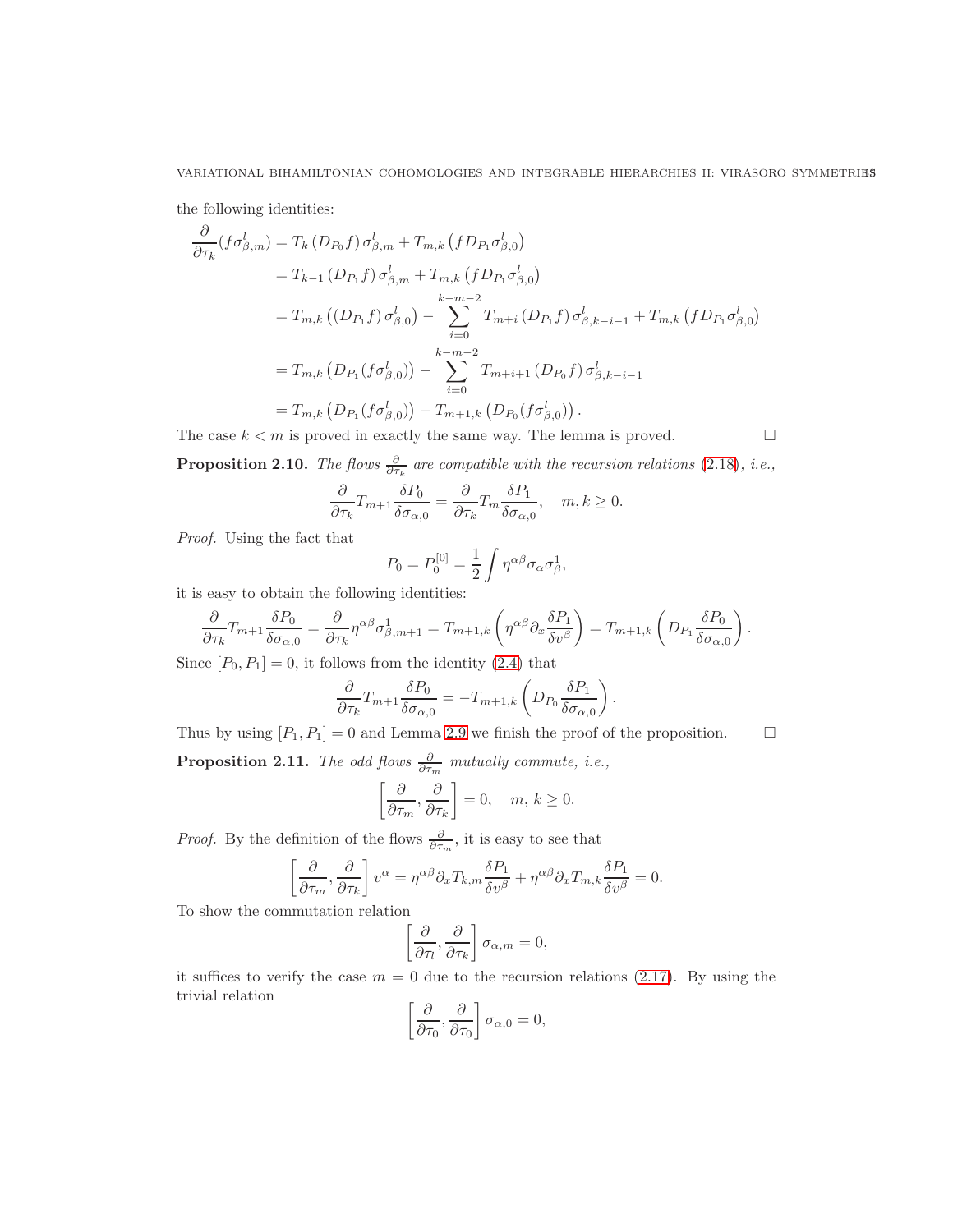the following identities:

$$
\frac{\partial}{\partial \tau_k} (f \sigma_{\beta,m}^l) = T_k (D_{P_0} f) \sigma_{\beta,m}^l + T_{m,k} (f D_{P_1} \sigma_{\beta,0}^l)
$$
\n
$$
= T_{k-1} (D_{P_1} f) \sigma_{\beta,m}^l + T_{m,k} (f D_{P_1} \sigma_{\beta,0}^l)
$$
\n
$$
= T_{m,k} ((D_{P_1} f) \sigma_{\beta,0}^l) - \sum_{i=0}^{k-m-2} T_{m+i} (D_{P_1} f) \sigma_{\beta,k-i-1}^l + T_{m,k} (f D_{P_1} \sigma_{\beta,0}^l)
$$
\n
$$
= T_{m,k} (D_{P_1} (f \sigma_{\beta,0}^l)) - \sum_{i=0}^{k-m-2} T_{m+i+1} (D_{P_0} f) \sigma_{\beta,k-i-1}^l
$$
\n
$$
= T_{m,k} (D_{P_1} (f \sigma_{\beta,0}^l)) - T_{m+1,k} (D_{P_0} (f \sigma_{\beta,0}^l)).
$$

The case  $k < m$  is proved in exactly the same way. The lemma is proved.

$$
\qquad \qquad \Box
$$

**Proposition 2.10.** The flows  $\frac{\partial}{\partial \tau_k}$  are compatible with the recursion relations [\(2.18\)](#page-13-0), *i.e.*,

$$
\frac{\partial}{\partial \tau_k} T_{m+1} \frac{\delta P_0}{\delta \sigma_{\alpha,0}} = \frac{\partial}{\partial \tau_k} T_m \frac{\delta P_1}{\delta \sigma_{\alpha,0}}, \quad m, k \ge 0.
$$

Proof. Using the fact that

$$
P_0 = P_0^{[0]} = \frac{1}{2} \int \eta^{\alpha \beta} \sigma_\alpha \sigma_\beta^1,
$$

it is easy to obtain the following identities:

$$
\frac{\partial}{\partial \tau_k} T_{m+1} \frac{\delta P_0}{\delta \sigma_{\alpha,0}} = \frac{\partial}{\partial \tau_k} \eta^{\alpha \beta} \sigma_{\beta,m+1}^1 = T_{m+1,k} \left( \eta^{\alpha \beta} \partial_x \frac{\delta P_1}{\delta v^{\beta}} \right) = T_{m+1,k} \left( D_{P_1} \frac{\delta P_0}{\delta \sigma_{\alpha,0}} \right).
$$

Since  $[P_0, P_1] = 0$ , it follows from the identity [\(2.4\)](#page-4-1) that

$$
\frac{\partial}{\partial \tau_k} T_{m+1} \frac{\delta P_0}{\delta \sigma_{\alpha,0}} = -T_{m+1,k} \left( D_{P_0} \frac{\delta P_1}{\delta \sigma_{\alpha,0}} \right).
$$

Thus by using  $[P_1, P_1] = 0$  and Lemma [2.9](#page-13-1) we finish the proof of the proposition.  $\Box$ 

**Proposition 2.11.** The odd flows  $\frac{\partial}{\partial \tau_m}$  mutually commute, *i.e.*,

$$
\left[\frac{\partial}{\partial \tau_m}, \frac{\partial}{\partial \tau_k}\right] = 0, \quad m, k \ge 0.
$$

*Proof.* By the definition of the flows  $\frac{\partial}{\partial \tau_m}$ , it is easy to see that

$$
\left[\frac{\partial}{\partial \tau_m}, \frac{\partial}{\partial \tau_k}\right] v^{\alpha} = \eta^{\alpha \beta} \partial_x T_{k,m} \frac{\delta P_1}{\delta v^{\beta}} + \eta^{\alpha \beta} \partial_x T_{m,k} \frac{\delta P_1}{\delta v^{\beta}} = 0.
$$

To show the commutation relation

$$
\left[\frac{\partial}{\partial \tau_l}, \frac{\partial}{\partial \tau_k}\right] \sigma_{\alpha, m} = 0,
$$

it suffices to verify the case  $m = 0$  due to the recursion relations [\(2.17\)](#page-12-0). By using the trivial relation

$$
\left[\frac{\partial}{\partial \tau_0}, \frac{\partial}{\partial \tau_0}\right] \sigma_{\alpha,0} = 0,
$$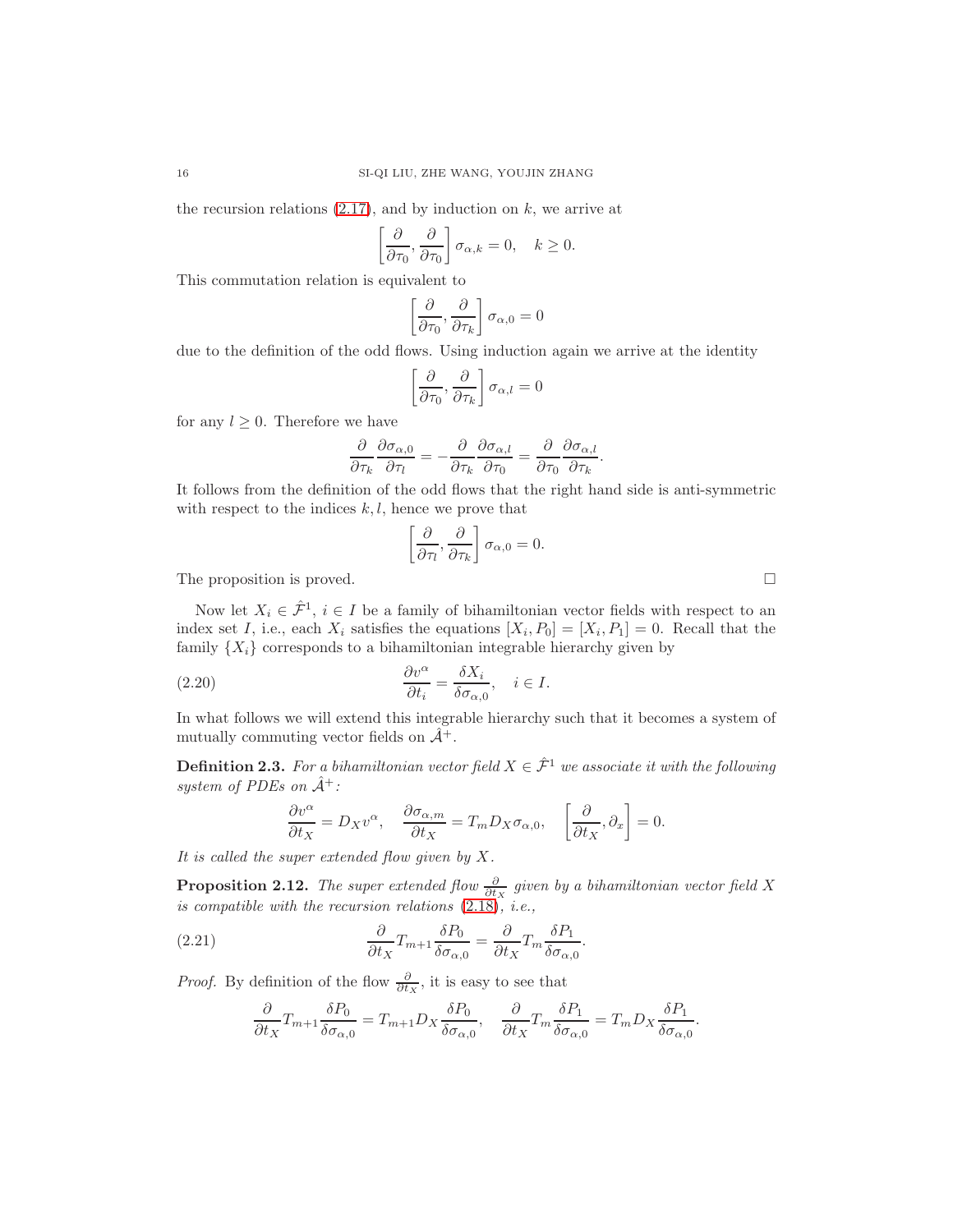the recursion relations  $(2.17)$ , and by induction on k, we arrive at

$$
\left[\frac{\partial}{\partial \tau_0}, \frac{\partial}{\partial \tau_0}\right] \sigma_{\alpha,k} = 0, \quad k \ge 0.
$$

This commutation relation is equivalent to

$$
\left[\frac{\partial}{\partial \tau_0}, \frac{\partial}{\partial \tau_k}\right] \sigma_{\alpha,0} = 0
$$

due to the definition of the odd flows. Using induction again we arrive at the identity

$$
\left[\frac{\partial}{\partial \tau_0}, \frac{\partial}{\partial \tau_k}\right] \sigma_{\alpha, l} = 0
$$

for any  $l \geq 0$ . Therefore we have

$$
\frac{\partial}{\partial \tau_k} \frac{\partial \sigma_{\alpha,0}}{\partial \tau_l} = -\frac{\partial}{\partial \tau_k} \frac{\partial \sigma_{\alpha,l}}{\partial \tau_0} = \frac{\partial}{\partial \tau_0} \frac{\partial \sigma_{\alpha,l}}{\partial \tau_k}.
$$

It follows from the definition of the odd flows that the right hand side is anti-symmetric with respect to the indices  $k, l$ , hence we prove that

$$
\left[\frac{\partial}{\partial \tau_l}, \frac{\partial}{\partial \tau_k}\right] \sigma_{\alpha,0} = 0.
$$

The proposition is proved.  $\Box$ 

Now let  $X_i \in \hat{\mathcal{F}}^1$ ,  $i \in I$  be a family of bihamiltonian vector fields with respect to an index set I, i.e., each  $X_i$  satisfies the equations  $[X_i, P_0] = [X_i, P_1] = 0$ . Recall that the family  $\{X_i\}$  corresponds to a bihamiltonian integrable hierarchy given by

(2.20) 
$$
\frac{\partial v^{\alpha}}{\partial t_i} = \frac{\delta X_i}{\delta \sigma_{\alpha,0}}, \quad i \in I.
$$

In what follows we will extend this integrable hierarchy such that it becomes a system of mutually commuting vector fields on  $\hat{\mathcal{A}}^+$ .

**Definition 2.3.** For a bihamiltonian vector field  $X \in \hat{\mathcal{F}}^1$  we associate it with the following system of PDEs on  $\hat{A}^+$ :

$$
\frac{\partial v^{\alpha}}{\partial t_X} = D_X v^{\alpha}, \quad \frac{\partial \sigma_{\alpha,m}}{\partial t_X} = T_m D_X \sigma_{\alpha,0}, \quad \left[\frac{\partial}{\partial t_X}, \partial_x\right] = 0.
$$

It is called the super extended flow given by  $X$ .

**Proposition 2.12.** The super extended flow  $\frac{\partial}{\partial t_X}$  given by a bihamiltonian vector field X is compatible with the recursion relations  $(2.18)$ , *i.e.*,

(2.21) 
$$
\frac{\partial}{\partial t_X} T_{m+1} \frac{\delta P_0}{\delta \sigma_{\alpha,0}} = \frac{\partial}{\partial t_X} T_m \frac{\delta P_1}{\delta \sigma_{\alpha,0}}.
$$

*Proof.* By definition of the flow  $\frac{\partial}{\partial t_x}$ , it is easy to see that

<span id="page-15-0"></span>
$$
\frac{\partial}{\partial t_X}T_{m+1}\frac{\delta P_0}{\delta \sigma_{\alpha,0}} = T_{m+1}D_X\frac{\delta P_0}{\delta \sigma_{\alpha,0}}, \quad \frac{\partial}{\partial t_X}T_m\frac{\delta P_1}{\delta \sigma_{\alpha,0}} = T_mD_X\frac{\delta P_1}{\delta \sigma_{\alpha,0}}.
$$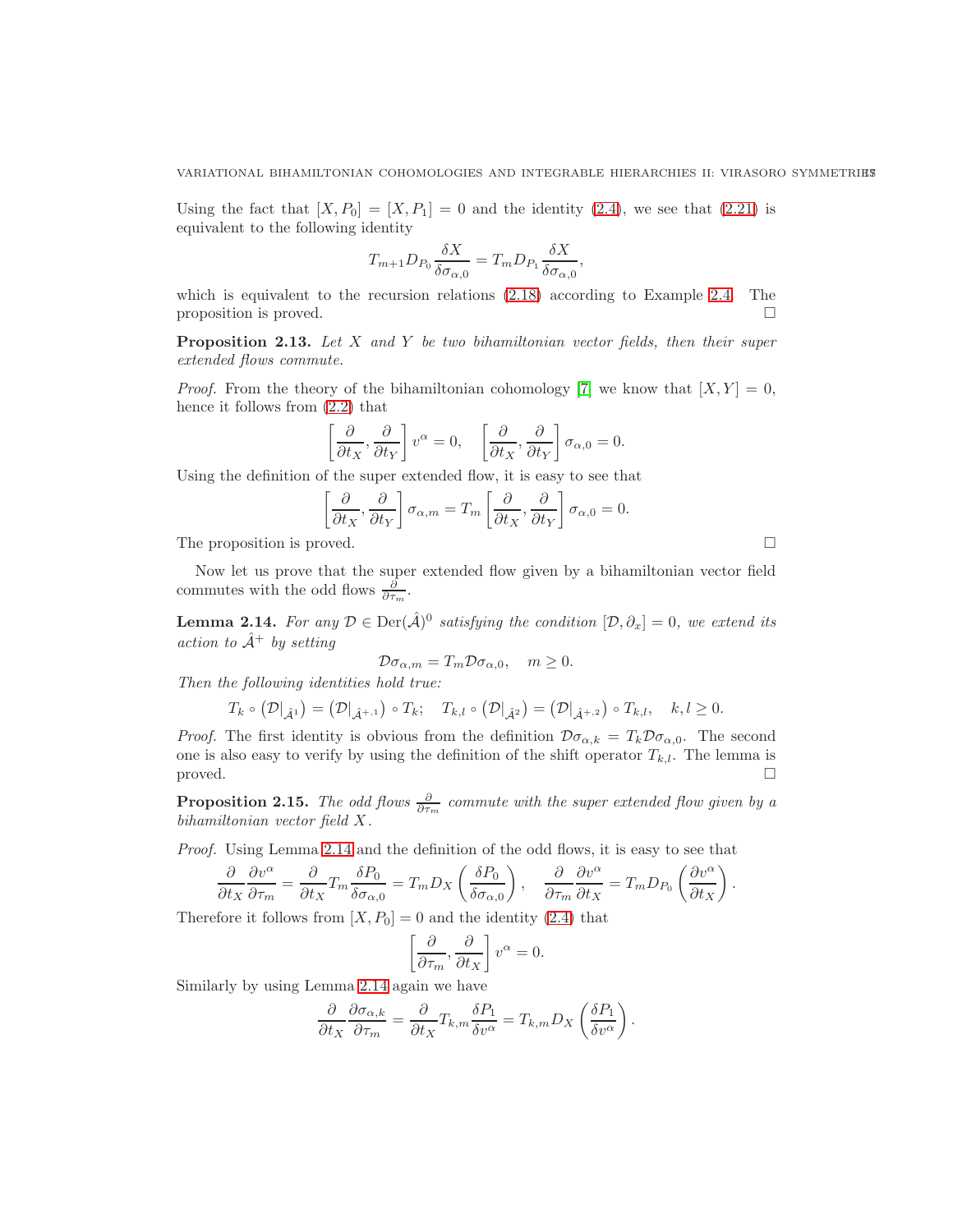Using the fact that  $[X, P_0] = [X, P_1] = 0$  and the identity  $(2.4)$ , we see that  $(2.21)$  is equivalent to the following identity

$$
T_{m+1}D_{P_0}\frac{\delta X}{\delta \sigma_{\alpha,0}} = T_m D_{P_1}\frac{\delta X}{\delta \sigma_{\alpha,0}},
$$

which is equivalent to the recursion relations  $(2.18)$  according to Example [2.4.](#page-13-2) The proposition is proved.  $\Box$ 

**Proposition 2.13.** Let  $X$  and  $Y$  be two bihamiltonian vector fields, then their super extended flows commute.

*Proof.* From the theory of the bihamiltonian cohomology [\[7\]](#page-53-6) we know that  $[X, Y] = 0$ , hence it follows from [\(2.2\)](#page-4-2) that

$$
\left[\frac{\partial}{\partial t_X}, \frac{\partial}{\partial t_Y}\right] v^{\alpha} = 0, \quad \left[\frac{\partial}{\partial t_X}, \frac{\partial}{\partial t_Y}\right] \sigma_{\alpha,0} = 0.
$$

Using the definition of the super extended flow, it is easy to see that

$$
\left[\frac{\partial}{\partial t_X}, \frac{\partial}{\partial t_Y}\right] \sigma_{\alpha,m} = T_m \left[\frac{\partial}{\partial t_X}, \frac{\partial}{\partial t_Y}\right] \sigma_{\alpha,0} = 0.
$$

The proposition is proved.

Now let us prove that the super extended flow given by a bihamiltonian vector field commutes with the odd flows  $\frac{\partial}{\partial \tau_m}$ .

<span id="page-16-0"></span>**Lemma 2.14.** For any  $\mathcal{D} \in \text{Der}(\hat{\mathcal{A}})^0$  satisfying the condition  $[\mathcal{D}, \partial_x] = 0$ , we extend its action to  $\hat{A}^+$  by setting

$$
\mathcal{D}\sigma_{\alpha,m} = T_m \mathcal{D}\sigma_{\alpha,0}, \quad m \ge 0.
$$

Then the following identities hold true:

$$
T_k \circ (\mathcal{D}|_{\hat{\mathcal{A}}^1}) = (\mathcal{D}|_{\hat{\mathcal{A}}^{+,1}}) \circ T_k; \quad T_{k,l} \circ (\mathcal{D}|_{\hat{\mathcal{A}}^2}) = (\mathcal{D}|_{\hat{\mathcal{A}}^{+,2}}) \circ T_{k,l}, \quad k,l \geq 0.
$$

*Proof.* The first identity is obvious from the definition  $\mathcal{D}\sigma_{\alpha,k} = T_k \mathcal{D}\sigma_{\alpha,0}$ . The second one is also easy to verify by using the definition of the shift operator  $T_{k,l}$ . The lemma is  $\Box$ 

**Proposition 2.15.** The odd flows  $\frac{\partial}{\partial \tau_m}$  commute with the super extended flow given by a bihamiltonian vector field X.

Proof. Using Lemma [2.14](#page-16-0) and the definition of the odd flows, it is easy to see that

$$
\frac{\partial}{\partial t_X} \frac{\partial v^{\alpha}}{\partial \tau_m} = \frac{\partial}{\partial t_X} T_m \frac{\delta P_0}{\delta \sigma_{\alpha,0}} = T_m D_X \left( \frac{\delta P_0}{\delta \sigma_{\alpha,0}} \right), \quad \frac{\partial}{\partial \tau_m} \frac{\partial v^{\alpha}}{\partial t_X} = T_m D_{P_0} \left( \frac{\partial v^{\alpha}}{\partial t_X} \right).
$$

Therefore it follows from  $[X, P_0] = 0$  and the identity [\(2.4\)](#page-4-1) that

$$
\left[\frac{\partial}{\partial \tau_m}, \frac{\partial}{\partial t_X}\right] v^{\alpha} = 0.
$$

Similarly by using Lemma [2.14](#page-16-0) again we have

$$
\frac{\partial}{\partial t_X} \frac{\partial \sigma_{\alpha,k}}{\partial \tau_m} = \frac{\partial}{\partial t_X} T_{k,m} \frac{\delta P_1}{\delta v^\alpha} = T_{k,m} D_X \left( \frac{\delta P_1}{\delta v^\alpha} \right).
$$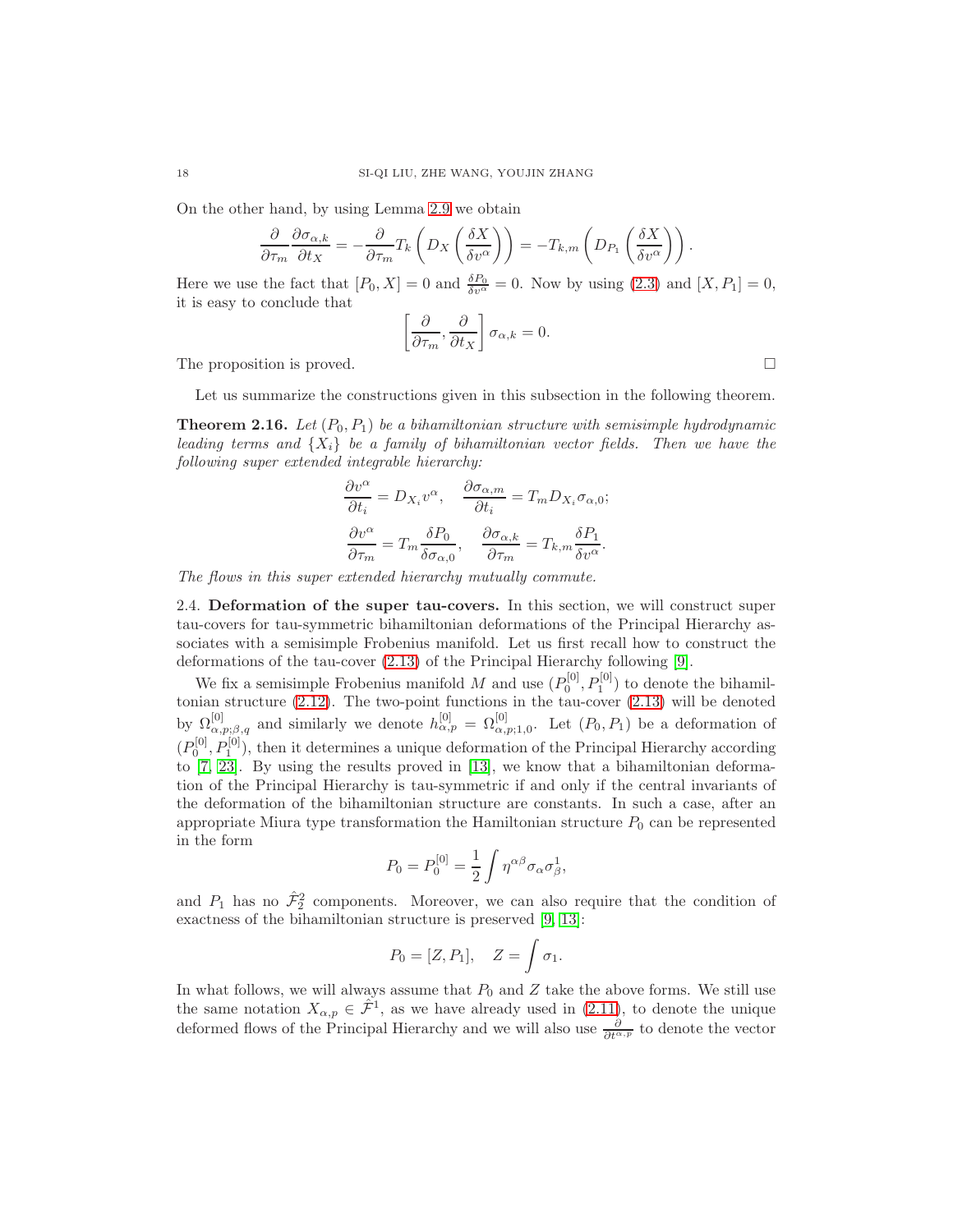On the other hand, by using Lemma [2.9](#page-13-1) we obtain

$$
\frac{\partial}{\partial \tau_m} \frac{\partial \sigma_{\alpha,k}}{\partial t_X} = -\frac{\partial}{\partial \tau_m} T_k \left( D_X \left( \frac{\delta X}{\delta v^{\alpha}} \right) \right) = -T_{k,m} \left( D_{P_1} \left( \frac{\delta X}{\delta v^{\alpha}} \right) \right).
$$

Here we use the fact that  $[P_0, X] = 0$  and  $\frac{\delta P_0}{\delta v^{\alpha}} = 0$ . Now by using [\(2.3\)](#page-4-3) and  $[X, P_1] = 0$ , it is easy to conclude that

$$
\left[\frac{\partial}{\partial \tau_m}, \frac{\partial}{\partial t_X}\right] \sigma_{\alpha,k} = 0.
$$

The proposition is proved.  $\square$ 

Let us summarize the constructions given in this subsection in the following theorem.

**Theorem 2.16.** Let  $(P_0, P_1)$  be a bihamiltonian structure with semisimple hydrodynamic leading terms and  $\{X_i\}$  be a family of bihamiltonian vector fields. Then we have the following super extended integrable hierarchy:

$$
\frac{\partial v^{\alpha}}{\partial t_i} = D_{X_i} v^{\alpha}, \quad \frac{\partial \sigma_{\alpha,m}}{\partial t_i} = T_m D_{X_i} \sigma_{\alpha,0};
$$

$$
\frac{\partial v^{\alpha}}{\partial \tau_m} = T_m \frac{\delta P_0}{\delta \sigma_{\alpha,0}}, \quad \frac{\partial \sigma_{\alpha,k}}{\partial \tau_m} = T_{k,m} \frac{\delta P_1}{\delta v^{\alpha}}.
$$

<span id="page-17-0"></span>The flows in this super extended hierarchy mutually commute.

2.4. Deformation of the super tau-covers. In this section, we will construct super tau-covers for tau-symmetric bihamiltonian deformations of the Principal Hierarchy associates with a semisimple Frobenius manifold. Let us first recall how to construct the deformations of the tau-cover [\(2.13\)](#page-9-0) of the Principal Hierarchy following [\[9\]](#page-53-16).

We fix a semisimple Frobenius manifold M and use  $(P_0^{[0]}, P_1^{[0]})$  to denote the bihamiltonian structure [\(2.12\)](#page-8-0). The two-point functions in the tau-cover [\(2.13\)](#page-9-0) will be denoted by  $\Omega_{\alpha,p;\beta,q}^{[0]}$  and similarly we denote  $h_{\alpha,p}^{[0]} = \Omega_{\alpha,p;1,0}^{[0]}$ . Let  $(P_0,P_1)$  be a deformation of  $(P_0^{[0]}, P_1^{[0]})$ , then it determines a unique deformation of the Principal Hierarchy according to [\[7,](#page-53-6) [23\]](#page-53-17). By using the results proved in [\[13\]](#page-53-18), we know that a bihamiltonian deformation of the Principal Hierarchy is tau-symmetric if and only if the central invariants of the deformation of the bihamiltonian structure are constants. In such a case, after an appropriate Miura type transformation the Hamiltonian structure  $P_0$  can be represented in the form

$$
P_0 = P_0^{[0]} = \frac{1}{2} \int \eta^{\alpha\beta} \sigma_\alpha \sigma_\beta^1,
$$

and  $P_1$  has no  $\hat{\mathcal{F}}_2^2$  components. Moreover, we can also require that the condition of exactness of the bihamiltonian structure is preserved [\[9,](#page-53-16) [13\]](#page-53-18):

$$
P_0 = [Z, P_1], \quad Z = \int \sigma_1.
$$

In what follows, we will always assume that  $P_0$  and  $Z$  take the above forms. We still use the same notation  $X_{\alpha,p} \in \hat{\mathcal{F}}^1$ , as we have already used in [\(2.11\)](#page-8-1), to denote the unique deformed flows of the Principal Hierarchy and we will also use  $\frac{\partial}{\partial t^{\alpha,p}}$  to denote the vector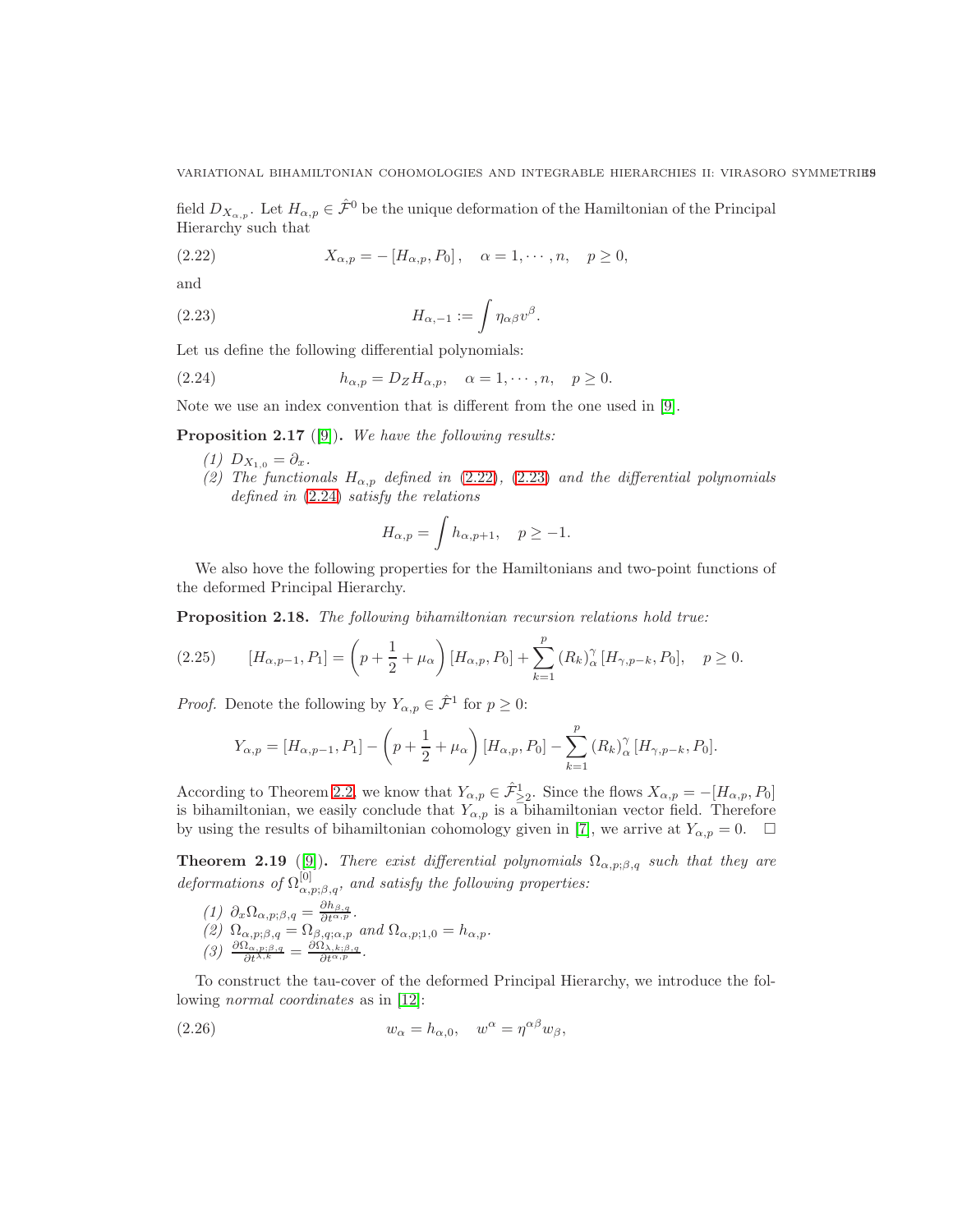VARIATIONAL BIHAMILTONIAN COHOMOLOGIES AND INTEGRABLE HIERARCHIES II: VIRASORO SYMMETRIES

field  $D_{X_{\alpha,p}}$ . Let  $H_{\alpha,p} \in \hat{\mathcal{F}}^0$  be the unique deformation of the Hamiltonian of the Principal Hierarchy such that

<span id="page-18-0"></span>(2.22) 
$$
X_{\alpha,p} = -[H_{\alpha,p}, P_0], \quad \alpha = 1, \cdots, n, \quad p \ge 0,
$$

and

(2.23) 
$$
H_{\alpha,-1} := \int \eta_{\alpha\beta} v^{\beta}.
$$

Let us define the following differential polynomials:

(2.24) 
$$
h_{\alpha,p} = D_Z H_{\alpha,p}, \quad \alpha = 1, \cdots, n, \quad p \ge 0.
$$

Note we use an index convention that is different from the one used in [\[9\]](#page-53-16).

<span id="page-18-3"></span>**Proposition 2.17** ([\[9\]](#page-53-16)). We have the following results:

- (1)  $D_{X_{1,0}} = \partial_x$ .
- (2) The functionals  $H_{\alpha,p}$  defined in [\(2.22\)](#page-18-0), [\(2.23\)](#page-18-1) and the differential polynomials defined in [\(2.24\)](#page-18-2) satisfy the relations

<span id="page-18-2"></span><span id="page-18-1"></span>
$$
H_{\alpha,p} = \int h_{\alpha,p+1}, \quad p \ge -1.
$$

We also hove the following properties for the Hamiltonians and two-point functions of the deformed Principal Hierarchy.

Proposition 2.18. The following bihamiltonian recursion relations hold true:

<span id="page-18-5"></span>
$$
(2.25) \qquad [H_{\alpha,p-1}, P_1] = \left(p + \frac{1}{2} + \mu_\alpha\right) [H_{\alpha,p}, P_0] + \sum_{k=1}^p (R_k)^\gamma_\alpha [H_{\gamma,p-k}, P_0], \quad p \ge 0.
$$

*Proof.* Denote the following by  $Y_{\alpha,p} \in \hat{\mathcal{F}}^1$  for  $p \geq 0$ :

$$
Y_{\alpha,p} = [H_{\alpha,p-1}, P_1] - \left(p + \frac{1}{2} + \mu_\alpha\right)[H_{\alpha,p}, P_0] - \sum_{k=1}^p (R_k)^\gamma_\alpha [H_{\gamma,p-k}, P_0].
$$

According to Theorem [2.2,](#page-8-2) we know that  $Y_{\alpha,p} \in \hat{\mathcal{F}}_{\geq 2}^1$ . Since the flows  $X_{\alpha,p} = -[H_{\alpha,p}, P_0]$ is bihamiltonian, we easily conclude that  $Y_{\alpha,p}$  is a bihamiltonian vector field. Therefore by using the results of bihamiltonian cohomology given in [\[7\]](#page-53-6), we arrive at  $Y_{\alpha,p} = 0$ .  $\Box$ 

<span id="page-18-4"></span>**Theorem 2.19** ([\[9\]](#page-53-16)). There exist differential polynomials  $\Omega_{\alpha,p;\beta,q}$  such that they are deformations of  $\Omega_{\alpha,p;\beta,q}^{[0]}$ , and satisfy the following properties:

(1) 
$$
\partial_x \Omega_{\alpha, p; \beta, q} = \frac{\partial h_{\beta, q}}{\partial t^{\alpha, p}}
$$
.  
\n(2)  $\Omega_{\alpha, p; \beta, q} = \Omega_{\beta, q; \alpha, p}$  and  $\Omega_{\alpha, p; 1, 0} = h_{\alpha, p}$ .  
\n(3)  $\frac{\partial \Omega_{\alpha, p; \beta, q}}{\partial t^{\lambda, k}} = \frac{\partial \Omega_{\lambda, k; \beta, q}}{\partial t^{\alpha, p}}$ .

To construct the tau-cover of the deformed Principal Hierarchy, we introduce the following normal coordinates as in [\[12\]](#page-53-2):

(2.26) 
$$
w_{\alpha} = h_{\alpha,0}, \quad w^{\alpha} = \eta^{\alpha\beta} w_{\beta},
$$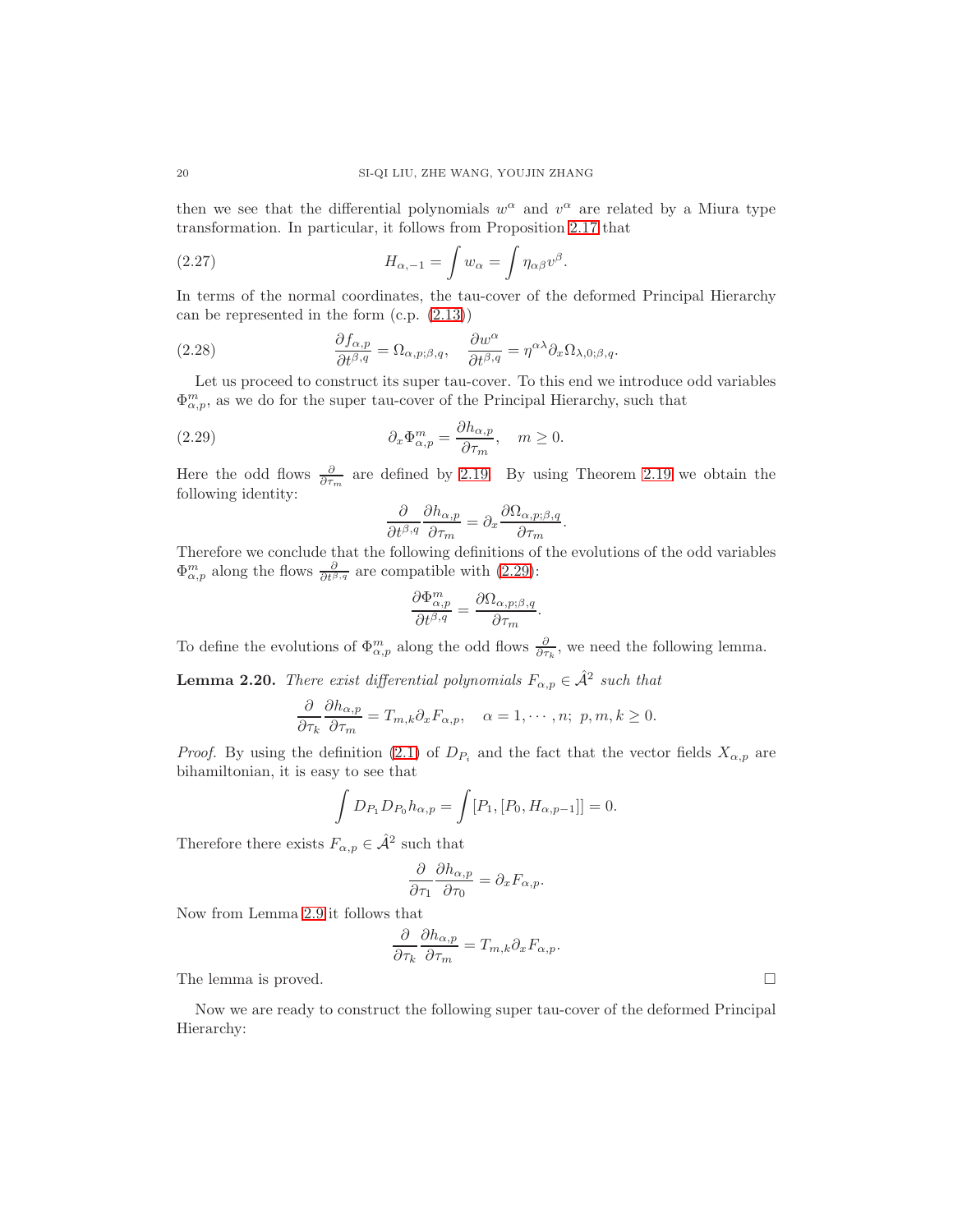then we see that the differential polynomials  $w^{\alpha}$  and  $v^{\alpha}$  are related by a Miura type transformation. In particular, it follows from Proposition [2.17](#page-18-3) that

<span id="page-19-1"></span>(2.27) 
$$
H_{\alpha,-1} = \int w_{\alpha} = \int \eta_{\alpha\beta} v^{\beta}.
$$

In terms of the normal coordinates, the tau-cover of the deformed Principal Hierarchy can be represented in the form (c.p. [\(2.13\)](#page-9-0))

<span id="page-19-2"></span>(2.28) 
$$
\frac{\partial f_{\alpha,p}}{\partial t^{\beta,q}} = \Omega_{\alpha,p;\beta,q}, \quad \frac{\partial w^{\alpha}}{\partial t^{\beta,q}} = \eta^{\alpha\lambda} \partial_x \Omega_{\lambda,0;\beta,q}.
$$

Let us proceed to construct its super tau-cover. To this end we introduce odd variables  $\Phi_{\alpha,p}^m$ , as we do for the super tau-cover of the Principal Hierarchy, such that

(2.29) 
$$
\partial_x \Phi_{\alpha,p}^m = \frac{\partial h_{\alpha,p}}{\partial \tau_m}, \quad m \ge 0.
$$

Here the odd flows  $\frac{\partial}{\partial \tau_m}$  are defined by [2.19.](#page-13-3) By using Theorem [2.19](#page-18-4) we obtain the following identity:

<span id="page-19-0"></span>
$$
\frac{\partial}{\partial t^{\beta,q}} \frac{\partial h_{\alpha,p}}{\partial \tau_m} = \partial_x \frac{\partial \Omega_{\alpha,p;\beta,q}}{\partial \tau_m}.
$$

Therefore we conclude that the following definitions of the evolutions of the odd variables  $\Phi_{\alpha,p}^m$  along the flows  $\frac{\partial}{\partial t^{\beta,q}}$  are compatible with [\(2.29\)](#page-19-0):

$$
\frac{\partial \Phi^m_{\alpha,p}}{\partial t^{\beta,q}} = \frac{\partial \Omega_{\alpha,p;\beta,q}}{\partial \tau_m}.
$$

To define the evolutions of  $\Phi_{\alpha,p}^m$  along the odd flows  $\frac{\partial}{\partial \tau_k}$ , we need the following lemma.

**Lemma 2.20.** There exist differential polynomials  $F_{\alpha,p} \in \hat{\mathcal{A}}^2$  such that

$$
\frac{\partial}{\partial \tau_k} \frac{\partial h_{\alpha,p}}{\partial \tau_m} = T_{m,k} \partial_x F_{\alpha,p}, \quad \alpha = 1, \cdots, n; \ p, m, k \ge 0.
$$

*Proof.* By using the definition [\(2.1\)](#page-4-0) of  $D_{P_i}$  and the fact that the vector fields  $X_{\alpha,p}$  are bihamiltonian, it is easy to see that

$$
\int D_{P_1} D_{P_0} h_{\alpha,p} = \int [P_1, [P_0, H_{\alpha,p-1}]] = 0.
$$

Therefore there exists  $F_{\alpha,p} \in \hat{\mathcal{A}}^2$  such that

$$
\frac{\partial}{\partial \tau_1} \frac{\partial h_{\alpha,p}}{\partial \tau_0} = \partial_x F_{\alpha,p}.
$$

Now from Lemma [2.9](#page-13-1) it follows that

$$
\frac{\partial}{\partial \tau_k} \frac{\partial h_{\alpha,p}}{\partial \tau_m} = T_{m,k} \partial_x F_{\alpha,p}.
$$

The lemma is proved.  $\square$ 

Now we are ready to construct the following super tau-cover of the deformed Principal Hierarchy: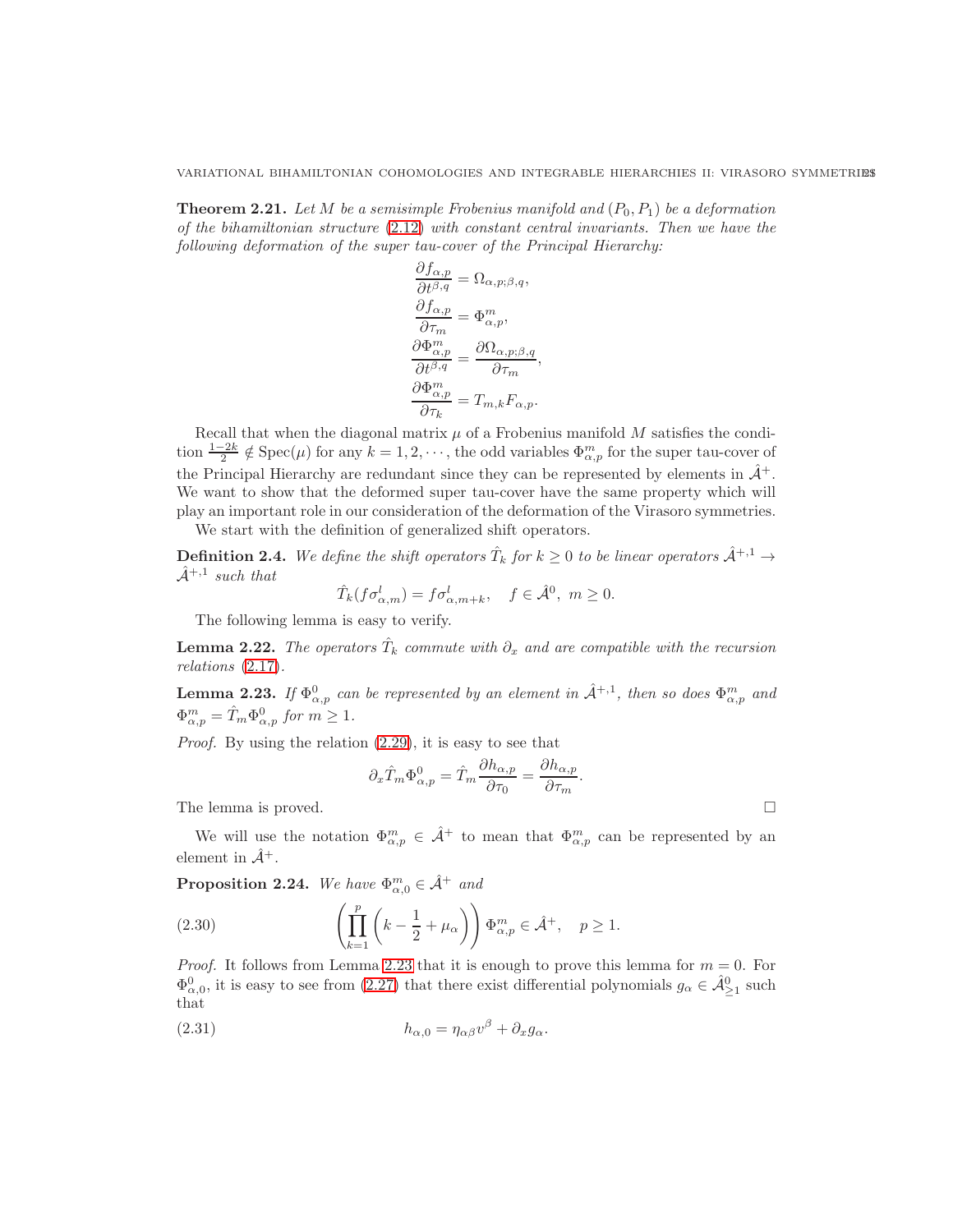VARIATIONAL BIHAMILTONIAN COHOMOLOGIES AND INTEGRABLE HIERARCHIES II: VIRASORO SYMMETRIES

**Theorem 2.21.** Let M be a semisimple Frobenius manifold and  $(P_0, P_1)$  be a deformation of the bihamiltonian structure [\(2.12\)](#page-8-0) with constant central invariants. Then we have the following deformation of the super tau-cover of the Principal Hierarchy:

$$
\frac{\partial f_{\alpha,p}}{\partial t^{\beta,q}} = \Omega_{\alpha,p;\beta,q},
$$

$$
\frac{\partial f_{\alpha,p}}{\partial \tau_m} = \Phi_{\alpha,p}^m,
$$

$$
\frac{\partial \Phi_{\alpha,p}^m}{\partial t^{\beta,q}} = \frac{\partial \Omega_{\alpha,p;\beta,q}}{\partial \tau_m},
$$

$$
\frac{\partial \Phi_{\alpha,p}^m}{\partial \tau_k} = T_{m,k} F_{\alpha,p}.
$$

Recall that when the diagonal matrix  $\mu$  of a Frobenius manifold  $M$  satisfies the condition  $\frac{1-2k}{2} \notin \text{Spec}(\mu)$  for any  $k = 1, 2, \dots$ , the odd variables  $\Phi_{\alpha, p}^m$  for the super tau-cover of the Principal Hierarchy are redundant since they can be represented by elements in  $\hat{\mathcal{A}}^+$ . We want to show that the deformed super tau-cover have the same property which will play an important role in our consideration of the deformation of the Virasoro symmetries.

We start with the definition of generalized shift operators.

**Definition 2.4.** We define the shift operators  $\hat{T}_k$  for  $k \ge 0$  to be linear operators  $\hat{\mathcal{A}}^{+,1} \rightarrow$  $\hat{\mathcal{A}}^{+,1}$  such that

$$
\hat{T}_k(f\sigma_{\alpha,m}^l) = f\sigma_{\alpha,m+k}^l, \quad f \in \hat{\mathcal{A}}^0, \ m \ge 0.
$$

The following lemma is easy to verify.

**Lemma 2.22.** The operators  $\hat{T}_k$  commute with  $\partial_x$  and are compatible with the recursion relations [\(2.17\)](#page-12-0).

<span id="page-20-0"></span>**Lemma 2.23.** If  $\Phi_{\alpha,p}^0$  can be represented by an element in  $\hat{\mathcal{A}}^{+,1}$ , then so does  $\Phi_{\alpha,p}^m$  and  $\Phi_{\alpha,p}^m = \hat{T}_m \Phi_{\alpha,p}^0$  for  $m \ge 1$ .

Proof. By using the relation [\(2.29\)](#page-19-0), it is easy to see that

$$
\partial_x \hat{T}_m \Phi^0_{\alpha,p} = \hat{T}_m \frac{\partial h_{\alpha,p}}{\partial \tau_0} = \frac{\partial h_{\alpha,p}}{\partial \tau_m}
$$

.

The lemma is proved.  $\square$ 

We will use the notation  $\Phi_{\alpha,p}^m \in \hat{\mathcal{A}}^+$  to mean that  $\Phi_{\alpha,p}^m$  can be represented by an element in  $\hat{\mathcal{A}}^+$ .

<span id="page-20-2"></span>**Proposition 2.24.** We have  $\Phi_{\alpha,0}^m \in \hat{\mathcal{A}}^+$  and

<span id="page-20-1"></span>(2.30) 
$$
\left(\prod_{k=1}^p \left(k - \frac{1}{2} + \mu_\alpha\right)\right) \Phi_{\alpha,p}^m \in \hat{\mathcal{A}}^+, \quad p \ge 1.
$$

*Proof.* It follows from Lemma [2.23](#page-20-0) that it is enough to prove this lemma for  $m = 0$ . For  $\Phi_{\alpha,0}^0$ , it is easy to see from [\(2.27\)](#page-19-1) that there exist differential polynomials  $g_\alpha \in \hat{\mathcal{A}}_{\geq 1}^0$  such that

<span id="page-20-3"></span>(2.31) 
$$
h_{\alpha,0} = \eta_{\alpha\beta}v^{\beta} + \partial_x g_{\alpha}.
$$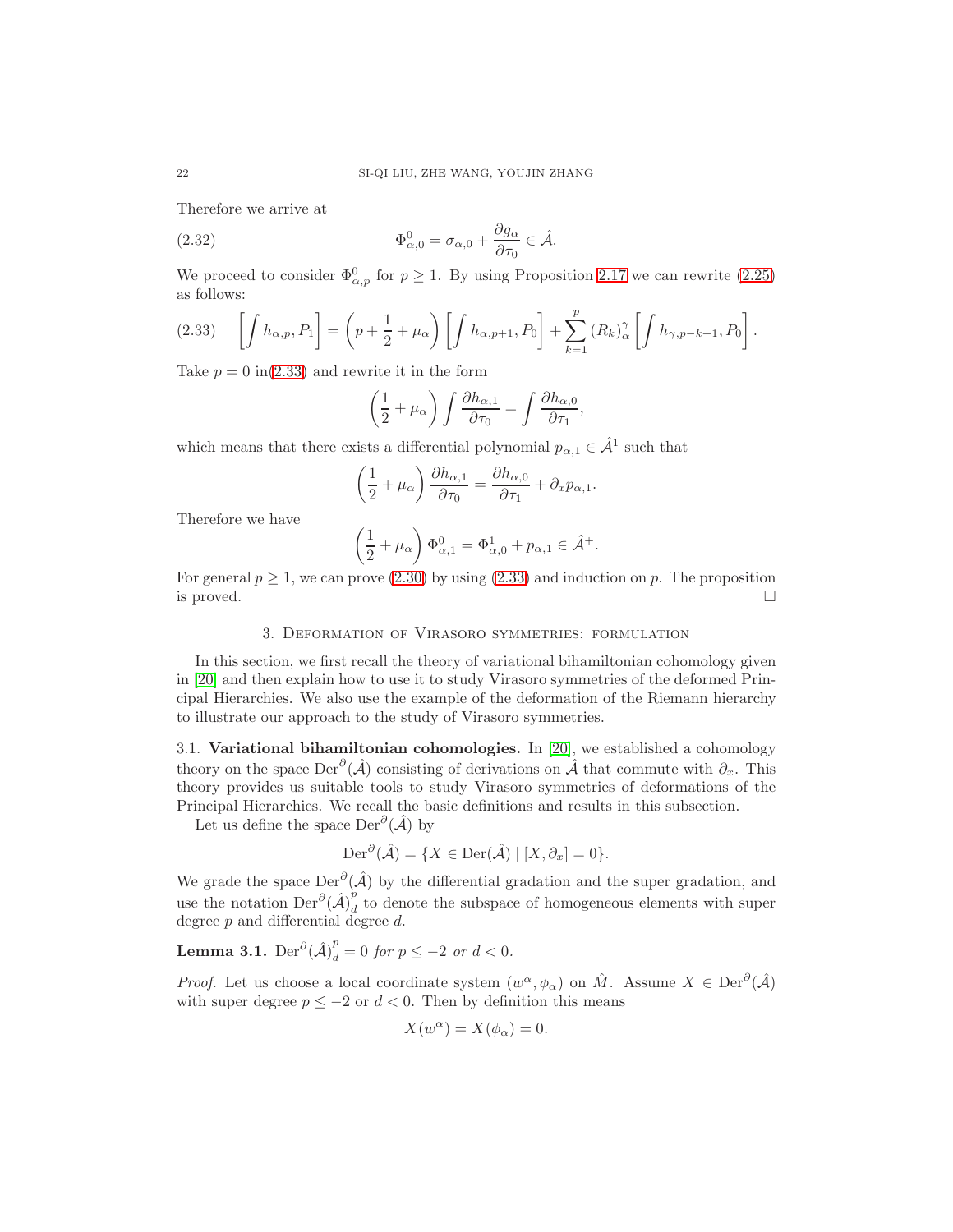Therefore we arrive at

(2.32) 
$$
\Phi_{\alpha,0}^0 = \sigma_{\alpha,0} + \frac{\partial g_{\alpha}}{\partial \tau_0} \in \hat{\mathcal{A}}.
$$

We proceed to consider  $\Phi_{\alpha,p}^0$  for  $p \geq 1$ . By using Proposition [2.17](#page-18-3) we can rewrite [\(2.25\)](#page-18-5) as follows:

<span id="page-21-2"></span>
$$
(2.33) \quad \left[\int h_{\alpha,p}, P_1\right] = \left(p + \frac{1}{2} + \mu_\alpha\right) \left[\int h_{\alpha,p+1}, P_0\right] + \sum_{k=1}^p \left(R_k\right)_{\alpha}^\gamma \left[\int h_{\gamma,p-k+1}, P_0\right].
$$

Take  $p = 0$  in[\(2.33\)](#page-21-2) and rewrite it in the form

<span id="page-21-3"></span>
$$
\left(\frac{1}{2} + \mu_{\alpha}\right) \int \frac{\partial h_{\alpha,1}}{\partial \tau_0} = \int \frac{\partial h_{\alpha,0}}{\partial \tau_1},
$$

which means that there exists a differential polynomial  $p_{\alpha,1} \in \hat{\mathcal{A}}^1$  such that

$$
\left(\frac{1}{2} + \mu_{\alpha}\right) \frac{\partial h_{\alpha,1}}{\partial \tau_0} = \frac{\partial h_{\alpha,0}}{\partial \tau_1} + \partial_x p_{\alpha,1}.
$$

Therefore we have

$$
\left(\frac{1}{2} + \mu_\alpha\right)\Phi_{\alpha,1}^0 = \Phi_{\alpha,0}^1 + p_{\alpha,1} \in \hat{\mathcal{A}}^+.
$$

<span id="page-21-0"></span>For general  $p \ge 1$ , we can prove  $(2.30)$  by using  $(2.33)$  and induction on p. The proposition is proved.  $\square$ 

### 3. Deformation of Virasoro symmetries: formulation

In this section, we first recall the theory of variational bihamiltonian cohomology given in [\[20\]](#page-53-1) and then explain how to use it to study Virasoro symmetries of the deformed Principal Hierarchies. We also use the example of the deformation of the Riemann hierarchy to illustrate our approach to the study of Virasoro symmetries.

<span id="page-21-1"></span>3.1. Variational bihamiltonian cohomologies. In [\[20\]](#page-53-1), we established a cohomology theory on the space  $\text{Der}^{\partial}(\hat{\mathcal{A}})$  consisting of derivations on  $\hat{\mathcal{A}}$  that commute with  $\partial_x$ . This theory provides us suitable tools to study Virasoro symmetries of deformations of the Principal Hierarchies. We recall the basic definitions and results in this subsection.

Let us define the space  $\text{Der}^{\partial}(\hat{\mathcal{A}})$  by

$$
\operatorname{Der}^{\partial}(\hat{\mathcal{A}}) = \{ X \in \operatorname{Der}(\hat{\mathcal{A}}) \mid [X, \partial_x] = 0 \}.
$$

We grade the space  $\text{Der}^{\partial}(\hat{\mathcal{A}})$  by the differential gradation and the super gradation, and use the notation  $\mathrm{Der}^{\partial}(\hat{\mathcal{A}})_d^p$  $d_d$  to denote the subspace of homogeneous elements with super degree  $p$  and differential degree  $d$ .

**Lemma 3.1.**  $\operatorname{Der}^{\partial}(\hat{\mathcal{A}})_d^p = 0$  for  $p \leq -2$  or  $d < 0$ .

*Proof.* Let us choose a local coordinate system  $(w^{\alpha}, \phi_{\alpha})$  on  $\hat{M}$ . Assume  $X \in \text{Der}^{\partial}(\hat{\mathcal{A}})$ with super degree  $p \le -2$  or  $d < 0$ . Then by definition this means

$$
X(w^{\alpha}) = X(\phi_{\alpha}) = 0.
$$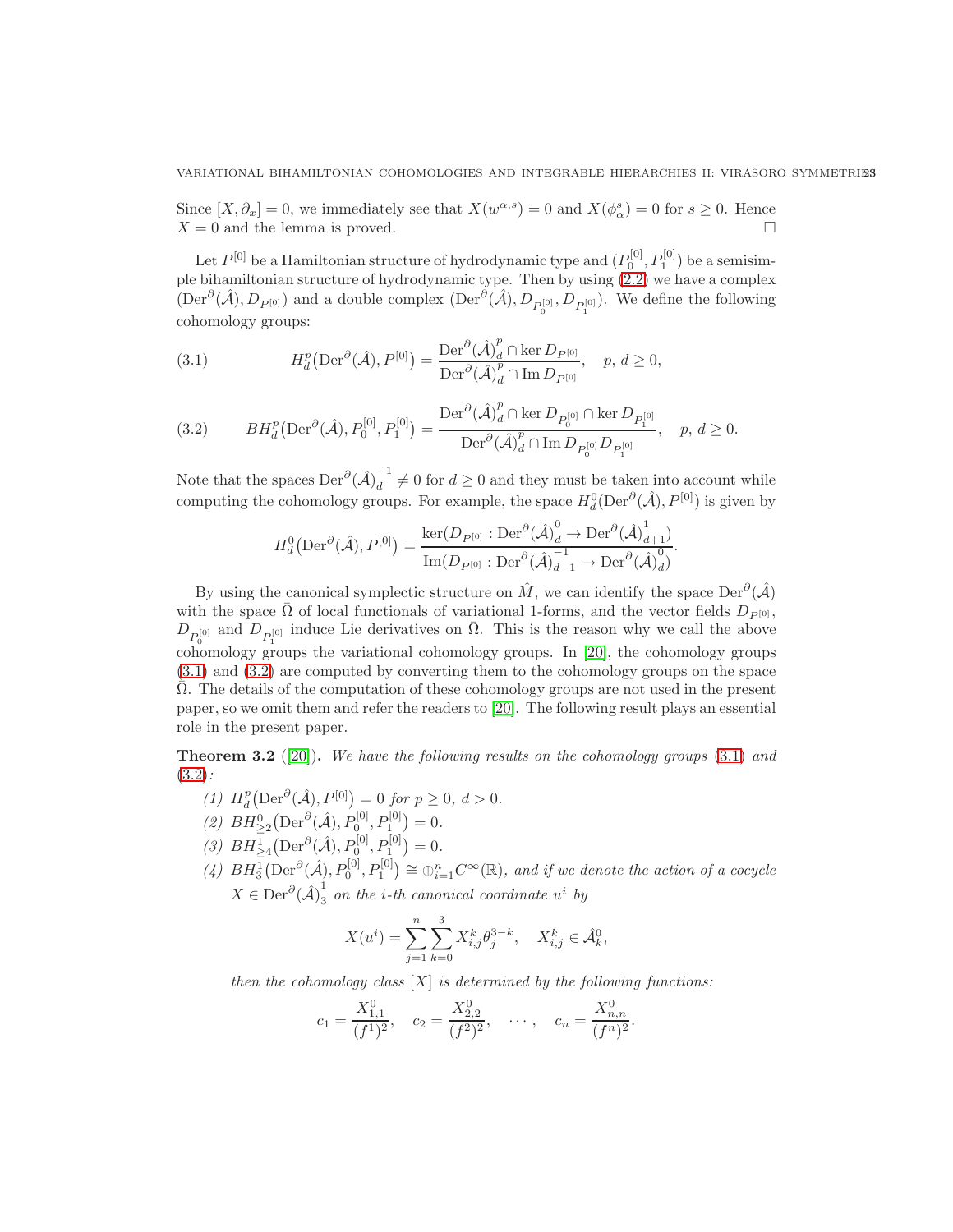Since  $[X, \partial_x] = 0$ , we immediately see that  $X(w^{\alpha,s}) = 0$  and  $X(\phi^s_\alpha) = 0$  for  $s \geq 0$ . Hence  $X = 0$  and the lemma is proved.

Let  $P^{[0]}$  be a Hamiltonian structure of hydrodynamic type and  $(P_0^{[0]}, P_1^{[0]})$  be a semisimple bihamiltonian structure of hydrodynamic type. Then by using [\(2.2\)](#page-4-2) we have a complex  $(\text{Der}^{\partial}(\hat{\mathcal{A}}), D_{P^{[0]}})$  and a double complex  $(\text{Der}^{\partial}(\hat{\mathcal{A}}), D_{P_0^{[0]}}, D_{P_1^{[0]}})$ . We define the following cohomology groups:

<span id="page-22-0"></span>(3.1) 
$$
H_d^p(\text{Der}^{\partial}(\hat{\mathcal{A}}), P^{[0]}) = \frac{\text{Der}^{\partial}(\hat{\mathcal{A}})_d^p \cap \ker D_{P^{[0]}}}{\text{Der}^{\partial}(\hat{\mathcal{A}})_d^p \cap \text{Im } D_{P^{[0]}}}, \quad p, d \ge 0,
$$

<span id="page-22-1"></span>
$$
(3.2) \qquad BH^{p}_{d}\left(\text{Der}^{\partial}(\hat{\mathcal{A}}), P_{0}^{[0]}, P_{1}^{[0]}\right) = \frac{\text{Der}^{\partial}(\hat{\mathcal{A}})^{p}_{d} \cap \ker D_{P_{0}^{[0]}} \cap \ker D_{P_{1}^{[0]}}}{\text{Der}^{\partial}(\hat{\mathcal{A}})^{p}_{d} \cap \text{Im } D_{P_{0}^{[0]}} D_{P_{1}^{[0]}}}, \quad p, d \ge 0.
$$

Note that the spaces  $\mathrm{Der}^{\partial}(\hat{\mathcal{A}})_d^{-1}$  $d \neq 0$  for  $d \geq 0$  and they must be taken into account while computing the cohomology groups. For example, the space  $H_d^0(\text{Der}^{\partial}(\hat{\mathcal{A}}), P^{[0]})$  is given by

$$
H_d^0(\text{Der}^{\partial}(\hat{\mathcal{A}}), P^{[0]}) = \frac{\ker(D_{P^{[0]}} : \text{Der}^{\partial}(\hat{\mathcal{A}})_d^0 \to \text{Der}^{\partial}(\hat{\mathcal{A}})_{d+1}^1)}{\text{Im}(D_{P^{[0]}} : \text{Der}^{\partial}(\hat{\mathcal{A}})_{d-1}^{-1} \to \text{Der}^{\partial}(\hat{\mathcal{A}})_d^0)}.
$$

By using the canonical symplectic structure on  $\hat{M}$ , we can identify the space  $\text{Der}^{\partial}(\hat{\mathcal{A}})$ with the space  $\overline{\Omega}$  of local functionals of variational 1-forms, and the vector fields  $D_{P(0)}$ ,  $D_{P_0^{[0]}}$  and  $D_{P_1^{[0]}}$  induce Lie derivatives on  $\overline{\Omega}$ . This is the reason why we call the above  $\frac{1}{20}$  cohomology groups the variational cohomology groups. In [\[20\]](#page-53-1), the cohomology groups [\(3.1\)](#page-22-0) and [\(3.2\)](#page-22-1) are computed by converting them to the cohomology groups on the space  $\Omega$ . The details of the computation of these cohomology groups are not used in the present paper, so we omit them and refer the readers to [\[20\]](#page-53-1). The following result plays an essential role in the present paper.

<span id="page-22-2"></span>**Theorem 3.2** ([\[20\]](#page-53-1)). We have the following results on the cohomology groups  $(3.1)$  and  $(3.2)$ :

- (1)  $H_d^p(\text{Der}^{\partial}(\hat{\mathcal{A}}), P^{[0]}) = 0$  for  $p \ge 0, d > 0$ .
- (2)  $BH^0_{\geq 2}(\text{Der}^{\partial}(\hat{\mathcal{A}}), P_0^{[0]}, P_1^{[0]}) = 0.$
- (3)  $BH^1_{\geq 4}(\text{Der}^{\partial}(\hat{\mathcal{A}}), P_0^{[0]}, P_1^{[0]}) = 0.$
- (4)  $BH_3^1(\text{Der}^{\partial}(\hat{\mathcal{A}}), P_0^{[0]}, P_1^{[0]}) \cong \bigoplus_{i=1}^n C^{\infty}(\mathbb{R})$ , and if we denote the action of a cocycle  $X \in \text{Der}^{\partial}(\hat{\mathcal{A}})_3^1$  $\frac{1}{3}$  on the *i*-th canonical coordinate  $u^i$  by

$$
X(u^{i}) = \sum_{j=1}^{n} \sum_{k=0}^{3} X_{i,j}^{k} \theta_{j}^{3-k}, \quad X_{i,j}^{k} \in \hat{\mathcal{A}}_{k}^{0},
$$

then the cohomology class  $[X]$  is determined by the following functions:

$$
c_1 = \frac{X_{1,1}^0}{(f^1)^2}
$$
,  $c_2 = \frac{X_{2,2}^0}{(f^2)^2}$ ,  $\cdots$ ,  $c_n = \frac{X_{n,n}^0}{(f^n)^2}$ .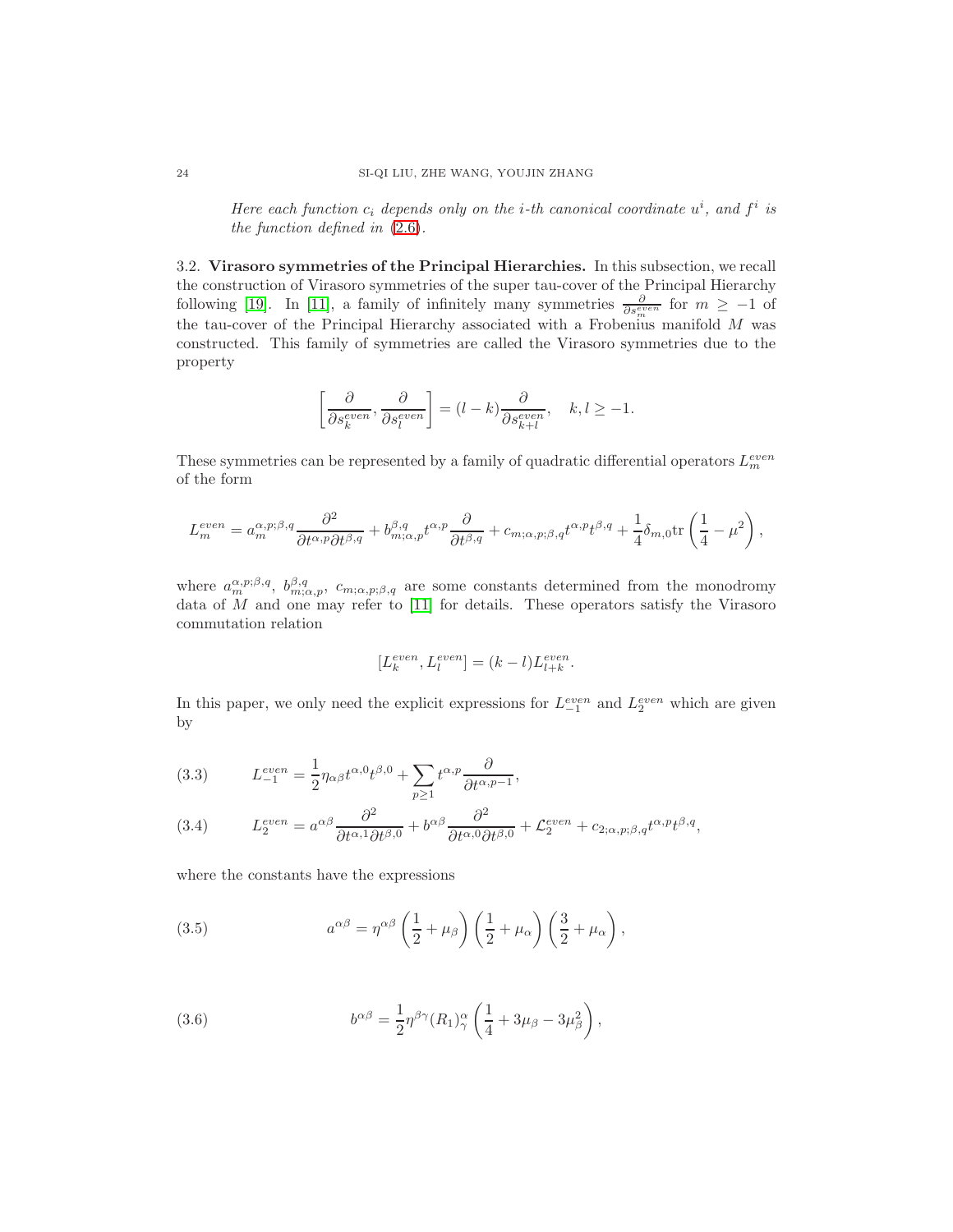Here each function  $c_i$  depends only on the *i*-th canonical coordinate  $u^i$ , and  $f^i$  is the function defined in [\(2.6\)](#page-6-2).

<span id="page-23-0"></span>3.2. Virasoro symmetries of the Principal Hierarchies. In this subsection, we recall the construction of Virasoro symmetries of the super tau-cover of the Principal Hierarchy following [\[19\]](#page-53-4). In [\[11\]](#page-53-3), a family of infinitely many symmetries  $\frac{\partial}{\partial s_m^{even}}$  for  $m \ge -1$  of the tau-cover of the Principal Hierarchy associated with a Frobenius manifold  $M$  was constructed. This family of symmetries are called the Virasoro symmetries due to the property

$$
\left[\frac{\partial}{\partial s_k^{even}}, \frac{\partial}{\partial s_l^{even}}\right] = (l - k) \frac{\partial}{\partial s_{k+l}^{even}}, \quad k, l \ge -1.
$$

These symmetries can be represented by a family of quadratic differential operators  $L_m^{even}$ of the form

$$
L_m^{even} = a_m^{\alpha, p; \beta, q} \frac{\partial^2}{\partial t^{\alpha, p} \partial t^{\beta, q}} + b_{m; \alpha, p}^{\beta, q} t^{\alpha, p} \frac{\partial}{\partial t^{\beta, q}} + c_{m; \alpha, p; \beta, q} t^{\alpha, p} t^{\beta, q} + \frac{1}{4} \delta_{m, 0} \text{tr}\left(\frac{1}{4} - \mu^2\right),
$$

where  $a_m^{\alpha,p;\beta,q}, b_{m;\alpha,p}^{\beta,q}, c_{m;\alpha,p;\beta,q}$  are some constants determined from the monodromy data of  $M$  and one may refer to  $[11]$  for details. These operators satisfy the Virasoro commutation relation

$$
[L_k^{even}, L_l^{even}] = (k-l)L_{l+k}^{even}.
$$

In this paper, we only need the explicit expressions for  $L_{-1}^{even}$  and  $L_2^{even}$  which are given by

(3.3) 
$$
L_{-1}^{even} = \frac{1}{2} \eta_{\alpha\beta} t^{\alpha,0} t^{\beta,0} + \sum_{p\geq 1} t^{\alpha,p} \frac{\partial}{\partial t^{\alpha,p-1}},
$$

<span id="page-23-1"></span>(3.4) 
$$
L_2^{even} = a^{\alpha\beta} \frac{\partial^2}{\partial t^{\alpha,1} \partial t^{\beta,0}} + b^{\alpha\beta} \frac{\partial^2}{\partial t^{\alpha,0} \partial t^{\beta,0}} + \mathcal{L}_2^{even} + c_{2;\alpha,p;\beta,q} t^{\alpha,p} t^{\beta,q},
$$

where the constants have the expressions

(3.5) 
$$
a^{\alpha\beta} = \eta^{\alpha\beta} \left(\frac{1}{2} + \mu_\beta\right) \left(\frac{1}{2} + \mu_\alpha\right) \left(\frac{3}{2} + \mu_\alpha\right),
$$

(3.6) 
$$
b^{\alpha\beta} = \frac{1}{2} \eta^{\beta\gamma} (R_1)_{\gamma}^{\alpha} \left( \frac{1}{4} + 3\mu_{\beta} - 3\mu_{\beta}^2 \right),
$$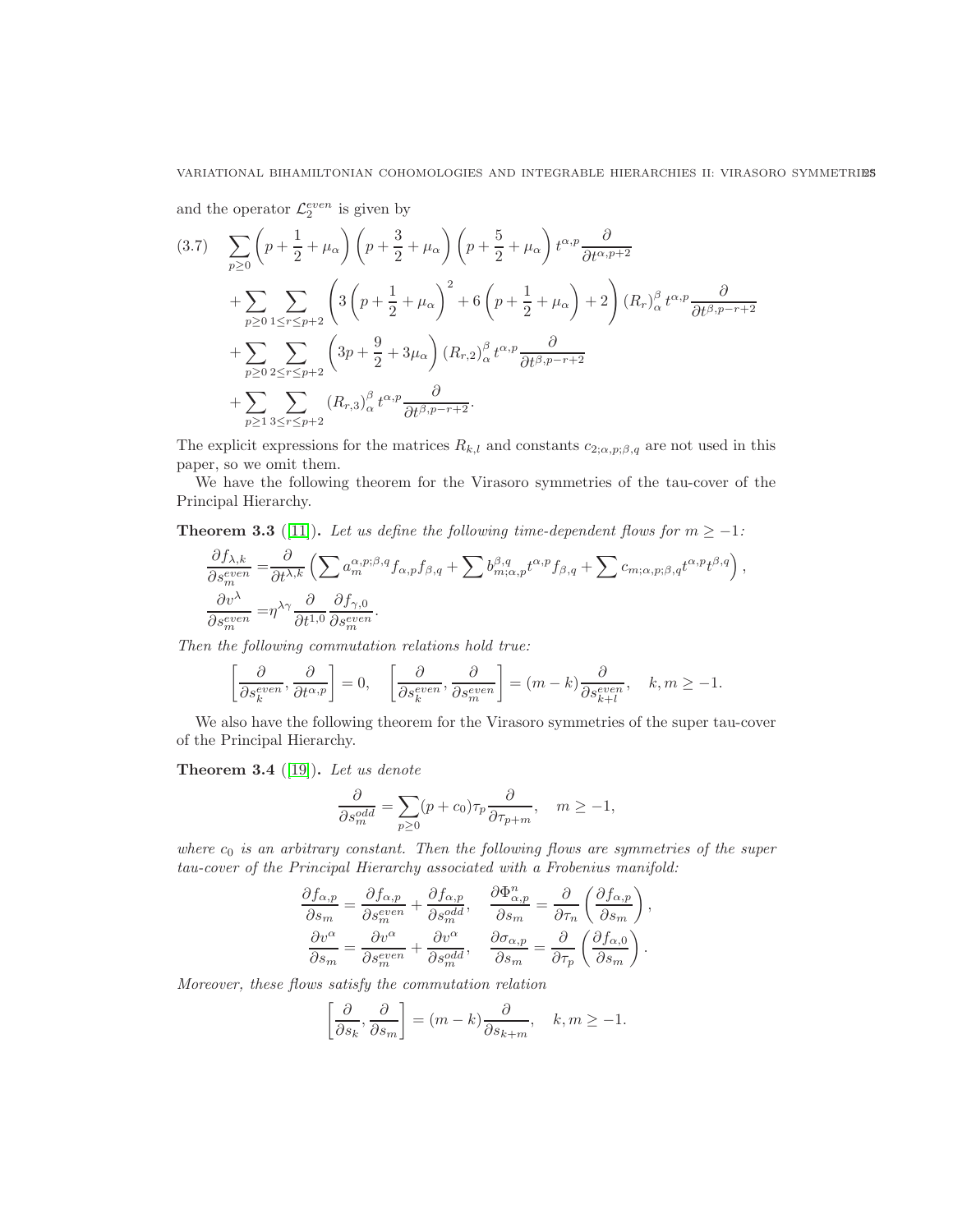and the operator  $\mathcal{L}_2^{even}$  is given by

$$
(3.7) \sum_{p\geq 0} \left( p + \frac{1}{2} + \mu_{\alpha} \right) \left( p + \frac{3}{2} + \mu_{\alpha} \right) \left( p + \frac{5}{2} + \mu_{\alpha} \right) t^{\alpha, p} \frac{\partial}{\partial t^{\alpha, p+2}} + \sum_{p\geq 0} \sum_{1 \leq r \leq p+2} \left( 3 \left( p + \frac{1}{2} + \mu_{\alpha} \right)^2 + 6 \left( p + \frac{1}{2} + \mu_{\alpha} \right) + 2 \right) (R_r)_{\alpha}^{\beta} t^{\alpha, p} \frac{\partial}{\partial t^{\beta, p-r+2}} + \sum_{p\geq 0} \sum_{2 \leq r \leq p+2} \left( 3p + \frac{9}{2} + 3\mu_{\alpha} \right) (R_{r,2})_{\alpha}^{\beta} t^{\alpha, p} \frac{\partial}{\partial t^{\beta, p-r+2}} + \sum_{p\geq 1} \sum_{3 \leq r \leq p+2} (R_{r,3})_{\alpha}^{\beta} t^{\alpha, p} \frac{\partial}{\partial t^{\beta, p-r+2}}.
$$

The explicit expressions for the matrices  $R_{k,l}$  and constants  $c_{2;\alpha,p;\beta,q}$  are not used in this paper, so we omit them.

We have the following theorem for the Virasoro symmetries of the tau-cover of the Principal Hierarchy.

**Theorem 3.3** ([\[11\]](#page-53-3)). Let us define the following time-dependent flows for  $m \ge -1$ :

$$
\frac{\partial f_{\lambda,k}}{\partial s_m^{even}} = \frac{\partial}{\partial t^{\lambda,k}} \left( \sum a_m^{\alpha,p;\beta,q} f_{\alpha,p} f_{\beta,q} + \sum b_{m;\alpha,p}^{\beta,q} t^{\alpha,p} f_{\beta,q} + \sum c_{m;\alpha,p;\beta,q} t^{\alpha,p} t^{\beta,q} \right),
$$
  

$$
\frac{\partial v^{\lambda}}{\partial s_m^{even}} = \eta^{\lambda\gamma} \frac{\partial}{\partial t^{1,0}} \frac{\partial f_{\gamma,0}}{\partial s_m^{even}}.
$$

Then the following commutation relations hold true:

$$
\left[\frac{\partial}{\partial s_k^{even}}, \frac{\partial}{\partial t^{\alpha, p}}\right] = 0, \quad \left[\frac{\partial}{\partial s_k^{even}}, \frac{\partial}{\partial s_m^{even}}\right] = (m - k) \frac{\partial}{\partial s_{k+l}^{even}}, \quad k, m \ge -1.
$$

We also have the following theorem for the Virasoro symmetries of the super tau-cover of the Principal Hierarchy.

Theorem 3.4 ([\[19\]](#page-53-4)). Let us denote

$$
\frac{\partial}{\partial s_m^{odd}} = \sum_{p\geq 0} (p + c_0) \tau_p \frac{\partial}{\partial \tau_{p+m}}, \quad m \geq -1,
$$

where  $c_0$  is an arbitrary constant. Then the following flows are symmetries of the super tau-cover of the Principal Hierarchy associated with a Frobenius manifold:

,

$$
\frac{\partial f_{\alpha,p}}{\partial s_m} = \frac{\partial f_{\alpha,p}}{\partial s_m^{even}} + \frac{\partial f_{\alpha,p}}{\partial s_m^{odd}}, \quad \frac{\partial \Phi_{\alpha,p}^n}{\partial s_m} = \frac{\partial}{\partial \tau_n} \left( \frac{\partial f_{\alpha,p}}{\partial s_m} \right)
$$

$$
\frac{\partial v^{\alpha}}{\partial s_m} = \frac{\partial v^{\alpha}}{\partial s_m^{even}} + \frac{\partial v^{\alpha}}{\partial s_m^{odd}}, \quad \frac{\partial \sigma_{\alpha,p}}{\partial s_m} = \frac{\partial}{\partial \tau_p} \left( \frac{\partial f_{\alpha,0}}{\partial s_m} \right).
$$

Moreover, these flows satisfy the commutation relation

$$
\left[\frac{\partial}{\partial s_k}, \frac{\partial}{\partial s_m}\right] = (m-k)\frac{\partial}{\partial s_{k+m}}, \quad k, m \ge -1.
$$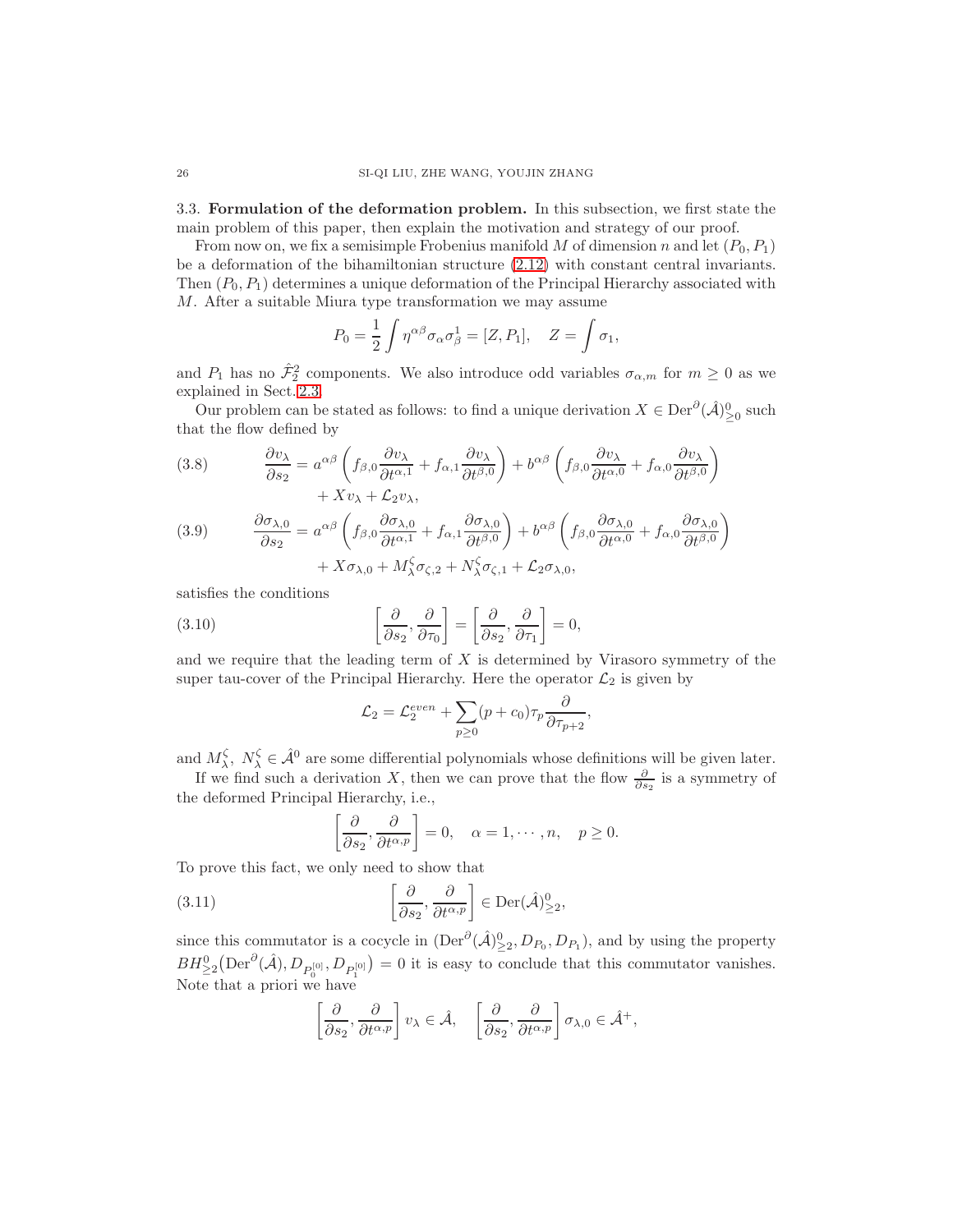<span id="page-25-0"></span>3.3. Formulation of the deformation problem. In this subsection, we first state the main problem of this paper, then explain the motivation and strategy of our proof.

From now on, we fix a semisimple Frobenius manifold M of dimension n and let  $(P_0, P_1)$ be a deformation of the bihamiltonian structure [\(2.12\)](#page-8-0) with constant central invariants. Then  $(P_0, P_1)$  determines a unique deformation of the Principal Hierarchy associated with M. After a suitable Miura type transformation we may assume

$$
P_0 = \frac{1}{2} \int \eta^{\alpha\beta} \sigma_\alpha \sigma_\beta^1 = [Z, P_1], \quad Z = \int \sigma_1,
$$

and  $P_1$  has no  $\hat{\mathcal{F}}_2^2$  components. We also introduce odd variables  $\sigma_{\alpha,m}$  for  $m \geq 0$  as we explained in Sect. [2.3.](#page-10-0)

Our problem can be stated as follows: to find a unique derivation  $X \in \text{Der}^{\partial}(\hat{\mathcal{A}})_{\geq 0}^0$  such that the flow defined by

<span id="page-25-3"></span>(3.8) 
$$
\frac{\partial v_{\lambda}}{\partial s_2} = a^{\alpha\beta} \left( f_{\beta,0} \frac{\partial v_{\lambda}}{\partial t^{\alpha,1}} + f_{\alpha,1} \frac{\partial v_{\lambda}}{\partial t^{\beta,0}} \right) + b^{\alpha\beta} \left( f_{\beta,0} \frac{\partial v_{\lambda}}{\partial t^{\alpha,0}} + f_{\alpha,0} \frac{\partial v_{\lambda}}{\partial t^{\beta,0}} \right) + X v_{\lambda} + \mathcal{L}_2 v_{\lambda},
$$

<span id="page-25-4"></span>(3.9) 
$$
\frac{\partial \sigma_{\lambda,0}}{\partial s_2} = a^{\alpha\beta} \left( f_{\beta,0} \frac{\partial \sigma_{\lambda,0}}{\partial t^{\alpha,1}} + f_{\alpha,1} \frac{\partial \sigma_{\lambda,0}}{\partial t^{\beta,0}} \right) + b^{\alpha\beta} \left( f_{\beta,0} \frac{\partial \sigma_{\lambda,0}}{\partial t^{\alpha,0}} + f_{\alpha,0} \frac{\partial \sigma_{\lambda,0}}{\partial t^{\beta,0}} \right) + X \sigma_{\lambda,0} + M_{\lambda}^{\zeta} \sigma_{\zeta,2} + N_{\lambda}^{\zeta} \sigma_{\zeta,1} + \mathcal{L}_2 \sigma_{\lambda,0},
$$

satisfies the conditions

(3.10) 
$$
\left[\frac{\partial}{\partial s_2}, \frac{\partial}{\partial \tau_0}\right] = \left[\frac{\partial}{\partial s_2}, \frac{\partial}{\partial \tau_1}\right] = 0,
$$

and we require that the leading term of  $X$  is determined by Virasoro symmetry of the super tau-cover of the Principal Hierarchy. Here the operator  $\mathcal{L}_2$  is given by

<span id="page-25-2"></span>
$$
\mathcal{L}_2 = \mathcal{L}_2^{even} + \sum_{p\geq 0} (p + c_0) \tau_p \frac{\partial}{\partial \tau_{p+2}},
$$

and  $M_{\lambda}^{\zeta}, N_{\lambda}^{\zeta} \in \hat{\mathcal{A}}^0$  are some differential polynomials whose definitions will be given later.

If we find such a derivation X, then we can prove that the flow  $\frac{\partial}{\partial s_2}$  is a symmetry of the deformed Principal Hierarchy, i.e.,

<span id="page-25-1"></span>
$$
\left[\frac{\partial}{\partial s_2}, \frac{\partial}{\partial t^{\alpha, p}}\right] = 0, \quad \alpha = 1, \cdots, n, \quad p \ge 0.
$$

To prove this fact, we only need to show that

(3.11) 
$$
\left[\frac{\partial}{\partial s_2}, \frac{\partial}{\partial t^{\alpha, p}}\right] \in \text{Der}(\hat{\mathcal{A}})_{\geq 2}^0,
$$

since this commutator is a cocycle in  $(Der^{\partial}(\hat{\mathcal{A}})_{\geq 2}^0, D_{P_0}, D_{P_1})$ , and by using the property  $BH_{\geq 2}^{0}(\text{Der}^{\partial}(\hat{\mathcal{A}}), D_{P_{0}^{[0]}}, D_{P_{1}^{[0]}}) = 0$  it is easy to conclude that this commutator vanishes. Note that a priori we have

$$
\left[\frac{\partial}{\partial s_2}, \frac{\partial}{\partial t^{\alpha, p}}\right] v_\lambda \in \hat{\mathcal{A}}, \quad \left[\frac{\partial}{\partial s_2}, \frac{\partial}{\partial t^{\alpha, p}}\right] \sigma_{\lambda, 0} \in \hat{\mathcal{A}}^+,
$$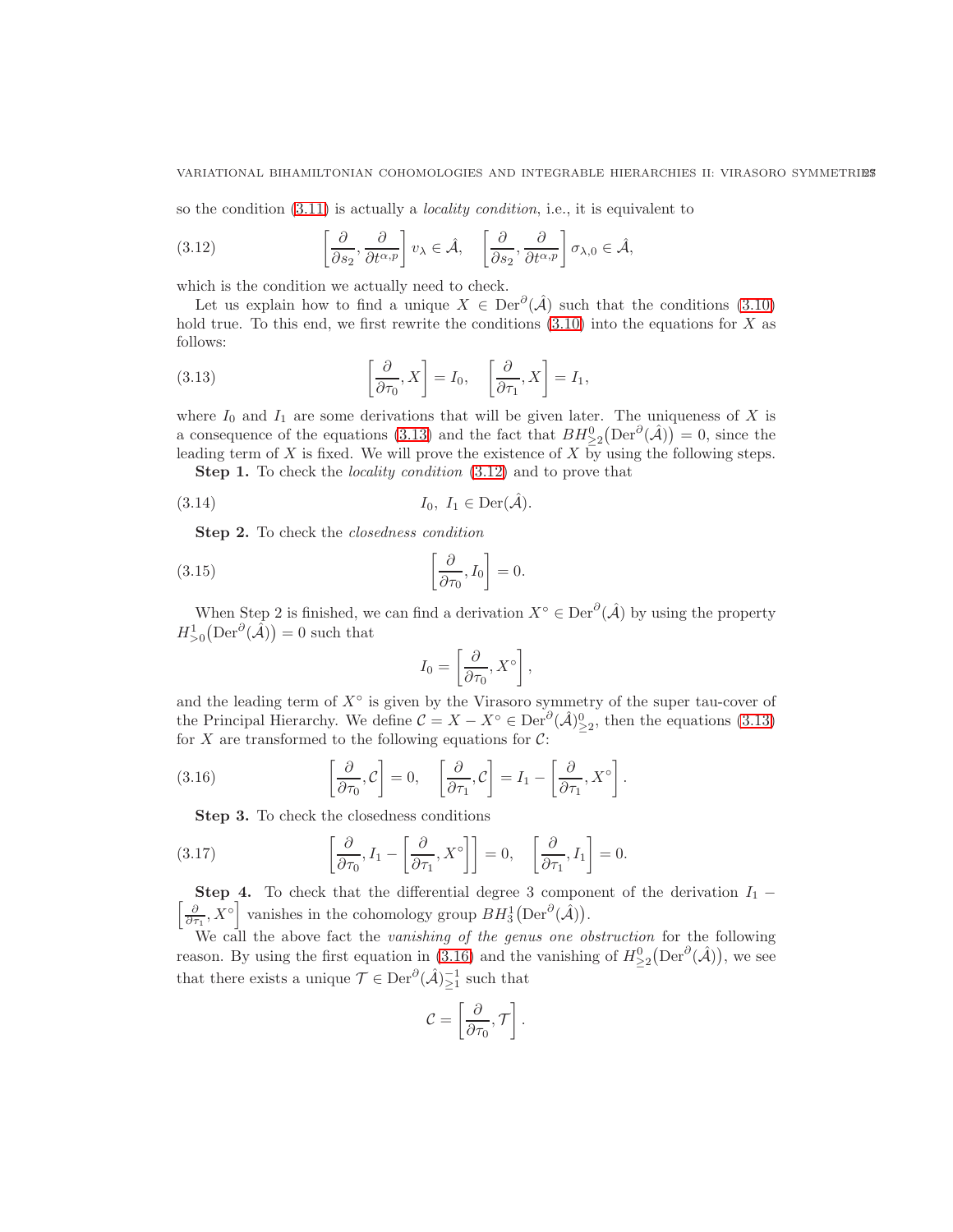so the condition  $(3.11)$  is actually a *locality condition*, i.e., it is equivalent to

<span id="page-26-1"></span>(3.12) 
$$
\left[\frac{\partial}{\partial s_2}, \frac{\partial}{\partial t^{\alpha, p}}\right] v_\lambda \in \hat{\mathcal{A}}, \quad \left[\frac{\partial}{\partial s_2}, \frac{\partial}{\partial t^{\alpha, p}}\right] \sigma_{\lambda, 0} \in \hat{\mathcal{A}},
$$

which is the condition we actually need to check.

Let us explain how to find a unique  $X \in \text{Der}^{\partial}(\hat{\mathcal{A}})$  such that the conditions [\(3.10\)](#page-25-2) hold true. To this end, we first rewrite the conditions  $(3.10)$  into the equations for X as follows:

<span id="page-26-0"></span>(3.13) 
$$
\left[\frac{\partial}{\partial \tau_0}, X\right] = I_0, \quad \left[\frac{\partial}{\partial \tau_1}, X\right] = I_1,
$$

where  $I_0$  and  $I_1$  are some derivations that will be given later. The uniqueness of X is a consequence of the equations [\(3.13\)](#page-26-0) and the fact that  $BH^{0}_{\geq 2}(\text{Der}^{\partial}(\hat{\mathcal{A}}))=0$ , since the leading term of  $X$  is fixed. We will prove the existence of  $X$  by using the following steps.

Step 1. To check the locality condition [\(3.12\)](#page-26-1) and to prove that

$$
I_0, I_1 \in \text{Der}(\hat{\mathcal{A}}).
$$

Step 2. To check the *closedness condition* 

(3.15) 
$$
\left[\frac{\partial}{\partial \tau_0}, I_0\right] = 0.
$$

When Step 2 is finished, we can find a derivation  $X^{\circ} \in \text{Der}^{\partial}(\hat{\mathcal{A}})$  by using the property  $H_{>0}^1(\text{Der}^{\partial}(\hat{\mathcal{A}}))=0$  such that

<span id="page-26-5"></span><span id="page-26-4"></span>
$$
I_0 = \left[\frac{\partial}{\partial \tau_0}, X^{\circ}\right],
$$

and the leading term of  $X^{\circ}$  is given by the Virasoro symmetry of the super tau-cover of the Principal Hierarchy. We define  $C = X - X^{\circ} \in Der^{\partial}(\hat{\mathcal{A}})_{\geq 2}^{\circ}$ , then the equations [\(3.13\)](#page-26-0) for X are transformed to the following equations for  $\mathcal{C}$ :

(3.16) 
$$
\left[\frac{\partial}{\partial \tau_0}, \mathcal{C}\right] = 0, \quad \left[\frac{\partial}{\partial \tau_1}, \mathcal{C}\right] = I_1 - \left[\frac{\partial}{\partial \tau_1}, X^{\circ}\right].
$$

<span id="page-26-3"></span><span id="page-26-2"></span>Step 3. To check the closedness conditions

(3.17) 
$$
\left[\frac{\partial}{\partial \tau_0}, I_1 - \left[\frac{\partial}{\partial \tau_1}, X^{\circ}\right]\right] = 0, \quad \left[\frac{\partial}{\partial \tau_1}, I_1\right] = 0.
$$

h **Step 4.** To check that the differential degree 3 component of the derivation  $I_1$  −  $\frac{\partial}{\partial \tau_1}$ ,  $X^{\circ}$  vanishes in the cohomology group  $BH^1_3(\text{Der}^{\partial}(\hat{\mathcal{A}})).$ 

We call the above fact the vanishing of the genus one obstruction for the following reason. By using the first equation in [\(3.16\)](#page-26-2) and the vanishing of  $H_{\geq 2}^0(\text{Der}^{\partial}(\hat{\mathcal{A}}))$ , we see that there exists a unique  $\mathcal{T} \in \text{Der}^{\partial}(\hat{\mathcal{A}})^{-1}_{\geq 1}$  such that

$$
\mathcal{C}=\left[\frac{\partial}{\partial \tau_0},\mathcal{T}\right].
$$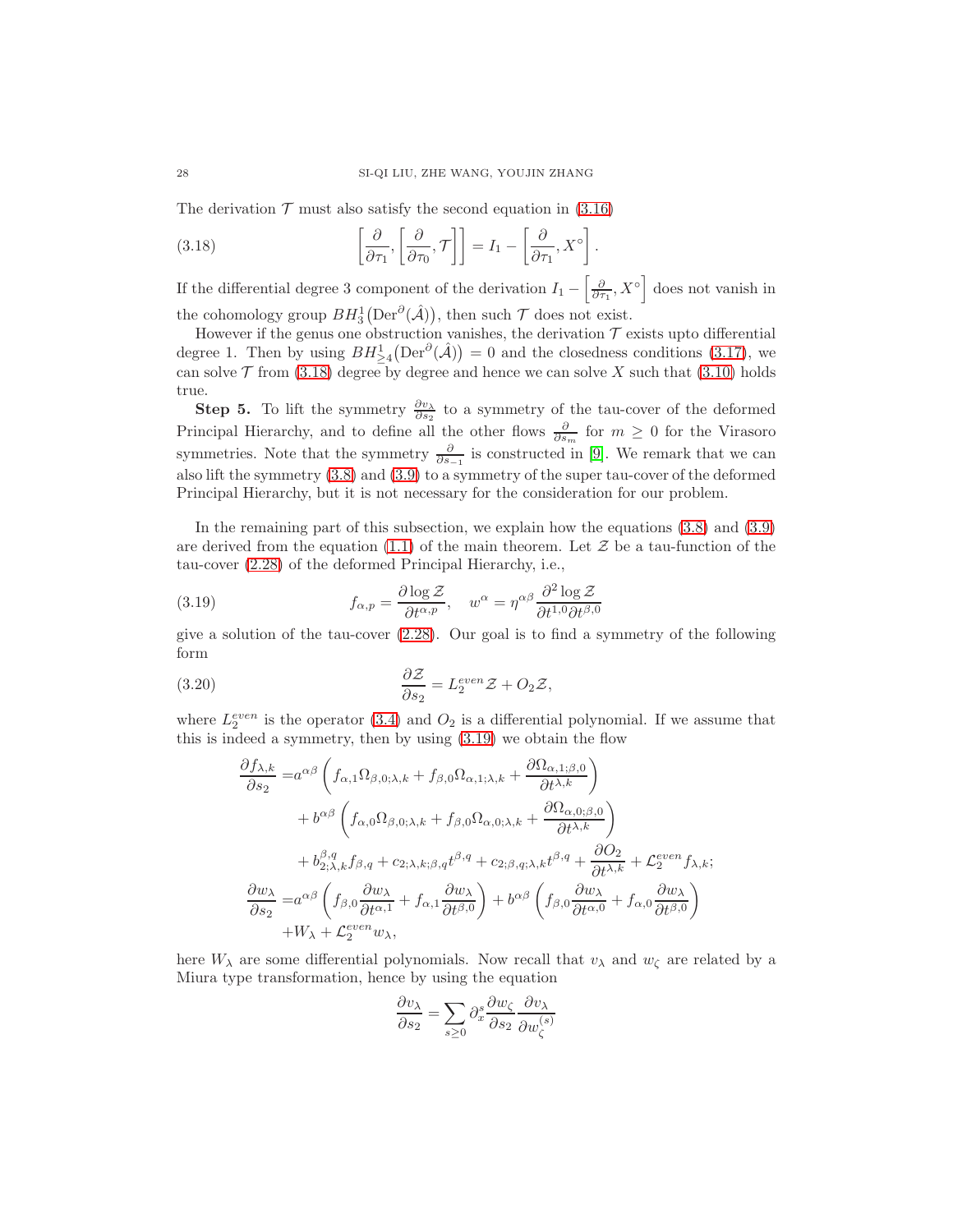The derivation  $\mathcal T$  must also satisfy the second equation in [\(3.16\)](#page-26-2)

<span id="page-27-0"></span>(3.18) 
$$
\left[\frac{\partial}{\partial \tau_1}, \left[\frac{\partial}{\partial \tau_0}, \mathcal{T}\right]\right] = I_1 - \left[\frac{\partial}{\partial \tau_1}, X^{\circ}\right].
$$

If the differential degree 3 component of the derivation  $I_1 - \left[\frac{\partial}{\partial \tau_1}, X^{\circ}\right]$  does not vanish in the cohomology group  $BH^1_3(\text{Der}^{\partial}(\hat{\mathcal{A}}))$ , then such  $\mathcal T$  does not exist.

However if the genus one obstruction vanishes, the derivation  $\mathcal T$  exists upto differential degree 1. Then by using  $BH^1_{\geq 4}(\text{Der}^{\partial}(\hat{\mathcal{A}})) = 0$  and the closedness conditions [\(3.17\)](#page-26-3), we can solve  $\mathcal T$  from [\(3.18\)](#page-27-0) degree by degree and hence we can solve X such that [\(3.10\)](#page-25-2) holds true.

**Step 5.** To lift the symmetry  $\frac{\partial v_\lambda}{\partial s_2}$  to a symmetry of the tau-cover of the deformed Principal Hierarchy, and to define all the other flows  $\frac{\partial}{\partial s_m}$  for  $m \geq 0$  for the Virasoro symmetries. Note that the symmetry  $\frac{\partial}{\partial s_{-1}}$  is constructed in [\[9\]](#page-53-16). We remark that we can also lift the symmetry [\(3.8\)](#page-25-3) and [\(3.9\)](#page-25-4) to a symmetry of the super tau-cover of the deformed Principal Hierarchy, but it is not necessary for the consideration for our problem.

In the remaining part of this subsection, we explain how the equations [\(3.8\)](#page-25-3) and [\(3.9\)](#page-25-4) are derived from the equation [\(1.1\)](#page-1-1) of the main theorem. Let  $\mathcal Z$  be a tau-function of the tau-cover [\(2.28\)](#page-19-2) of the deformed Principal Hierarchy, i.e.,

<span id="page-27-1"></span>(3.19) 
$$
f_{\alpha,p} = \frac{\partial \log \mathcal{Z}}{\partial t^{\alpha,p}}, \quad w^{\alpha} = \eta^{\alpha\beta} \frac{\partial^2 \log \mathcal{Z}}{\partial t^{1,0} \partial t^{\beta,0}}
$$

give a solution of the tau-cover [\(2.28\)](#page-19-2). Our goal is to find a symmetry of the following form

(3.20) 
$$
\frac{\partial \mathcal{Z}}{\partial s_2} = L_2^{even} \mathcal{Z} + O_2 \mathcal{Z},
$$

where  $L_2^{even}$  is the operator [\(3.4\)](#page-23-1) and  $O_2$  is a differential polynomial. If we assume that this is indeed a symmetry, then by using [\(3.19\)](#page-27-1) we obtain the flow

$$
\frac{\partial f_{\lambda,k}}{\partial s_2} = a^{\alpha\beta} \left( f_{\alpha,1} \Omega_{\beta,0;\lambda,k} + f_{\beta,0} \Omega_{\alpha,1;\lambda,k} + \frac{\partial \Omega_{\alpha,1;\beta,0}}{\partial t^{\lambda,k}} \right)
$$
  
+  $b^{\alpha\beta} \left( f_{\alpha,0} \Omega_{\beta,0;\lambda,k} + f_{\beta,0} \Omega_{\alpha,0;\lambda,k} + \frac{\partial \Omega_{\alpha,0;\beta,0}}{\partial t^{\lambda,k}} \right)$   
+  $b^{\beta,q}_{2;\lambda,k} f_{\beta,q} + c_{2;\lambda,k;\beta,q} t^{\beta,q} + c_{2;\beta,q;\lambda,k} t^{\beta,q} + \frac{\partial O_2}{\partial t^{\lambda,k}} + \mathcal{L}_2^{even} f_{\lambda,k};$   
 $\frac{\partial w_{\lambda}}{\partial s_2} = a^{\alpha\beta} \left( f_{\beta,0} \frac{\partial w_{\lambda}}{\partial t^{\alpha,1}} + f_{\alpha,1} \frac{\partial w_{\lambda}}{\partial t^{\beta,0}} \right) + b^{\alpha\beta} \left( f_{\beta,0} \frac{\partial w_{\lambda}}{\partial t^{\alpha,0}} + f_{\alpha,0} \frac{\partial w_{\lambda}}{\partial t^{\beta,0}} \right)$   
+  $W_{\lambda} + \mathcal{L}_2^{even} w_{\lambda},$ 

here  $W_{\lambda}$  are some differential polynomials. Now recall that  $v_{\lambda}$  and  $w_{\zeta}$  are related by a Miura type transformation, hence by using the equation

$$
\frac{\partial v_{\lambda}}{\partial s_2} = \sum_{s \ge 0} \partial_x^s \frac{\partial w_{\zeta}}{\partial s_2} \frac{\partial v_{\lambda}}{\partial w_{\zeta}^{(s)}}
$$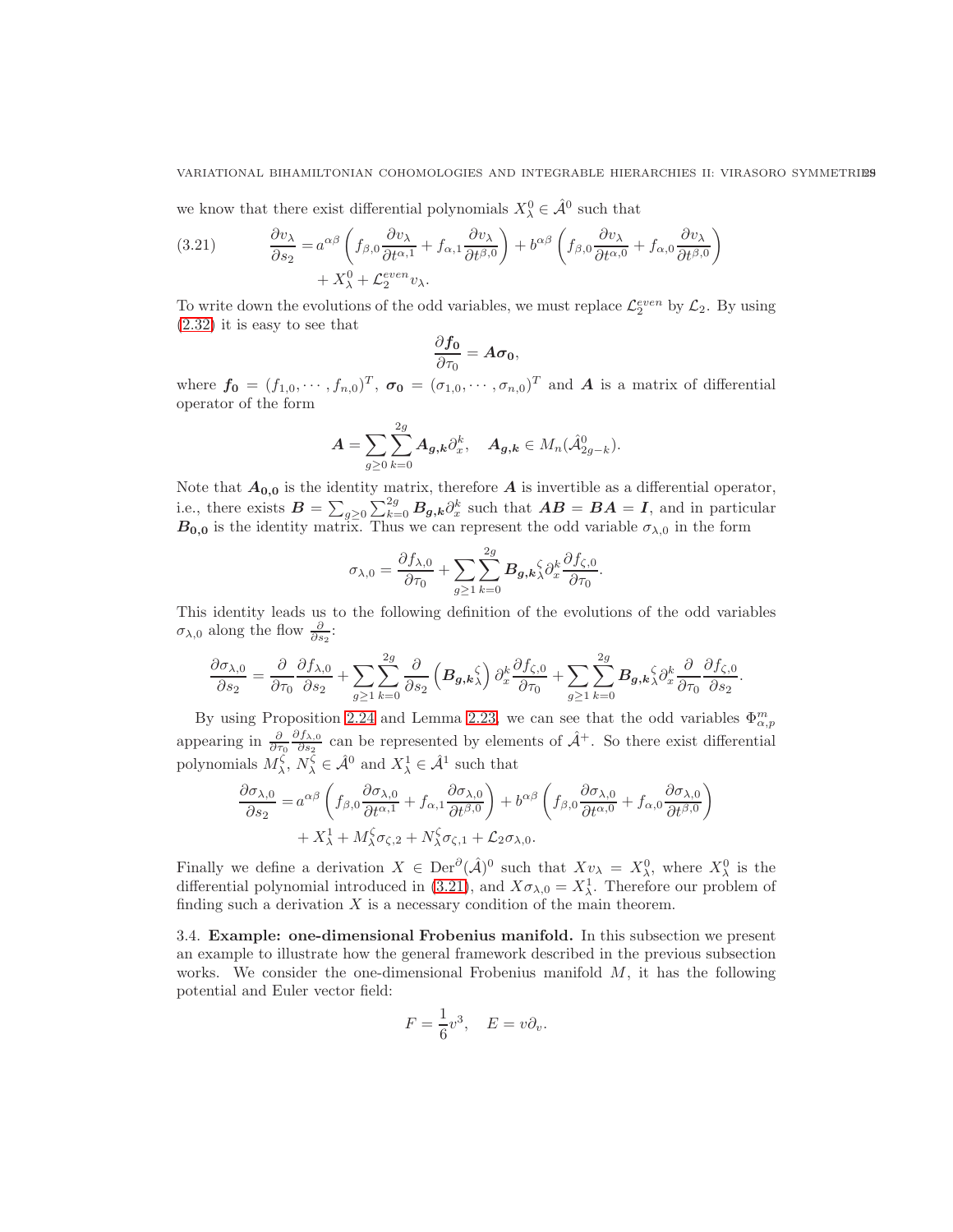#### VARIATIONAL BIHAMILTONIAN COHOMOLOGIES AND INTEGRABLE HIERARCHIES II: VIRASORO SYMMETRIES

we know that there exist differential polynomials  $X_{\lambda}^0 \in \hat{\mathcal{A}}^0$  such that

<span id="page-28-1"></span>(3.21) 
$$
\frac{\partial v_{\lambda}}{\partial s_2} = a^{\alpha\beta} \left( f_{\beta,0} \frac{\partial v_{\lambda}}{\partial t^{\alpha,1}} + f_{\alpha,1} \frac{\partial v_{\lambda}}{\partial t^{\beta,0}} \right) + b^{\alpha\beta} \left( f_{\beta,0} \frac{\partial v_{\lambda}}{\partial t^{\alpha,0}} + f_{\alpha,0} \frac{\partial v_{\lambda}}{\partial t^{\beta,0}} \right) + X_{\lambda}^0 + \mathcal{L}_2^{even} v_{\lambda}.
$$

To write down the evolutions of the odd variables, we must replace  $\mathcal{L}_2^{even}$  by  $\mathcal{L}_2$ . By using [\(2.32\)](#page-21-3) it is easy to see that

$$
\frac{\partial f_0}{\partial \tau_0} = A \sigma_0,
$$

where  $f_0 = (f_{1,0}, \dots, f_{n,0})^T$ ,  $\sigma_0 = (\sigma_{1,0}, \dots, \sigma_{n,0})^T$  and A is a matrix of differential operator of the form

$$
\boldsymbol{A} = \sum_{g\geq 0} \sum_{k=0}^{2g} \boldsymbol{A}_{g,k} \partial_x^k, \quad \boldsymbol{A}_{g,k} \in M_n(\hat{\mathcal{A}}_{2g-k}^0).
$$

Note that  $A_{0,0}$  is the identity matrix, therefore A is invertible as a differential operator, i.e., there exists  $B = \sum_{g\geq 0} \sum_{k=0}^{2g} B_{g,k} \partial_x^k$  such that  $AB = BA = I$ , and in particular  $B_{0,0}$  is the identity matrix. Thus we can represent the odd variable  $\sigma_{\lambda,0}$  in the form

$$
\sigma_{\lambda,0} = \frac{\partial f_{\lambda,0}}{\partial \tau_0} + \sum_{g \ge 1} \sum_{k=0}^{2g} B_{g,k} \hat{\lambda} \partial_x^k \frac{\partial f_{\zeta,0}}{\partial \tau_0}.
$$

This identity leads us to the following definition of the evolutions of the odd variables  $\sigma_{\lambda,0}$  along the flow  $\frac{\partial}{\partial s_2}$ :

$$
\frac{\partial \sigma_{\lambda,0}}{\partial s_2} = \frac{\partial}{\partial \tau_0} \frac{\partial f_{\lambda,0}}{\partial s_2} + \sum_{g \ge 1} \sum_{k=0}^{2g} \frac{\partial}{\partial s_2} \left( B_{g,k} \right) \partial_x^k \frac{\partial f_{\zeta,0}}{\partial \tau_0} + \sum_{g \ge 1} \sum_{k=0}^{2g} B_{g,k} \right\{\partial_x^k \frac{\partial}{\partial \tau_0} \frac{\partial f_{\zeta,0}}{\partial s_2}.
$$

By using Proposition [2.24](#page-20-2) and Lemma [2.23,](#page-20-0) we can see that the odd variables  $\Phi_{\alpha,p}^m$ appearing in  $\frac{\partial}{\partial \tau_0}$  $\partial f_{\lambda,0}$  $\frac{\partial f_{\lambda,0}}{\partial s_2}$  can be represented by elements of  $\hat{\mathcal{A}}^+$ . So there exist differential polynomials  $M_{\lambda}^{\zeta}, N_{\lambda}^{\zeta} \in \hat{\mathcal{A}}^0$  and  $X_{\lambda}^1 \in \hat{\mathcal{A}}^1$  such that

$$
\frac{\partial \sigma_{\lambda,0}}{\partial s_2} = a^{\alpha\beta} \left( f_{\beta,0} \frac{\partial \sigma_{\lambda,0}}{\partial t^{\alpha,1}} + f_{\alpha,1} \frac{\partial \sigma_{\lambda,0}}{\partial t^{\beta,0}} \right) + b^{\alpha\beta} \left( f_{\beta,0} \frac{\partial \sigma_{\lambda,0}}{\partial t^{\alpha,0}} + f_{\alpha,0} \frac{\partial \sigma_{\lambda,0}}{\partial t^{\beta,0}} \right) \n+ X_{\lambda}^1 + M_{\lambda}^{\zeta} \sigma_{\zeta,2} + N_{\lambda}^{\zeta} \sigma_{\zeta,1} + \mathcal{L}_2 \sigma_{\lambda,0}.
$$

Finally we define a derivation  $X \in \text{Der}^{\partial}(\hat{\mathcal{A}})^0$  such that  $Xv_{\lambda} = X_{\lambda}^0$ , where  $X_{\lambda}^0$  is the differential polynomial introduced in [\(3.21\)](#page-28-1), and  $X\sigma_{\lambda,0} = X^1_\lambda$ . Therefore our problem of finding such a derivation  $X$  is a necessary condition of the main theorem.

<span id="page-28-0"></span>3.4. Example: one-dimensional Frobenius manifold. In this subsection we present an example to illustrate how the general framework described in the previous subsection works. We consider the one-dimensional Frobenius manifold  $M$ , it has the following potential and Euler vector field:

$$
F = \frac{1}{6}v^3, \quad E = v\partial_v.
$$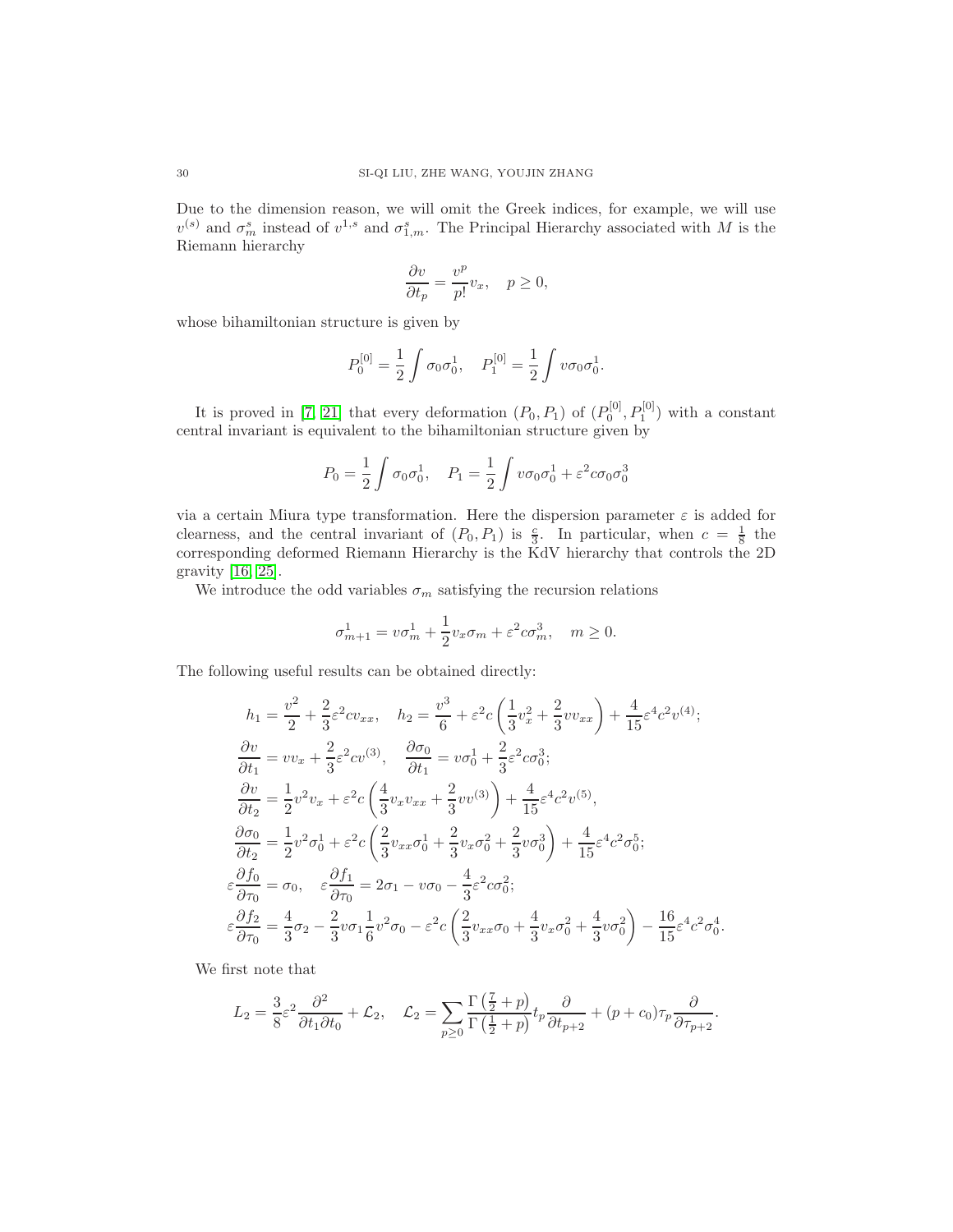Due to the dimension reason, we will omit the Greek indices, for example, we will use  $v^{(s)}$  and  $\sigma_m^s$  instead of  $v^{1,s}$  and  $\sigma_{1,m}^s$ . The Principal Hierarchy associated with M is the Riemann hierarchy

$$
\frac{\partial v}{\partial t_p} = \frac{v^p}{p!} v_x, \quad p \ge 0,
$$

whose bihamiltonian structure is given by

$$
P_0^{[0]} = \frac{1}{2} \int \sigma_0 \sigma_0^1, \quad P_1^{[0]} = \frac{1}{2} \int v \sigma_0 \sigma_0^1.
$$

It is proved in [\[7,](#page-53-6) [21\]](#page-53-19) that every deformation  $(P_0, P_1)$  of  $(P_0^{[0]}, P_1^{[0]})$  with a constant central invariant is equivalent to the bihamiltonian structure given by

$$
P_0 = \frac{1}{2} \int \sigma_0 \sigma_0^1, \quad P_1 = \frac{1}{2} \int v \sigma_0 \sigma_0^1 + \varepsilon^2 c \sigma_0 \sigma_0^3
$$

via a certain Miura type transformation. Here the dispersion parameter  $\varepsilon$  is added for clearness, and the central invariant of  $(P_0, P_1)$  is  $\frac{c}{3}$ . In particular, when  $c = \frac{1}{8}$  the corresponding deformed Riemann Hierarchy is the KdV hierarchy that controls the 2D gravity [\[16,](#page-53-20) [25\]](#page-53-21).

We introduce the odd variables  $\sigma_m$  satisfying the recursion relations

$$
\sigma_{m+1}^1 = v\sigma_m^1 + \frac{1}{2}v_x\sigma_m + \varepsilon^2 c\sigma_m^3, \quad m \ge 0.
$$

The following useful results can be obtained directly:

$$
h_1 = \frac{v^2}{2} + \frac{2}{3}\varepsilon^2 cv_{xx}, \quad h_2 = \frac{v^3}{6} + \varepsilon^2 c \left(\frac{1}{3}v_x^2 + \frac{2}{3}vv_{xx}\right) + \frac{4}{15}\varepsilon^4 c^2 v^{(4)};
$$
  
\n
$$
\frac{\partial v}{\partial t_1} = v v_x + \frac{2}{3}\varepsilon^2 cv^{(3)}, \quad \frac{\partial \sigma_0}{\partial t_1} = v \sigma_0^1 + \frac{2}{3}\varepsilon^2 c \sigma_0^3;
$$
  
\n
$$
\frac{\partial v}{\partial t_2} = \frac{1}{2}v^2 v_x + \varepsilon^2 c \left(\frac{4}{3}v_x v_{xx} + \frac{2}{3}vv^{(3)}\right) + \frac{4}{15}\varepsilon^4 c^2 v^{(5)},
$$
  
\n
$$
\frac{\partial \sigma_0}{\partial t_2} = \frac{1}{2}v^2 \sigma_0^1 + \varepsilon^2 c \left(\frac{2}{3}v_{xx}\sigma_0^1 + \frac{2}{3}v_x\sigma_0^2 + \frac{2}{3}v\sigma_0^3\right) + \frac{4}{15}\varepsilon^4 c^2 \sigma_0^5;
$$
  
\n
$$
\varepsilon \frac{\partial f_0}{\partial \tau_0} = \sigma_0, \quad \varepsilon \frac{\partial f_1}{\partial \tau_0} = 2\sigma_1 - v\sigma_0 - \frac{4}{3}\varepsilon^2 c \sigma_0^2;
$$
  
\n
$$
\varepsilon \frac{\partial f_2}{\partial \tau_0} = \frac{4}{3}\sigma_2 - \frac{2}{3}v\sigma_1 \frac{1}{6}v^2 \sigma_0 - \varepsilon^2 c \left(\frac{2}{3}v_{xx}\sigma_0 + \frac{4}{3}v_x\sigma_0^2 + \frac{4}{3}v\sigma_0^2\right) - \frac{16}{15}\varepsilon^4 c^2 \sigma_0^4
$$

We first note that

$$
L_2 = \frac{3}{8}\varepsilon^2 \frac{\partial^2}{\partial t_1 \partial t_0} + \mathcal{L}_2, \quad \mathcal{L}_2 = \sum_{p \ge 0} \frac{\Gamma(\frac{7}{2} + p)}{\Gamma(\frac{1}{2} + p)} t_p \frac{\partial}{\partial t_{p+2}} + (p + c_0)\tau_p \frac{\partial}{\partial \tau_{p+2}}.
$$

.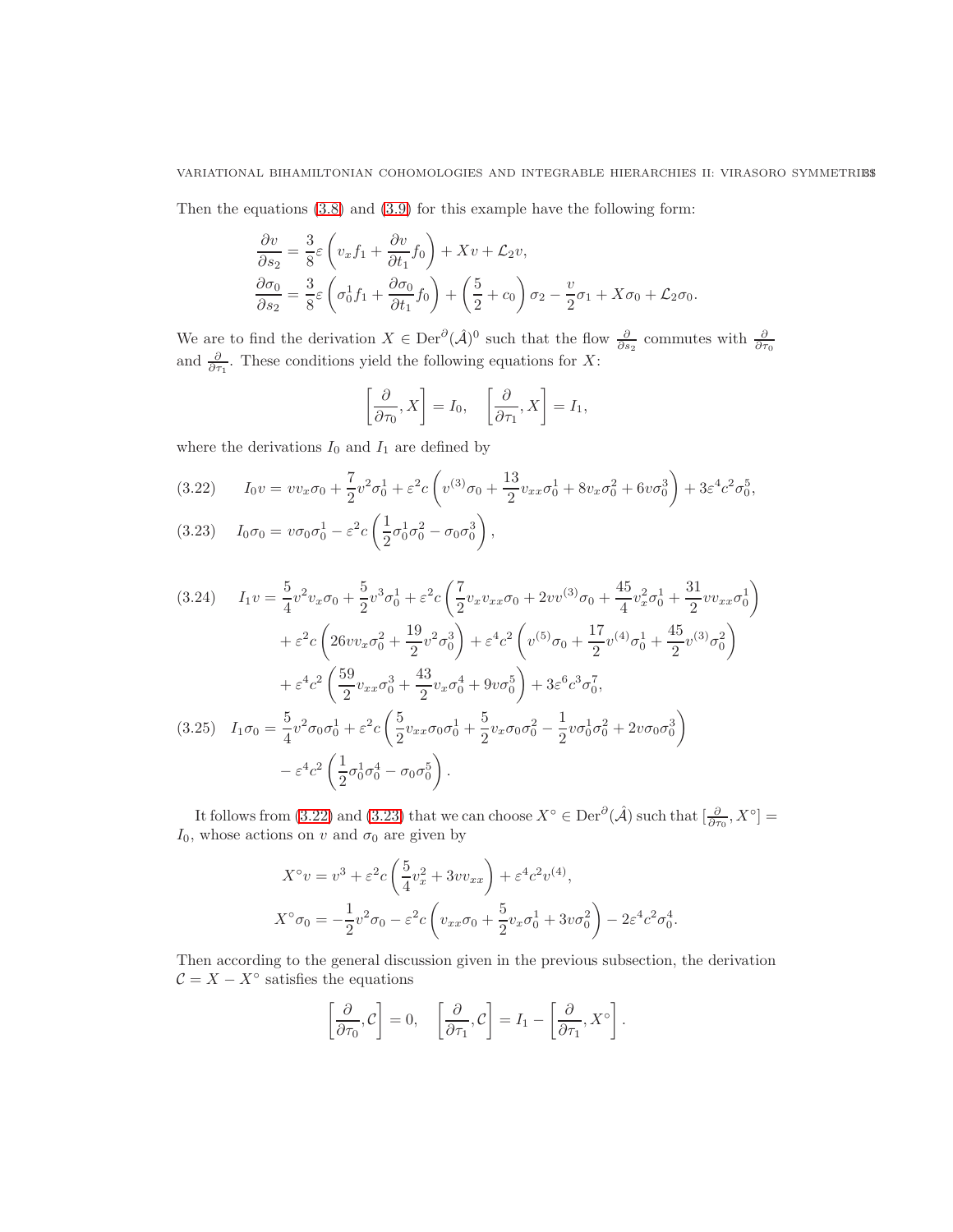Then the equations [\(3.8\)](#page-25-3) and [\(3.9\)](#page-25-4) for this example have the following form:

$$
\frac{\partial v}{\partial s_2} = \frac{3}{8}\varepsilon \left(v_x f_1 + \frac{\partial v}{\partial t_1} f_0\right) + Xv + \mathcal{L}_2 v,
$$
  

$$
\frac{\partial \sigma_0}{\partial s_2} = \frac{3}{8}\varepsilon \left(\sigma_0^1 f_1 + \frac{\partial \sigma_0}{\partial t_1} f_0\right) + \left(\frac{5}{2} + c_0\right) \sigma_2 - \frac{v}{2} \sigma_1 + X \sigma_0 + \mathcal{L}_2 \sigma_0.
$$

We are to find the derivation  $X \in \text{Der}^{\partial}(\hat{\mathcal{A}})^0$  such that the flow  $\frac{\partial}{\partial s_2}$  commutes with  $\frac{\partial}{\partial \tau_0}$ <br>and  $\frac{\partial}{\partial \tau_1}$ . These conditions yield the following equations for X:

$$
\left[\frac{\partial}{\partial \tau_0}, X\right] = I_0, \quad \left[\frac{\partial}{\partial \tau_1}, X\right] = I_1,
$$

where the derivations  $I_0$  and  $I_1$  are defined by

<span id="page-30-0"></span>
$$
(3.22) \tI_0 v = v v_x \sigma_0 + \frac{7}{2} v^2 \sigma_0^1 + \varepsilon^2 c \left( v^{(3)} \sigma_0 + \frac{13}{2} v_{xx} \sigma_0^1 + 8 v_x \sigma_0^2 + 6 v \sigma_0^3 \right) + 3 \varepsilon^4 c^2 \sigma_0^5,
$$

<span id="page-30-1"></span>
$$
(3.23) \tI_0 \sigma_0 = v \sigma_0 \sigma_0^1 - \varepsilon^2 c \left( \frac{1}{2} \sigma_0^1 \sigma_0^2 - \sigma_0 \sigma_0^3 \right),
$$

$$
(3.24) \tI_1 v = \frac{5}{4} v^2 v_x \sigma_0 + \frac{5}{2} v^3 \sigma_0^1 + \varepsilon^2 c \left( \frac{7}{2} v_x v_{xx} \sigma_0 + 2 v v^{(3)} \sigma_0 + \frac{45}{4} v_x^2 \sigma_0^1 + \frac{31}{2} v v_{xx} \sigma_0^1 \right) + \varepsilon^2 c \left( 26 v v_x \sigma_0^2 + \frac{19}{2} v^2 \sigma_0^3 \right) + \varepsilon^4 c^2 \left( v^{(5)} \sigma_0 + \frac{17}{2} v^{(4)} \sigma_0^1 + \frac{45}{2} v^{(3)} \sigma_0^2 \right) + \varepsilon^4 c^2 \left( \frac{59}{2} v_{xx} \sigma_0^3 + \frac{43}{2} v_x \sigma_0^4 + 9 v \sigma_0^5 \right) + 3 \varepsilon^6 c^3 \sigma_0^7,
$$
  
(3.25)  $I_1 \sigma_0 = \frac{5}{4} v^2 \sigma_0 \sigma_0^1 + \varepsilon^2 c \left( \frac{5}{2} v_{xx} \sigma_0 \sigma_0^1 + \frac{5}{2} v_x \sigma_0 \sigma_0^2 - \frac{1}{2} v \sigma_0^1 \sigma_0^2 + 2 v \sigma_0 \sigma_0^3 \right) - \varepsilon^4 c^2 \left( \frac{1}{2} \sigma_0^1 \sigma_0^4 - \sigma_0 \sigma_0^5 \right).$ 

It follows from [\(3.22\)](#page-30-0) and [\(3.23\)](#page-30-1) that we can choose  $X^{\circ} \in \text{Der}^{\partial}(\hat{\mathcal{A}})$  such that  $\left[\frac{\partial}{\partial \tau_0}, X^{\circ}\right] =$  $I_0$ , whose actions on v and  $\sigma_0$  are given by

$$
X^{\circ}v = v^{3} + \varepsilon^{2} c \left( \frac{5}{4} v_{x}^{2} + 3v v_{xx} \right) + \varepsilon^{4} c^{2} v^{(4)},
$$
  

$$
X^{\circ} \sigma_{0} = -\frac{1}{2} v^{2} \sigma_{0} - \varepsilon^{2} c \left( v_{xx} \sigma_{0} + \frac{5}{2} v_{x} \sigma_{0}^{1} + 3v \sigma_{0}^{2} \right) - 2\varepsilon^{4} c^{2} \sigma_{0}^{4}.
$$

Then according to the general discussion given in the previous subsection, the derivation  $\mathcal{C} = X - X^{\circ}$  satisfies the equations

$$
\left[\frac{\partial}{\partial \tau_0}, \mathcal{C}\right] = 0, \quad \left[\frac{\partial}{\partial \tau_1}, \mathcal{C}\right] = I_1 - \left[\frac{\partial}{\partial \tau_1}, X^{\circ}\right].
$$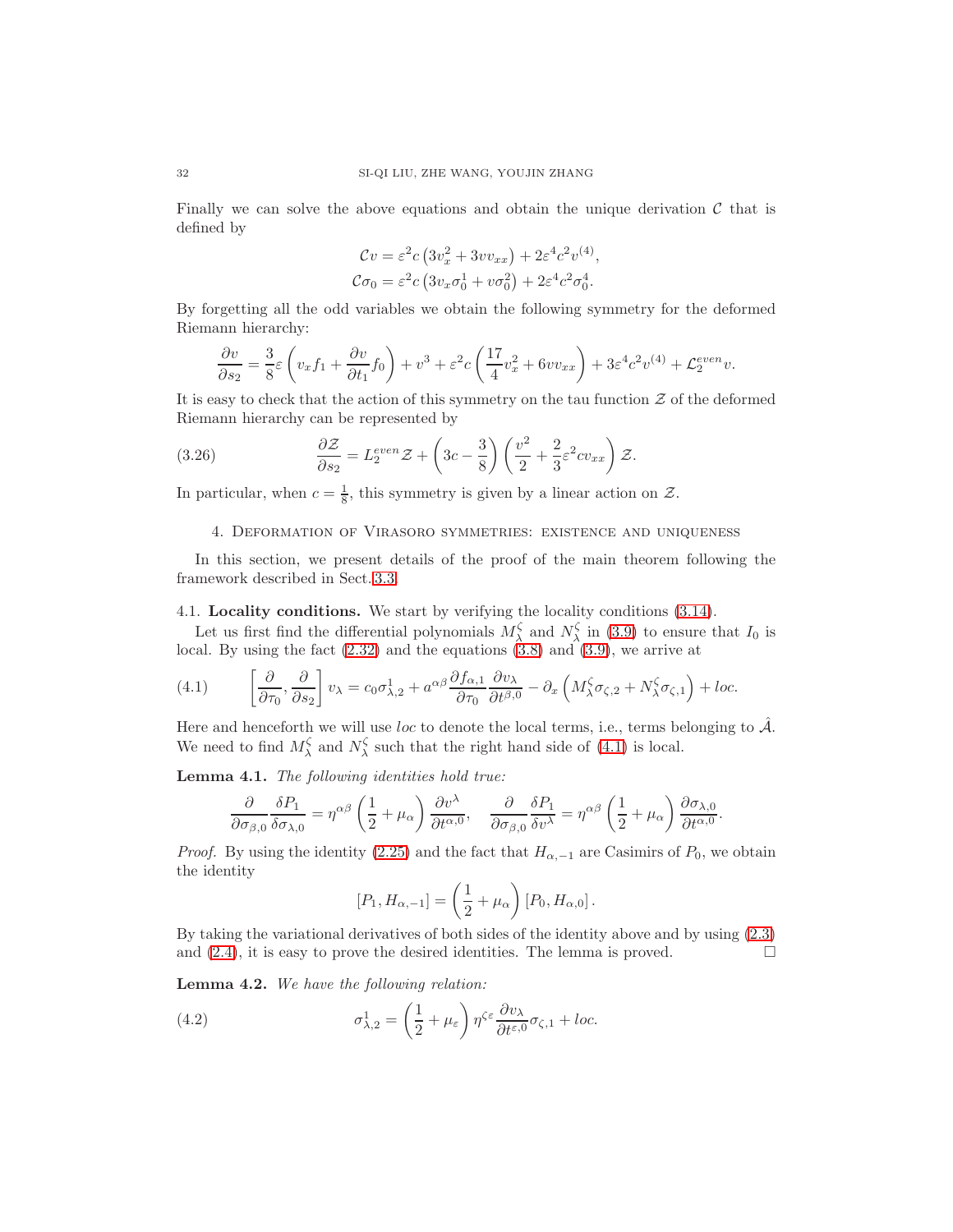Finally we can solve the above equations and obtain the unique derivation  $\mathcal C$  that is defined by

$$
\mathcal{C}v = \varepsilon^2 c \left( 3v_x^2 + 3vv_{xx} \right) + 2\varepsilon^4 c^2 v^{(4)},
$$
  

$$
\mathcal{C}\sigma_0 = \varepsilon^2 c \left( 3v_x \sigma_0^1 + v \sigma_0^2 \right) + 2\varepsilon^4 c^2 \sigma_0^4.
$$

By forgetting all the odd variables we obtain the following symmetry for the deformed Riemann hierarchy:

$$
\frac{\partial v}{\partial s_2} = \frac{3}{8}\varepsilon \left(v_x f_1 + \frac{\partial v}{\partial t_1} f_0\right) + v^3 + \varepsilon^2 c \left(\frac{17}{4}v_x^2 + 6vv_{xx}\right) + 3\varepsilon^4 c^2 v^{(4)} + \mathcal{L}_2^{even}v.
$$

It is easy to check that the action of this symmetry on the tau function  $\mathcal Z$  of the deformed Riemann hierarchy can be represented by

(3.26) 
$$
\frac{\partial \mathcal{Z}}{\partial s_2} = L_2^{even} \mathcal{Z} + \left(3c - \frac{3}{8}\right) \left(\frac{v^2}{2} + \frac{2}{3}\varepsilon^2 cv_{xx}\right) \mathcal{Z}.
$$

<span id="page-31-0"></span>In particular, when  $c = \frac{1}{8}$ , this symmetry is given by a linear action on  $\mathcal{Z}$ .

### <span id="page-31-5"></span>4. Deformation of Virasoro symmetries: existence and uniqueness

In this section, we present details of the proof of the main theorem following the framework described in Sect. [3.3.](#page-25-0)

#### <span id="page-31-1"></span>4.1. Locality conditions. We start by verifying the locality conditions [\(3.14\)](#page-26-4).

Let us first find the differential polynomials  $M_\lambda^{\zeta}$  and  $N_\lambda^{\zeta}$  in [\(3.9\)](#page-25-4) to ensure that  $I_0$  is local. By using the fact [\(2.32\)](#page-21-3) and the equations [\(3.8\)](#page-25-3) and [\(3.9\)](#page-25-4), we arrive at

<span id="page-31-2"></span>(4.1) 
$$
\left[\frac{\partial}{\partial \tau_0}, \frac{\partial}{\partial s_2}\right] v_\lambda = c_0 \sigma_{\lambda,2}^1 + a^{\alpha \beta} \frac{\partial f_{\alpha,1}}{\partial \tau_0} \frac{\partial v_\lambda}{\partial t^{\beta,0}} - \partial_x \left(M_\lambda^\zeta \sigma_{\zeta,2} + N_\lambda^\zeta \sigma_{\zeta,1}\right) + loc.
$$

Here and henceforth we will use loc to denote the local terms, i.e., terms belonging to  $\hat{\mathcal{A}}$ . We need to find  $M_{\lambda}^{\zeta}$  and  $N_{\lambda}^{\zeta}$  such that the right hand side of [\(4.1\)](#page-31-2) is local.

<span id="page-31-3"></span>Lemma 4.1. The following identities hold true:

$$
\frac{\partial}{\partial \sigma_{\beta,0}} \frac{\delta P_1}{\delta \sigma_{\lambda,0}} = \eta^{\alpha\beta} \left(\frac{1}{2} + \mu_\alpha\right) \frac{\partial v^\lambda}{\partial t^{\alpha,0}}, \quad \frac{\partial}{\partial \sigma_{\beta,0}} \frac{\delta P_1}{\delta v^\lambda} = \eta^{\alpha\beta} \left(\frac{1}{2} + \mu_\alpha\right) \frac{\partial \sigma_{\lambda,0}}{\partial t^{\alpha,0}}.
$$

*Proof.* By using the identity [\(2.25\)](#page-18-5) and the fact that  $H_{\alpha,-1}$  are Casimirs of  $P_0$ , we obtain the identity

<span id="page-31-4"></span>
$$
[P_1, H_{\alpha,-1}] = \left(\frac{1}{2} + \mu_\alpha\right) [P_0, H_{\alpha,0}].
$$

By taking the variational derivatives of both sides of the identity above and by using [\(2.3\)](#page-4-3) and  $(2.4)$ , it is easy to prove the desired identities. The lemma is proved.

Lemma 4.2. We have the following relation:

(4.2) 
$$
\sigma_{\lambda,2}^1 = \left(\frac{1}{2} + \mu_{\varepsilon}\right) \eta^{\zeta \varepsilon} \frac{\partial v_{\lambda}}{\partial t^{\varepsilon,0}} \sigma_{\zeta,1} + loc.
$$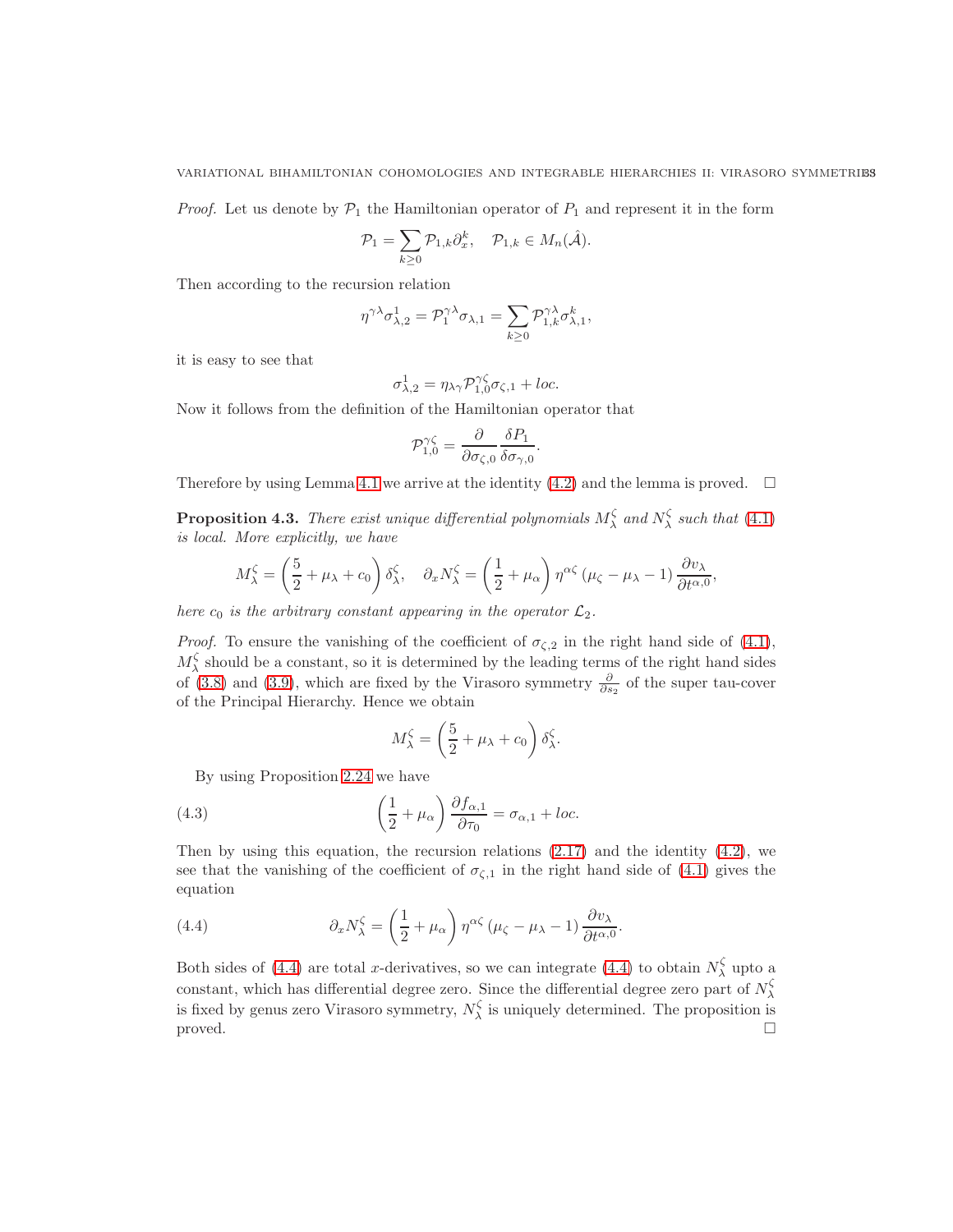#### VARIATIONAL BIHAMILTONIAN COHOMOLOGIES AND INTEGRABLE HIERARCHIES II: VIRASORO SYMMETRIES

*Proof.* Let us denote by  $\mathcal{P}_1$  the Hamiltonian operator of  $P_1$  and represent it in the form

$$
\mathcal{P}_1 = \sum_{k \geq 0} \mathcal{P}_{1,k} \partial_x^k, \quad \mathcal{P}_{1,k} \in M_n(\hat{\mathcal{A}}).
$$

Then according to the recursion relation

$$
\eta^{\gamma\lambda}\sigma_{\lambda,2}^1=\mathcal{P}_1^{\gamma\lambda}\sigma_{\lambda,1}=\sum_{k\geq 0}\mathcal{P}_{1,k}^{\gamma\lambda}\sigma_{\lambda,1}^k,
$$

it is easy to see that

$$
\sigma_{\lambda,2}^1 = \eta_{\lambda\gamma} \mathcal{P}_{1,0}^{\gamma\zeta} \sigma_{\zeta,1} + loc.
$$

Now it follows from the definition of the Hamiltonian operator that

$$
\mathcal{P}_{1,0}^{\gamma\zeta} = \frac{\partial}{\partial \sigma_{\zeta,0}} \frac{\delta P_1}{\delta \sigma_{\gamma,0}}.
$$

Therefore by using Lemma [4.1](#page-31-3) we arrive at the identity [\(4.2\)](#page-31-4) and the lemma is proved.  $\square$ 

<span id="page-32-2"></span>**Proposition 4.3.** There exist unique differential polynomials  $M_{\lambda}^{\zeta}$  and  $N_{\lambda}^{\zeta}$  such that [\(4.1\)](#page-31-2) is local. More explicitly, we have

$$
M_{\lambda}^{\zeta} = \left(\frac{5}{2} + \mu_{\lambda} + c_0\right) \delta_{\lambda}^{\zeta}, \quad \partial_x N_{\lambda}^{\zeta} = \left(\frac{1}{2} + \mu_{\alpha}\right) \eta^{\alpha \zeta} \left(\mu_{\zeta} - \mu_{\lambda} - 1\right) \frac{\partial v_{\lambda}}{\partial t^{\alpha,0}},
$$

here  $c_0$  is the arbitrary constant appearing in the operator  $\mathcal{L}_2$ .

*Proof.* To ensure the vanishing of the coefficient of  $\sigma_{\zeta,2}$  in the right hand side of [\(4.1\)](#page-31-2),  $M_\lambda^{\zeta}$  should be a constant, so it is determined by the leading terms of the right hand sides of [\(3.8\)](#page-25-3) and [\(3.9\)](#page-25-4), which are fixed by the Virasoro symmetry  $\frac{\partial}{\partial s_2}$  of the super tau-cover of the Principal Hierarchy. Hence we obtain

<span id="page-32-1"></span>
$$
M_{\lambda}^{\zeta} = \left(\frac{5}{2} + \mu_{\lambda} + c_0\right) \delta_{\lambda}^{\zeta}.
$$

By using Proposition [2.24](#page-20-2) we have

(4.3) 
$$
\left(\frac{1}{2} + \mu_{\alpha}\right) \frac{\partial f_{\alpha,1}}{\partial \tau_{0}} = \sigma_{\alpha,1} + loc.
$$

Then by using this equation, the recursion relations  $(2.17)$  and the identity  $(4.2)$ , we see that the vanishing of the coefficient of  $\sigma_{\zeta,1}$  in the right hand side of [\(4.1\)](#page-31-2) gives the equation

<span id="page-32-0"></span>(4.4) 
$$
\partial_x N_\lambda^\zeta = \left(\frac{1}{2} + \mu_\alpha\right) \eta^{\alpha\zeta} \left(\mu_\zeta - \mu_\lambda - 1\right) \frac{\partial v_\lambda}{\partial t^{\alpha,0}}.
$$

Both sides of [\(4.4\)](#page-32-0) are total x-derivatives, so we can integrate (4.4) to obtain  $N_\lambda^{\zeta}$  upto a constant, which has differential degree zero. Since the differential degree zero part of  $N_\lambda^{\zeta}$ is fixed by genus zero Virasoro symmetry,  $N_{\lambda}^{\zeta}$  is uniquely determined. The proposition is  $\Box$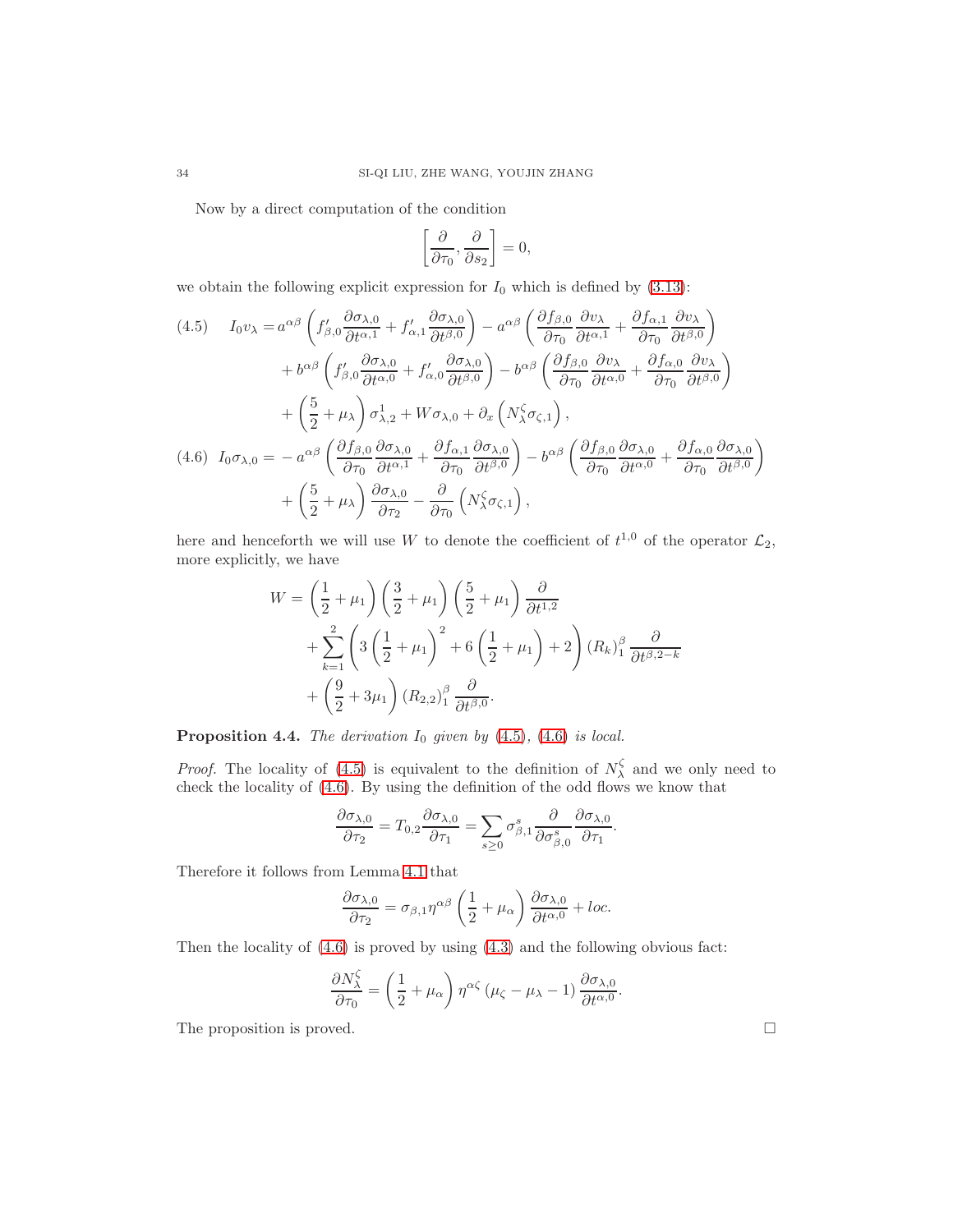Now by a direct computation of the condition

$$
\left[\frac{\partial}{\partial \tau_0}, \frac{\partial}{\partial s_2}\right] = 0,
$$

we obtain the following explicit expression for  $I_0$  which is defined by  $(3.13)$ :

<span id="page-33-0"></span>(4.5) 
$$
I_0 v_\lambda = a^{\alpha\beta} \left( f'_{\beta,0} \frac{\partial \sigma_{\lambda,0}}{\partial t^{\alpha,1}} + f'_{\alpha,1} \frac{\partial \sigma_{\lambda,0}}{\partial t^{\beta,0}} \right) - a^{\alpha\beta} \left( \frac{\partial f_{\beta,0}}{\partial \tau_0} \frac{\partial v_\lambda}{\partial t^{\alpha,1}} + \frac{\partial f_{\alpha,1}}{\partial \tau_0} \frac{\partial v_\lambda}{\partial t^{\beta,0}} \right) + b^{\alpha\beta} \left( f'_{\beta,0} \frac{\partial \sigma_{\lambda,0}}{\partial t^{\alpha,0}} + f'_{\alpha,0} \frac{\partial \sigma_{\lambda,0}}{\partial t^{\beta,0}} \right) - b^{\alpha\beta} \left( \frac{\partial f_{\beta,0}}{\partial \tau_0} \frac{\partial v_\lambda}{\partial t^{\alpha,0}} + \frac{\partial f_{\alpha,0}}{\partial \tau_0} \frac{\partial v_\lambda}{\partial t^{\beta,0}} \right) + \left( \frac{5}{2} + \mu_\lambda \right) \sigma_{\lambda,2}^1 + W \sigma_{\lambda,0} + \partial_x \left( N_\lambda^{\zeta} \sigma_{\zeta,1} \right), (4.6)  $I_0 \sigma_{\lambda,0} = -a^{\alpha\beta} \left( \frac{\partial f_{\beta,0}}{\partial \tau_0} \frac{\partial \sigma_{\lambda,0}}{\partial t^{\alpha,1}} + \frac{\partial f_{\alpha,1}}{\partial \tau_0} \frac{\partial \sigma_{\lambda,0}}{\partial t^{\beta,0}} \right) - b^{\alpha\beta} \left( \frac{\partial f_{\beta,0}}{\partial \tau_0} \frac{\partial \sigma_{\lambda,0}}{\partial t^{\alpha,0}} + \frac{\partial f_{\alpha,0}}{\partial \tau_0} \frac{\partial \sigma_{\lambda,0}}{\partial t^{\beta,0}} \right) + \left( \frac{5}{2} + \mu_\lambda \right) \frac{\partial \sigma_{\lambda,0}}{\partial \tau_2} - \frac{\partial}{\partial \tau_0} \left( N_\lambda^{\zeta} \sigma_{\zeta,1} \right),$
$$

<span id="page-33-1"></span>here and henceforth we will use W to denote the coefficient of  $t^{1,0}$  of the operator  $\mathcal{L}_2$ , more explicitly, we have

$$
W = \left(\frac{1}{2} + \mu_1\right) \left(\frac{3}{2} + \mu_1\right) \left(\frac{5}{2} + \mu_1\right) \frac{\partial}{\partial t^{1,2}}
$$
  
+ 
$$
\sum_{k=1}^2 \left(3\left(\frac{1}{2} + \mu_1\right)^2 + 6\left(\frac{1}{2} + \mu_1\right) + 2\right) (R_k)_1^{\beta} \frac{\partial}{\partial t^{\beta,2-k}}
$$
  
+ 
$$
\left(\frac{9}{2} + 3\mu_1\right) (R_{2,2})_1^{\beta} \frac{\partial}{\partial t^{\beta,0}}.
$$

**Proposition 4.4.** The derivation  $I_0$  given by  $(4.5)$ ,  $(4.6)$  is local.

*Proof.* The locality of [\(4.5\)](#page-33-0) is equivalent to the definition of  $N_\lambda^{\zeta}$  and we only need to check the locality of [\(4.6\)](#page-33-1). By using the definition of the odd flows we know that

$$
\frac{\partial \sigma_{\lambda,0}}{\partial \tau_2} = T_{0,2} \frac{\partial \sigma_{\lambda,0}}{\partial \tau_1} = \sum_{s \ge 0} \sigma_{\beta,1}^s \frac{\partial}{\partial \sigma_{\beta,0}^s} \frac{\partial \sigma_{\lambda,0}}{\partial \tau_1}.
$$

Therefore it follows from Lemma [4.1](#page-31-3) that

$$
\frac{\partial \sigma_{\lambda,0}}{\partial \tau_2} = \sigma_{\beta,1} \eta^{\alpha\beta} \left( \frac{1}{2} + \mu_\alpha \right) \frac{\partial \sigma_{\lambda,0}}{\partial t^{\alpha,0}} + loc.
$$

Then the locality of [\(4.6\)](#page-33-1) is proved by using [\(4.3\)](#page-32-1) and the following obvious fact:

$$
\frac{\partial N_{\lambda}^{\zeta}}{\partial \tau_{0}} = \left(\frac{1}{2} + \mu_{\alpha}\right) \eta^{\alpha \zeta} \left(\mu_{\zeta} - \mu_{\lambda} - 1\right) \frac{\partial \sigma_{\lambda,0}}{\partial t^{\alpha,0}}.
$$

The proposition is proved.  $\Box$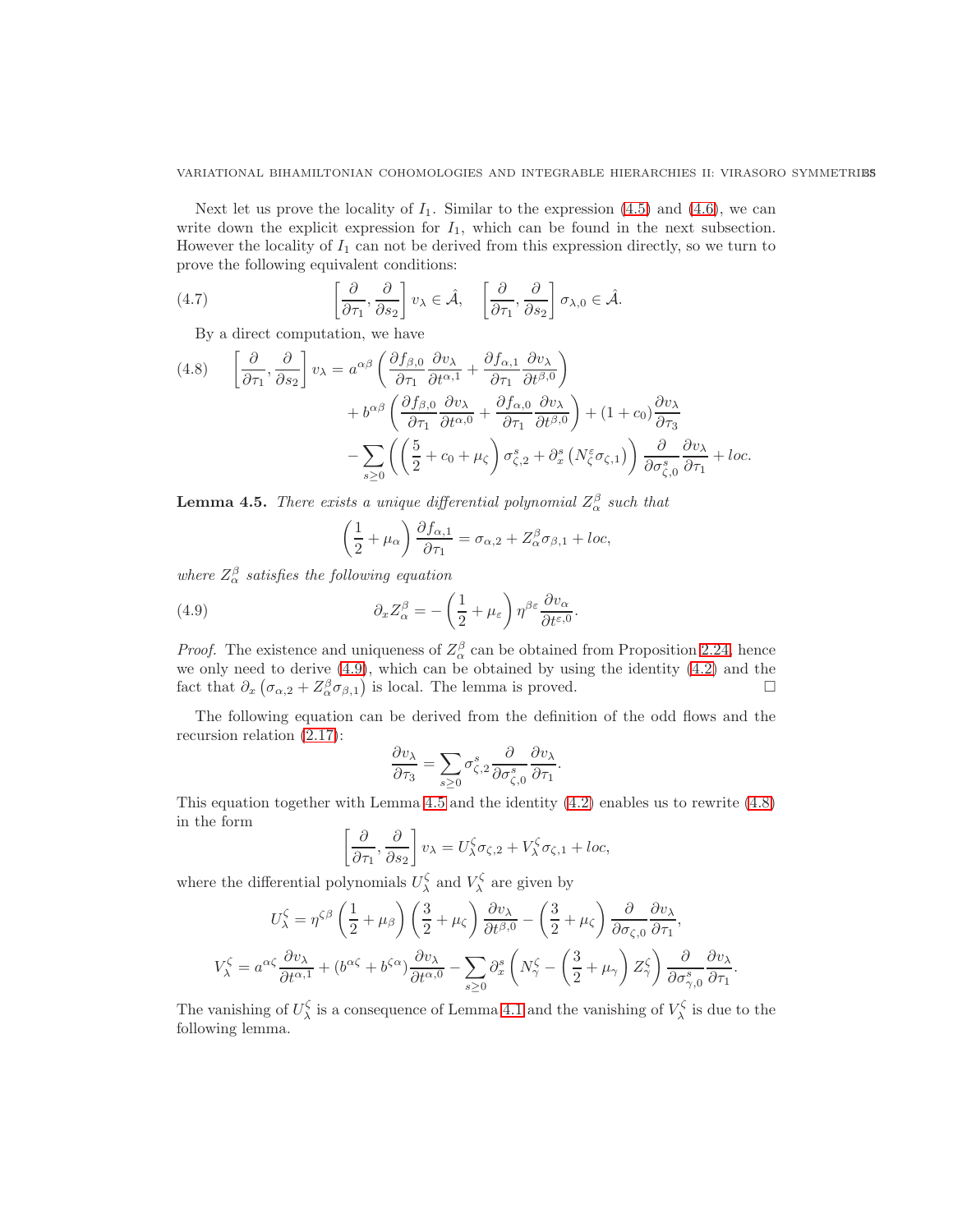#### VARIATIONAL BIHAMILTONIAN COHOMOLOGIES AND INTEGRABLE HIERARCHIES II: VIRASORO SYMMETRIBS

Next let us prove the locality of  $I_1$ . Similar to the expression [\(4.5\)](#page-33-0) and [\(4.6\)](#page-33-1), we can write down the explicit expression for  $I_1$ , which can be found in the next subsection. However the locality of  $I_1$  can not be derived from this expression directly, so we turn to prove the following equivalent conditions:

(4.7) 
$$
\left[\frac{\partial}{\partial \tau_1}, \frac{\partial}{\partial s_2}\right] v_{\lambda} \in \hat{\mathcal{A}}, \quad \left[\frac{\partial}{\partial \tau_1}, \frac{\partial}{\partial s_2}\right] \sigma_{\lambda,0} \in \hat{\mathcal{A}}.
$$

<span id="page-34-3"></span>By a direct computation, we have

<span id="page-34-2"></span>(4.8) 
$$
\left[\frac{\partial}{\partial \tau_1}, \frac{\partial}{\partial s_2}\right] v_{\lambda} = a^{\alpha \beta} \left(\frac{\partial f_{\beta,0}}{\partial \tau_1} \frac{\partial v_{\lambda}}{\partial t^{\alpha,1}} + \frac{\partial f_{\alpha,1}}{\partial \tau_1} \frac{\partial v_{\lambda}}{\partial t^{\beta,0}}\right) + b^{\alpha \beta} \left(\frac{\partial f_{\beta,0}}{\partial \tau_1} \frac{\partial v_{\lambda}}{\partial t^{\alpha,0}} + \frac{\partial f_{\alpha,0}}{\partial \tau_1} \frac{\partial v_{\lambda}}{\partial t^{\beta,0}}\right) + (1 + c_0) \frac{\partial v_{\lambda}}{\partial \tau_3} - \sum_{s \ge 0} \left(\left(\frac{5}{2} + c_0 + \mu_{\zeta}\right) \sigma_{\zeta,2}^s + \partial_x^s \left(N_{\zeta}^{\varepsilon} \sigma_{\zeta,1}\right)\right) \frac{\partial}{\partial \sigma_{\zeta,0}^s} \frac{\partial v_{\lambda}}{\partial \tau_1} + loc.
$$

<span id="page-34-1"></span>**Lemma 4.5.** There exists a unique differential polynomial  $Z_{\alpha}^{\beta}$  such that

<span id="page-34-0"></span>
$$
\left(\frac{1}{2} + \mu_{\alpha}\right) \frac{\partial f_{\alpha,1}}{\partial \tau_1} = \sigma_{\alpha,2} + Z_{\alpha}^{\beta} \sigma_{\beta,1} + loc,
$$

where  $Z_{\alpha}^{\beta}$  satisfies the following equation

(4.9) 
$$
\partial_x Z_\alpha^\beta = -\left(\frac{1}{2} + \mu_\varepsilon\right) \eta^{\beta \varepsilon} \frac{\partial v_\alpha}{\partial t^{\varepsilon,0}}
$$

*Proof.* The existence and uniqueness of  $Z^{\beta}_{\alpha}$  can be obtained from Proposition [2.24,](#page-20-2) hence we only need to derive  $(4.9)$ , which can be obtained by using the identity  $(4.2)$  and the fact that  $\partial_x \left( \sigma_{\alpha,2} + Z_{\alpha}^{\beta} \sigma_{\beta,1} \right)$  is local. The lemma is proved.

.

.

The following equation can be derived from the definition of the odd flows and the recursion relation [\(2.17\)](#page-12-0):

$$
\frac{\partial v_{\lambda}}{\partial \tau_{3}} = \sum_{s \geq 0} \sigma_{\zeta,2}^{s} \frac{\partial}{\partial \sigma_{\zeta,0}^{s}} \frac{\partial v_{\lambda}}{\partial \tau_{1}}.
$$

This equation together with Lemma [4.5](#page-34-1) and the identity [\(4.2\)](#page-31-4) enables us to rewrite [\(4.8\)](#page-34-2) in the form

$$
\left[\frac{\partial}{\partial \tau_1}, \frac{\partial}{\partial s_2}\right] v_\lambda = U^\zeta_\lambda \sigma_{\zeta,2} + V^\zeta_\lambda \sigma_{\zeta,1} + loc,
$$

where the differential polynomials  $U_{\lambda}^{\zeta}$  and  $V_{\lambda}^{\zeta}$  are given by

$$
U_{\lambda}^{\zeta} = \eta^{\zeta\beta} \left(\frac{1}{2} + \mu_{\beta}\right) \left(\frac{3}{2} + \mu_{\zeta}\right) \frac{\partial v_{\lambda}}{\partial t^{\beta,0}} - \left(\frac{3}{2} + \mu_{\zeta}\right) \frac{\partial}{\partial \sigma_{\zeta,0}} \frac{\partial v_{\lambda}}{\partial \tau_{1}},
$$
  

$$
V_{\lambda}^{\zeta} = a^{\alpha\zeta} \frac{\partial v_{\lambda}}{\partial t^{\alpha,1}} + (b^{\alpha\zeta} + b^{\zeta\alpha}) \frac{\partial v_{\lambda}}{\partial t^{\alpha,0}} - \sum_{s \ge 0} \partial_{x}^{s} \left(N_{\gamma}^{\zeta} - \left(\frac{3}{2} + \mu_{\gamma}\right) Z_{\gamma}^{\zeta}\right) \frac{\partial}{\partial \sigma_{\gamma,0}^{s}} \frac{\partial v_{\lambda}}{\partial \tau_{1}}.
$$

The vanishing of  $U^{\zeta}_{\lambda}$  is a consequence of Lemma [4.1](#page-31-3) and the vanishing of  $V^{\zeta}_{\lambda}$  is due to the following lemma.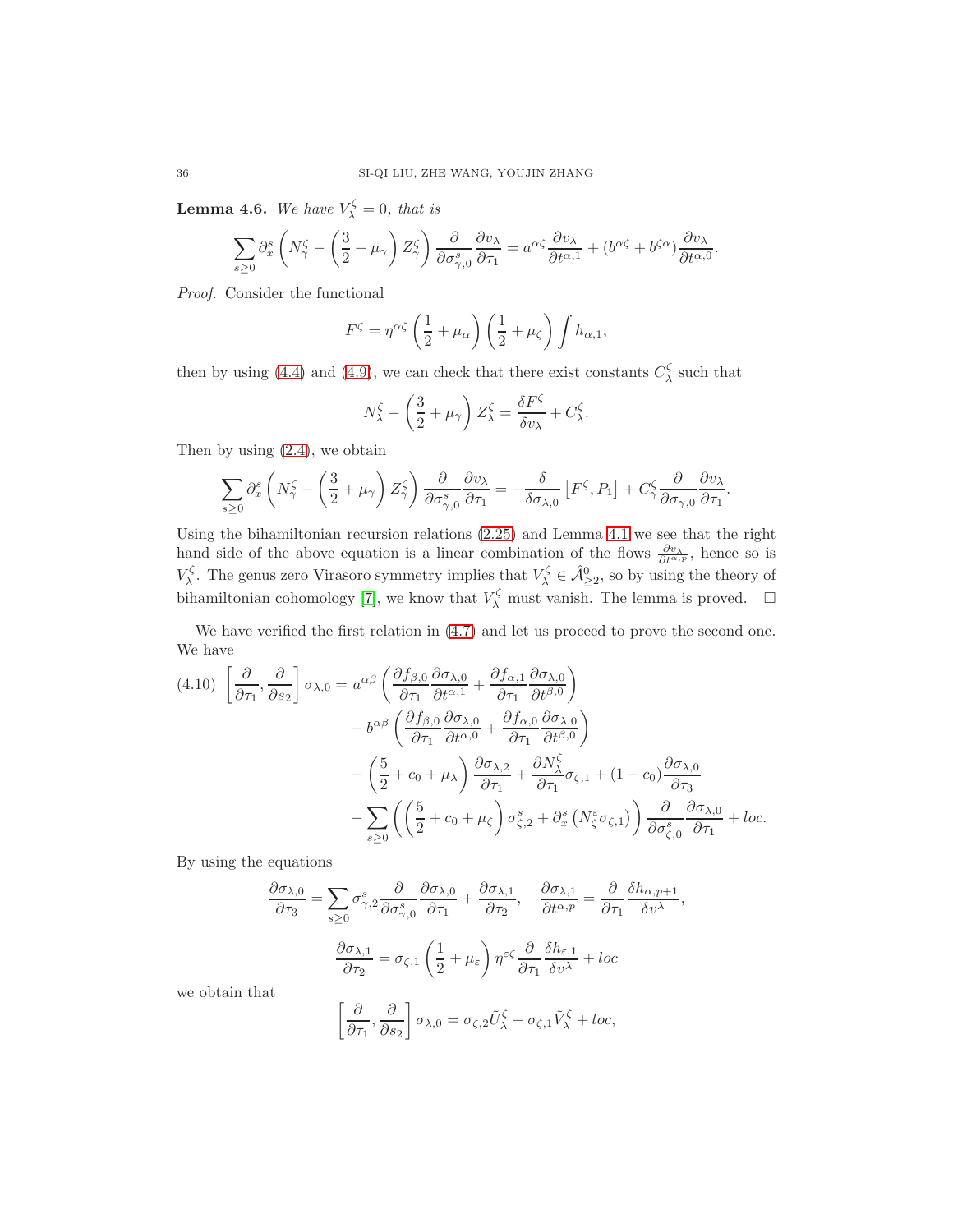**Lemma 4.6.** We have  $V_{\lambda}^{\zeta} = 0$ , that is

$$
\sum_{s\geq 0} \partial_x^s \left( N_\gamma^\zeta - \left( \frac{3}{2} + \mu_\gamma \right) Z_\gamma^\zeta \right) \frac{\partial}{\partial \sigma_{\gamma,0}^s} \frac{\partial v_\lambda}{\partial \tau_1} = a^{\alpha \zeta} \frac{\partial v_\lambda}{\partial t^{\alpha,1}} + (b^{\alpha \zeta} + b^{\zeta \alpha}) \frac{\partial v_\lambda}{\partial t^{\alpha,0}}.
$$

Proof. Consider the functional

$$
F^{\zeta} = \eta^{\alpha\zeta} \left(\frac{1}{2} + \mu_{\alpha}\right) \left(\frac{1}{2} + \mu_{\zeta}\right) \int h_{\alpha,1},
$$

then by using [\(4.4\)](#page-32-0) and [\(4.9\)](#page-34-0), we can check that there exist constants  $C_{\lambda}^{\zeta}$  such that

$$
N_{\lambda}^{\zeta} - \left(\frac{3}{2} + \mu_{\gamma}\right) Z_{\lambda}^{\zeta} = \frac{\delta F^{\zeta}}{\delta v_{\lambda}} + C_{\lambda}^{\zeta}.
$$

Then by using [\(2.4\)](#page-4-1), we obtain

$$
\sum_{s\geq 0} \partial_x^s \left( N_\gamma^\zeta - \left( \frac{3}{2} + \mu_\gamma \right) Z_\gamma^\zeta \right) \frac{\partial}{\partial \sigma_{\gamma,0}^s} \frac{\partial v_\lambda}{\partial \tau_1} = -\frac{\delta}{\delta \sigma_{\lambda,0}} \left[ F^\zeta, P_1 \right] + C_\gamma^\zeta \frac{\partial}{\partial \sigma_{\gamma,0}} \frac{\partial v_\lambda}{\partial \tau_1}
$$

.

Using the bihamiltonian recursion relations [\(2.25\)](#page-18-5) and Lemma [4.1](#page-31-3) we see that the right hand side of the above equation is a linear combination of the flows  $\frac{\partial v_\lambda}{\partial t^{\alpha,p}}$ , hence so is  $V_{\lambda}^{\zeta}$ . The genus zero Virasoro symmetry implies that  $V_{\lambda}^{\zeta} \in \hat{\mathcal{A}}_{\geq 2}^0$ , so by using the theory of bihamiltonian cohomology [\[7\]](#page-53-6), we know that  $V_{\lambda}^{\zeta}$  must vanish. The lemma is proved.  $\Box$ 

We have verified the first relation in  $(4.7)$  and let us proceed to prove the second one. We have

$$
(4.10) \left[ \frac{\partial}{\partial \tau_1}, \frac{\partial}{\partial s_2} \right] \sigma_{\lambda,0} = a^{\alpha\beta} \left( \frac{\partial f_{\beta,0}}{\partial \tau_1} \frac{\partial \sigma_{\lambda,0}}{\partial t^{\alpha,1}} + \frac{\partial f_{\alpha,1}}{\partial \tau_1} \frac{\partial \sigma_{\lambda,0}}{\partial t^{\beta,0}} \right) + b^{\alpha\beta} \left( \frac{\partial f_{\beta,0}}{\partial \tau_1} \frac{\partial \sigma_{\lambda,0}}{\partial t^{\alpha,0}} + \frac{\partial f_{\alpha,0}}{\partial \tau_1} \frac{\partial \sigma_{\lambda,0}}{\partial t^{\beta,0}} \right) + \left( \frac{5}{2} + c_0 + \mu_\lambda \right) \frac{\partial \sigma_{\lambda,2}}{\partial \tau_1} + \frac{\partial N_\lambda^{\zeta}}{\partial \tau_1} \sigma_{\zeta,1} + (1 + c_0) \frac{\partial \sigma_{\lambda,0}}{\partial \tau_3} - \sum_{s \ge 0} \left( \left( \frac{5}{2} + c_0 + \mu_\zeta \right) \sigma_{\zeta,2}^s + \partial_x^s \left( N_\zeta^{\varepsilon} \sigma_{\zeta,1} \right) \right) \frac{\partial}{\partial \sigma_{\zeta,0}^s} \frac{\partial \sigma_{\lambda,0}}{\partial \tau_1} + loc.
$$

By using the equations

$$
\frac{\partial \sigma_{\lambda,0}}{\partial \tau_3} = \sum_{s \ge 0} \sigma_{\gamma,2}^s \frac{\partial}{\partial \sigma_{\gamma,0}^s} \frac{\partial \sigma_{\lambda,0}}{\partial \tau_1} + \frac{\partial \sigma_{\lambda,1}}{\partial \tau_2}, \quad \frac{\partial \sigma_{\lambda,1}}{\partial t^{\alpha,p}} = \frac{\partial}{\partial \tau_1} \frac{\delta h_{\alpha,p+1}}{\delta v^{\lambda}},
$$

$$
\frac{\partial \sigma_{\lambda,1}}{\partial \tau_2} = \sigma_{\zeta,1} \left(\frac{1}{2} + \mu_{\varepsilon}\right) \eta^{\varepsilon\zeta} \frac{\partial}{\partial \tau_1} \frac{\delta h_{\varepsilon,1}}{\delta v^{\lambda}} + loc
$$

we obtain that

$$
\left[\frac{\partial}{\partial \tau_1}, \frac{\partial}{\partial s_2}\right] \sigma_{\lambda,0} = \sigma_{\zeta,2} \tilde{U}_{\lambda}^{\zeta} + \sigma_{\zeta,1} \tilde{V}_{\lambda}^{\zeta} + loc,
$$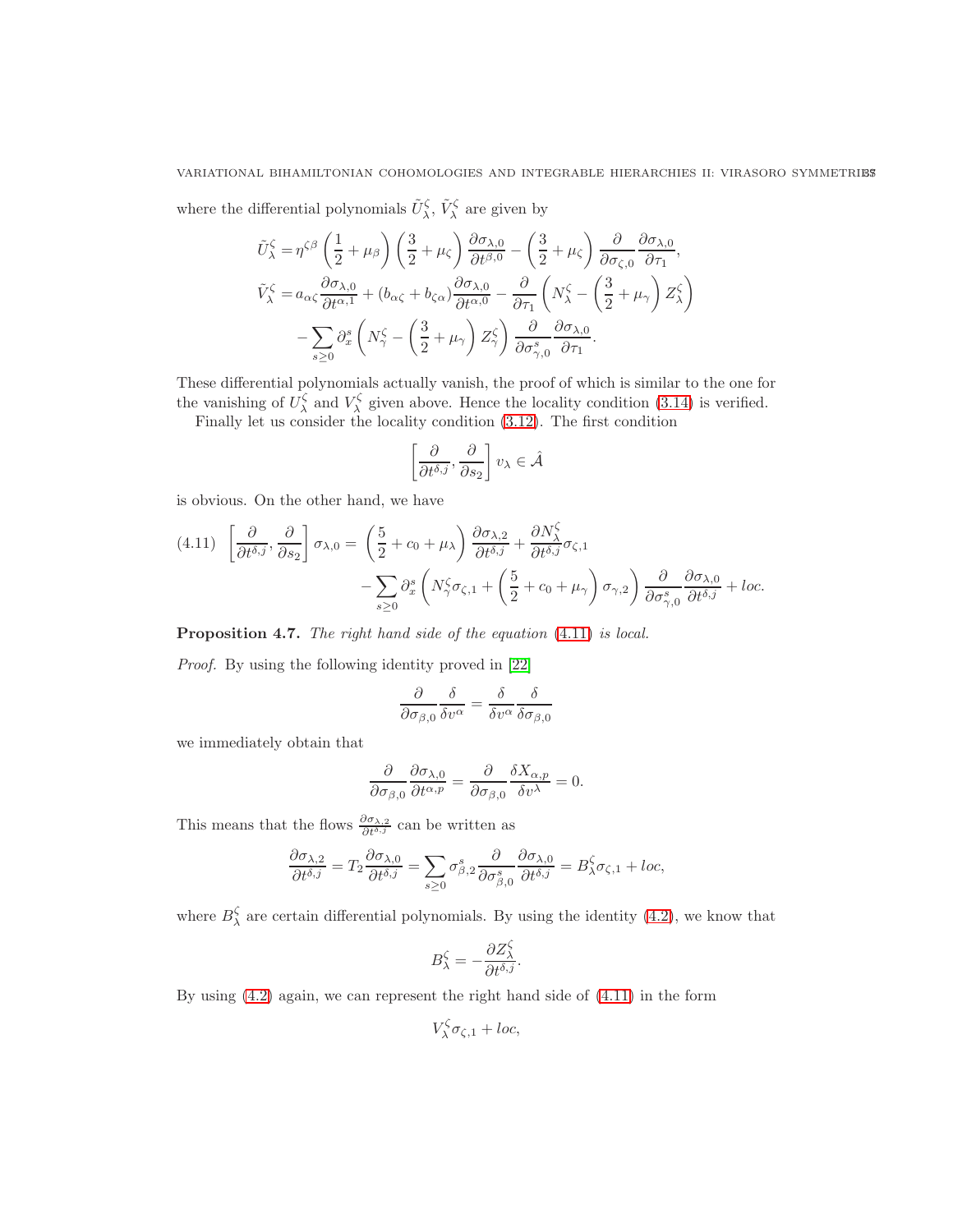where the differential polynomials  $\tilde{U}^{\zeta}_{\lambda}, \tilde{V}^{\zeta}_{\lambda}$  are given by

$$
\tilde{U}_{\lambda}^{\zeta} = \eta^{\zeta\beta} \left( \frac{1}{2} + \mu_{\beta} \right) \left( \frac{3}{2} + \mu_{\zeta} \right) \frac{\partial \sigma_{\lambda,0}}{\partial t^{\beta,0}} - \left( \frac{3}{2} + \mu_{\zeta} \right) \frac{\partial}{\partial \sigma_{\zeta,0}} \frac{\partial \sigma_{\lambda,0}}{\partial \tau_{1}},
$$
\n
$$
\tilde{V}_{\lambda}^{\zeta} = a_{\alpha\zeta} \frac{\partial \sigma_{\lambda,0}}{\partial t^{\alpha,1}} + (b_{\alpha\zeta} + b_{\zeta\alpha}) \frac{\partial \sigma_{\lambda,0}}{\partial t^{\alpha,0}} - \frac{\partial}{\partial \tau_{1}} \left( N_{\lambda}^{\zeta} - \left( \frac{3}{2} + \mu_{\gamma} \right) Z_{\lambda}^{\zeta} \right)
$$
\n
$$
- \sum_{s \ge 0} \partial_{x}^{s} \left( N_{\gamma}^{\zeta} - \left( \frac{3}{2} + \mu_{\gamma} \right) Z_{\gamma}^{\zeta} \right) \frac{\partial}{\partial \sigma_{\gamma,0}^{s}} \frac{\partial \sigma_{\lambda,0}}{\partial \tau_{1}}.
$$

These differential polynomials actually vanish, the proof of which is similar to the one for the vanishing of  $U^{\zeta}_{\lambda}$  and  $V^{\zeta}_{\lambda}$  given above. Hence the locality condition [\(3.14\)](#page-26-4) is verified.

Finally let us consider the locality condition [\(3.12\)](#page-26-1). The first condition

$$
\left[\frac{\partial}{\partial t^{\delta,j}}, \frac{\partial}{\partial s_2}\right] v_\lambda \in \hat{\mathcal{A}}
$$

is obvious. On the other hand, we have

<span id="page-36-0"></span>
$$
(4.11) \quad \left[\frac{\partial}{\partial t^{\delta,j}}, \frac{\partial}{\partial s_2}\right] \sigma_{\lambda,0} = \left(\frac{5}{2} + c_0 + \mu_\lambda\right) \frac{\partial \sigma_{\lambda,2}}{\partial t^{\delta,j}} + \frac{\partial N_\lambda^{\zeta}}{\partial t^{\delta,j}} \sigma_{\zeta,1} - \sum_{s \ge 0} \partial_x^s \left(N_\gamma^{\zeta} \sigma_{\zeta,1} + \left(\frac{5}{2} + c_0 + \mu_\gamma\right) \sigma_{\gamma,2}\right) \frac{\partial}{\partial \sigma_{\gamma,0}^s} \frac{\partial \sigma_{\lambda,0}}{\partial t^{\delta,j}} + loc.
$$

Proposition 4.7. The right hand side of the equation  $(4.11)$  is local.

Proof. By using the following identity proved in [\[22\]](#page-53-15)

$$
\frac{\partial}{\partial \sigma_{\beta,0}} \frac{\delta}{\delta v^{\alpha}} = \frac{\delta}{\delta v^{\alpha}} \frac{\delta}{\delta \sigma_{\beta,0}}
$$

we immediately obtain that

$$
\frac{\partial}{\partial \sigma_{\beta,0}} \frac{\partial \sigma_{\lambda,0}}{\partial t^{\alpha,p}} = \frac{\partial}{\partial \sigma_{\beta,0}} \frac{\delta X_{\alpha,p}}{\delta v^{\lambda}} = 0.
$$

This means that the flows  $\frac{\partial \sigma_{\lambda,2}}{\partial t^{\delta,j}}$  can be written as

$$
\frac{\partial \sigma_{\lambda,2}}{\partial t^{\delta,j}} = T_2 \frac{\partial \sigma_{\lambda,0}}{\partial t^{\delta,j}} = \sum_{s \ge 0} \sigma_{\beta,2}^s \frac{\partial}{\partial \sigma_{\beta,0}^s} \frac{\partial \sigma_{\lambda,0}}{\partial t^{\delta,j}} = B_\lambda^{\zeta} \sigma_{\zeta,1} + loc,
$$

where  $B_{\lambda}^{\zeta}$  are certain differential polynomials. By using the identity [\(4.2\)](#page-31-4), we know that

$$
B_{\lambda}^{\zeta} = -\frac{\partial Z_{\lambda}^{\zeta}}{\partial t^{\delta,j}}.
$$

By using [\(4.2\)](#page-31-4) again, we can represent the right hand side of [\(4.11\)](#page-36-0) in the form

$$
V^{\zeta}_{\lambda}\sigma_{\zeta,1} + loc,
$$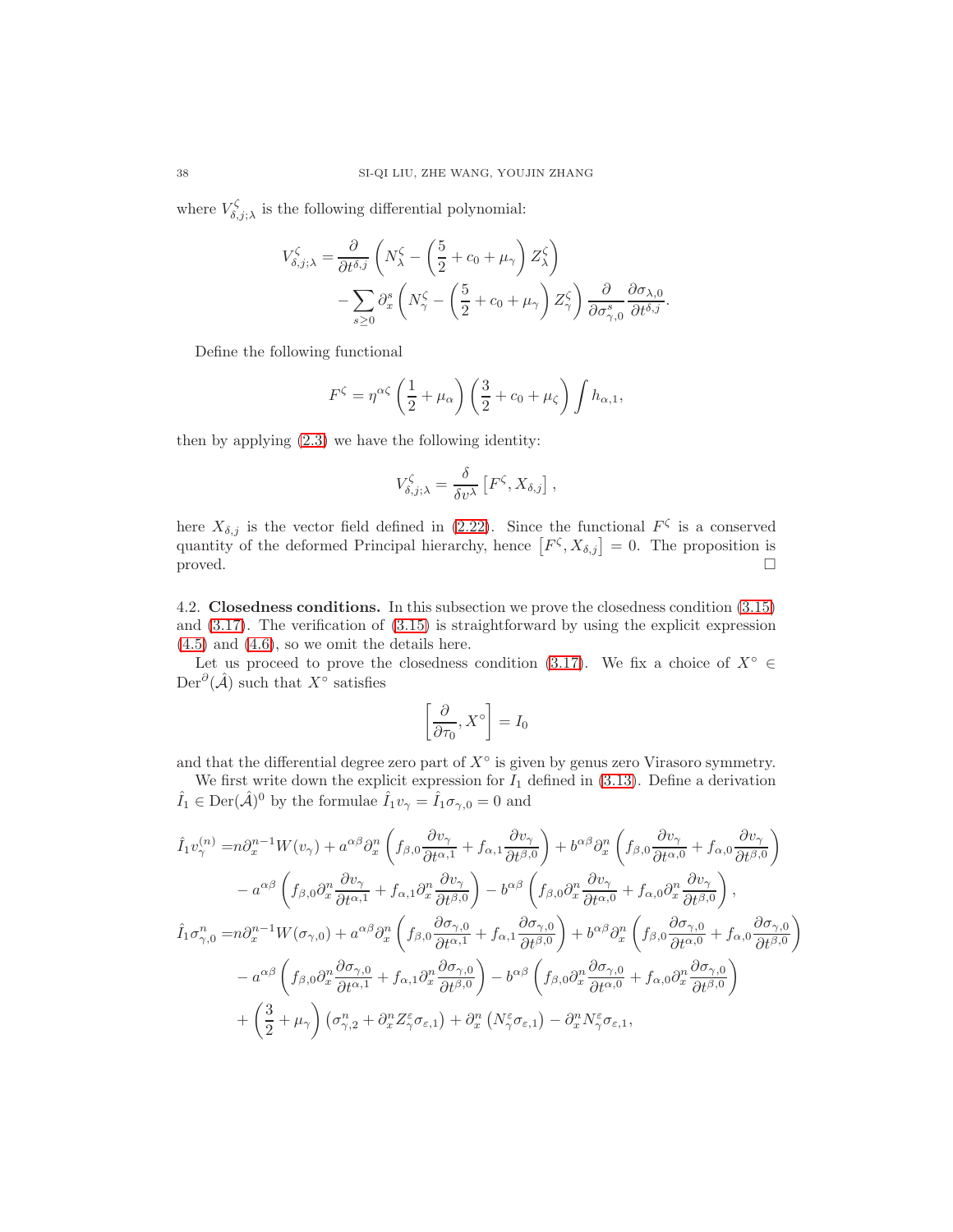where  $V_{\delta,j;\lambda}^{\zeta}$  is the following differential polynomial:

$$
V_{\delta,j;\lambda}^{\zeta} = \frac{\partial}{\partial t^{\delta,j}} \left( N_{\lambda}^{\zeta} - \left( \frac{5}{2} + c_0 + \mu_{\gamma} \right) Z_{\lambda}^{\zeta} \right) - \sum_{s \ge 0} \partial_x^s \left( N_{\gamma}^{\zeta} - \left( \frac{5}{2} + c_0 + \mu_{\gamma} \right) Z_{\gamma}^{\zeta} \right) \frac{\partial}{\partial \sigma_{\gamma,0}^s} \frac{\partial \sigma_{\lambda,0}}{\partial t^{\delta,j}}.
$$

Define the following functional

$$
F^{\zeta} = \eta^{\alpha\zeta} \left(\frac{1}{2} + \mu_{\alpha}\right) \left(\frac{3}{2} + c_0 + \mu_{\zeta}\right) \int h_{\alpha,1},
$$

then by applying [\(2.3\)](#page-4-3) we have the following identity:

$$
V_{\delta,j;\lambda}^{\zeta} = \frac{\delta}{\delta v^{\lambda}} \left[ F^{\zeta}, X_{\delta,j} \right],
$$

here  $X_{\delta,j}$  is the vector field defined in [\(2.22\)](#page-18-0). Since the functional  $F^{\zeta}$  is a conserved quantity of the deformed Principal hierarchy, hence  $[F^{\zeta}, X_{\delta,j}] = 0$ . The proposition is proved.  $\Box$ 

<span id="page-37-0"></span>4.2. Closedness conditions. In this subsection we prove the closedness condition [\(3.15\)](#page-26-5) and [\(3.17\)](#page-26-3). The verification of [\(3.15\)](#page-26-5) is straightforward by using the explicit expression  $(4.5)$  and  $(4.6)$ , so we omit the details here.

Let us proceed to prove the closedness condition [\(3.17\)](#page-26-3). We fix a choice of  $X^{\circ} \in$ Der<sup>∂</sup>( $\hat{A}$ ) such that  $X^{\circ}$  satisfies

$$
\left[\frac{\partial}{\partial \tau_0}, X^{\circ}\right] = I_0
$$

and that the differential degree zero part of  $X^{\circ}$  is given by genus zero Virasoro symmetry.

We first write down the explicit expression for  $I_1$  defined in [\(3.13\)](#page-26-0). Define a derivation  $\hat{I}_1 \in \text{Der}(\hat{\mathcal{A}})^0$  by the formulae  $\hat{I}_1 v_\gamma = \hat{I}_1 \sigma_{\gamma,0} = 0$  and

$$
\hat{I}_{1}v_{\gamma}^{(n)} = n\partial_{x}^{n-1}W(v_{\gamma}) + a^{\alpha\beta}\partial_{x}^{n}\left(f_{\beta,0}\frac{\partial v_{\gamma}}{\partial t^{\alpha,1}} + f_{\alpha,1}\frac{\partial v_{\gamma}}{\partial t^{\beta,0}}\right) + b^{\alpha\beta}\partial_{x}^{n}\left(f_{\beta,0}\frac{\partial v_{\gamma}}{\partial t^{\alpha,0}} + f_{\alpha,0}\frac{\partial v_{\gamma}}{\partial t^{\beta,0}}\right) \n- a^{\alpha\beta}\left(f_{\beta,0}\partial_{x}^{n}\frac{\partial v_{\gamma}}{\partial t^{\alpha,1}} + f_{\alpha,1}\partial_{x}^{n}\frac{\partial v_{\gamma}}{\partial t^{\beta,0}}\right) - b^{\alpha\beta}\left(f_{\beta,0}\partial_{x}^{n}\frac{\partial v_{\gamma}}{\partial t^{\alpha,0}} + f_{\alpha,0}\partial_{x}^{n}\frac{\partial v_{\gamma}}{\partial t^{\beta,0}}\right),
$$
\n
$$
\hat{I}_{1}\sigma_{\gamma,0}^{n} = n\partial_{x}^{n-1}W(\sigma_{\gamma,0}) + a^{\alpha\beta}\partial_{x}^{n}\left(f_{\beta,0}\frac{\partial \sigma_{\gamma,0}}{\partial t^{\alpha,1}} + f_{\alpha,1}\frac{\partial \sigma_{\gamma,0}}{\partial t^{\beta,0}}\right) + b^{\alpha\beta}\partial_{x}^{n}\left(f_{\beta,0}\frac{\partial \sigma_{\gamma,0}}{\partial t^{\alpha,0}} + f_{\alpha,0}\frac{\partial \sigma_{\gamma,0}}{\partial t^{\beta,0}}\right) \n- a^{\alpha\beta}\left(f_{\beta,0}\partial_{x}^{n}\frac{\partial \sigma_{\gamma,0}}{\partial t^{\alpha,1}} + f_{\alpha,1}\partial_{x}^{n}\frac{\partial \sigma_{\gamma,0}}{\partial t^{\beta,0}}\right) - b^{\alpha\beta}\left(f_{\beta,0}\partial_{x}^{n}\frac{\partial \sigma_{\gamma,0}}{\partial t^{\alpha,0}} + f_{\alpha,0}\partial_{x}^{n}\frac{\partial \sigma_{\gamma,0}}{\partial t^{\beta,0}}\right) \n+ \left(\frac{3}{2} + \mu_{\gamma}\right)\left(\sigma_{\gamma,2}^{n} + \partial_{x}^{n}Z_{\gamma}^{\varepsilon}\sigma_{\varepsilon,1}\right) + \partial_{x}^{n}\
$$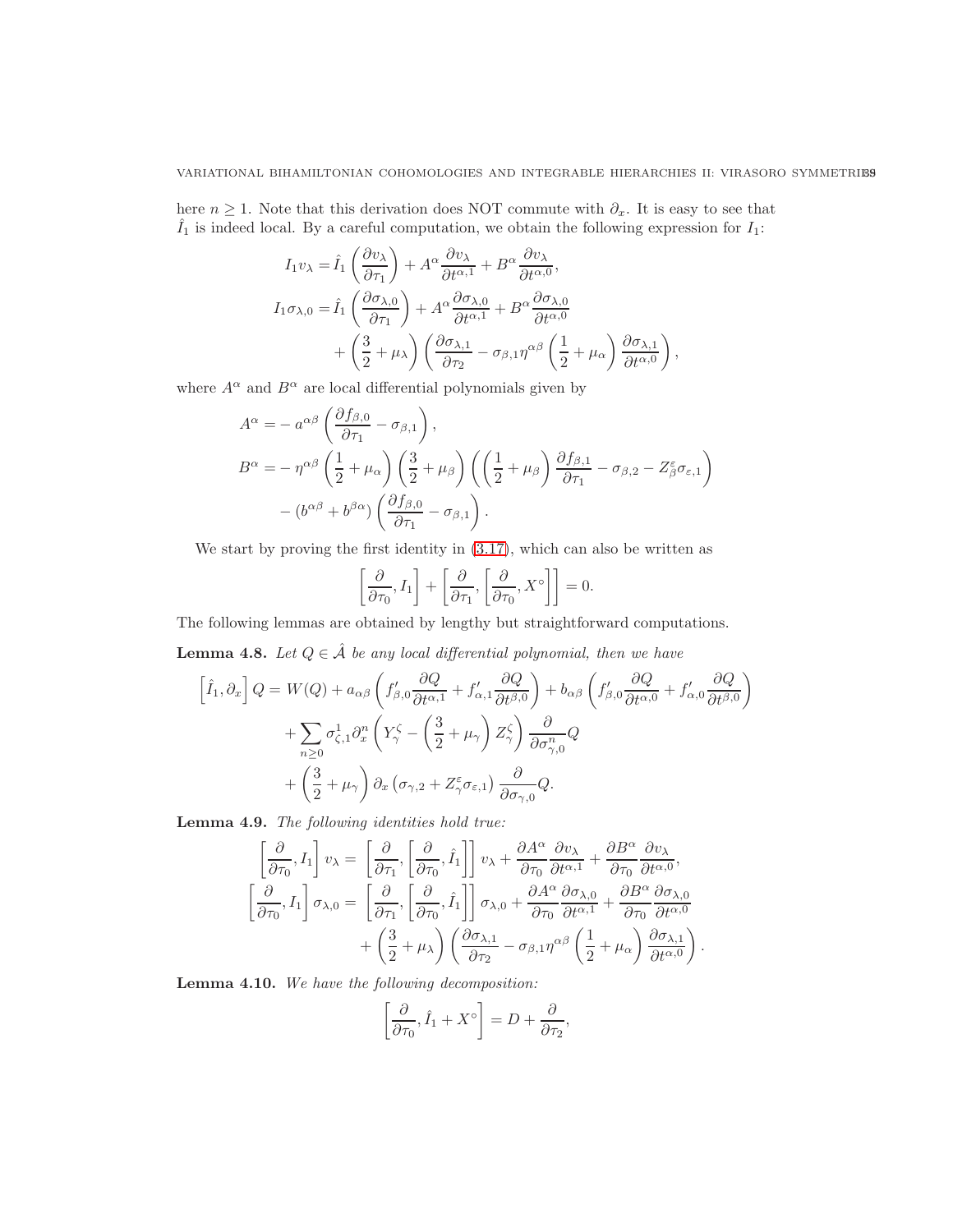here  $n \geq 1$ . Note that this derivation does NOT commute with  $\partial_x$ . It is easy to see that  $\hat{I}_1$  is indeed local. By a careful computation, we obtain the following expression for  $I_1$ :

$$
I_1 v_\lambda = \hat{I}_1 \left( \frac{\partial v_\lambda}{\partial \tau_1} \right) + A^\alpha \frac{\partial v_\lambda}{\partial t^{\alpha,1}} + B^\alpha \frac{\partial v_\lambda}{\partial t^{\alpha,0}},
$$
  
\n
$$
I_1 \sigma_{\lambda,0} = \hat{I}_1 \left( \frac{\partial \sigma_{\lambda,0}}{\partial \tau_1} \right) + A^\alpha \frac{\partial \sigma_{\lambda,0}}{\partial t^{\alpha,1}} + B^\alpha \frac{\partial \sigma_{\lambda,0}}{\partial t^{\alpha,0}} + \left( \frac{3}{2} + \mu_\lambda \right) \left( \frac{\partial \sigma_{\lambda,1}}{\partial \tau_2} - \sigma_{\beta,1} \eta^{\alpha\beta} \left( \frac{1}{2} + \mu_\alpha \right) \frac{\partial \sigma_{\lambda,1}}{\partial t^{\alpha,0}} \right),
$$

where  $A^{\alpha}$  and  $B^{\alpha}$  are local differential polynomials given by

$$
A^{\alpha} = -a^{\alpha\beta} \left( \frac{\partial f_{\beta,0}}{\partial \tau_1} - \sigma_{\beta,1} \right),
$$
  
\n
$$
B^{\alpha} = -\eta^{\alpha\beta} \left( \frac{1}{2} + \mu_{\alpha} \right) \left( \frac{3}{2} + \mu_{\beta} \right) \left( \left( \frac{1}{2} + \mu_{\beta} \right) \frac{\partial f_{\beta,1}}{\partial \tau_1} - \sigma_{\beta,2} - Z^{\varepsilon}_{\beta} \sigma_{\varepsilon,1} \right)
$$
  
\n
$$
- (b^{\alpha\beta} + b^{\beta\alpha}) \left( \frac{\partial f_{\beta,0}}{\partial \tau_1} - \sigma_{\beta,1} \right).
$$

We start by proving the first identity in [\(3.17\)](#page-26-3), which can also be written as

$$
\left[\frac{\partial}{\partial \tau_0}, I_1\right] + \left[\frac{\partial}{\partial \tau_1}, \left[\frac{\partial}{\partial \tau_0}, X^{\circ}\right]\right] = 0.
$$

The following lemmas are obtained by lengthy but straightforward computations.

<span id="page-38-2"></span>**Lemma 4.8.** Let  $Q \in \hat{\mathcal{A}}$  be any local differential polynomial, then we have

$$
\[\hat{I}_1, \partial_x\] Q = W(Q) + a_{\alpha\beta} \left( f'_{\beta,0} \frac{\partial Q}{\partial t^{\alpha,1}} + f'_{\alpha,1} \frac{\partial Q}{\partial t^{\beta,0}} \right) + b_{\alpha\beta} \left( f'_{\beta,0} \frac{\partial Q}{\partial t^{\alpha,0}} + f'_{\alpha,0} \frac{\partial Q}{\partial t^{\beta,0}} \right) \n+ \sum_{n \ge 0} \sigma_{\zeta,1}^1 \partial_x^n \left( Y_\gamma^\zeta - \left( \frac{3}{2} + \mu_\gamma \right) Z_\gamma^\zeta \right) \frac{\partial}{\partial \sigma_{\gamma,0}^n} Q \n+ \left( \frac{3}{2} + \mu_\gamma \right) \partial_x \left( \sigma_{\gamma,2} + Z_\gamma^\varepsilon \sigma_{\varepsilon,1} \right) \frac{\partial}{\partial \sigma_{\gamma,0}} Q.\n\]
$$

<span id="page-38-0"></span>Lemma 4.9. The following identities hold true:

$$
\begin{aligned}\n\left[\frac{\partial}{\partial \tau_0}, I_1\right] v_\lambda &= \left[\frac{\partial}{\partial \tau_1}, \left[\frac{\partial}{\partial \tau_0}, \hat{I}_1\right]\right] v_\lambda + \frac{\partial A^\alpha}{\partial \tau_0} \frac{\partial v_\lambda}{\partial t^{\alpha,1}} + \frac{\partial B^\alpha}{\partial \tau_0} \frac{\partial v_\lambda}{\partial t^{\alpha,0}}, \\
\left[\frac{\partial}{\partial \tau_0}, I_1\right] \sigma_{\lambda,0} &= \left[\frac{\partial}{\partial \tau_1}, \left[\frac{\partial}{\partial \tau_0}, \hat{I}_1\right]\right] \sigma_{\lambda,0} + \frac{\partial A^\alpha}{\partial \tau_0} \frac{\partial \sigma_{\lambda,0}}{\partial t^{\alpha,1}} + \frac{\partial B^\alpha}{\partial \tau_0} \frac{\partial \sigma_{\lambda,0}}{\partial t^{\alpha,0}} \\
&+ \left(\frac{3}{2} + \mu_\lambda\right) \left(\frac{\partial \sigma_{\lambda,1}}{\partial \tau_2} - \sigma_{\beta,1} \eta^{\alpha\beta} \left(\frac{1}{2} + \mu_\alpha\right) \frac{\partial \sigma_{\lambda,1}}{\partial t^{\alpha,0}}\right)\n\end{aligned}
$$

.

<span id="page-38-1"></span>Lemma 4.10. We have the following decomposition:

$$
\left[\frac{\partial}{\partial \tau_0}, \hat{I}_1 + X^{\circ}\right] = D + \frac{\partial}{\partial \tau_2},
$$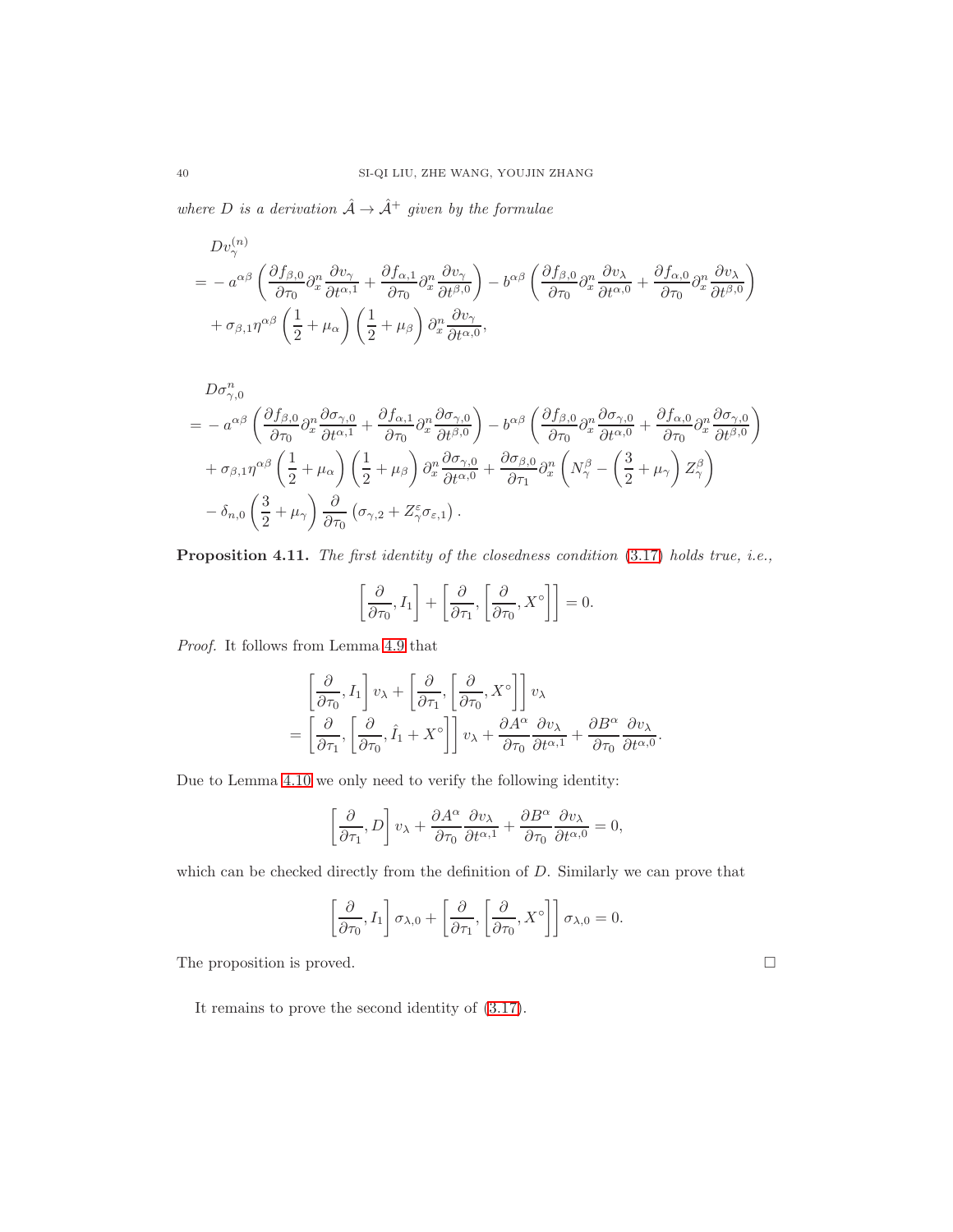where D is a derivation  $\hat{A} \rightarrow \hat{A}^+$  given by the formulae

$$
Dv_{\gamma}^{(n)} = -a^{\alpha\beta} \left( \frac{\partial f_{\beta,0}}{\partial \tau_0} \partial_x^n \frac{\partial v_{\gamma}}{\partial t^{\alpha,1}} + \frac{\partial f_{\alpha,1}}{\partial \tau_0} \partial_x^n \frac{\partial v_{\gamma}}{\partial t^{\beta,0}} \right) - b^{\alpha\beta} \left( \frac{\partial f_{\beta,0}}{\partial \tau_0} \partial_x^n \frac{\partial v_{\lambda}}{\partial t^{\alpha,0}} + \frac{\partial f_{\alpha,0}}{\partial \tau_0} \partial_x^n \frac{\partial v_{\lambda}}{\partial t^{\beta,0}} \right) + \sigma_{\beta,1} \eta^{\alpha\beta} \left( \frac{1}{2} + \mu_{\alpha} \right) \left( \frac{1}{2} + \mu_{\beta} \right) \partial_x^n \frac{\partial v_{\gamma}}{\partial t^{\alpha,0}},
$$

$$
D\sigma_{\gamma,0}^{n} = a^{\alpha\beta} \left( \frac{\partial f_{\beta,0}}{\partial \tau_{0}} \partial_{x}^{n} \frac{\partial \sigma_{\gamma,0}}{\partial t^{\alpha,1}} + \frac{\partial f_{\alpha,1}}{\partial \tau_{0}} \partial_{x}^{n} \frac{\partial \sigma_{\gamma,0}}{\partial t^{\beta,0}} \right) - b^{\alpha\beta} \left( \frac{\partial f_{\beta,0}}{\partial \tau_{0}} \partial_{x}^{n} \frac{\partial \sigma_{\gamma,0}}{\partial t^{\alpha,0}} + \frac{\partial f_{\alpha,0}}{\partial \tau_{0}} \partial_{x}^{n} \frac{\partial \sigma_{\gamma,0}}{\partial t^{\beta,0}} \right) + \sigma_{\beta,1} \eta^{\alpha\beta} \left( \frac{1}{2} + \mu_{\alpha} \right) \left( \frac{1}{2} + \mu_{\beta} \right) \partial_{x}^{n} \frac{\partial \sigma_{\gamma,0}}{\partial t^{\alpha,0}} + \frac{\partial \sigma_{\beta,0}}{\partial \tau_{1}} \partial_{x}^{n} \left( N_{\gamma}^{\beta} - \left( \frac{3}{2} + \mu_{\gamma} \right) Z_{\gamma}^{\beta} \right) - \delta_{n,0} \left( \frac{3}{2} + \mu_{\gamma} \right) \frac{\partial}{\partial \tau_{0}} \left( \sigma_{\gamma,2} + Z_{\gamma}^{\varepsilon} \sigma_{\varepsilon,1} \right).
$$

Proposition 4.11. The first identity of the closedness condition [\(3.17\)](#page-26-3) holds true, i.e.,

$$
\left[\frac{\partial}{\partial \tau_0}, I_1\right] + \left[\frac{\partial}{\partial \tau_1}, \left[\frac{\partial}{\partial \tau_0}, X^{\circ}\right]\right] = 0.
$$

Proof. It follows from Lemma [4.9](#page-38-0) that

$$
\begin{split}\n&\left[\frac{\partial}{\partial \tau_0}, I_1\right] v_\lambda + \left[\frac{\partial}{\partial \tau_1}, \left[\frac{\partial}{\partial \tau_0}, X^\circ\right]\right] v_\lambda \\
&= \left[\frac{\partial}{\partial \tau_1}, \left[\frac{\partial}{\partial \tau_0}, \hat{I}_1 + X^\circ\right]\right] v_\lambda + \frac{\partial A^\alpha}{\partial \tau_0} \frac{\partial v_\lambda}{\partial t^{\alpha,1}} + \frac{\partial B^\alpha}{\partial \tau_0} \frac{\partial v_\lambda}{\partial t^{\alpha,0}}.\n\end{split}
$$

Due to Lemma [4.10](#page-38-1) we only need to verify the following identity:

$$
\left[\frac{\partial}{\partial \tau_1}, D\right] v_\lambda + \frac{\partial A^\alpha}{\partial \tau_0} \frac{\partial v_\lambda}{\partial t^{\alpha,1}} + \frac{\partial B^\alpha}{\partial \tau_0} \frac{\partial v_\lambda}{\partial t^{\alpha,0}} = 0,
$$

which can be checked directly from the definition of  $D$ . Similarly we can prove that

$$
\left[\frac{\partial}{\partial \tau_0}, I_1\right] \sigma_{\lambda,0} + \left[\frac{\partial}{\partial \tau_1}, \left[\frac{\partial}{\partial \tau_0}, X^{\circ}\right]\right] \sigma_{\lambda,0} = 0.
$$

The proposition is proved.  $\Box$ 

It remains to prove the second identity of [\(3.17\)](#page-26-3).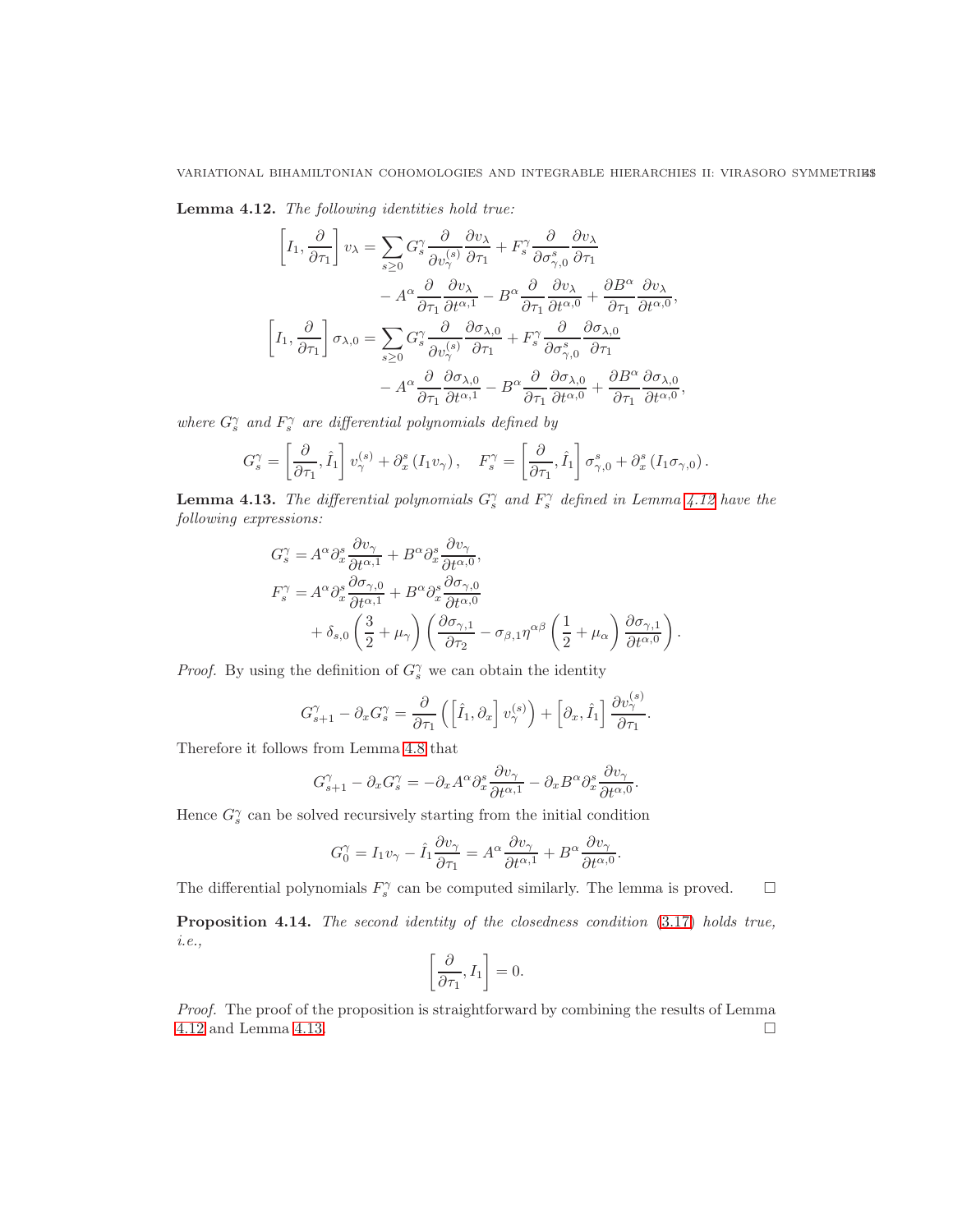<span id="page-40-0"></span>Lemma 4.12. The following identities hold true:

$$
\left[I_1, \frac{\partial}{\partial \tau_1}\right]v_{\lambda} = \sum_{s\geq 0} G_s^{\gamma} \frac{\partial}{\partial v_{\lambda}^{(s)}} \frac{\partial v_{\lambda}}{\partial \tau_1} + F_s^{\gamma} \frac{\partial}{\partial \sigma_{\gamma,0}^s} \frac{\partial v_{\lambda}}{\partial \tau_1} \n- A^{\alpha} \frac{\partial}{\partial \tau_1} \frac{\partial v_{\lambda}}{\partial t^{\alpha,1}} - B^{\alpha} \frac{\partial}{\partial \tau_1} \frac{\partial v_{\lambda}}{\partial t^{\alpha,0}} + \frac{\partial B^{\alpha}}{\partial \tau_1} \frac{\partial v_{\lambda}}{\partial t^{\alpha,0}},
$$
\n
$$
\left[I_1, \frac{\partial}{\partial \tau_1}\right] \sigma_{\lambda,0} = \sum_{s\geq 0} G_s^{\gamma} \frac{\partial}{\partial v_{\gamma}^{(s)}} \frac{\partial \sigma_{\lambda,0}}{\partial \tau_1} + F_s^{\gamma} \frac{\partial}{\partial \sigma_{\gamma,0}^s} \frac{\partial \sigma_{\lambda,0}}{\partial \tau_1} \n- A^{\alpha} \frac{\partial}{\partial \tau_1} \frac{\partial \sigma_{\lambda,0}}{\partial t^{\alpha,1}} - B^{\alpha} \frac{\partial}{\partial \tau_1} \frac{\partial \sigma_{\lambda,0}}{\partial t^{\alpha,0}} + \frac{\partial B^{\alpha}}{\partial \tau_1} \frac{\partial \sigma_{\lambda,0}}{\partial t^{\alpha,0}},
$$

where  $G_s^{\gamma}$  and  $F_s^{\gamma}$  are differential polynomials defined by

$$
G_s^{\gamma} = \left[\frac{\partial}{\partial \tau_1}, \hat{I}_1\right] v_{\gamma}^{(s)} + \partial_x^s \left(I_1 v_{\gamma}\right), \quad F_s^{\gamma} = \left[\frac{\partial}{\partial \tau_1}, \hat{I}_1\right] \sigma_{\gamma,0}^s + \partial_x^s \left(I_1 \sigma_{\gamma,0}\right).
$$

<span id="page-40-1"></span>**Lemma 4.13.** The differential polynomials  $G_s^{\gamma}$  and  $F_s^{\gamma}$  defined in Lemma [4.12](#page-40-0) have the following expressions:

$$
G_s^{\gamma} = A^{\alpha} \partial_x^s \frac{\partial v_{\gamma}}{\partial t^{\alpha,1}} + B^{\alpha} \partial_x^s \frac{\partial v_{\gamma}}{\partial t^{\alpha,0}},
$$
  
\n
$$
F_s^{\gamma} = A^{\alpha} \partial_x^s \frac{\partial \sigma_{\gamma,0}}{\partial t^{\alpha,1}} + B^{\alpha} \partial_x^s \frac{\partial \sigma_{\gamma,0}}{\partial t^{\alpha,0}} + \delta_{s,0} \left( \frac{3}{2} + \mu_{\gamma} \right) \left( \frac{\partial \sigma_{\gamma,1}}{\partial \tau_2} - \sigma_{\beta,1} \eta^{\alpha\beta} \left( \frac{1}{2} + \mu_{\alpha} \right) \frac{\partial \sigma_{\gamma,1}}{\partial t^{\alpha,0}} \right).
$$

*Proof.* By using the definition of  $G_s^{\gamma}$  we can obtain the identity

$$
G_{s+1}^{\gamma} - \partial_x G_s^{\gamma} = \frac{\partial}{\partial \tau_1} \left( \left[ \hat{I}_1, \partial_x \right] v_{\gamma}^{(s)} \right) + \left[ \partial_x, \hat{I}_1 \right] \frac{\partial v_{\gamma}^{(s)}}{\partial \tau_1}
$$

.

Therefore it follows from Lemma [4.8](#page-38-2) that

$$
G_{s+1}^{\gamma} - \partial_x G_s^{\gamma} = -\partial_x A^{\alpha} \partial_x^s \frac{\partial v_{\gamma}}{\partial t^{\alpha,1}} - \partial_x B^{\alpha} \partial_x^s \frac{\partial v_{\gamma}}{\partial t^{\alpha,0}}.
$$

Hence  $G_s^{\gamma}$  can be solved recursively starting from the initial condition

$$
G_0^{\gamma} = I_1 v_{\gamma} - \hat{I}_1 \frac{\partial v_{\gamma}}{\partial \tau_1} = A^{\alpha} \frac{\partial v_{\gamma}}{\partial t^{\alpha,1}} + B^{\alpha} \frac{\partial v_{\gamma}}{\partial t^{\alpha,0}}.
$$

The differential polynomials  $F_s^{\gamma}$  can be computed similarly. The lemma is proved.  $\square$ 

Proposition 4.14. The second identity of the closedness condition  $(3.17)$  holds true, i.e.,

$$
\left[\frac{\partial}{\partial \tau_1}, I_1\right] = 0.
$$

Proof. The proof of the proposition is straightforward by combining the results of Lemma [4.12](#page-40-0) and Lemma [4.13.](#page-40-1)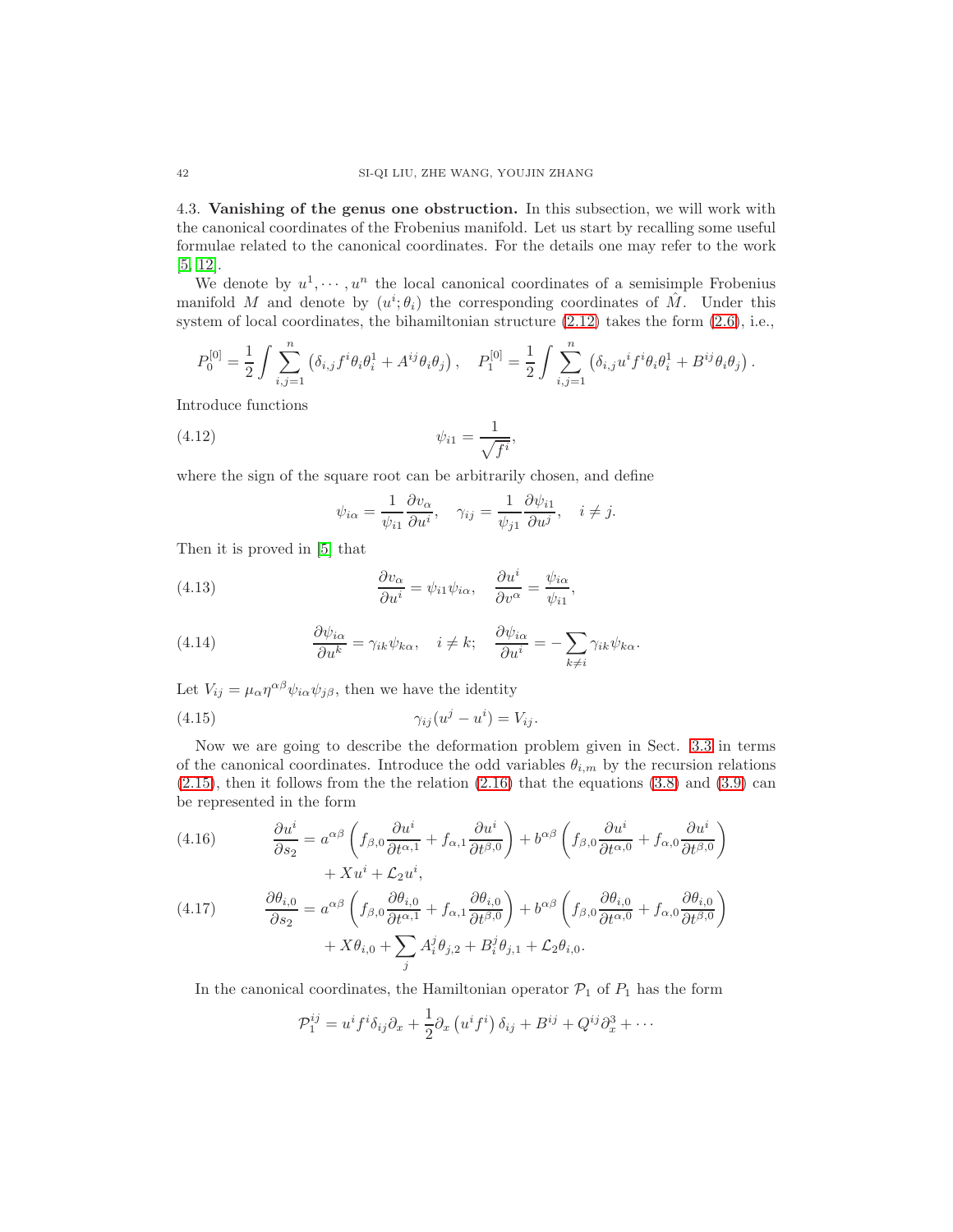4.3. Vanishing of the genus one obstruction. In this subsection, we will work with the canonical coordinates of the Frobenius manifold. Let us start by recalling some useful formulae related to the canonical coordinates. For the details one may refer to the work [\[5,](#page-53-11) [12\]](#page-53-2).

We denote by  $u^1, \dots, u^n$  the local canonical coordinates of a semisimple Frobenius manifold M and denote by  $(u^i; \theta_i)$  the corresponding coordinates of  $\hat{M}$ . Under this system of local coordinates, the bihamiltonian structure  $(2.12)$  takes the form  $(2.6)$ , i.e.,

$$
P_0^{[0]} = \frac{1}{2} \int \sum_{i,j=1}^n (\delta_{i,j} f^i \theta_i \theta_i^1 + A^{ij} \theta_i \theta_j), \quad P_1^{[0]} = \frac{1}{2} \int \sum_{i,j=1}^n (\delta_{i,j} u^i f^i \theta_i \theta_i^1 + B^{ij} \theta_i \theta_j).
$$

Introduce functions

$$
\psi_{i1} = \frac{1}{\sqrt{f^i}},
$$

where the sign of the square root can be arbitrarily chosen, and define

<span id="page-41-5"></span><span id="page-41-3"></span>
$$
\psi_{i\alpha} = \frac{1}{\psi_{i1}} \frac{\partial v_{\alpha}}{\partial u^{i}}, \quad \gamma_{ij} = \frac{1}{\psi_{j1}} \frac{\partial \psi_{i1}}{\partial u^{j}}, \quad i \neq j.
$$

Then it is proved in [\[5\]](#page-53-11) that

(4.13) 
$$
\frac{\partial v_{\alpha}}{\partial u^{i}} = \psi_{i1} \psi_{i\alpha}, \quad \frac{\partial u^{i}}{\partial v^{\alpha}} = \frac{\psi_{i\alpha}}{\psi_{i1}},
$$

<span id="page-41-4"></span>(4.14) 
$$
\frac{\partial \psi_{i\alpha}}{\partial u^k} = \gamma_{ik} \psi_{k\alpha}, \quad i \neq k; \quad \frac{\partial \psi_{i\alpha}}{\partial u^i} = -\sum_{k \neq i} \gamma_{ik} \psi_{k\alpha}.
$$

Let  $V_{ij} = \mu_\alpha \eta^{\alpha\beta} \psi_{i\alpha} \psi_{j\beta}$ , then we have the identity

$$
\gamma_{ij}(u^j - u^i) = V_{ij}.
$$

Now we are going to describe the deformation problem given in Sect. [3.3](#page-25-0) in terms of the canonical coordinates. Introduce the odd variables  $\theta_{i,m}$  by the recursion relations  $(2.15)$ , then it follows from the the relation  $(2.16)$  that the equations  $(3.8)$  and  $(3.9)$  can be represented in the form

<span id="page-41-1"></span>(4.16) 
$$
\frac{\partial u^i}{\partial s_2} = a^{\alpha\beta} \left( f_{\beta,0} \frac{\partial u^i}{\partial t^{\alpha,1}} + f_{\alpha,1} \frac{\partial u^i}{\partial t^{\beta,0}} \right) + b^{\alpha\beta} \left( f_{\beta,0} \frac{\partial u^i}{\partial t^{\alpha,0}} + f_{\alpha,0} \frac{\partial u^i}{\partial t^{\beta,0}} \right) + X u^i + \mathcal{L}_2 u^i,
$$

<span id="page-41-2"></span>(4.17) 
$$
\frac{\partial \theta_{i,0}}{\partial s_2} = a^{\alpha\beta} \left( f_{\beta,0} \frac{\partial \theta_{i,0}}{\partial t^{\alpha,1}} + f_{\alpha,1} \frac{\partial \theta_{i,0}}{\partial t^{\beta,0}} \right) + b^{\alpha\beta} \left( f_{\beta,0} \frac{\partial \theta_{i,0}}{\partial t^{\alpha,0}} + f_{\alpha,0} \frac{\partial \theta_{i,0}}{\partial t^{\beta,0}} \right) + X \theta_{i,0} + \sum_j A_i^j \theta_{j,2} + B_i^j \theta_{j,1} + \mathcal{L}_2 \theta_{i,0}.
$$

In the canonical coordinates, the Hamiltonian operator  $P_1$  of  $P_1$  has the form

$$
\mathcal{P}_1^{ij} = u^i f^i \delta_{ij} \partial_x + \frac{1}{2} \partial_x \left( u^i f^i \right) \delta_{ij} + B^{ij} + Q^{ij} \partial_x^3 + \cdots
$$

<span id="page-41-0"></span>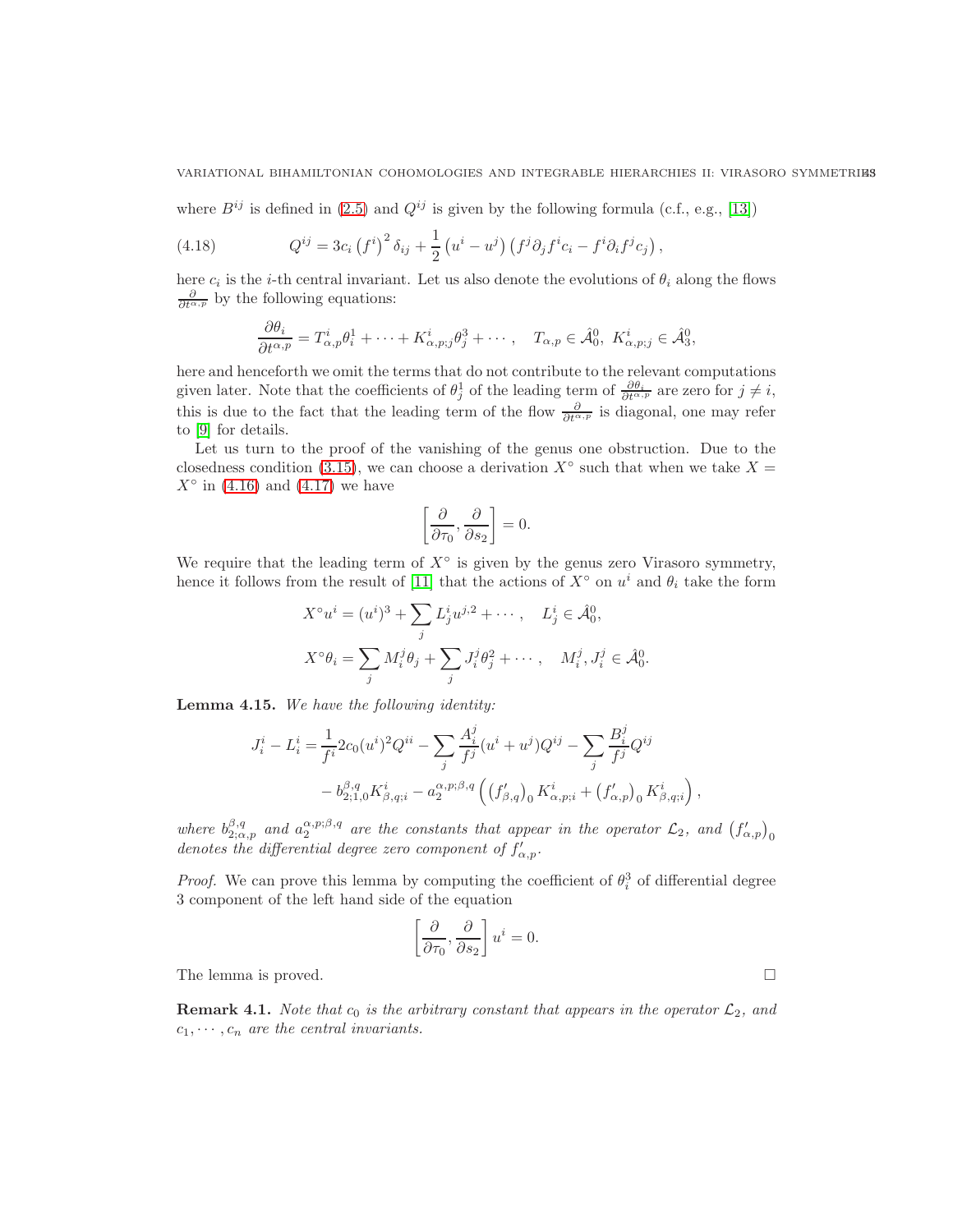where  $B^{ij}$  is defined in [\(2.5\)](#page-5-1) and  $Q^{ij}$  is given by the following formula (c.f., e.g., [\[13\]](#page-53-18))

(4.18) 
$$
Q^{ij} = 3c_i (f^i)^2 \delta_{ij} + \frac{1}{2} (u^i - u^j) (f^j \partial_j f^i c_i - f^i \partial_i f^j c_j),
$$

here  $c_i$  is the *i*-th central invariant. Let us also denote the evolutions of  $\theta_i$  along the flows  $\frac{\partial}{\partial t^{\alpha,p}}$  by the following equations:

<span id="page-42-1"></span>
$$
\frac{\partial \theta_i}{\partial t^{\alpha, p}} = T^i_{\alpha, p} \theta_i^1 + \dots + K^i_{\alpha, p; j} \theta_j^3 + \dots, \quad T_{\alpha, p} \in \hat{\mathcal{A}}_0^0, K^i_{\alpha, p; j} \in \hat{\mathcal{A}}_3^0,
$$

here and henceforth we omit the terms that do not contribute to the relevant computations given later. Note that the coefficients of  $\theta_j^1$  of the leading term of  $\frac{\partial \theta_i}{\partial t^{\alpha,p}}$  are zero for  $j \neq i$ , this is due to the fact that the leading term of the flow  $\frac{\partial}{\partial t^{\alpha,p}}$  is diagonal, one may refer to [\[9\]](#page-53-16) for details.

Let us turn to the proof of the vanishing of the genus one obstruction. Due to the closedness condition [\(3.15\)](#page-26-5), we can choose a derivation  $X^{\circ}$  such that when we take  $X =$  $X^{\circ}$  in [\(4.16\)](#page-41-1) and [\(4.17\)](#page-41-2) we have

$$
\left[\frac{\partial}{\partial \tau_0},\frac{\partial}{\partial s_2}\right]=0.
$$

We require that the leading term of  $X^{\circ}$  is given by the genus zero Virasoro symmetry, hence it follows from the result of [\[11\]](#page-53-3) that the actions of  $X^{\circ}$  on  $u^{i}$  and  $\theta_{i}$  take the form

$$
X^{\circ}u^{i} = (u^{i})^{3} + \sum_{j} L_{j}^{i}u^{j,2} + \cdots, \quad L_{j}^{i} \in \hat{\mathcal{A}}_{0}^{0},
$$

$$
X^{\circ}\theta_{i} = \sum_{j} M_{i}^{j}\theta_{j} + \sum_{j} J_{i}^{j}\theta_{j}^{2} + \cdots, \quad M_{i}^{j}, J_{i}^{j} \in \hat{\mathcal{A}}_{0}^{0}
$$

<span id="page-42-0"></span>Lemma 4.15. We have the following identity:

$$
J_i^i - L_i^i = \frac{1}{f^i} 2c_0(u^i)^2 Q^{ii} - \sum_j \frac{A_i^j}{f^j} (u^i + u^j) Q^{ij} - \sum_j \frac{B_i^j}{f^j} Q^{ij}
$$
  
-  $b_{2;1,0}^{\beta,q} K_{\beta,q;i}^i - a_2^{\alpha,p;\beta,q} \left( \left( f_{\beta,q}' \right)_0 K_{\alpha,p;i}^i + \left( f_{\alpha,p}' \right)_0 K_{\beta,q;i}^i \right),$ 

where  $b_{2;\alpha,p}^{\beta,q}$  and  $a_2^{\alpha,p;\beta,q}$  are the constants that appear in the operator  $\mathcal{L}_2$ , and  $(f'_{\alpha,p})_0$ denotes the differential degree zero component of  $f'_{\alpha,p}$ .

*Proof.* We can prove this lemma by computing the coefficient of  $\theta_i^3$  of differential degree 3 component of the left hand side of the equation

$$
\left[\frac{\partial}{\partial \tau_0}, \frac{\partial}{\partial s_2}\right] u^i = 0.
$$

.

The lemma is proved.

**Remark 4.1.** Note that  $c_0$  is the arbitrary constant that appears in the operator  $\mathcal{L}_2$ , and  $c_1, \dots, c_n$  are the central invariants.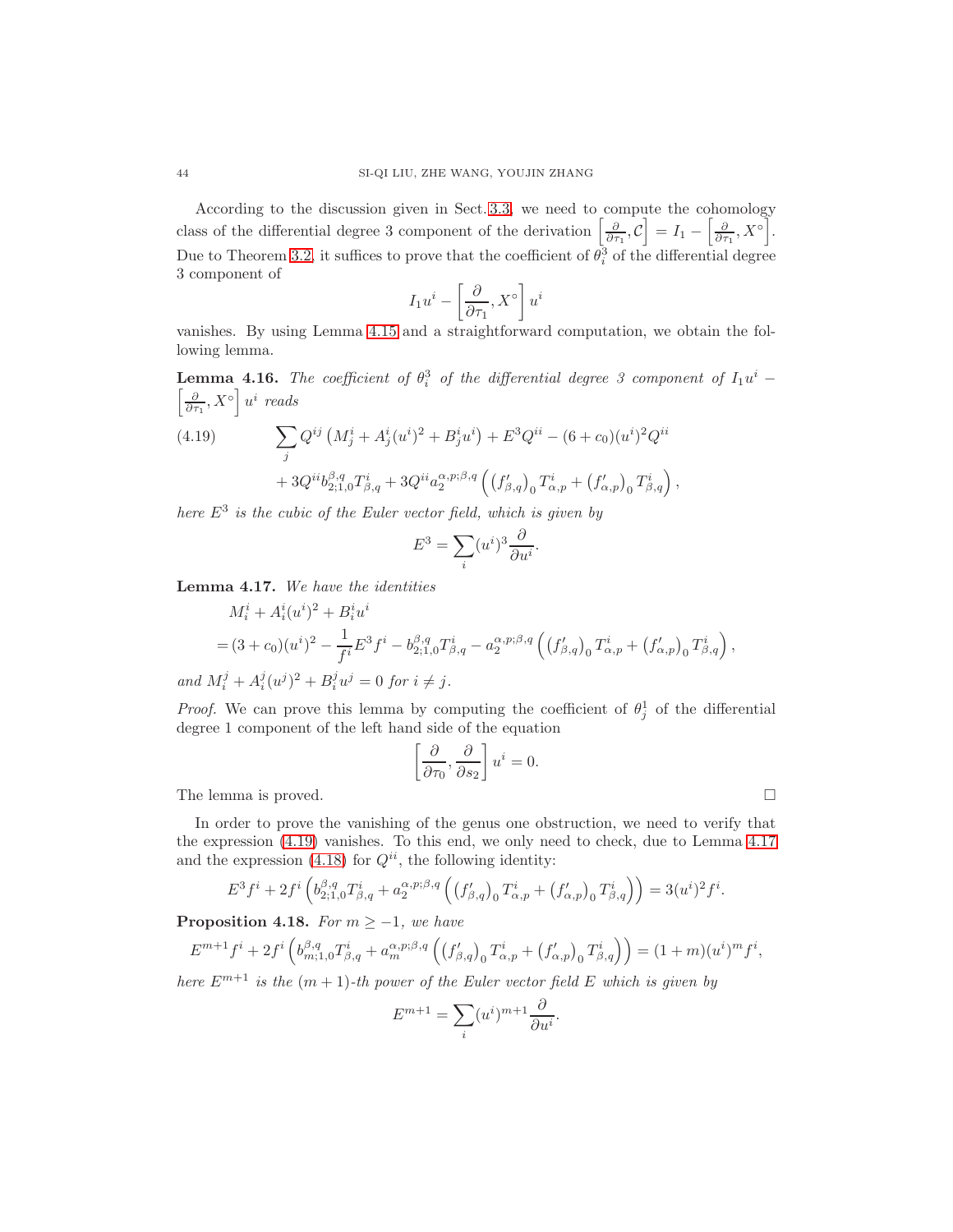According to the discussion given in Sect. [3.3,](#page-25-0) we need to compute the cohomology class of the differential degree 3 component of the derivation  $\left[\frac{\partial}{\partial \tau_1}, \mathcal{C}\right] = I_1 - \left[\frac{\partial}{\partial \tau_1}, X^{\circ}\right]$ . Due to Theorem [3.2,](#page-22-2) it suffices to prove that the coefficient of  $\theta_i^3$  of the differential degree 3 component of

$$
I_1 u^i - \left[\frac{\partial}{\partial \tau_1}, X^\circ\right] u^i
$$

vanishes. By using Lemma [4.15](#page-42-0) and a straightforward computation, we obtain the following lemma.

**Lemma 4.16.** The coefficient of  $\theta_i^3$  of the differential degree 3 component of  $I_1u^i$  –  $\left[\frac{\partial}{\partial \tau_1}, X^{\circ}\right] u^i$  reads

<span id="page-43-0"></span>(4.19) 
$$
\sum_{j} Q^{ij} (M_j^i + A_j^i (u^i)^2 + B_j^i u^i) + E^3 Q^{ii} - (6 + c_0) (u^i)^2 Q^{ii} + 3 Q^{ii} b_{2;1,0}^{\beta, q} T_{\beta, q}^i + 3 Q^{ii} a_2^{\alpha, p; \beta, q} ((f_{\beta, q})_0 T_{\alpha, p}^i + (f_{\alpha, p})_0 T_{\beta, q}^i),
$$

here  $E^3$  is the cubic of the Euler vector field, which is given by

$$
E^3 = \sum_i (u^i)^3 \frac{\partial}{\partial u^i}.
$$

<span id="page-43-1"></span>Lemma 4.17. We have the identities

$$
M_i^i + A_i^i (u^i)^2 + B_i^i u^i
$$
  
=  $(3 + c_0)(u^i)^2 - \frac{1}{f^i} E^3 f^i - b_{2;1,0}^{\beta,q} T_{\beta,q}^i - a_2^{\alpha,p;\beta,q} \left( (f_{\beta,q}^{\prime})_0 T_{\alpha,p}^i + (f_{\alpha,p}^{\prime})_0 T_{\beta,q}^i \right),$ 

and  $M_i^j + A_i^j (u^j)^2 + B_i^j u^j = 0$  for  $i \neq j$ .

*Proof.* We can prove this lemma by computing the coefficient of  $\theta_j^1$  of the differential degree 1 component of the left hand side of the equation

$$
\left[\frac{\partial}{\partial \tau_0}, \frac{\partial}{\partial s_2}\right] u^i = 0.
$$
 The lemma is proved.

In order to prove the vanishing of the genus one obstruction, we need to verify that the expression [\(4.19\)](#page-43-0) vanishes. To this end, we only need to check, due to Lemma [4.17](#page-43-1) and the expression [\(4.18\)](#page-42-1) for  $Q^{ii}$ , the following identity:

$$
E^{3} f^{i} + 2 f^{i} \left( b_{2;1,0}^{\beta,q} T_{\beta,q}^{i} + a_{2}^{\alpha,p;\beta,q} \left( \left( f_{\beta,q}' \right)_{0} T_{\alpha,p}^{i} + \left( f_{\alpha,p}' \right)_{0} T_{\beta,q}^{i} \right) \right) = 3(u^{i})^{2} f^{i}.
$$

**Proposition 4.18.** For  $m \geq -1$ , we have

$$
E^{m+1}f^{i} + 2f^{i}\left(b_{m;1,0}^{\beta,q}T_{\beta,q}^{i} + a_{m}^{\alpha,p;\beta,q}\left(\left(f_{\beta,q}'\right)_{0}T_{\alpha,p}^{i} + \left(f_{\alpha,p}'\right)_{0}T_{\beta,q}^{i}\right)\right) = (1+m)(u^{i})^{m}f^{i},
$$

here  $E^{m+1}$  is the  $(m + 1)$ -th power of the Euler vector field E which is given by

$$
E^{m+1} = \sum_{i} (u^i)^{m+1} \frac{\partial}{\partial u^i}.
$$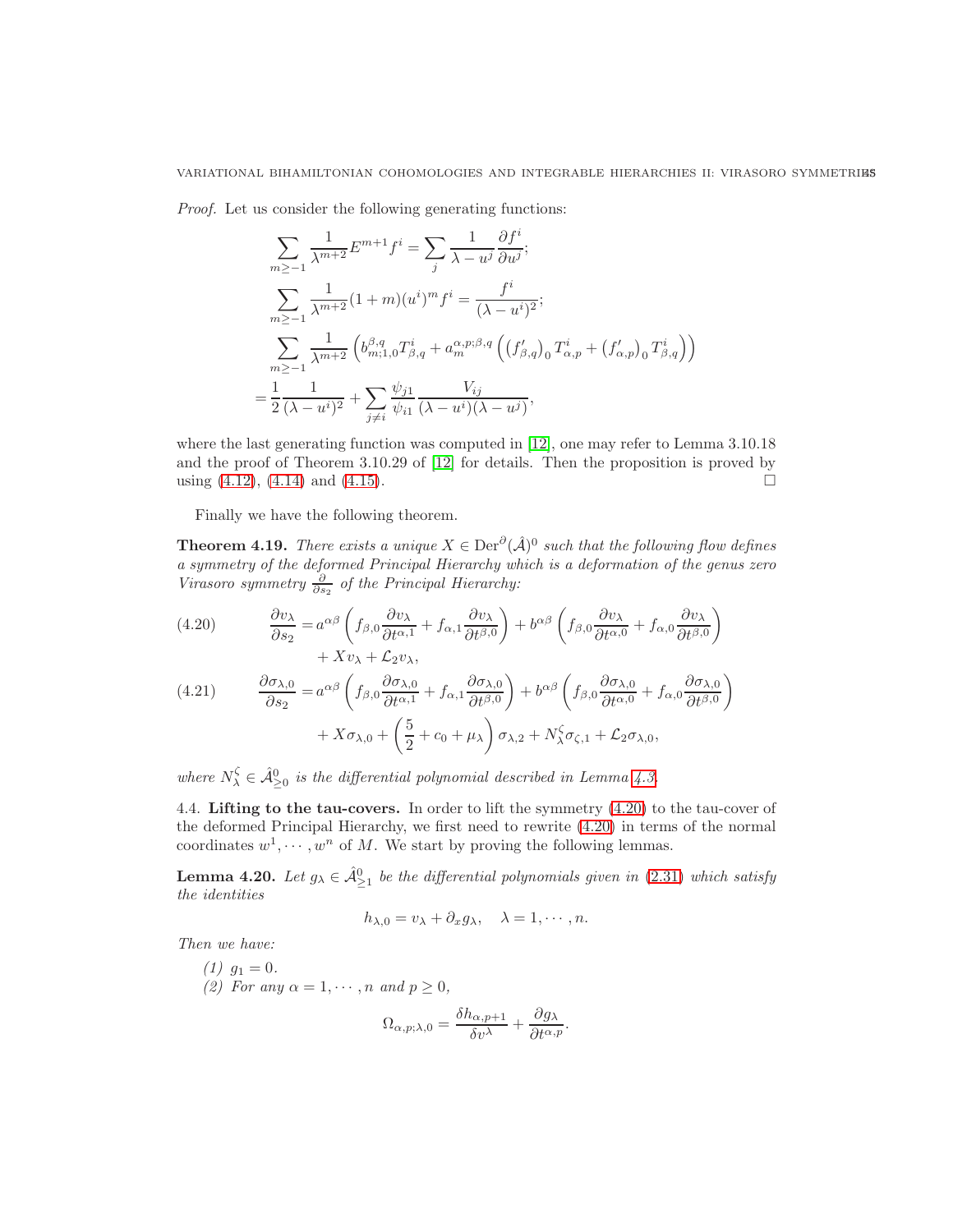Proof. Let us consider the following generating functions:

$$
\sum_{m \ge -1} \frac{1}{\lambda^{m+2}} E^{m+1} f^i = \sum_j \frac{1}{\lambda - u^j} \frac{\partial f^i}{\partial u^j};
$$
\n
$$
\sum_{m \ge -1} \frac{1}{\lambda^{m+2}} (1+m)(u^i)^m f^i = \frac{f^i}{(\lambda - u^i)^2};
$$
\n
$$
\sum_{m \ge -1} \frac{1}{\lambda^{m+2}} \left( b^{(\beta, q)}_{m; 1, 0} T^i_{\beta, q} + a^{(\alpha, p), \beta, q}_{m} \left( (f'_{\beta, q})_0 T^i_{\alpha, p} + (f'_{\alpha, p})_0 T^i_{\beta, q} \right) \right)
$$
\n
$$
= \frac{1}{2} \frac{1}{(\lambda - u^i)^2} + \sum_{j \ne i} \frac{\psi_{j1}}{\psi_{i1}} \frac{V_{ij}}{(\lambda - u^i)(\lambda - u^j)},
$$

where the last generating function was computed in [\[12\]](#page-53-2), one may refer to Lemma 3.10.18 and the proof of Theorem 3.10.29 of [\[12\]](#page-53-2) for details. Then the proposition is proved by using  $(4.12)$ ,  $(4.14)$  and  $(4.15)$ .

Finally we have the following theorem.

<span id="page-44-3"></span>**Theorem 4.19.** There exists a unique  $X \in Der^{\partial}(\hat{\mathcal{A}})^0$  such that the following flow defines a symmetry of the deformed Principal Hierarchy which is a deformation of the genus zero Virasoro symmetry  $\frac{\partial}{\partial s_2}$  of the Principal Hierarchy:

<span id="page-44-1"></span>(4.20) 
$$
\frac{\partial v_{\lambda}}{\partial s_{2}} = a^{\alpha\beta} \left( f_{\beta,0} \frac{\partial v_{\lambda}}{\partial t^{\alpha,1}} + f_{\alpha,1} \frac{\partial v_{\lambda}}{\partial t^{\beta,0}} \right) + b^{\alpha\beta} \left( f_{\beta,0} \frac{\partial v_{\lambda}}{\partial t^{\alpha,0}} + f_{\alpha,0} \frac{\partial v_{\lambda}}{\partial t^{\beta,0}} \right) + X v_{\lambda} + \mathcal{L}_{2} v_{\lambda},
$$
\n(4.21) 
$$
\frac{\partial \sigma_{\lambda,0}}{\partial t^{\alpha,0}} = a^{\alpha\beta} \left( f_{\beta,0} \frac{\partial \sigma_{\lambda,0}}{\partial t^{\alpha,1}} + f_{\alpha,1} \frac{\partial \sigma_{\lambda,0}}{\partial t^{\beta,0}} \right) + b^{\alpha\beta} \left( f_{\beta,0} \frac{\partial \sigma_{\lambda,0}}{\partial t^{\alpha,0}} + f_{\alpha,0} \frac{\partial \sigma_{\lambda,0}}{\partial t^{\beta,0}} \right)
$$

$$
\begin{aligned} 4.21) \qquad & \frac{\partial \sigma_{\lambda,0}}{\partial s_2} = a^{\alpha\beta} \left( f_{\beta,0} \frac{\partial \sigma_{\lambda,0}}{\partial t^{\alpha,1}} + f_{\alpha,1} \frac{\partial \sigma_{\lambda,0}}{\partial t^{\beta,0}} \right) + b^{\alpha\beta} \left( f_{\beta,0} \frac{\partial \sigma_{\lambda,0}}{\partial t^{\alpha,0}} + f_{\alpha,0} \frac{\partial \sigma_{\lambda,0}}{\partial t^{\beta,0}} \right) \\ & + X \sigma_{\lambda,0} + \left( \frac{5}{2} + c_0 + \mu_\lambda \right) \sigma_{\lambda,2} + N_\lambda^{\zeta} \sigma_{\zeta,1} + \mathcal{L}_2 \sigma_{\lambda,0}, \end{aligned}
$$

where  $N_{\lambda}^{\zeta} \in \hat{\mathcal{A}}_{\geq 0}^0$  is the differential polynomial described in Lemma [4.3.](#page-32-2)

<span id="page-44-0"></span>4.4. Lifting to the tau-covers. In order to lift the symmetry [\(4.20\)](#page-44-1) to the tau-cover of the deformed Principal Hierarchy, we first need to rewrite [\(4.20\)](#page-44-1) in terms of the normal coordinates  $w^1, \dots, w^n$  of M. We start by proving the following lemmas.

<span id="page-44-2"></span>**Lemma 4.20.** Let  $g_{\lambda} \in \hat{\mathcal{A}}_{\geq 1}^0$  be the differential polynomials given in [\(2.31\)](#page-20-3) which satisfy the identities

$$
h_{\lambda,0} = v_{\lambda} + \partial_x g_{\lambda}, \quad \lambda = 1, \cdots, n.
$$

Then we have:

(1)  $g_1 = 0$ . (2) For any  $\alpha = 1, \dots, n$  and  $p \ge 0$ ,

$$
\Omega_{\alpha,p;\lambda,0} = \frac{\delta h_{\alpha,p+1}}{\delta v^{\lambda}} + \frac{\partial g_{\lambda}}{\partial t^{\alpha,p}}.
$$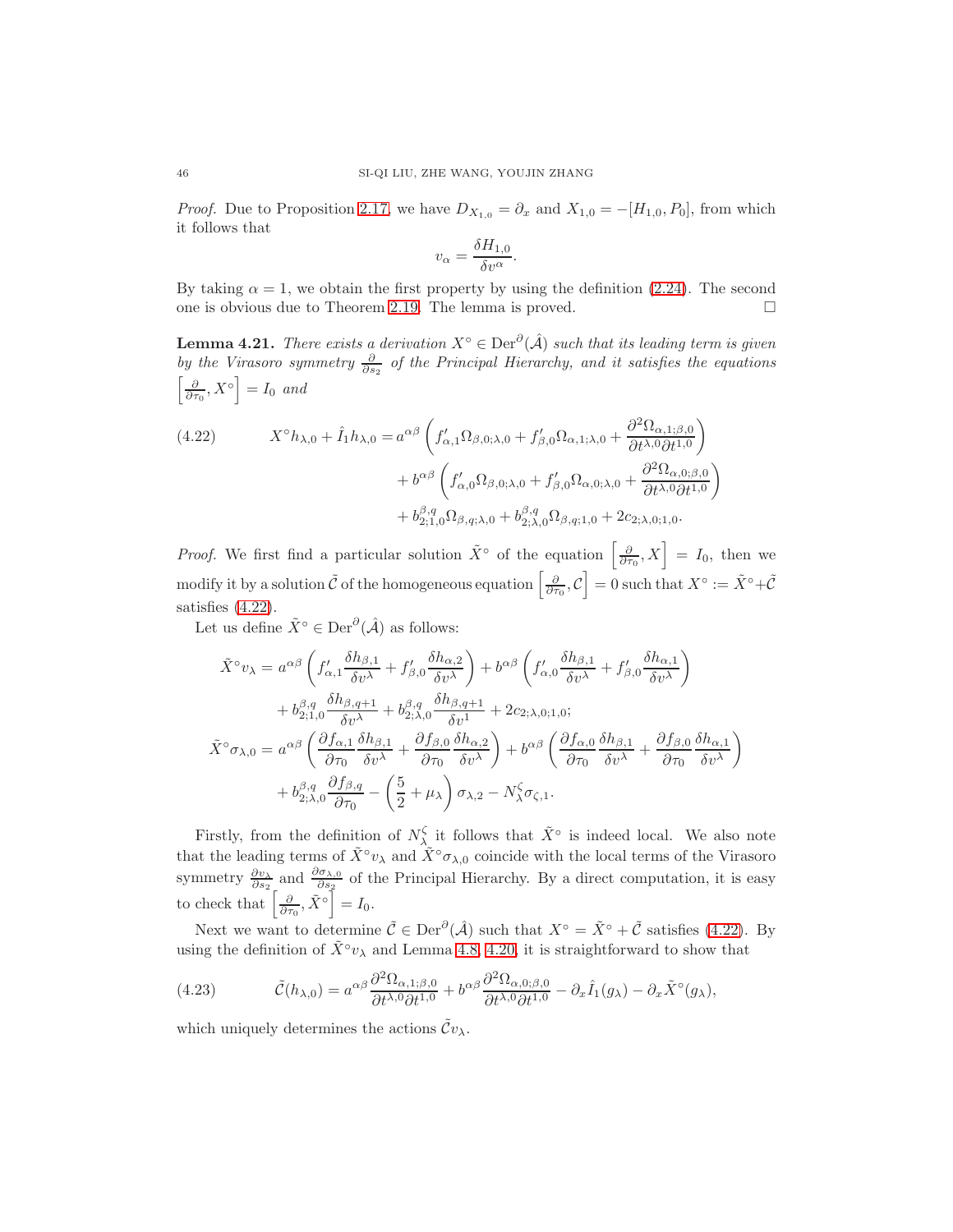*Proof.* Due to Proposition [2.17,](#page-18-3) we have  $D_{X_{1,0}} = \partial_x$  and  $X_{1,0} = -[H_{1,0}, P_0]$ , from which it follows that

$$
v_{\alpha} = \frac{\delta H_{1,0}}{\delta v^{\alpha}}.
$$

By taking  $\alpha = 1$ , we obtain the first property by using the definition [\(2.24\)](#page-18-2). The second one is obvious due to Theorem [2.19.](#page-18-4) The lemma is proved.

**Lemma 4.21.** There exists a derivation  $X^{\circ} \in \text{Der}^{\partial}(\hat{\mathcal{A}})$  such that its leading term is given by the Virasoro symmetry  $\frac{\partial}{\partial s_2}$  of the Principal Hierarchy, and it satisfies the equations  $\left[\frac{\partial}{\partial \tau_0}, X^{\circ}\right] = I_0$  and

<span id="page-45-0"></span>(4.22) 
$$
X^{\circ}h_{\lambda,0} + \hat{I}_1h_{\lambda,0} = a^{\alpha\beta} \left( f'_{\alpha,1}\Omega_{\beta,0;\lambda,0} + f'_{\beta,0}\Omega_{\alpha,1;\lambda,0} + \frac{\partial^2 \Omega_{\alpha,1;\beta,0}}{\partial t^{\lambda,0}\partial t^{1,0}} \right) + b^{\alpha\beta} \left( f'_{\alpha,0}\Omega_{\beta,0;\lambda,0} + f'_{\beta,0}\Omega_{\alpha,0;\lambda,0} + \frac{\partial^2 \Omega_{\alpha,0;\beta,0}}{\partial t^{\lambda,0}\partial t^{1,0}} \right) + b^{\beta,q}_{2;1,0}\Omega_{\beta,q;\lambda,0} + b^{\beta,q}_{2;\lambda,0}\Omega_{\beta,q;1,0} + 2c_{2;\lambda,0;1,0}.
$$

*Proof.* We first find a particular solution  $\tilde{X}^{\circ}$  of the equation  $\left[\frac{\partial}{\partial \tau_0}, X\right] = I_0$ , then we modify it by a solution  $\tilde{\mathcal{C}}$  of the homogeneous equation  $\left[\frac{\partial}{\partial \tau_0}, \mathcal{C}\right] = 0$  such that  $X^{\circ} := \tilde{X}^{\circ} + \tilde{\mathcal{C}}$ satisfies [\(4.22\)](#page-45-0).

Let us define  $\tilde{X}^{\circ} \in \text{Der}^{\partial}(\hat{\mathcal{A}})$  as follows:

$$
\tilde{X}^{\circ}\nu_{\lambda} = a^{\alpha\beta} \left( f'_{\alpha,1} \frac{\delta h_{\beta,1}}{\delta v^{\lambda}} + f'_{\beta,0} \frac{\delta h_{\alpha,2}}{\delta v^{\lambda}} \right) + b^{\alpha\beta} \left( f'_{\alpha,0} \frac{\delta h_{\beta,1}}{\delta v^{\lambda}} + f'_{\beta,0} \frac{\delta h_{\alpha,1}}{\delta v^{\lambda}} \right) \n+ b^{\beta,q}_{2;1,0} \frac{\delta h_{\beta,q+1}}{\delta v^{\lambda}} + b^{\beta,q}_{2;1,0} \frac{\delta h_{\beta,q+1}}{\delta v^{1}} + 2c_{2;1,0;1,0}; \n\tilde{X}^{\circ}\sigma_{\lambda,0} = a^{\alpha\beta} \left( \frac{\partial f_{\alpha,1}}{\partial \tau_{0}} \frac{\delta h_{\beta,1}}{\delta v^{\lambda}} + \frac{\partial f_{\beta,0}}{\partial \tau_{0}} \frac{\delta h_{\alpha,2}}{\delta v^{\lambda}} \right) + b^{\alpha\beta} \left( \frac{\partial f_{\alpha,0}}{\partial \tau_{0}} \frac{\delta h_{\beta,1}}{\delta v^{\lambda}} + \frac{\partial f_{\beta,0}}{\partial \tau_{0}} \frac{\delta h_{\alpha,1}}{\delta v^{\lambda}} \right) \n+ b^{\beta,q}_{2;1,0} \frac{\partial f_{\beta,q}}{\partial \tau_{0}} - \left( \frac{5}{2} + \mu_{\lambda} \right) \sigma_{\lambda,2} - N^{\zeta}_{\lambda} \sigma_{\zeta,1}.
$$

Firstly, from the definition of  $N_{\lambda}^{\zeta}$  it follows that  $\tilde{X}^{\circ}$  is indeed local. We also note that the leading terms of  $\tilde{X}^\circ v_\lambda$  and  $\tilde{X}^\circ \sigma_{\lambda,0}$  coincide with the local terms of the Virasoro symmetry  $\frac{\partial v_\lambda}{\partial s_2}$  and  $\frac{\partial \sigma_{\lambda,0}}{\partial s_2}$  of the Principal Hierarchy. By a direct computation, it is easy to check that  $\left[\frac{\partial}{\partial \tau_0}, \tilde{X}^{\circ}\right] = I_0.$ 

Next we want to determine  $\tilde{C} \in \text{Der}^{\partial}(\hat{\mathcal{A}})$  such that  $X^{\circ} = \tilde{X}^{\circ} + \tilde{C}$  satisfies [\(4.22\)](#page-45-0). By using the definition of  $\tilde{X}^\circ v_\lambda$  and Lemma [4.8,](#page-38-2) [4.20,](#page-44-2) it is straightforward to show that

<span id="page-45-1"></span>(4.23) 
$$
\tilde{\mathcal{C}}(h_{\lambda,0}) = a^{\alpha\beta} \frac{\partial^2 \Omega_{\alpha,1;\beta,0}}{\partial t^{\lambda,0} \partial t^{1,0}} + b^{\alpha\beta} \frac{\partial^2 \Omega_{\alpha,0;\beta,0}}{\partial t^{\lambda,0} \partial t^{1,0}} - \partial_x \hat{I}_1(g_\lambda) - \partial_x \tilde{X}^\circ(g_\lambda),
$$

which uniquely determines the actions  $\tilde{\mathcal{C}}v_{\lambda}$ .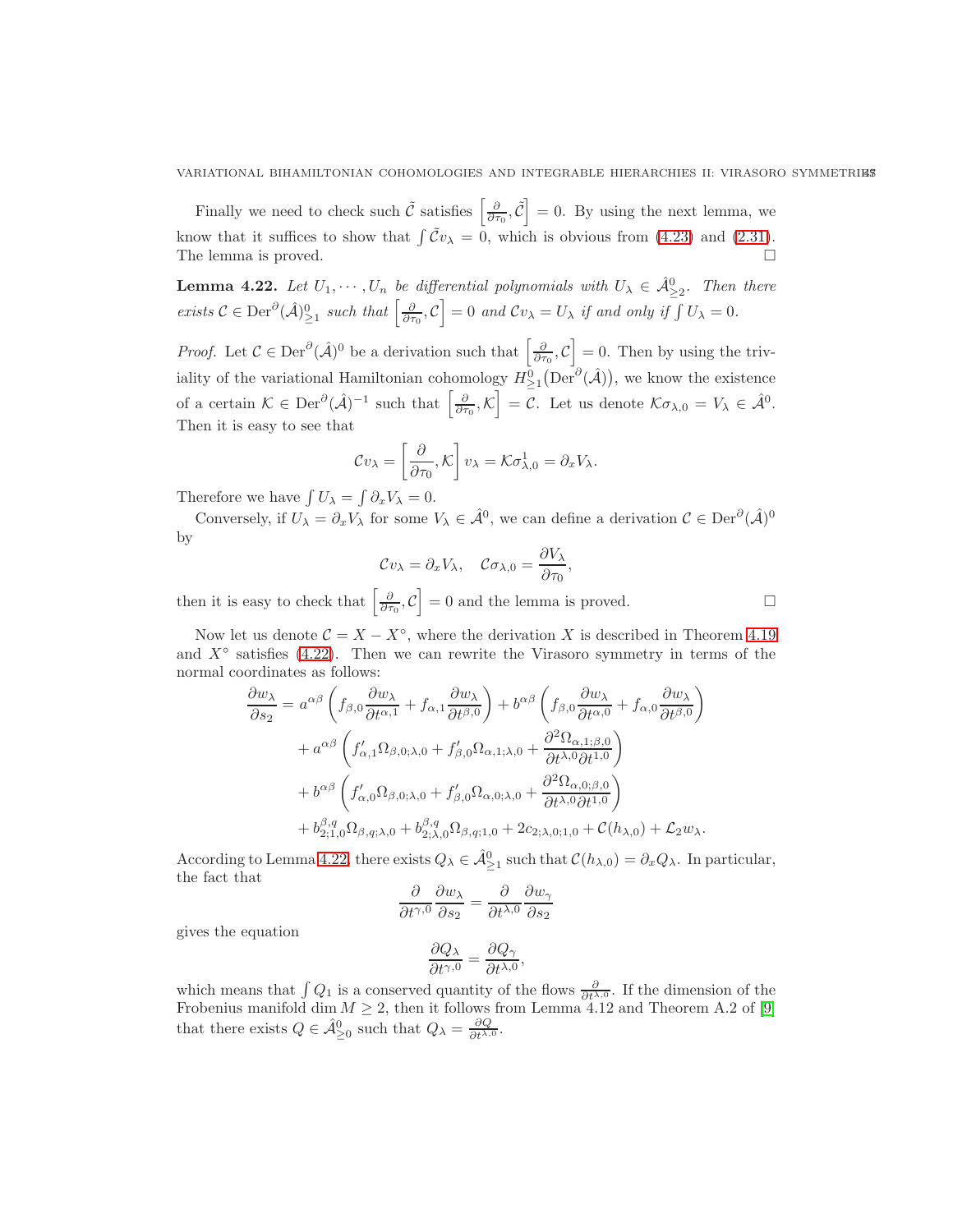Finally we need to check such  $\tilde{C}$  satisfies  $\left[\frac{\partial}{\partial \tau_0}, \tilde{C}\right] = 0$ . By using the next lemma, we know that it suffices to show that  $\int \tilde{C}v_{\lambda} = 0$ , which is obvious from [\(4.23\)](#page-45-1) and [\(2.31\)](#page-20-3). The lemma is proved.

<span id="page-46-0"></span>**Lemma 4.22.** Let  $U_1, \dots, U_n$  be differential polynomials with  $U_\lambda \in \hat{\mathcal{A}}_{\geq 2}^0$ . Then there exists  $\mathcal{C} \in \text{Der}^{\partial}(\hat{\mathcal{A}})_{\geq 1}^0$  such that  $\left[\frac{\partial}{\partial \tau_0}, \mathcal{C}\right] = 0$  and  $\mathcal{C}v_\lambda = U_\lambda$  if and only if  $\int U_\lambda = 0$ .

*Proof.* Let  $\mathcal{C} \in \text{Der}^{\partial}(\hat{\mathcal{A}})^0$  be a derivation such that  $\left[\frac{\partial}{\partial \tau_0}, \mathcal{C}\right] = 0$ . Then by using the triviality of the variational Hamiltonian cohomology  $H_{\geq 1}^0(\text{Der}^{\partial}(\hat{\mathcal{A}}))$ , we know the existence of a certain  $\mathcal{K} \in \text{Der}^{\partial}(\hat{\mathcal{A}})^{-1}$  such that  $\left[\frac{\partial}{\partial \tau_0}, \mathcal{K}\right] = \mathcal{C}$ . Let us denote  $\mathcal{K}\sigma_{\lambda,0} = V_{\lambda} \in \hat{\mathcal{A}}^0$ . Then it is easy to see that

$$
\mathcal{C}v_{\lambda} = \left[\frac{\partial}{\partial \tau_0}, \mathcal{K}\right]v_{\lambda} = \mathcal{K}\sigma^1_{\lambda,0} = \partial_x V_{\lambda}.
$$

Therefore we have  $\int U_{\lambda} = \int \partial_x V_{\lambda} = 0$ .

Conversely, if  $U_\lambda = \partial_x V_\lambda$  for some  $V_\lambda \in \hat{\mathcal{A}}^0$ , we can define a derivation  $\mathcal{C} \in \text{Der}^{\partial}(\hat{\mathcal{A}})^0$ by

$$
\mathcal{C}v_{\lambda} = \partial_x V_{\lambda}, \quad \mathcal{C}\sigma_{\lambda,0} = \frac{\partial V_{\lambda}}{\partial \tau_0},
$$

then it is easy to check that  $\left[\frac{\partial}{\partial \tau_0}, \mathcal{C}\right] = 0$  and the lemma is proved.

Now let us denote  $C = X - X^{\circ}$ , where the derivation X is described in Theorem [4.19](#page-44-3) and  $X^{\circ}$  satisfies [\(4.22\)](#page-45-0). Then we can rewrite the Virasoro symmetry in terms of the normal coordinates as follows:

$$
\frac{\partial w_{\lambda}}{\partial s_{2}} = a^{\alpha\beta} \left( f_{\beta,0} \frac{\partial w_{\lambda}}{\partial t^{\alpha,1}} + f_{\alpha,1} \frac{\partial w_{\lambda}}{\partial t^{\beta,0}} \right) + b^{\alpha\beta} \left( f_{\beta,0} \frac{\partial w_{\lambda}}{\partial t^{\alpha,0}} + f_{\alpha,0} \frac{\partial w_{\lambda}}{\partial t^{\beta,0}} \right) \n+ a^{\alpha\beta} \left( f'_{\alpha,1} \Omega_{\beta,0;\lambda,0} + f'_{\beta,0} \Omega_{\alpha,1;\lambda,0} + \frac{\partial^{2} \Omega_{\alpha,1;\beta,0}}{\partial t^{\lambda,0} \partial t^{1,0}} \right) \n+ b^{\alpha\beta} \left( f'_{\alpha,0} \Omega_{\beta,0;\lambda,0} + f'_{\beta,0} \Omega_{\alpha,0;\lambda,0} + \frac{\partial^{2} \Omega_{\alpha,0;\beta,0}}{\partial t^{\lambda,0} \partial t^{1,0}} \right) \n+ b^{\beta,q}_{2;1,0} \Omega_{\beta,q;\lambda,0} + b^{\beta,q}_{2;\lambda,0} \Omega_{\beta,q;1,0} + 2c_{2;\lambda,0;1,0} + \mathcal{C}(h_{\lambda,0}) + \mathcal{L}_{2} w_{\lambda}.
$$

According to Lemma [4.22,](#page-46-0) there exists  $Q_{\lambda} \in \hat{\mathcal{A}}_{\geq 1}^0$  such that  $\mathcal{C}(h_{\lambda,0}) = \partial_x Q_{\lambda}$ . In particular, the fact that

$$
\frac{\partial}{\partial t^{\gamma,0}} \frac{\partial w_{\lambda}}{\partial s_2} = \frac{\partial}{\partial t^{\lambda,0}} \frac{\partial w_{\gamma}}{\partial s_2}
$$

gives the equation

$$
\frac{\partial Q_{\lambda}}{\partial t^{\gamma,0}}=\frac{\partial Q_{\gamma}}{\partial t^{\lambda,0}},
$$

which means that  $\int Q_1$  is a conserved quantity of the flows  $\frac{\partial}{\partial t^{\lambda,0}}$ . If the dimension of the Frobenius manifold dim  $M \geq 2$ , then it follows from Lemma 4.12 and Theorem A.2 of [\[9\]](#page-53-16) that there exists  $Q \in \hat{\mathcal{A}}_{\geq 0}^0$  such that  $Q_{\lambda} = \frac{\partial Q}{\partial t^{\lambda,0}}$ .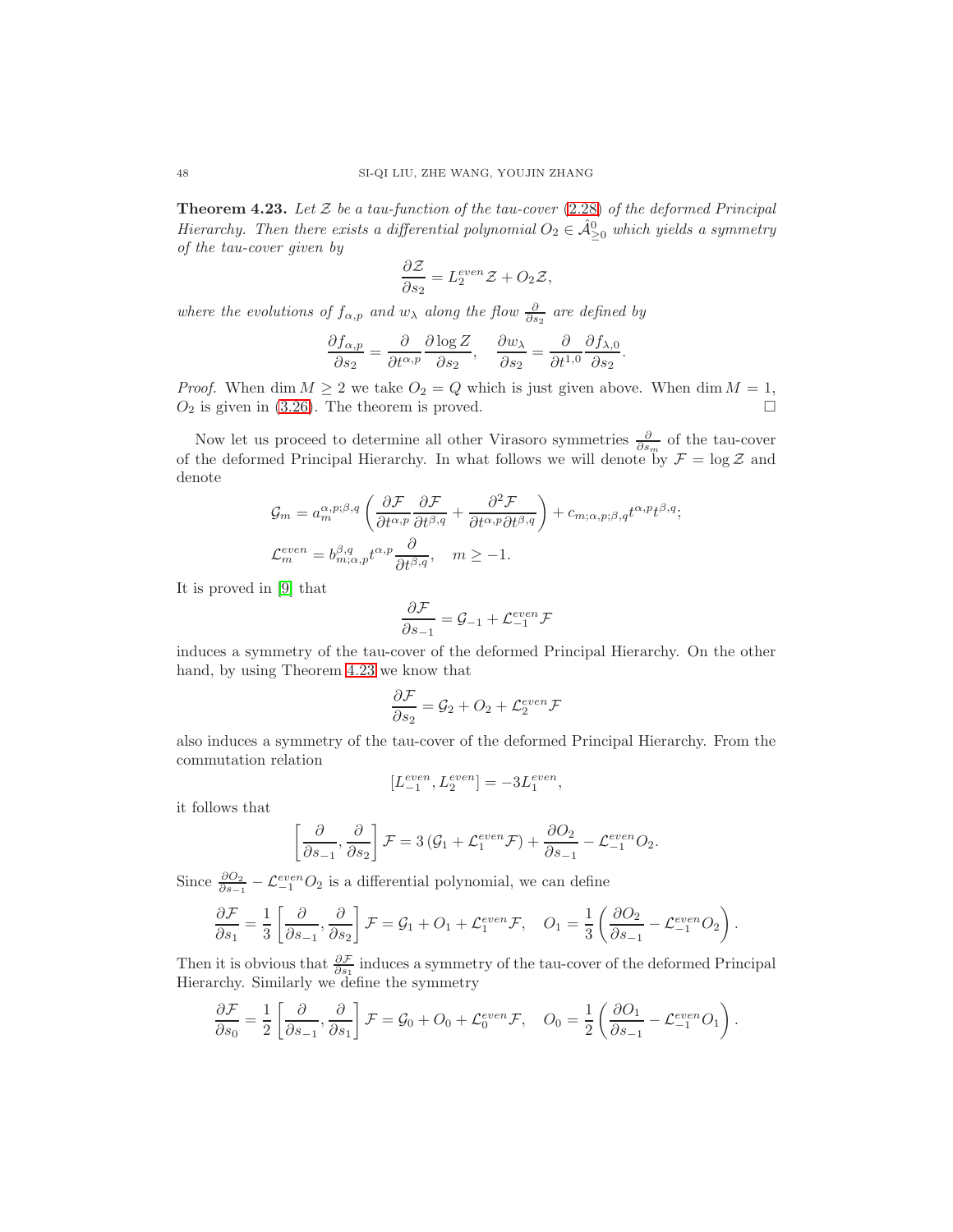<span id="page-47-0"></span>**Theorem 4.23.** Let  $\mathcal{Z}$  be a tau-function of the tau-cover [\(2.28\)](#page-19-2) of the deformed Principal Hierarchy. Then there exists a differential polynomial  $O_2 \in \hat{\mathcal{A}}_{\geq 0}^0$  which yields a symmetry of the tau-cover given by

$$
\frac{\partial \mathcal{Z}}{\partial s_2} = L_2^{even} \mathcal{Z} + O_2 \mathcal{Z},
$$

where the evolutions of  $f_{\alpha,p}$  and  $w_{\lambda}$  along the flow  $\frac{\partial}{\partial s_2}$  are defined by

$$
\frac{\partial f_{\alpha,p}}{\partial s_2} = \frac{\partial}{\partial t^{\alpha,p}} \frac{\partial \log Z}{\partial s_2}, \quad \frac{\partial w_\lambda}{\partial s_2} = \frac{\partial}{\partial t^{1,0}} \frac{\partial f_{\lambda,0}}{\partial s_2}.
$$

*Proof.* When dim  $M \ge 2$  we take  $O_2 = Q$  which is just given above. When dim  $M = 1$ ,  $O<sub>2</sub>$  is given in [\(3.26\)](#page-31-5). The theorem is proved.

Now let us proceed to determine all other Virasoro symmetries  $\frac{\partial}{\partial s_m}$  of the tau-cover of the deformed Principal Hierarchy. In what follows we will denote by  $\mathcal{F} = \log \mathcal{Z}$  and denote

$$
\mathcal{G}_m = a_m^{\alpha, p; \beta, q} \left( \frac{\partial \mathcal{F}}{\partial t^{\alpha, p}} \frac{\partial \mathcal{F}}{\partial t^{\beta, q}} + \frac{\partial^2 \mathcal{F}}{\partial t^{\alpha, p} \partial t^{\beta, q}} \right) + c_{m; \alpha, p; \beta, q} t^{\alpha, p} t^{\beta, q};
$$
\n
$$
\mathcal{L}_m^{even} = b_{m; \alpha, p}^{\beta, q} t^{\alpha, p} \frac{\partial}{\partial t^{\beta, q}}, \quad m \ge -1.
$$

It is proved in [\[9\]](#page-53-16) that

$$
\frac{\partial \mathcal{F}}{\partial s_{-1}} = \mathcal{G}_{-1} + \mathcal{L}_{-1}^{even} \mathcal{F}
$$

induces a symmetry of the tau-cover of the deformed Principal Hierarchy. On the other hand, by using Theorem [4.23](#page-47-0) we know that

$$
\frac{\partial \mathcal{F}}{\partial s_2} = \mathcal{G}_2 + O_2 + \mathcal{L}_2^{even} \mathcal{F}
$$

also induces a symmetry of the tau-cover of the deformed Principal Hierarchy. From the commutation relation

$$
[L^{even}_{-1},L^{even}_{2}]=-3L^{even}_{1},\quad
$$

it follows that

$$
\left[\frac{\partial}{\partial s_{-1}}, \frac{\partial}{\partial s_2}\right] \mathcal{F} = 3\left(\mathcal{G}_1 + \mathcal{L}_1^{even} \mathcal{F}\right) + \frac{\partial O_2}{\partial s_{-1}} - \mathcal{L}_{-1}^{even} O_2.
$$

Since  $\frac{\partial Q_2}{\partial s_{-1}} - \mathcal{L}_{-1}^{even} O_2$  is a differential polynomial, we can define

$$
\frac{\partial \mathcal{F}}{\partial s_1} = \frac{1}{3} \left[ \frac{\partial}{\partial s_{-1}}, \frac{\partial}{\partial s_2} \right] \mathcal{F} = \mathcal{G}_1 + O_1 + \mathcal{L}_1^{even} \mathcal{F}, \quad O_1 = \frac{1}{3} \left( \frac{\partial O_2}{\partial s_{-1}} - \mathcal{L}_{-1}^{even} O_2 \right).
$$

Then it is obvious that  $\frac{\partial \mathcal{F}}{\partial s_1}$  induces a symmetry of the tau-cover of the deformed Principal Hierarchy. Similarly we define the symmetry

$$
\frac{\partial \mathcal{F}}{\partial s_0} = \frac{1}{2} \left[ \frac{\partial}{\partial s_{-1}}, \frac{\partial}{\partial s_1} \right] \mathcal{F} = \mathcal{G}_0 + O_0 + \mathcal{L}_0^{even} \mathcal{F}, \quad O_0 = \frac{1}{2} \left( \frac{\partial O_1}{\partial s_{-1}} - \mathcal{L}_{-1}^{even} O_1 \right).
$$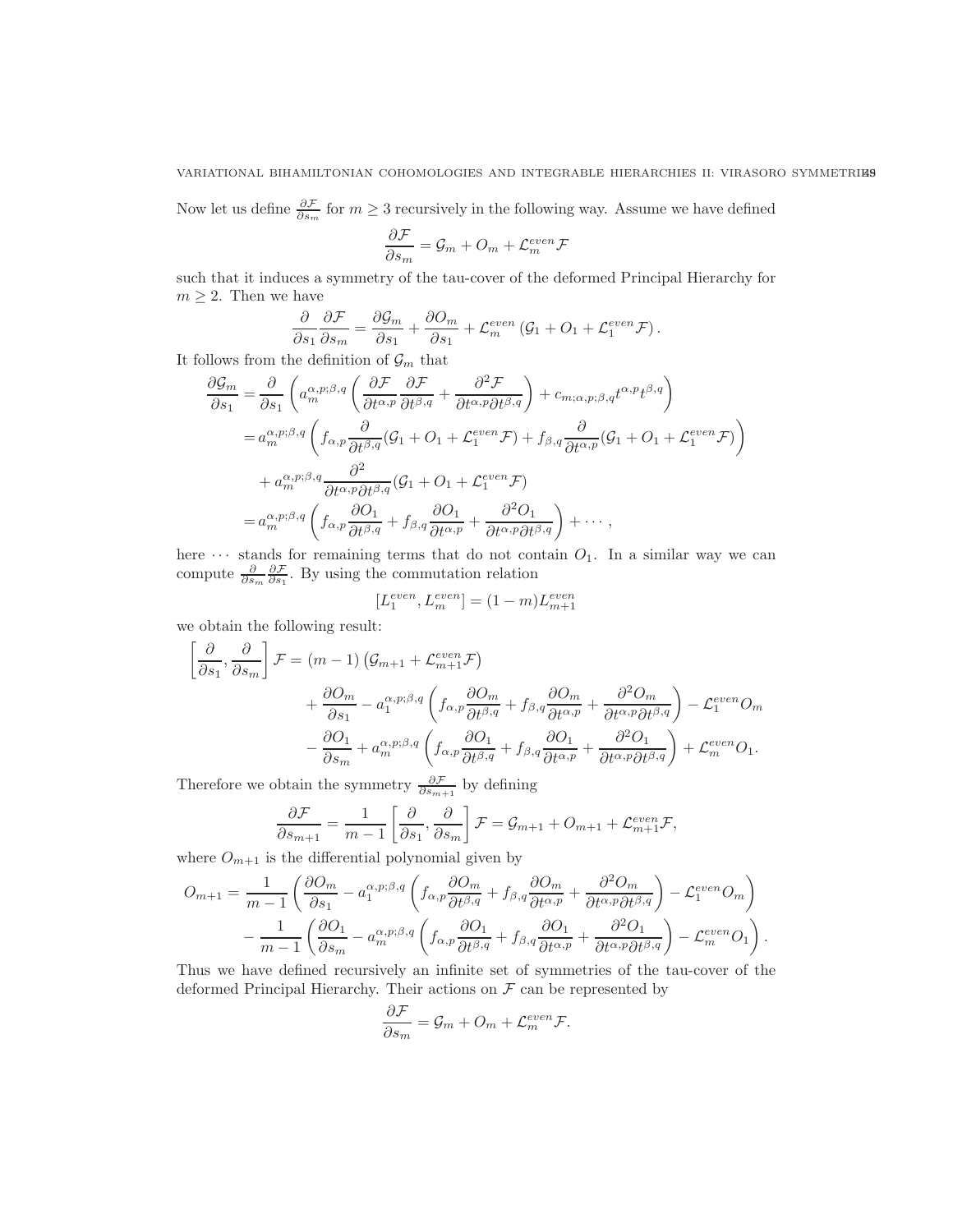Now let us define  $\frac{\partial \mathcal{F}}{\partial s_m}$  for  $m \geq 3$  recursively in the following way. Assume we have defined

$$
\frac{\partial \mathcal{F}}{\partial s_m} = \mathcal{G}_m + O_m + \mathcal{L}_m^{even} \mathcal{F}
$$

such that it induces a symmetry of the tau-cover of the deformed Principal Hierarchy for  $m \geq 2$ . Then we have

$$
\frac{\partial}{\partial s_1} \frac{\partial \mathcal{F}}{\partial s_m} = \frac{\partial \mathcal{G}_m}{\partial s_1} + \frac{\partial O_m}{\partial s_1} + \mathcal{L}_m^{even} (\mathcal{G}_1 + O_1 + \mathcal{L}_1^{even} \mathcal{F}).
$$

It follows from the definition of  $\mathcal{G}_m$  that

$$
\frac{\partial \mathcal{G}_m}{\partial s_1} = \frac{\partial}{\partial s_1} \left( a_m^{\alpha, p; \beta, q} \left( \frac{\partial \mathcal{F}}{\partial t^{\alpha, p}} \frac{\partial \mathcal{F}}{\partial t^{\beta, q}} + \frac{\partial^2 \mathcal{F}}{\partial t^{\alpha, p} \partial t^{\beta, q}} \right) + c_{m; \alpha, p; \beta, q} t^{\alpha, p} t^{\beta, q} \right)
$$
  
\n
$$
= a_m^{\alpha, p; \beta, q} \left( f_{\alpha, p} \frac{\partial}{\partial t^{\beta, q}} (\mathcal{G}_1 + O_1 + \mathcal{L}_1^{even} \mathcal{F}) + f_{\beta, q} \frac{\partial}{\partial t^{\alpha, p}} (\mathcal{G}_1 + O_1 + \mathcal{L}_1^{even} \mathcal{F}) \right)
$$
  
\n
$$
+ a_m^{\alpha, p; \beta, q} \frac{\partial^2}{\partial t^{\alpha, p} \partial t^{\beta, q}} (\mathcal{G}_1 + O_1 + \mathcal{L}_1^{even} \mathcal{F})
$$
  
\n
$$
= a_m^{\alpha, p; \beta, q} \left( f_{\alpha, p} \frac{\partial O_1}{\partial t^{\beta, q}} + f_{\beta, q} \frac{\partial O_1}{\partial t^{\alpha, p}} + \frac{\partial^2 O_1}{\partial t^{\alpha, p} \partial t^{\beta, q}} \right) + \cdots ,
$$

here  $\cdots$  stands for remaining terms that do not contain  $O_1$ . In a similar way we can compute  $\frac{\partial}{\partial s_m} \frac{\partial \mathcal{F}}{\partial s_1}$ . By using the commutation relation

$$
[L_1^{even},L_m^{even}]= (1-m)L_{m+1}^{even} \label{eq:2.1}
$$

we obtain the following result:

$$
\begin{aligned}\n\left[\frac{\partial}{\partial s_1}, \frac{\partial}{\partial s_m}\right] \mathcal{F} &= (m-1) \left(\mathcal{G}_{m+1} + \mathcal{L}_{m+1}^{even} \mathcal{F}\right) \\
&\quad + \frac{\partial O_m}{\partial s_1} - a_1^{\alpha, p; \beta, q} \left(f_{\alpha, p} \frac{\partial O_m}{\partial t^{\beta, q}} + f_{\beta, q} \frac{\partial O_m}{\partial t^{\alpha, p}} + \frac{\partial^2 O_m}{\partial t^{\alpha, p} \partial t^{\beta, q}}\right) - \mathcal{L}_1^{even} O_m \\
&\quad - \frac{\partial O_1}{\partial s_m} + a_m^{\alpha, p; \beta, q} \left(f_{\alpha, p} \frac{\partial O_1}{\partial t^{\beta, q}} + f_{\beta, q} \frac{\partial O_1}{\partial t^{\alpha, p}} + \frac{\partial^2 O_1}{\partial t^{\alpha, p} \partial t^{\beta, q}}\right) + \mathcal{L}_m^{even} O_1.\n\end{aligned}
$$

Therefore we obtain the symmetry  $\frac{\partial \mathcal{F}}{\partial s_{m+1}}$  by defining

$$
\frac{\partial \mathcal{F}}{\partial s_{m+1}} = \frac{1}{m-1} \left[ \frac{\partial}{\partial s_1}, \frac{\partial}{\partial s_m} \right] \mathcal{F} = \mathcal{G}_{m+1} + O_{m+1} + \mathcal{L}_{m+1}^{even} \mathcal{F},
$$

where  $\mathcal{O}_{m+1}$  is the differential polynomial given by

$$
O_{m+1} = \frac{1}{m-1} \left( \frac{\partial O_m}{\partial s_1} - a_1^{\alpha, p; \beta, q} \left( f_{\alpha, p} \frac{\partial O_m}{\partial t^{\beta, q}} + f_{\beta, q} \frac{\partial O_m}{\partial t^{\alpha, p}} + \frac{\partial^2 O_m}{\partial t^{\alpha, p} \partial t^{\beta, q}} \right) - \mathcal{L}_1^{even} O_m \right)
$$

$$
- \frac{1}{m-1} \left( \frac{\partial O_1}{\partial s_m} - a_m^{\alpha, p; \beta, q} \left( f_{\alpha, p} \frac{\partial O_1}{\partial t^{\beta, q}} + f_{\beta, q} \frac{\partial O_1}{\partial t^{\alpha, p}} + \frac{\partial^2 O_1}{\partial t^{\alpha, p} \partial t^{\beta, q}} \right) - \mathcal{L}_m^{even} O_1 \right).
$$

Thus we have defined recursively an infinite set of symmetries of the tau-cover of the deformed Principal Hierarchy. Their actions on  $\mathcal F$  can be represented by

$$
\frac{\partial \mathcal{F}}{\partial s_m} = \mathcal{G}_m + O_m + \mathcal{L}_m^{even} \mathcal{F}.
$$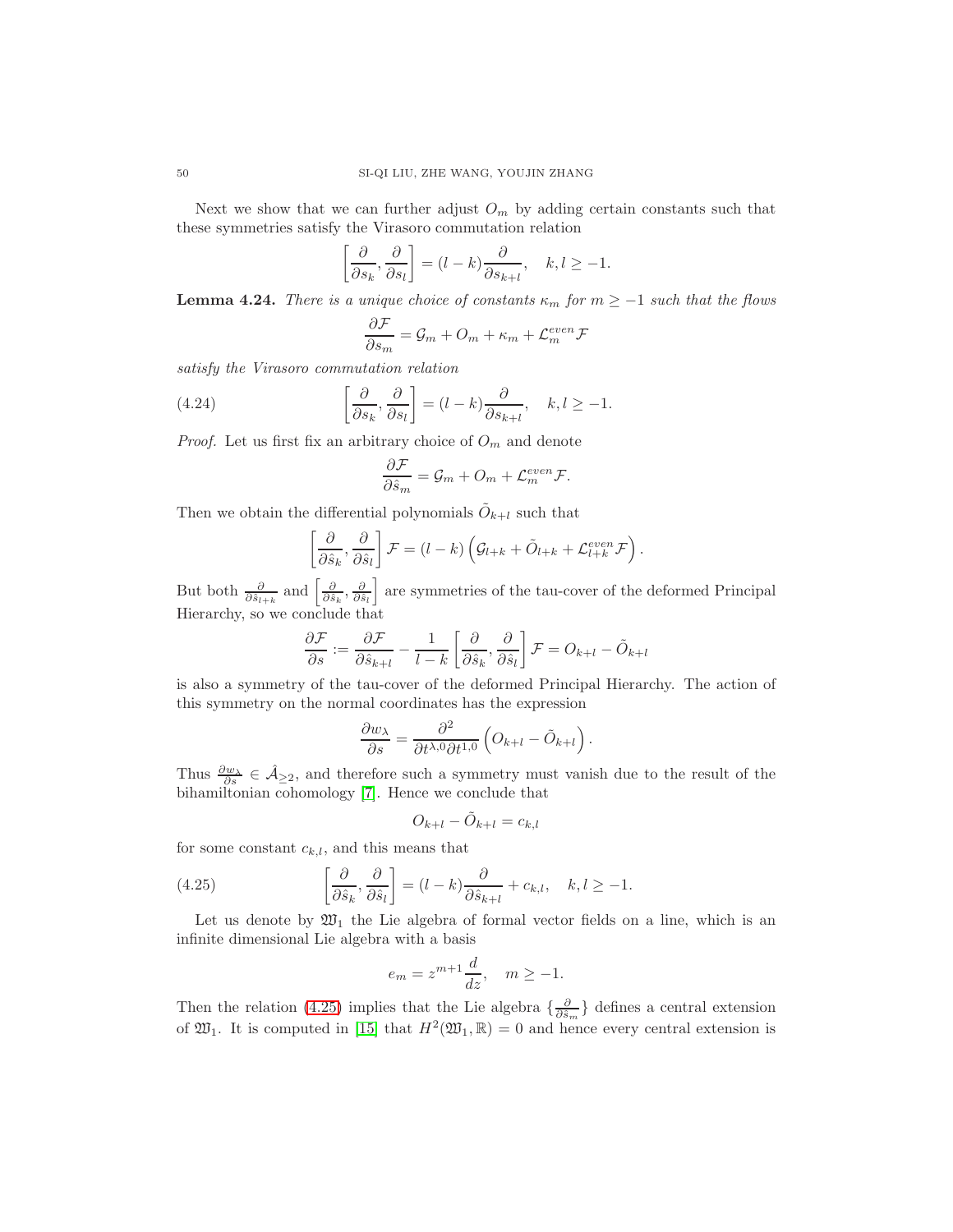Next we show that we can further adjust  $O_m$  by adding certain constants such that these symmetries satisfy the Virasoro commutation relation

$$
\left[\frac{\partial}{\partial s_k}, \frac{\partial}{\partial s_l}\right] = (l - k) \frac{\partial}{\partial s_{k+l}}, \quad k, l \ge -1.
$$

**Lemma 4.24.** There is a unique choice of constants  $\kappa_m$  for  $m \geq -1$  such that the flows

$$
\frac{\partial \mathcal{F}}{\partial s_m} = \mathcal{G}_m + O_m + \kappa_m + \mathcal{L}_m^{even} \mathcal{F}
$$

satisfy the Virasoro commutation relation

(4.24) 
$$
\left[\frac{\partial}{\partial s_k}, \frac{\partial}{\partial s_l}\right] = (l-k)\frac{\partial}{\partial s_{k+l}}, \quad k, l \ge -1.
$$

*Proof.* Let us first fix an arbitrary choice of  $O_m$  and denote

<span id="page-49-1"></span>
$$
\frac{\partial \mathcal{F}}{\partial \hat{s}_m} = \mathcal{G}_m + O_m + \mathcal{L}_m^{even} \mathcal{F}.
$$

Then we obtain the differential polynomials  $\tilde{O}_{k+l}$  such that

$$
\left[\frac{\partial}{\partial \hat{s}_k}, \frac{\partial}{\partial \hat{s}_l}\right] \mathcal{F} = (l - k) \left(\mathcal{G}_{l+k} + \tilde{O}_{l+k} + \mathcal{L}_{l+k}^{even} \mathcal{F}\right).
$$

But both  $\frac{\partial}{\partial \hat{s}_{l+k}}$  and  $\left[\frac{\partial}{\partial \hat{s}_k}, \frac{\partial}{\partial \hat{s}_l}\right]$  are symmetries of the tau-cover of the deformed Principal Hierarchy, so we conclude that

$$
\frac{\partial \mathcal{F}}{\partial s} := \frac{\partial \mathcal{F}}{\partial \hat{s}_{k+l}} - \frac{1}{l-k} \left[ \frac{\partial}{\partial \hat{s}_k}, \frac{\partial}{\partial \hat{s}_l} \right] \mathcal{F} = O_{k+l} - \tilde{O}_{k+l}
$$

is also a symmetry of the tau-cover of the deformed Principal Hierarchy. The action of this symmetry on the normal coordinates has the expression

$$
\frac{\partial w_{\lambda}}{\partial s} = \frac{\partial^2}{\partial t^{\lambda,0} \partial t^{1,0}} \left( O_{k+l} - \tilde{O}_{k+l} \right).
$$

Thus  $\frac{\partial w_\lambda}{\partial s} \in \hat{\mathcal{A}}_{\geq 2}$ , and therefore such a symmetry must vanish due to the result of the bihamiltonian cohomology [\[7\]](#page-53-6). Hence we conclude that

$$
O_{k+l} - \tilde{O}_{k+l} = c_{k,l}
$$

for some constant  $c_{k,l}$ , and this means that

(4.25) 
$$
\left[\frac{\partial}{\partial \hat{s}_k}, \frac{\partial}{\partial \hat{s}_l}\right] = (l-k)\frac{\partial}{\partial \hat{s}_{k+l}} + c_{k,l}, \quad k, l \ge -1.
$$

Let us denote by  $\mathfrak{W}_1$  the Lie algebra of formal vector fields on a line, which is an infinite dimensional Lie algebra with a basis

<span id="page-49-0"></span>
$$
e_m = z^{m+1} \frac{d}{dz}, \quad m \ge -1.
$$

Then the relation [\(4.25\)](#page-49-0) implies that the Lie algebra  $\{\frac{\partial}{\partial \hat{s}_m}\}$  defines a central extension of  $\mathfrak{W}_1$ . It is computed in [\[15\]](#page-53-22) that  $H^2(\mathfrak{W}_1,\mathbb{R})=0$  and hence every central extension is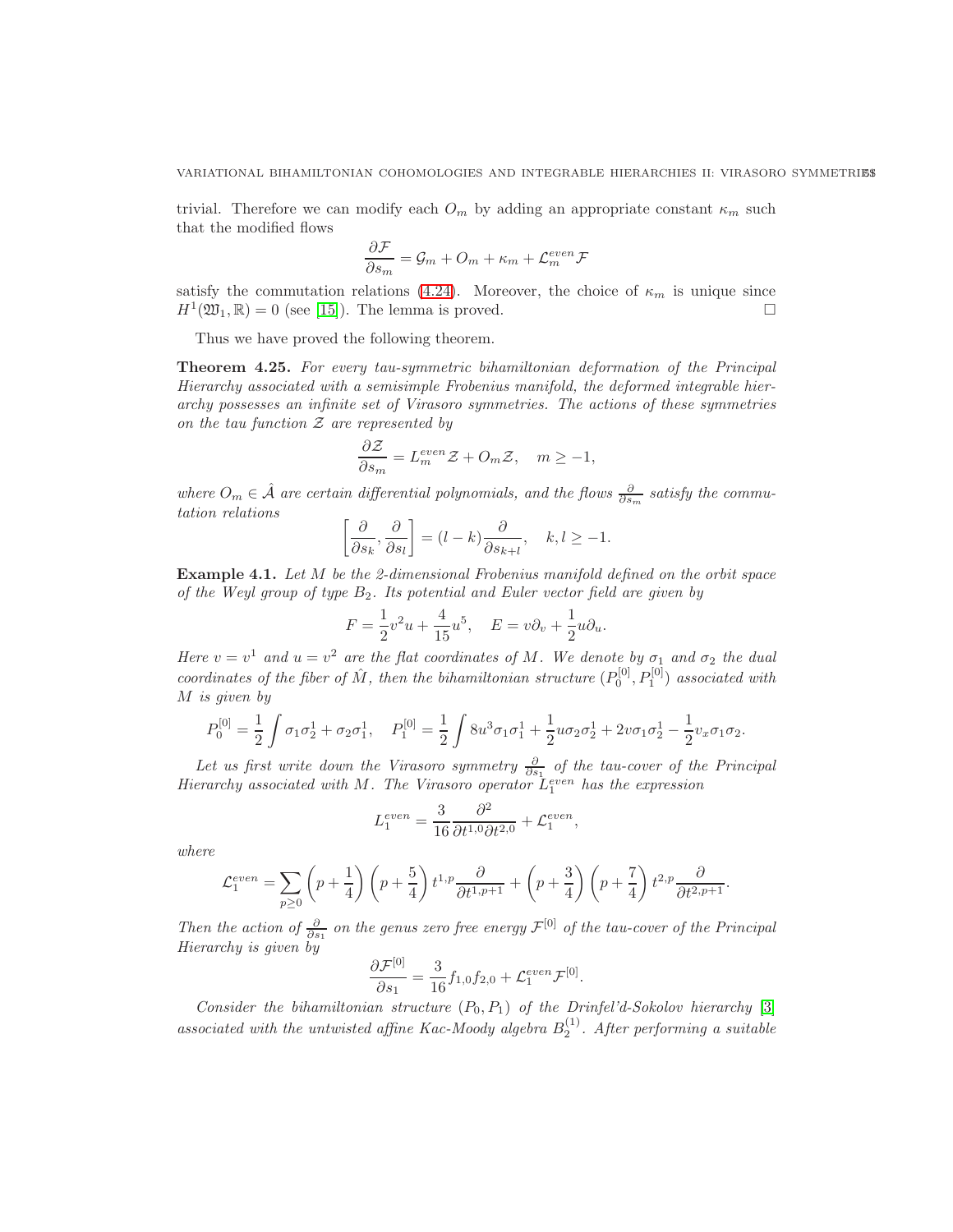trivial. Therefore we can modify each  $O_m$  by adding an appropriate constant  $\kappa_m$  such that the modified flows

$$
\frac{\partial \mathcal{F}}{\partial s_m} = \mathcal{G}_m + O_m + \kappa_m + \mathcal{L}_m^{even} \mathcal{F}
$$

satisfy the commutation relations [\(4.24\)](#page-49-1). Moreover, the choice of  $\kappa_m$  is unique since  $H^1(\mathfrak{W}_1,\mathbb{R})=0$  (see [\[15\]](#page-53-22)). The lemma is proved.

Thus we have proved the following theorem.

Theorem 4.25. For every tau-symmetric bihamiltonian deformation of the Principal Hierarchy associated with a semisimple Frobenius manifold, the deformed integrable hierarchy possesses an infinite set of Virasoro symmetries. The actions of these symmetries on the tau function  $\mathcal Z$  are represented by

$$
\frac{\partial \mathcal{Z}}{\partial s_m} = L_m^{even} \mathcal{Z} + O_m \mathcal{Z}, \quad m \ge -1,
$$

where  $O_m \in \hat{\mathcal{A}}$  are certain differential polynomials, and the flows  $\frac{\partial}{\partial s_m}$  satisfy the commutation relations

$$
\left[\frac{\partial}{\partial s_k}, \frac{\partial}{\partial s_l}\right] = (l - k) \frac{\partial}{\partial s_{k+l}}, \quad k, l \ge -1.
$$

<span id="page-50-0"></span>Example 4.1. Let M be the 2-dimensional Frobenius manifold defined on the orbit space of the Weyl group of type  $B_2$ . Its potential and Euler vector field are given by

$$
F = \frac{1}{2}v^2u + \frac{4}{15}u^5, \quad E = v\partial_v + \frac{1}{2}u\partial_u.
$$

Here  $v = v^1$  and  $u = v^2$  are the flat coordinates of M. We denote by  $\sigma_1$  and  $\sigma_2$  the dual coordinates of the fiber of  $\hat{M}$ , then the bihamiltonian structure  $(P_0^{[0]}, P_1^{[0]})$  associated with M is given by

$$
P_0^{[0]} = \frac{1}{2} \int \sigma_1 \sigma_2^1 + \sigma_2 \sigma_1^1, \quad P_1^{[0]} = \frac{1}{2} \int 8u^3 \sigma_1 \sigma_1^1 + \frac{1}{2} u \sigma_2 \sigma_2^1 + 2v \sigma_1 \sigma_2^1 - \frac{1}{2} v_x \sigma_1 \sigma_2.
$$

Let us first write down the Virasoro symmetry  $\frac{\partial}{\partial s_1}$  of the tau-cover of the Principal Hierarchy associated with M. The Virasoro operator  $\tilde{L}_1^{even}$  has the expression

$$
L_1^{even} = \frac{3}{16} \frac{\partial^2}{\partial t^{1,0} \partial t^{2,0}} + \mathcal{L}_1^{even},
$$

where

$$
\mathcal{L}_1^{even} = \sum_{p \ge 0} \left( p + \frac{1}{4} \right) \left( p + \frac{5}{4} \right) t^{1,p} \frac{\partial}{\partial t^{1,p+1}} + \left( p + \frac{3}{4} \right) \left( p + \frac{7}{4} \right) t^{2,p} \frac{\partial}{\partial t^{2,p+1}}.
$$

Then the action of  $\frac{\partial}{\partial s_1}$  on the genus zero free energy  $\mathcal{F}^{[0]}$  of the tau-cover of the Principal Hierarchy is given by

$$
\frac{\partial \mathcal{F}^{[0]}}{\partial s_1} = \frac{3}{16} f_{1,0} f_{2,0} + \mathcal{L}_1^{even} \mathcal{F}^{[0]}.
$$

Consider the bihamiltonian structure  $(P_0, P_1)$  of the Drinfel'd-Sokolov hierarchy [\[3\]](#page-53-23) associated with the untwisted affine Kac-Moody algebra  $B_2^{(1)}$ . After performing a suitable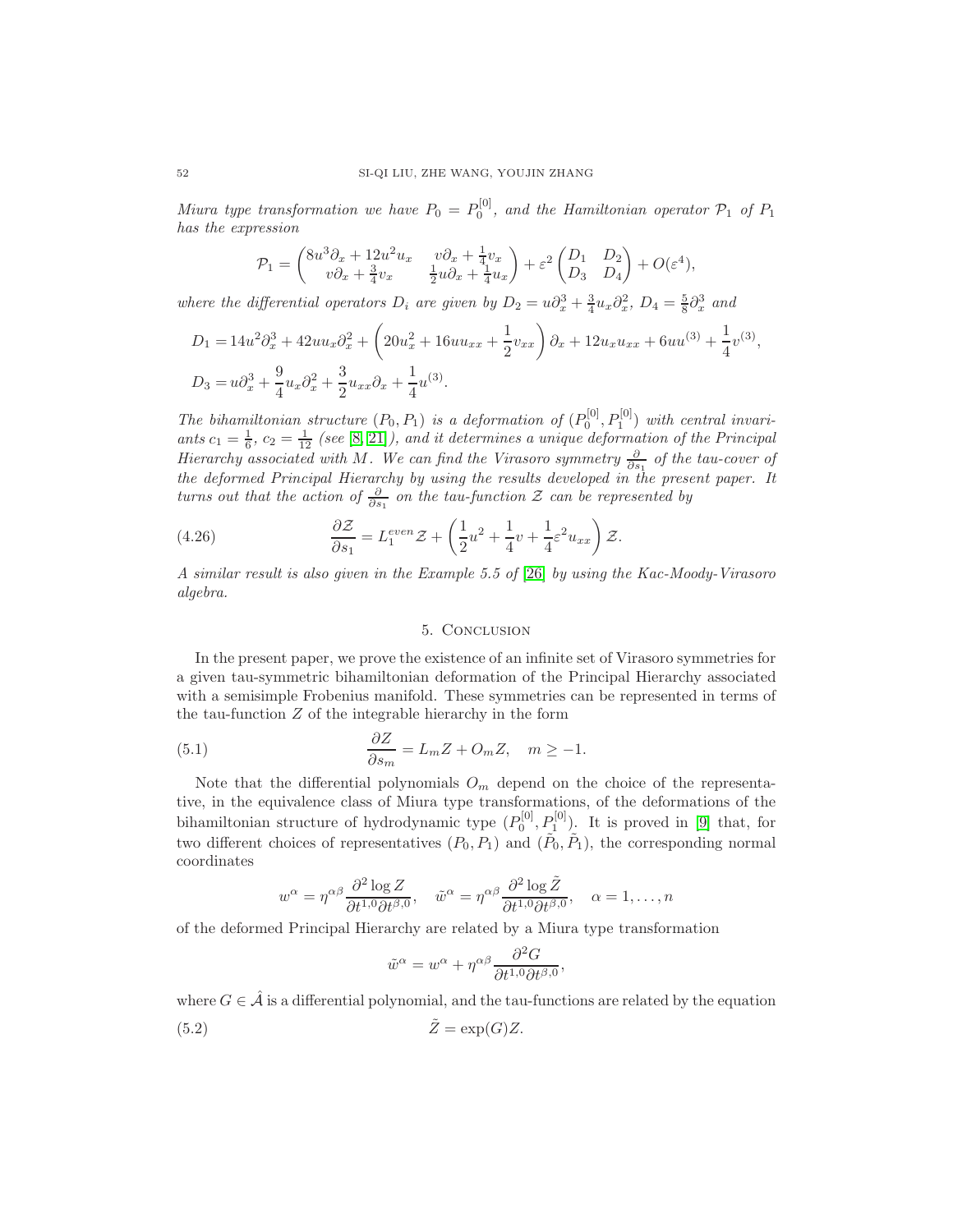Miura type transformation we have  $P_0 = P_0^{[0]}$ , and the Hamiltonian operator  $\mathcal{P}_1$  of  $P_1$ has the expression

$$
\mathcal{P}_1 = \begin{pmatrix} 8u^3\partial_x + 12u^2u_x & v\partial_x + \frac{1}{4}v_x \\ v\partial_x + \frac{3}{4}v_x & \frac{1}{2}u\partial_x + \frac{1}{4}u_x \end{pmatrix} + \varepsilon^2 \begin{pmatrix} D_1 & D_2 \\ D_3 & D_4 \end{pmatrix} + O(\varepsilon^4),
$$

where the differential operators  $D_i$  are given by  $D_2 = u\partial_x^3 + \frac{3}{4}u_x\partial_x^2$ ,  $D_4 = \frac{5}{8}\partial_x^3$  and

$$
D_1 = 14u^2\partial_x^3 + 42uu_x\partial_x^2 + \left(20u_x^2 + 16uu_{xx} + \frac{1}{2}v_{xx}\right)\partial_x + 12u_xu_{xx} + 6uu^{(3)} + \frac{1}{4}v^{(3)},
$$
  
\n
$$
D_3 = u\partial_x^3 + \frac{9}{4}u_x\partial_x^2 + \frac{3}{2}u_{xx}\partial_x + \frac{1}{4}u^{(3)}.
$$

The bihamiltonian structure  $(P_0, P_1)$  is a deformation of  $(P_0^{[0]}, P_1^{[0]})$  with central invariants  $c_1 = \frac{1}{6}$ ,  $c_2 = \frac{1}{12}$  (see [\[8,](#page-53-24) [21\]](#page-53-19)), and it determines a unique deformation of the Principal Hierarchy associated with M. We can find the Virasoro symmetry  $\frac{\partial}{\partial s_1}$  of the tau-cover of the deformed Principal Hierarchy by using the results developed in the present paper. It turns out that the action of  $\frac{\partial}{\partial s_1}$  on the tau-function  $\mathcal Z$  can be represented by

(4.26) 
$$
\frac{\partial \mathcal{Z}}{\partial s_1} = L_1^{even} \mathcal{Z} + \left(\frac{1}{2}u^2 + \frac{1}{4}v + \frac{1}{4}\varepsilon^2 u_{xx}\right)\mathcal{Z}.
$$

<span id="page-51-0"></span>A similar result is also given in the Example 5.5 of [\[26\]](#page-54-0) by using the Kac-Moody-Virasoro algebra.

### <span id="page-51-3"></span><span id="page-51-2"></span>5. Conclusion

In the present paper, we prove the existence of an infinite set of Virasoro symmetries for a given tau-symmetric bihamiltonian deformation of the Principal Hierarchy associated with a semisimple Frobenius manifold. These symmetries can be represented in terms of the tau-function Z of the integrable hierarchy in the form

(5.1) 
$$
\frac{\partial Z}{\partial s_m} = L_m Z + O_m Z, \quad m \ge -1.
$$

Note that the differential polynomials  $O_m$  depend on the choice of the representative, in the equivalence class of Miura type transformations, of the deformations of the bihamiltonian structure of hydrodynamic type  $(P_0^{[0]}, P_1^{[0]})$ . It is proved in [\[9\]](#page-53-16) that, for two different choices of representatives  $(P_0, P_1)$  and  $(\tilde{P}_0, \tilde{P}_1)$ , the corresponding normal coordinates

$$
w^{\alpha} = \eta^{\alpha\beta} \frac{\partial^2 \log Z}{\partial t^{1,0} \partial t^{\beta,0}}, \quad \tilde{w}^{\alpha} = \eta^{\alpha\beta} \frac{\partial^2 \log \tilde{Z}}{\partial t^{1,0} \partial t^{\beta,0}}, \quad \alpha = 1, \dots, n
$$

of the deformed Principal Hierarchy are related by a Miura type transformation

<span id="page-51-1"></span>
$$
\tilde{w}^{\alpha} = w^{\alpha} + \eta^{\alpha\beta} \frac{\partial^2 G}{\partial t^{1,0} \partial t^{\beta,0}},
$$

where  $G \in \hat{\mathcal{A}}$  is a differential polynomial, and the tau-functions are related by the equation (5.2)  $\tilde{Z} = \exp(G)Z$ .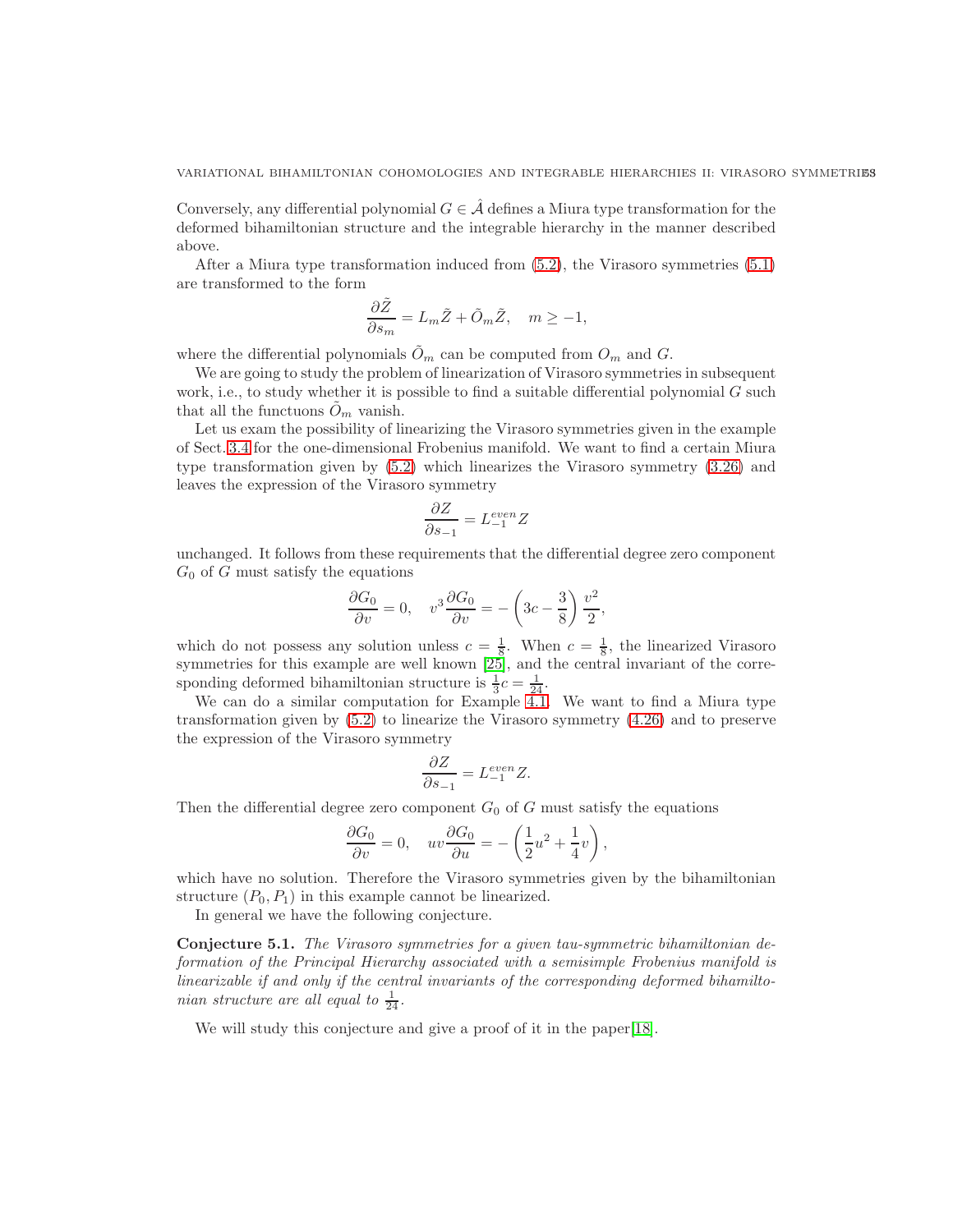Conversely, any differential polynomial  $G \in \mathcal{A}$  defines a Miura type transformation for the deformed bihamiltonian structure and the integrable hierarchy in the manner described above.

After a Miura type transformation induced from [\(5.2\)](#page-51-1), the Virasoro symmetries [\(5.1\)](#page-51-2) are transformed to the form

$$
\frac{\partial \tilde{Z}}{\partial s_m} = L_m \tilde{Z} + \tilde{O}_m \tilde{Z}, \quad m \ge -1,
$$

where the differential polynomials  $\tilde{O}_m$  can be computed from  $O_m$  and  $G$ .

We are going to study the problem of linearization of Virasoro symmetries in subsequent work, i.e., to study whether it is possible to find a suitable differential polynomial  $G$  such that all the functuons  $\hat{O}_m$  vanish.

Let us exam the possibility of linearizing the Virasoro symmetries given in the example of Sect. [3.4](#page-28-0) for the one-dimensional Frobenius manifold. We want to find a certain Miura type transformation given by [\(5.2\)](#page-51-1) which linearizes the Virasoro symmetry [\(3.26\)](#page-31-5) and leaves the expression of the Virasoro symmetry

$$
\frac{\partial Z}{\partial s_{-1}} = L_{-1}^{even} Z
$$

unchanged. It follows from these requirements that the differential degree zero component  $G_0$  of G must satisfy the equations

$$
\frac{\partial G_0}{\partial v} = 0, \quad v^3 \frac{\partial G_0}{\partial v} = -\left(3c - \frac{3}{8}\right) \frac{v^2}{2},
$$

which do not possess any solution unless  $c = \frac{1}{8}$ . When  $c = \frac{1}{8}$ , the linearized Virasoro symmetries for this example are well known [\[25\]](#page-53-21), and the central invariant of the corresponding deformed bihamiltonian structure is  $\frac{1}{3}c = \frac{1}{24}$ .

We can do a similar computation for Example [4.1.](#page-50-0) We want to find a Miura type transformation given by [\(5.2\)](#page-51-1) to linearize the Virasoro symmetry [\(4.26\)](#page-51-3) and to preserve the expression of the Virasoro symmetry

$$
\frac{\partial Z}{\partial s_{-1}} = L_{-1}^{even} Z.
$$

Then the differential degree zero component  $G_0$  of G must satisfy the equations

$$
\frac{\partial G_0}{\partial v} = 0, \quad uv \frac{\partial G_0}{\partial u} = -\left(\frac{1}{2}u^2 + \frac{1}{4}v\right),\,
$$

which have no solution. Therefore the Virasoro symmetries given by the bihamiltonian structure  $(P_0, P_1)$  in this example cannot be linearized.

In general we have the following conjecture.

Conjecture 5.1. The Virasoro symmetries for a given tau-symmetric bihamiltonian deformation of the Principal Hierarchy associated with a semisimple Frobenius manifold is linearizable if and only if the central invariants of the corresponding deformed bihamiltonian structure are all equal to  $\frac{1}{24}$ .

We will study this conjecture and give a proof of it in the paper [\[18\]](#page-53-25).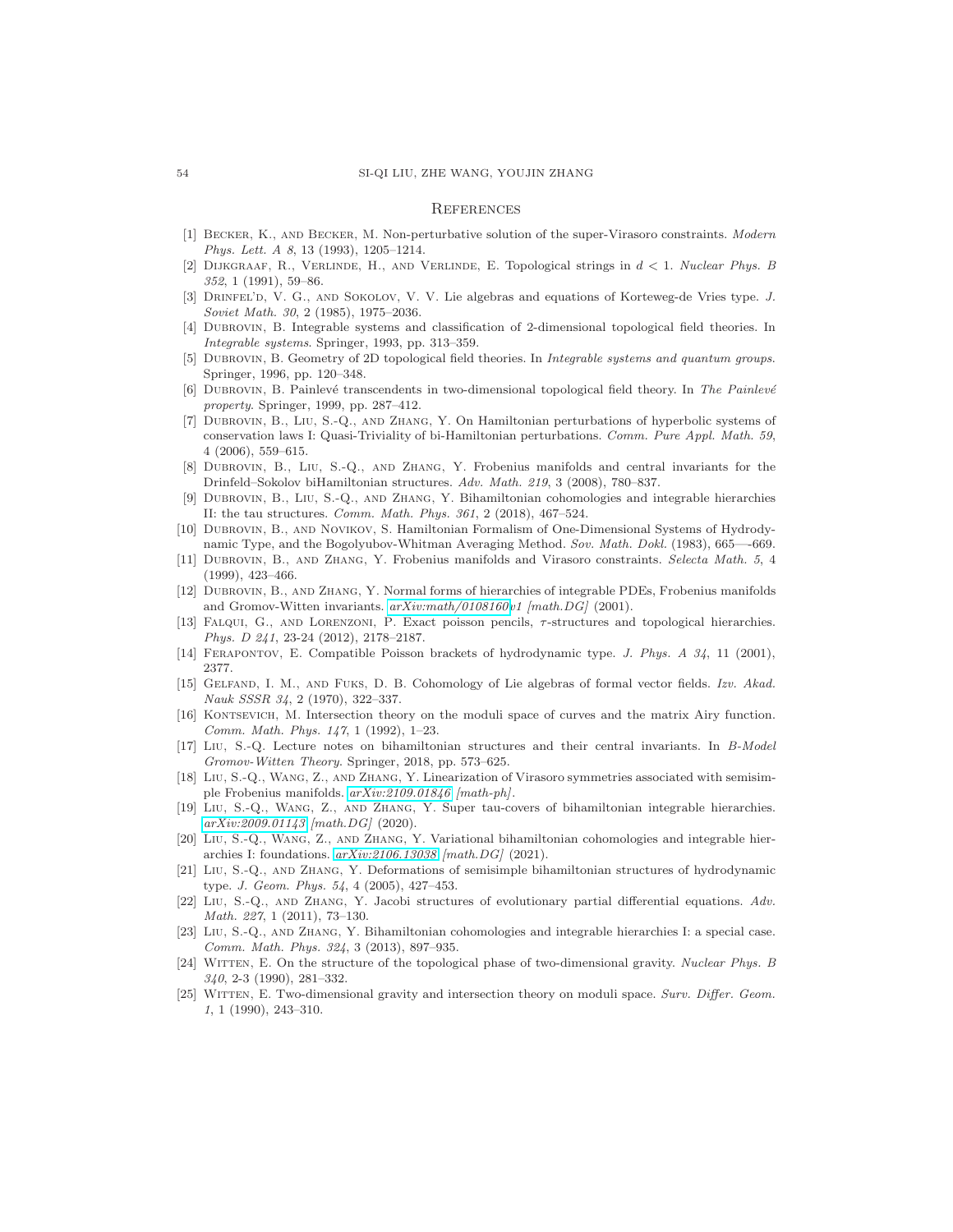#### <span id="page-53-0"></span>**REFERENCES**

- <span id="page-53-5"></span>[1] Becker, K., and Becker, M. Non-perturbative solution of the super-Virasoro constraints. Modern Phys. Lett. A 8, 13 (1993), 1205–1214.
- <span id="page-53-13"></span>[2] Dijkgraaf, R., Verlinde, H., and Verlinde, E. Topological strings in d < 1. Nuclear Phys. B 352, 1 (1991), 59–86.
- <span id="page-53-23"></span>[3] DRINFEL'D, V. G., AND SOKOLOV, V. V. Lie algebras and equations of Korteweg-de Vries type. J. Soviet Math. 30, 2 (1985), 1975–2036.
- <span id="page-53-11"></span><span id="page-53-10"></span>[4] Dubrovin, B. Integrable systems and classification of 2-dimensional topological field theories. In Integrable systems. Springer, 1993, pp. 313–359.
- <span id="page-53-12"></span>[5] DUBROVIN, B. Geometry of 2D topological field theories. In Integrable systems and quantum groups. Springer, 1996, pp. 120–348.
- <span id="page-53-6"></span>[6] DUBROVIN, B. Painlevé transcendents in two-dimensional topological field theory. In The Painlevé property. Springer, 1999, pp. 287–412.
- [7] Dubrovin, B., Liu, S.-Q., and Zhang, Y. On Hamiltonian perturbations of hyperbolic systems of conservation laws I: Quasi-Triviality of bi-Hamiltonian perturbations. Comm. Pure Appl. Math. 59, 4 (2006), 559–615.
- <span id="page-53-24"></span>[8] Dubrovin, B., Liu, S.-Q., and Zhang, Y. Frobenius manifolds and central invariants for the Drinfeld–Sokolov biHamiltonian structures. Adv. Math. 219, 3 (2008), 780–837.
- <span id="page-53-16"></span>[9] Dubrovin, B., Liu, S.-Q., and Zhang, Y. Bihamiltonian cohomologies and integrable hierarchies II: the tau structures. Comm. Math. Phys. 361, 2 (2018), 467–524.
- <span id="page-53-8"></span>[10] Dubrovin, B., and Novikov, S. Hamiltonian Formalism of One-Dimensional Systems of Hydrodynamic Type, and the Bogolyubov-Whitman Averaging Method. Sov. Math. Dokl. (1983), 665—-669.
- <span id="page-53-3"></span>[11] Dubrovin, B., and Zhang, Y. Frobenius manifolds and Virasoro constraints. Selecta Math. 5, 4 (1999), 423–466.
- <span id="page-53-2"></span>[12] Dubrovin, B., and Zhang, Y. Normal forms of hierarchies of integrable PDEs, Frobenius manifolds and Gromov-Witten invariants.  $arXiv.math/0108160v1$  [math.DG] (2001).
- <span id="page-53-18"></span>[13] Falqui, G., and Lorenzoni, P. Exact poisson pencils, τ-structures and topological hierarchies. Phys. D 241, 23-24 (2012), 2178–2187.
- <span id="page-53-22"></span><span id="page-53-9"></span>[14] FERAPONTOV, E. Compatible Poisson brackets of hydrodynamic type. J. Phys. A 34, 11 (2001), 2377.
- [15] GELFAND, I. M., AND FUKS, D. B. Cohomology of Lie algebras of formal vector fields. Izv. Akad. Nauk SSSR 34, 2 (1970), 322–337.
- <span id="page-53-20"></span>[16] Kontsevich, M. Intersection theory on the moduli space of curves and the matrix Airy function. Comm. Math. Phys. 147, 1 (1992), 1–23.
- <span id="page-53-7"></span>[17] Liu, S.-Q. Lecture notes on bihamiltonian structures and their central invariants. In B-Model Gromov-Witten Theory. Springer, 2018, pp. 573–625.
- <span id="page-53-25"></span>[18] Liu, S.-Q., Wang, Z., and Zhang, Y. Linearization of Virasoro symmetries associated with semisimple Frobenius manifolds. [arXiv:2109.01846](http://arxiv.org/abs/2109.01846) [math-ph].
- <span id="page-53-4"></span>[19] Liu, S.-Q., Wang, Z., and Zhang, Y. Super tau-covers of bihamiltonian integrable hierarchies. [arXiv:2009.01143](http://arxiv.org/abs/2009.01143) [math.DG] (2020).
- <span id="page-53-1"></span>[20] Liu, S.-Q., Wang, Z., and Zhang, Y. Variational bihamiltonian cohomologies and integrable hierarchies I: foundations. [arXiv:2106.13038](http://arxiv.org/abs/2106.13038) [math.DG] (2021).
- <span id="page-53-19"></span>[21] Liu, S.-Q., and Zhang, Y. Deformations of semisimple bihamiltonian structures of hydrodynamic type. J. Geom. Phys. 54, 4 (2005), 427–453.
- <span id="page-53-15"></span>[22] Liu, S.-Q., and Zhang, Y. Jacobi structures of evolutionary partial differential equations. Adv. Math. 227, 1 (2011), 73–130.
- <span id="page-53-17"></span>[23] Liu, S.-Q., and Zhang, Y. Bihamiltonian cohomologies and integrable hierarchies I: a special case. Comm. Math. Phys. 324, 3 (2013), 897–935.
- <span id="page-53-14"></span>[24] WITTEN, E. On the structure of the topological phase of two-dimensional gravity. Nuclear Phys. B 340, 2-3 (1990), 281–332.
- <span id="page-53-21"></span>[25] WITTEN, E. Two-dimensional gravity and intersection theory on moduli space. Surv. Differ. Geom. 1, 1 (1990), 243–310.